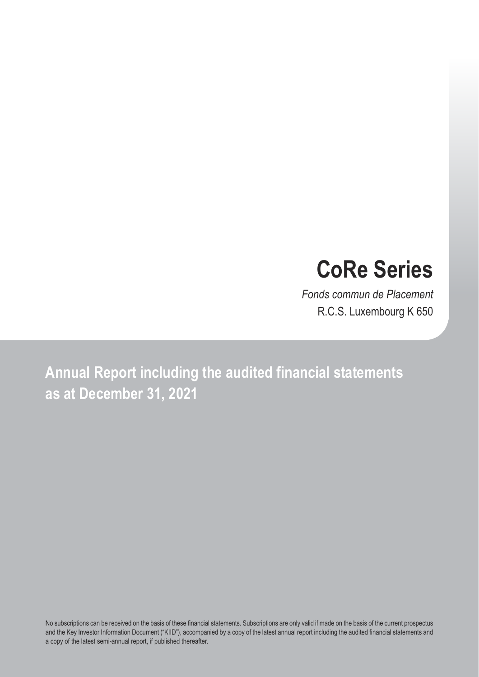# **CoRe Series**

*Fonds commun de Placement* R.C.S. Luxembourg K 650

**Annual Report including the audited financial statements as at December 31, 2021**

No subscriptions can be received on the basis of these financial statements. Subscriptions are only valid if made on the basis of the current prospectus and the Key Investor Information Document ("KIID"), accompanied by a copy of the latest annual report including the audited financial statements and a copy of the latest semi-annual report, if published thereafter.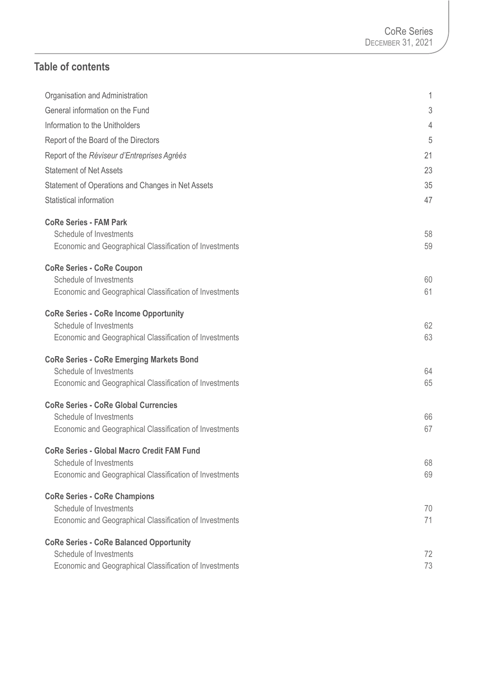## **Table of contents**

| Organisation and Administration                         | 1  |
|---------------------------------------------------------|----|
| General information on the Fund                         | 3  |
| Information to the Unitholders                          | 4  |
| Report of the Board of the Directors                    | 5  |
| Report of the Réviseur d'Entreprises Agréés             | 21 |
| <b>Statement of Net Assets</b>                          | 23 |
| Statement of Operations and Changes in Net Assets       | 35 |
| Statistical information                                 | 47 |
| <b>CoRe Series - FAM Park</b>                           |    |
| Schedule of Investments                                 | 58 |
| Economic and Geographical Classification of Investments | 59 |
| <b>CoRe Series - CoRe Coupon</b>                        |    |
| Schedule of Investments                                 | 60 |
| Economic and Geographical Classification of Investments | 61 |
| <b>CoRe Series - CoRe Income Opportunity</b>            |    |
| Schedule of Investments                                 | 62 |
| Economic and Geographical Classification of Investments | 63 |
| <b>CoRe Series - CoRe Emerging Markets Bond</b>         |    |
| Schedule of Investments                                 | 64 |
| Economic and Geographical Classification of Investments | 65 |
| <b>CoRe Series - CoRe Global Currencies</b>             |    |
| Schedule of Investments                                 | 66 |
| Economic and Geographical Classification of Investments | 67 |
| <b>CoRe Series - Global Macro Credit FAM Fund</b>       |    |
| Schedule of Investments                                 | 68 |
| Economic and Geographical Classification of Investments | 69 |
| <b>CoRe Series - CoRe Champions</b>                     |    |
| Schedule of Investments                                 | 70 |
| Economic and Geographical Classification of Investments | 71 |
| <b>CoRe Series - CoRe Balanced Opportunity</b>          |    |
| Schedule of Investments                                 | 72 |
| Economic and Geographical Classification of Investments | 73 |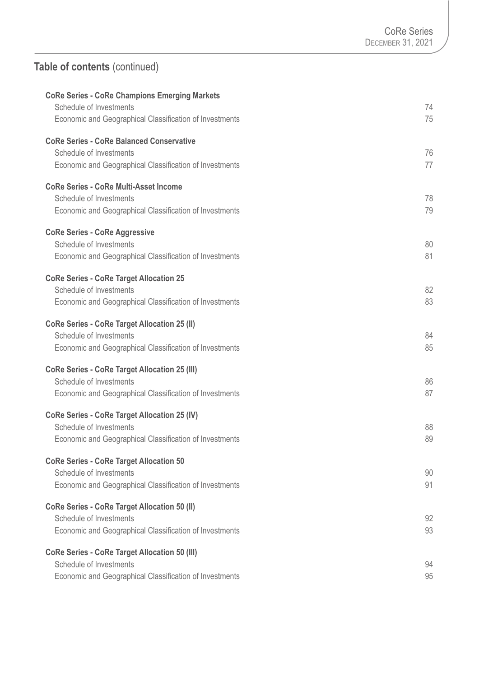# **Table of contents** (continued)

| <b>CoRe Series - CoRe Champions Emerging Markets</b><br>Schedule of Investments<br>Economic and Geographical Classification of Investments | 74<br>75 |
|--------------------------------------------------------------------------------------------------------------------------------------------|----------|
| <b>CoRe Series - CoRe Balanced Conservative</b><br>Schedule of Investments<br>Economic and Geographical Classification of Investments      | 76<br>77 |
| <b>CoRe Series - CoRe Multi-Asset Income</b><br>Schedule of Investments<br>Economic and Geographical Classification of Investments         | 78<br>79 |
| <b>CoRe Series - CoRe Aggressive</b><br>Schedule of Investments<br>Economic and Geographical Classification of Investments                 | 80<br>81 |
| <b>CoRe Series - CoRe Target Allocation 25</b><br>Schedule of Investments<br>Economic and Geographical Classification of Investments       | 82<br>83 |
| <b>CoRe Series - CoRe Target Allocation 25 (II)</b><br>Schedule of Investments<br>Economic and Geographical Classification of Investments  | 84<br>85 |
| <b>CoRe Series - CoRe Target Allocation 25 (III)</b><br>Schedule of Investments<br>Economic and Geographical Classification of Investments | 86<br>87 |
| <b>CoRe Series - CoRe Target Allocation 25 (IV)</b><br>Schedule of Investments<br>Economic and Geographical Classification of Investments  | 88<br>89 |
| <b>CoRe Series - CoRe Target Allocation 50</b><br>Schedule of Investments<br>Economic and Geographical Classification of Investments       | 90<br>91 |
| <b>CoRe Series - CoRe Target Allocation 50 (II)</b><br>Schedule of Investments<br>Economic and Geographical Classification of Investments  | 92<br>93 |
| <b>CoRe Series - CoRe Target Allocation 50 (III)</b><br>Schedule of Investments<br>Economic and Geographical Classification of Investments | 94<br>95 |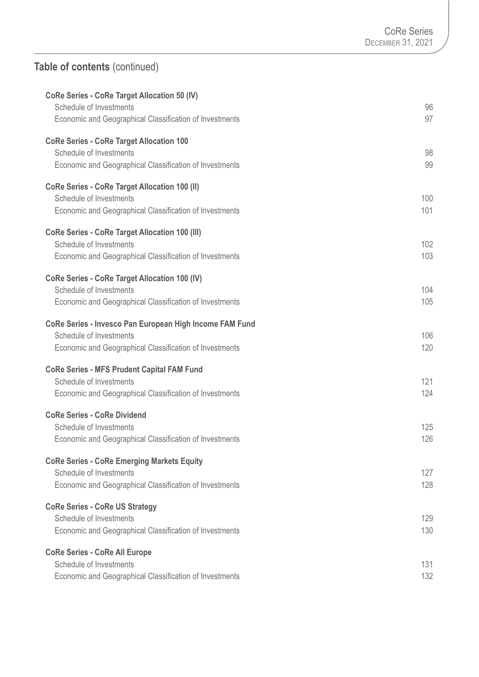# **Table of contents** (continued)

| <b>CoRe Series - CoRe Target Allocation 50 (IV)</b><br>Schedule of Investments                                                                | 96         |
|-----------------------------------------------------------------------------------------------------------------------------------------------|------------|
| Economic and Geographical Classification of Investments                                                                                       | 97         |
| <b>CoRe Series - CoRe Target Allocation 100</b><br>Schedule of Investments<br>Economic and Geographical Classification of Investments         | 98<br>99   |
| <b>CoRe Series - CoRe Target Allocation 100 (II)</b><br>Schedule of Investments<br>Economic and Geographical Classification of Investments    | 100<br>101 |
| <b>CoRe Series - CoRe Target Allocation 100 (III)</b><br>Schedule of Investments<br>Economic and Geographical Classification of Investments   | 102<br>103 |
| <b>CoRe Series - CoRe Target Allocation 100 (IV)</b><br>Schedule of Investments<br>Economic and Geographical Classification of Investments    | 104<br>105 |
| CoRe Series - Invesco Pan European High Income FAM Fund<br>Schedule of Investments<br>Economic and Geographical Classification of Investments | 106<br>120 |
| <b>CoRe Series - MFS Prudent Capital FAM Fund</b><br>Schedule of Investments<br>Economic and Geographical Classification of Investments       | 121<br>124 |
| <b>CoRe Series - CoRe Dividend</b><br>Schedule of Investments<br>Economic and Geographical Classification of Investments                      | 125<br>126 |
| <b>CoRe Series - CoRe Emerging Markets Equity</b><br>Schedule of Investments<br>Economic and Geographical Classification of Investments       | 127<br>128 |
| <b>CoRe Series - CoRe US Strategy</b><br>Schedule of Investments<br>Economic and Geographical Classification of Investments                   | 129<br>130 |
| <b>CoRe Series - CoRe All Europe</b><br>Schedule of Investments<br>Economic and Geographical Classification of Investments                    | 131<br>132 |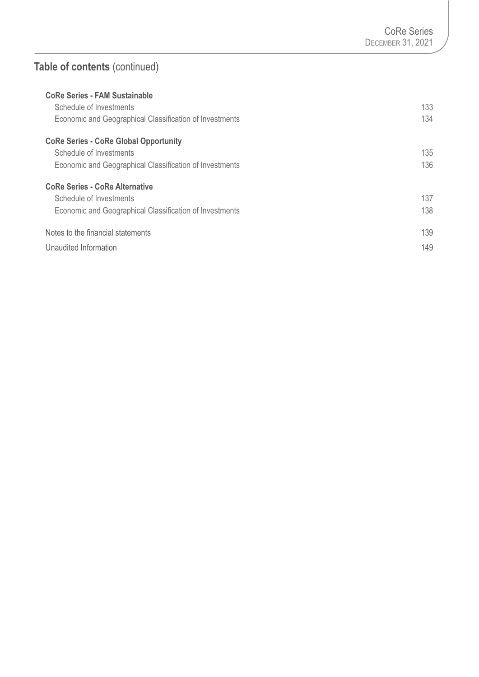# **Table of contents** (continued)

| <b>CoRe Series - FAM Sustainable</b>                    |     |
|---------------------------------------------------------|-----|
| Schedule of Investments                                 | 133 |
| Economic and Geographical Classification of Investments | 134 |
| <b>CoRe Series - CoRe Global Opportunity</b>            |     |
| Schedule of Investments                                 | 135 |
| Economic and Geographical Classification of Investments | 136 |
| <b>CoRe Series - CoRe Alternative</b>                   |     |
| Schedule of Investments                                 | 137 |
| Economic and Geographical Classification of Investments | 138 |
| Notes to the financial statements                       | 139 |
| Unaudited Information                                   | 149 |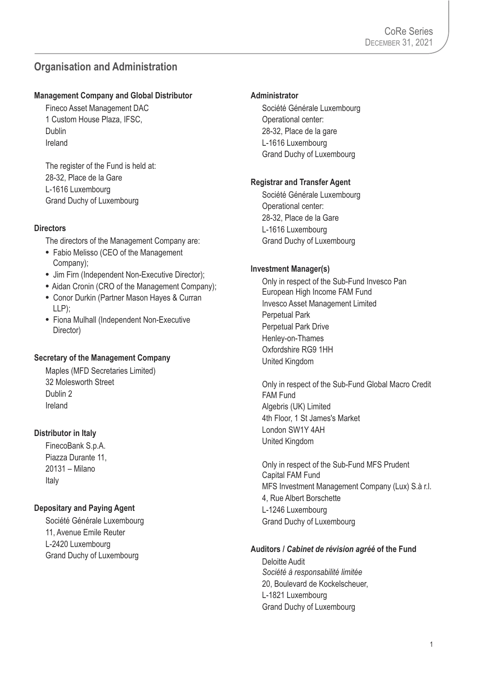## **Organisation and Administration**

#### **Management Company and Global Distributor**

Fineco Asset Management DAC 1 Custom House Plaza, IFSC, Dublin Ireland

The register of the Fund is held at: 28-32, Place de la Gare L-1616 Luxembourg Grand Duchy of Luxembourg

#### **Directors**

The directors of the Management Company are:

- **•** Fabio Melisso (CEO of the Management Company);
- **•** Jim Firn (Independent Non-Executive Director);
- Aidan Cronin (CRO of the Management Company);
- **•** Conor Durkin (Partner Mason Hayes & Curran LLP);
- **•** Fiona Mulhall (Independent Non-Executive Director)

#### **Secretary of the Management Company**

Maples (MFD Secretaries Limited) 32 Molesworth Street Dublin 2 Ireland

#### **Distributor in Italy**

FinecoBank S.p.A. Piazza Durante 11, 20131 – Milano Italy

#### **Depositary and Paying Agent**

Société Générale Luxembourg 11, Avenue Emile Reuter L-2420 Luxembourg Grand Duchy of Luxembourg

#### **Administrator**

Société Générale Luxembourg Operational center: 28-32, Place de la gare L-1616 Luxembourg Grand Duchy of Luxembourg

#### **Registrar and Transfer Agent**

Société Générale Luxembourg Operational center: 28-32, Place de la Gare L-1616 Luxembourg Grand Duchy of Luxembourg

#### **Investment Manager(s)**

Only in respect of the Sub-Fund Invesco Pan European High Income FAM Fund Invesco Asset Management Limited Perpetual Park Perpetual Park Drive Henley-on-Thames Oxfordshire RG9 1HH United Kingdom

Only in respect of the Sub-Fund Global Macro Credit FAM Fund Algebris (UK) Limited 4th Floor, 1 St James's Market London SW1Y 4AH United Kingdom

Only in respect of the Sub-Fund MFS Prudent Capital FAM Fund MFS Investment Management Company (Lux) S.à r.l. 4, Rue Albert Borschette L-1246 Luxembourg Grand Duchy of Luxembourg

#### **Auditors /** *Cabinet de révision agréé* **of the Fund**

Deloitte Audit *Société à responsabilité limitée*  20, Boulevard de Kockelscheuer, L-1821 Luxembourg Grand Duchy of Luxembourg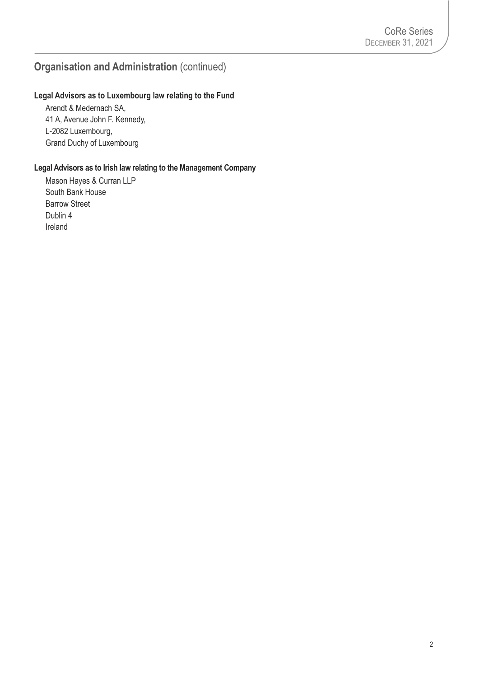## **Organisation and Administration** (continued)

#### **Legal Advisors as to Luxembourg law relating to the Fund**

Arendt & Medernach SA, 41 A, Avenue John F. Kennedy, L-2082 Luxembourg, Grand Duchy of Luxembourg

#### **Legal Advisors as to Irish law relating to the Management Company**

Mason Hayes & Curran LLP South Bank House Barrow Street Dublin 4 Ireland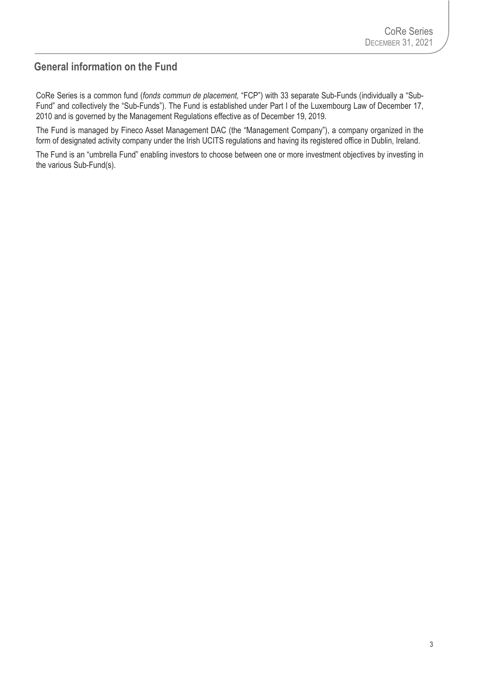## **General information on the Fund**

CoRe Series is a common fund (*fonds commun de placement,* "FCP") with 33 separate Sub-Funds (individually a "Sub-Fund" and collectively the "Sub-Funds"). The Fund is established under Part I of the Luxembourg Law of December 17, 2010 and is governed by the Management Regulations effective as of December 19, 2019.

The Fund is managed by Fineco Asset Management DAC (the "Management Company"), a company organized in the form of designated activity company under the Irish UCITS regulations and having its registered office in Dublin, Ireland.

The Fund is an "umbrella Fund" enabling investors to choose between one or more investment objectives by investing in the various Sub-Fund(s).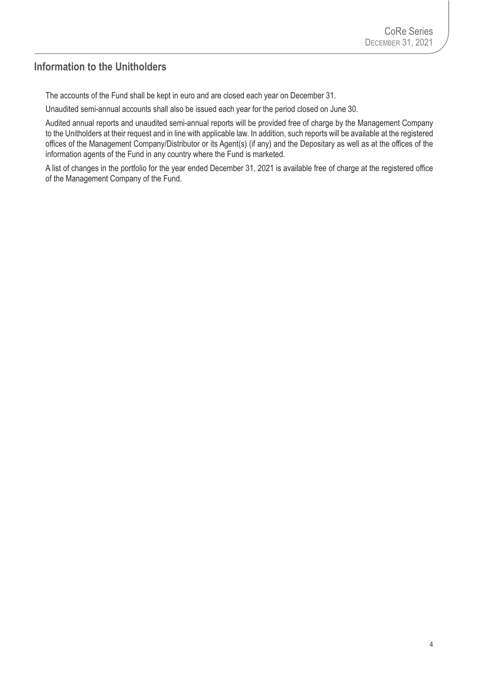### **Information to the Unitholders**

The accounts of the Fund shall be kept in euro and are closed each year on December 31.

Unaudited semi-annual accounts shall also be issued each year for the period closed on June 30.

Audited annual reports and unaudited semi-annual reports will be provided free of charge by the Management Company to the Unitholders at their request and in line with applicable law. In addition, such reports will be available at the registered offices of the Management Company/Distributor or its Agent(s) (if any) and the Depositary as well as at the offices of the information agents of the Fund in any country where the Fund is marketed.

A list of changes in the portfolio for the year ended December 31, 2021 is available free of charge at the registered office of the Management Company of the Fund.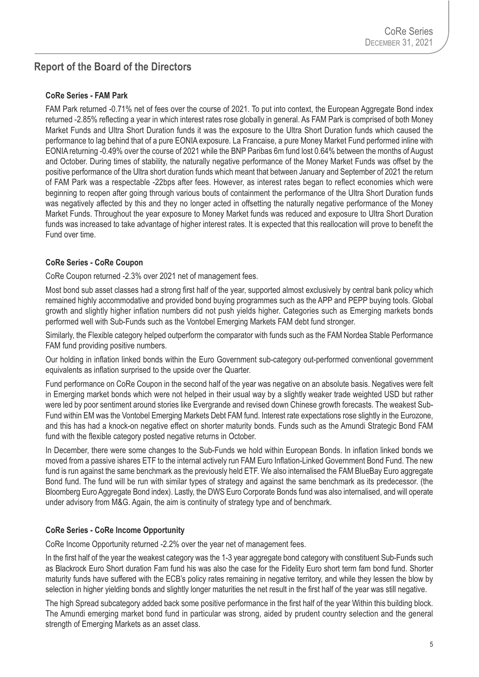## **Report of the Board of the Directors**

#### **CoRe Series - FAM Park**

FAM Park returned -0.71% net of fees over the course of 2021. To put into context, the European Aggregate Bond index returned -2.85% reflecting a year in which interest rates rose globally in general. As FAM Park is comprised of both Money Market Funds and Ultra Short Duration funds it was the exposure to the Ultra Short Duration funds which caused the performance to lag behind that of a pure EONIA exposure. La Francaise, a pure Money Market Fund performed inline with EONIA returning -0.49% over the course of 2021 while the BNP Paribas 6m fund lost 0.64% between the months of August and October. During times of stability, the naturally negative performance of the Money Market Funds was offset by the positive performance of the Ultra short duration funds which meant that between January and September of 2021 the return of FAM Park was a respectable -22bps after fees. However, as interest rates began to reflect economies which were beginning to reopen after going through various bouts of containment the performance of the Ultra Short Duration funds was negatively affected by this and they no longer acted in offsetting the naturally negative performance of the Money Market Funds. Throughout the year exposure to Money Market funds was reduced and exposure to Ultra Short Duration funds was increased to take advantage of higher interest rates. It is expected that this reallocation will prove to benefit the Fund over time.

#### **CoRe Series - CoRe Coupon**

CoRe Coupon returned -2.3% over 2021 net of management fees.

Most bond sub asset classes had a strong first half of the year, supported almost exclusively by central bank policy which remained highly accommodative and provided bond buying programmes such as the APP and PEPP buying tools. Global growth and slightly higher inflation numbers did not push yields higher. Categories such as Emerging markets bonds performed well with Sub-Funds such as the Vontobel Emerging Markets FAM debt fund stronger.

Similarly, the Flexible category helped outperform the comparator with funds such as the FAM Nordea Stable Performance FAM fund providing positive numbers.

Our holding in inflation linked bonds within the Euro Government sub-category out-performed conventional government equivalents as inflation surprised to the upside over the Quarter.

Fund performance on CoRe Coupon in the second half of the year was negative on an absolute basis. Negatives were felt in Emerging market bonds which were not helped in their usual way by a slightly weaker trade weighted USD but rather were led by poor sentiment around stories like Evergrande and revised down Chinese growth forecasts. The weakest Sub-Fund within EM was the Vontobel Emerging Markets Debt FAM fund. Interest rate expectations rose slightly in the Eurozone, and this has had a knock-on negative effect on shorter maturity bonds. Funds such as the Amundi Strategic Bond FAM fund with the flexible category posted negative returns in October.

In December, there were some changes to the Sub-Funds we hold within European Bonds. In inflation linked bonds we moved from a passive ishares ETF to the internal actively run FAM Euro Inflation-Linked Government Bond Fund. The new fund is run against the same benchmark as the previously held ETF. We also internalised the FAM BlueBay Euro aggregate Bond fund. The fund will be run with similar types of strategy and against the same benchmark as its predecessor. (the Bloomberg Euro Aggregate Bond index). Lastly, the DWS Euro Corporate Bonds fund was also internalised, and will operate under advisory from M&G. Again, the aim is continuity of strategy type and of benchmark.

#### **CoRe Series - CoRe Income Opportunity**

CoRe Income Opportunity returned -2.2% over the year net of management fees.

In the first half of the year the weakest category was the 1-3 year aggregate bond category with constituent Sub-Funds such as Blackrock Euro Short duration Fam fund his was also the case for the Fidelity Euro short term fam bond fund. Shorter maturity funds have suffered with the ECB's policy rates remaining in negative territory, and while they lessen the blow by selection in higher yielding bonds and slightly longer maturities the net result in the first half of the year was still negative.

The high Spread subcategory added back some positive performance in the first half of the year Within this building block. The Amundi emerging market bond fund in particular was strong, aided by prudent country selection and the general strength of Emerging Markets as an asset class.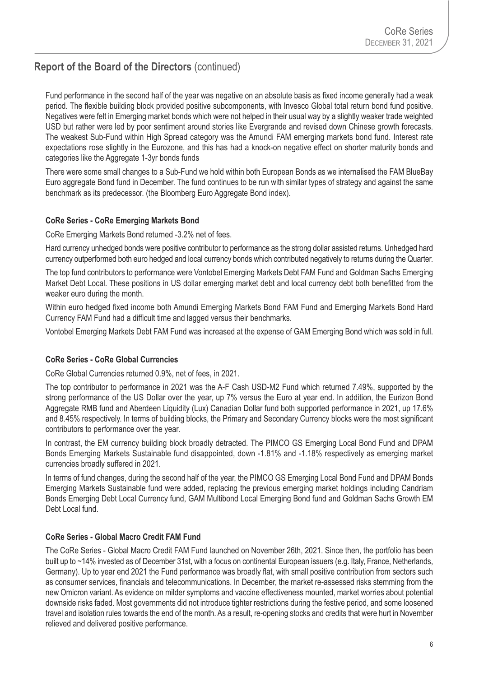Fund performance in the second half of the year was negative on an absolute basis as fixed income generally had a weak period. The flexible building block provided positive subcomponents, with Invesco Global total return bond fund positive. Negatives were felt in Emerging market bonds which were not helped in their usual way by a slightly weaker trade weighted USD but rather were led by poor sentiment around stories like Evergrande and revised down Chinese growth forecasts. The weakest Sub-Fund within High Spread category was the Amundi FAM emerging markets bond fund. Interest rate expectations rose slightly in the Eurozone, and this has had a knock-on negative effect on shorter maturity bonds and categories like the Aggregate 1-3yr bonds funds

There were some small changes to a Sub-Fund we hold within both European Bonds as we internalised the FAM BlueBay Euro aggregate Bond fund in December. The fund continues to be run with similar types of strategy and against the same benchmark as its predecessor. (the Bloomberg Euro Aggregate Bond index).

#### **CoRe Series - CoRe Emerging Markets Bond**

CoRe Emerging Markets Bond returned -3.2% net of fees.

Hard currency unhedged bonds were positive contributor to performance as the strong dollar assisted returns. Unhedged hard currency outperformed both euro hedged and local currency bonds which contributed negatively to returns during the Quarter.

The top fund contributors to performance were Vontobel Emerging Markets Debt FAM Fund and Goldman Sachs Emerging Market Debt Local. These positions in US dollar emerging market debt and local currency debt both benefitted from the weaker euro during the month.

Within euro hedged fixed income both Amundi Emerging Markets Bond FAM Fund and Emerging Markets Bond Hard Currency FAM Fund had a difficult time and lagged versus their benchmarks.

Vontobel Emerging Markets Debt FAM Fund was increased at the expense of GAM Emerging Bond which was sold in full.

#### **CoRe Series - CoRe Global Currencies**

CoRe Global Currencies returned 0.9%, net of fees, in 2021.

The top contributor to performance in 2021 was the A-F Cash USD-M2 Fund which returned 7.49%, supported by the strong performance of the US Dollar over the year, up 7% versus the Euro at year end. In addition, the Eurizon Bond Aggregate RMB fund and Aberdeen Liquidity (Lux) Canadian Dollar fund both supported performance in 2021, up 17.6% and 8.45% respectively. In terms of building blocks, the Primary and Secondary Currency blocks were the most significant contributors to performance over the year.

In contrast, the EM currency building block broadly detracted. The PIMCO GS Emerging Local Bond Fund and DPAM Bonds Emerging Markets Sustainable fund disappointed, down -1.81% and -1.18% respectively as emerging market currencies broadly suffered in 2021.

In terms of fund changes, during the second half of the year, the PIMCO GS Emerging Local Bond Fund and DPAM Bonds Emerging Markets Sustainable fund were added, replacing the previous emerging market holdings including Candriam Bonds Emerging Debt Local Currency fund, GAM Multibond Local Emerging Bond fund and Goldman Sachs Growth EM Debt Local fund.

#### **CoRe Series - Global Macro Credit FAM Fund**

The CoRe Series - Global Macro Credit FAM Fund launched on November 26th, 2021. Since then, the portfolio has been built up to ~14% invested as of December 31st, with a focus on continental European issuers (e.g. Italy, France, Netherlands, Germany). Up to year end 2021 the Fund performance was broadly flat, with small positive contribution from sectors such as consumer services, financials and telecommunications. In December, the market re-assessed risks stemming from the new Omicron variant. As evidence on milder symptoms and vaccine effectiveness mounted, market worries about potential downside risks faded. Most governments did not introduce tighter restrictions during the festive period, and some loosened travel and isolation rules towards the end of the month. As a result, re-opening stocks and credits that were hurt in November relieved and delivered positive performance.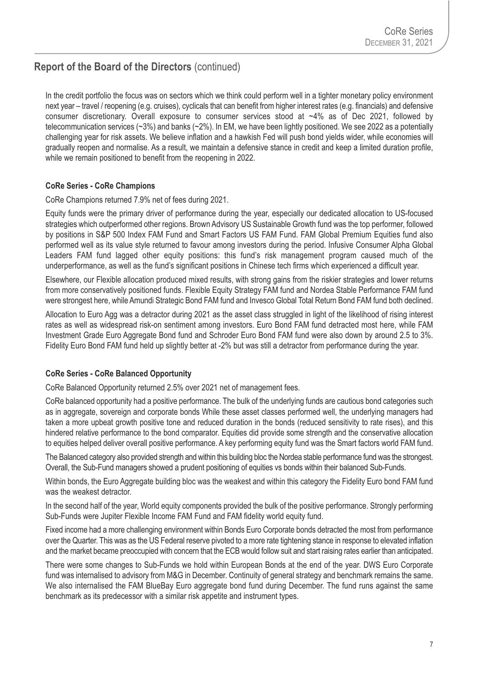In the credit portfolio the focus was on sectors which we think could perform well in a tighter monetary policy environment next year – travel / reopening (e.g. cruises), cyclicals that can benefit from higher interest rates (e.g. financials) and defensive consumer discretionary. Overall exposure to consumer services stood at ~4% as of Dec 2021, followed by telecommunication services (~3%) and banks (~2%). In EM, we have been lightly positioned. We see 2022 as a potentially challenging year for risk assets. We believe inflation and a hawkish Fed will push bond yields wider, while economies will gradually reopen and normalise. As a result, we maintain a defensive stance in credit and keep a limited duration profile, while we remain positioned to benefit from the reopening in 2022.

#### **CoRe Series - CoRe Champions**

CoRe Champions returned 7.9% net of fees during 2021.

Equity funds were the primary driver of performance during the year, especially our dedicated allocation to US-focused strategies which outperformed other regions. Brown Advisory US Sustainable Growth fund was the top performer, followed by positions in S&P 500 Index FAM Fund and Smart Factors US FAM Fund. FAM Global Premium Equities fund also performed well as its value style returned to favour among investors during the period. Infusive Consumer Alpha Global Leaders FAM fund lagged other equity positions: this fund's risk management program caused much of the underperformance, as well as the fund's significant positions in Chinese tech firms which experienced a difficult year.

Elsewhere, our Flexible allocation produced mixed results, with strong gains from the riskier strategies and lower returns from more conservatively positioned funds. Flexible Equity Strategy FAM fund and Nordea Stable Performance FAM fund were strongest here, while Amundi Strategic Bond FAM fund and Invesco Global Total Return Bond FAM fund both declined.

Allocation to Euro Agg was a detractor during 2021 as the asset class struggled in light of the likelihood of rising interest rates as well as widespread risk-on sentiment among investors. Euro Bond FAM fund detracted most here, while FAM Investment Grade Euro Aggregate Bond fund and Schroder Euro Bond FAM fund were also down by around 2.5 to 3%. Fidelity Euro Bond FAM fund held up slightly better at -2% but was still a detractor from performance during the year.

#### **CoRe Series - CoRe Balanced Opportunity**

CoRe Balanced Opportunity returned 2.5% over 2021 net of management fees.

CoRe balanced opportunity had a positive performance. The bulk of the underlying funds are cautious bond categories such as in aggregate, sovereign and corporate bonds While these asset classes performed well, the underlying managers had taken a more upbeat growth positive tone and reduced duration in the bonds (reduced sensitivity to rate rises), and this hindered relative performance to the bond comparator. Equities did provide some strength and the conservative allocation to equities helped deliver overall positive performance. A key performing equity fund was the Smart factors world FAM fund.

The Balanced category also provided strength and within this building bloc the Nordea stable performance fund was the strongest. Overall, the Sub-Fund managers showed a prudent positioning of equities vs bonds within their balanced Sub-Funds.

Within bonds, the Euro Aggregate building bloc was the weakest and within this category the Fidelity Euro bond FAM fund was the weakest detractor.

In the second half of the year, World equity components provided the bulk of the positive performance. Strongly performing Sub-Funds were Jupiter Flexible Income FAM Fund and FAM fidelity world equity fund.

Fixed income had a more challenging environment within Bonds Euro Corporate bonds detracted the most from performance over the Quarter. This was as the US Federal reserve pivoted to a more rate tightening stance in response to elevated inflation and the market became preoccupied with concern that the ECB would follow suit and start raising rates earlier than anticipated.

There were some changes to Sub-Funds we hold within European Bonds at the end of the year. DWS Euro Corporate fund was internalised to advisory from M&G in December. Continuity of general strategy and benchmark remains the same. We also internalised the FAM BlueBay Euro aggregate bond fund during December. The fund runs against the same benchmark as its predecessor with a similar risk appetite and instrument types.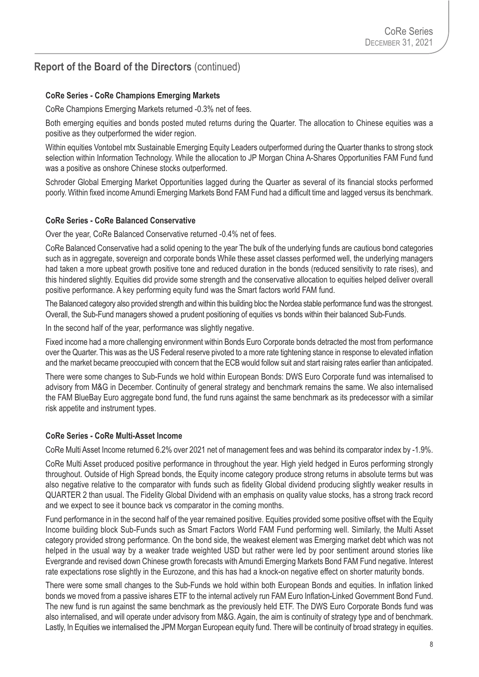#### **CoRe Series - CoRe Champions Emerging Markets**

CoRe Champions Emerging Markets returned -0.3% net of fees.

Both emerging equities and bonds posted muted returns during the Quarter. The allocation to Chinese equities was a positive as they outperformed the wider region.

Within equities Vontobel mtx Sustainable Emerging Equity Leaders outperformed during the Quarter thanks to strong stock selection within Information Technology. While the allocation to JP Morgan China A-Shares Opportunities FAM Fund fund was a positive as onshore Chinese stocks outperformed.

Schroder Global Emerging Market Opportunities lagged during the Quarter as several of its financial stocks performed poorly. Within fixed income Amundi Emerging Markets Bond FAM Fund had a difficult time and lagged versus its benchmark.

#### **CoRe Series - CoRe Balanced Conservative**

Over the year, CoRe Balanced Conservative returned -0.4% net of fees.

CoRe Balanced Conservative had a solid opening to the year The bulk of the underlying funds are cautious bond categories such as in aggregate, sovereign and corporate bonds While these asset classes performed well, the underlying managers had taken a more upbeat growth positive tone and reduced duration in the bonds (reduced sensitivity to rate rises), and this hindered slightly. Equities did provide some strength and the conservative allocation to equities helped deliver overall positive performance. A key performing equity fund was the Smart factors world FAM fund.

The Balanced category also provided strength and within this building bloc the Nordea stable performance fund was the strongest. Overall, the Sub-Fund managers showed a prudent positioning of equities vs bonds within their balanced Sub-Funds.

In the second half of the year, performance was slightly negative.

Fixed income had a more challenging environment within Bonds Euro Corporate bonds detracted the most from performance over the Quarter. This was as the US Federal reserve pivoted to a more rate tightening stance in response to elevated inflation and the market became preoccupied with concern that the ECB would follow suit and start raising rates earlier than anticipated.

There were some changes to Sub-Funds we hold within European Bonds: DWS Euro Corporate fund was internalised to advisory from M&G in December. Continuity of general strategy and benchmark remains the same. We also internalised the FAM BlueBay Euro aggregate bond fund, the fund runs against the same benchmark as its predecessor with a similar risk appetite and instrument types.

#### **CoRe Series - CoRe Multi-Asset Income**

CoRe Multi Asset Income returned 6.2% over 2021 net of management fees and was behind its comparator index by -1.9%.

CoRe Multi Asset produced positive performance in throughout the year. High yield hedged in Euros performing strongly throughout. Outside of High Spread bonds, the Equity income category produce strong returns in absolute terms but was also negative relative to the comparator with funds such as fidelity Global dividend producing slightly weaker results in QUARTER 2 than usual. The Fidelity Global Dividend with an emphasis on quality value stocks, has a strong track record and we expect to see it bounce back vs comparator in the coming months.

Fund performance in in the second half of the year remained positive. Equities provided some positive offset with the Equity Income building block Sub-Funds such as Smart Factors World FAM Fund performing well. Similarly, the Multi Asset category provided strong performance. On the bond side, the weakest element was Emerging market debt which was not helped in the usual way by a weaker trade weighted USD but rather were led by poor sentiment around stories like Evergrande and revised down Chinese growth forecasts with Amundi Emerging Markets Bond FAM Fund negative. Interest rate expectations rose slightly in the Eurozone, and this has had a knock-on negative effect on shorter maturity bonds.

There were some small changes to the Sub-Funds we hold within both European Bonds and equities. In inflation linked bonds we moved from a passive ishares ETF to the internal actively run FAM Euro Inflation-Linked Government Bond Fund. The new fund is run against the same benchmark as the previously held ETF. The DWS Euro Corporate Bonds fund was also internalised, and will operate under advisory from M&G. Again, the aim is continuity of strategy type and of benchmark. Lastly, In Equities we internalised the JPM Morgan European equity fund. There will be continuity of broad strategy in equities.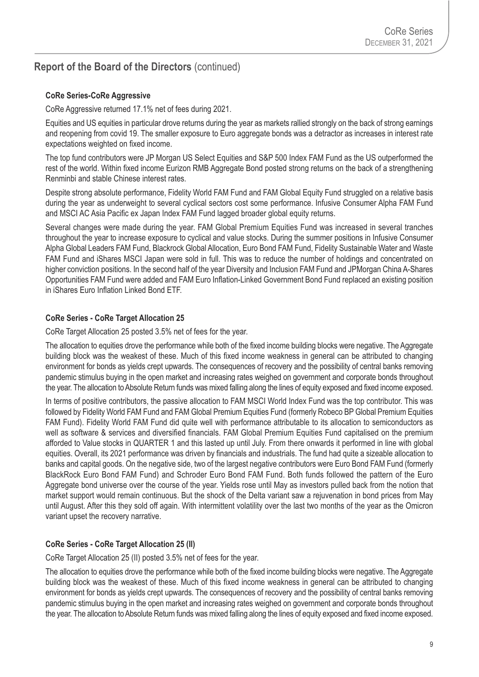#### **CoRe Series-CoRe Aggressive**

CoRe Aggressive returned 17.1% net of fees during 2021.

Equities and US equities in particular drove returns during the year as markets rallied strongly on the back of strong earnings and reopening from covid 19. The smaller exposure to Euro aggregate bonds was a detractor as increases in interest rate expectations weighted on fixed income.

The top fund contributors were JP Morgan US Select Equities and S&P 500 Index FAM Fund as the US outperformed the rest of the world. Within fixed income Eurizon RMB Aggregate Bond posted strong returns on the back of a strengthening Renminbi and stable Chinese interest rates.

Despite strong absolute performance, Fidelity World FAM Fund and FAM Global Equity Fund struggled on a relative basis during the year as underweight to several cyclical sectors cost some performance. Infusive Consumer Alpha FAM Fund and MSCI AC Asia Pacific ex Japan Index FAM Fund lagged broader global equity returns.

Several changes were made during the year. FAM Global Premium Equities Fund was increased in several tranches throughout the year to increase exposure to cyclical and value stocks. During the summer positions in Infusive Consumer Alpha Global Leaders FAM Fund, Blackrock Global Allocation, Euro Bond FAM Fund, Fidelity Sustainable Water and Waste FAM Fund and iShares MSCI Japan were sold in full. This was to reduce the number of holdings and concentrated on higher conviction positions. In the second half of the year Diversity and Inclusion FAM Fund and JPMorgan China A-Shares Opportunities FAM Fund were added and FAM Euro Inflation-Linked Government Bond Fund replaced an existing position in iShares Euro Inflation Linked Bond ETF.

#### **CoRe Series - CoRe Target Allocation 25**

CoRe Target Allocation 25 posted 3.5% net of fees for the year.

The allocation to equities drove the performance while both of the fixed income building blocks were negative. The Aggregate building block was the weakest of these. Much of this fixed income weakness in general can be attributed to changing environment for bonds as yields crept upwards. The consequences of recovery and the possibility of central banks removing pandemic stimulus buying in the open market and increasing rates weighed on government and corporate bonds throughout the year. The allocation to Absolute Return funds was mixed falling along the lines of equity exposed and fixed income exposed.

In terms of positive contributors, the passive allocation to FAM MSCI World Index Fund was the top contributor. This was followed by Fidelity World FAM Fund and FAM Global Premium Equities Fund (formerly Robeco BP Global Premium Equities FAM Fund). Fidelity World FAM Fund did quite well with performance attributable to its allocation to semiconductors as well as software & services and diversified financials. FAM Global Premium Equities Fund capitalised on the premium afforded to Value stocks in QUARTER 1 and this lasted up until July. From there onwards it performed in line with global equities. Overall, its 2021 performance was driven by financials and industrials. The fund had quite a sizeable allocation to banks and capital goods. On the negative side, two of the largest negative contributors were Euro Bond FAM Fund (formerly BlackRock Euro Bond FAM Fund) and Schroder Euro Bond FAM Fund. Both funds followed the pattern of the Euro Aggregate bond universe over the course of the year. Yields rose until May as investors pulled back from the notion that market support would remain continuous. But the shock of the Delta variant saw a rejuvenation in bond prices from May until August. After this they sold off again. With intermittent volatility over the last two months of the year as the Omicron variant upset the recovery narrative.

#### **CoRe Series - CoRe Target Allocation 25 (II)**

CoRe Target Allocation 25 (II) posted 3.5% net of fees for the year.

The allocation to equities drove the performance while both of the fixed income building blocks were negative. The Aggregate building block was the weakest of these. Much of this fixed income weakness in general can be attributed to changing environment for bonds as yields crept upwards. The consequences of recovery and the possibility of central banks removing pandemic stimulus buying in the open market and increasing rates weighed on government and corporate bonds throughout the year. The allocation to Absolute Return funds was mixed falling along the lines of equity exposed and fixed income exposed.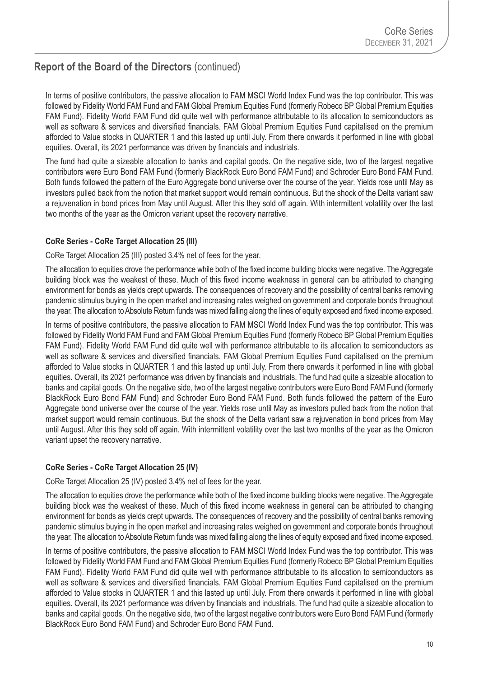In terms of positive contributors, the passive allocation to FAM MSCI World Index Fund was the top contributor. This was followed by Fidelity World FAM Fund and FAM Global Premium Equities Fund (formerly Robeco BP Global Premium Equities FAM Fund). Fidelity World FAM Fund did quite well with performance attributable to its allocation to semiconductors as well as software & services and diversified financials. FAM Global Premium Equities Fund capitalised on the premium afforded to Value stocks in QUARTER 1 and this lasted up until July. From there onwards it performed in line with global equities. Overall, its 2021 performance was driven by financials and industrials.

The fund had quite a sizeable allocation to banks and capital goods. On the negative side, two of the largest negative contributors were Euro Bond FAM Fund (formerly BlackRock Euro Bond FAM Fund) and Schroder Euro Bond FAM Fund. Both funds followed the pattern of the Euro Aggregate bond universe over the course of the year. Yields rose until May as investors pulled back from the notion that market support would remain continuous. But the shock of the Delta variant saw a rejuvenation in bond prices from May until August. After this they sold off again. With intermittent volatility over the last two months of the year as the Omicron variant upset the recovery narrative.

#### **CoRe Series - CoRe Target Allocation 25 (III)**

CoRe Target Allocation 25 (III) posted 3.4% net of fees for the year.

The allocation to equities drove the performance while both of the fixed income building blocks were negative. The Aggregate building block was the weakest of these. Much of this fixed income weakness in general can be attributed to changing environment for bonds as yields crept upwards. The consequences of recovery and the possibility of central banks removing pandemic stimulus buying in the open market and increasing rates weighed on government and corporate bonds throughout the year. The allocation to Absolute Return funds was mixed falling along the lines of equity exposed and fixed income exposed.

In terms of positive contributors, the passive allocation to FAM MSCI World Index Fund was the top contributor. This was followed by Fidelity World FAM Fund and FAM Global Premium Equities Fund (formerly Robeco BP Global Premium Equities FAM Fund). Fidelity World FAM Fund did quite well with performance attributable to its allocation to semiconductors as well as software & services and diversified financials. FAM Global Premium Equities Fund capitalised on the premium afforded to Value stocks in QUARTER 1 and this lasted up until July. From there onwards it performed in line with global equities. Overall, its 2021 performance was driven by financials and industrials. The fund had quite a sizeable allocation to banks and capital goods. On the negative side, two of the largest negative contributors were Euro Bond FAM Fund (formerly BlackRock Euro Bond FAM Fund) and Schroder Euro Bond FAM Fund. Both funds followed the pattern of the Euro Aggregate bond universe over the course of the year. Yields rose until May as investors pulled back from the notion that market support would remain continuous. But the shock of the Delta variant saw a rejuvenation in bond prices from May until August. After this they sold off again. With intermittent volatility over the last two months of the year as the Omicron variant upset the recovery narrative.

#### **CoRe Series - CoRe Target Allocation 25 (IV)**

CoRe Target Allocation 25 (IV) posted 3.4% net of fees for the year.

The allocation to equities drove the performance while both of the fixed income building blocks were negative. The Aggregate building block was the weakest of these. Much of this fixed income weakness in general can be attributed to changing environment for bonds as yields crept upwards. The consequences of recovery and the possibility of central banks removing pandemic stimulus buying in the open market and increasing rates weighed on government and corporate bonds throughout the year. The allocation to Absolute Return funds was mixed falling along the lines of equity exposed and fixed income exposed.

In terms of positive contributors, the passive allocation to FAM MSCI World Index Fund was the top contributor. This was followed by Fidelity World FAM Fund and FAM Global Premium Equities Fund (formerly Robeco BP Global Premium Equities FAM Fund). Fidelity World FAM Fund did quite well with performance attributable to its allocation to semiconductors as well as software & services and diversified financials. FAM Global Premium Equities Fund capitalised on the premium afforded to Value stocks in QUARTER 1 and this lasted up until July. From there onwards it performed in line with global equities. Overall, its 2021 performance was driven by financials and industrials. The fund had quite a sizeable allocation to banks and capital goods. On the negative side, two of the largest negative contributors were Euro Bond FAM Fund (formerly BlackRock Euro Bond FAM Fund) and Schroder Euro Bond FAM Fund.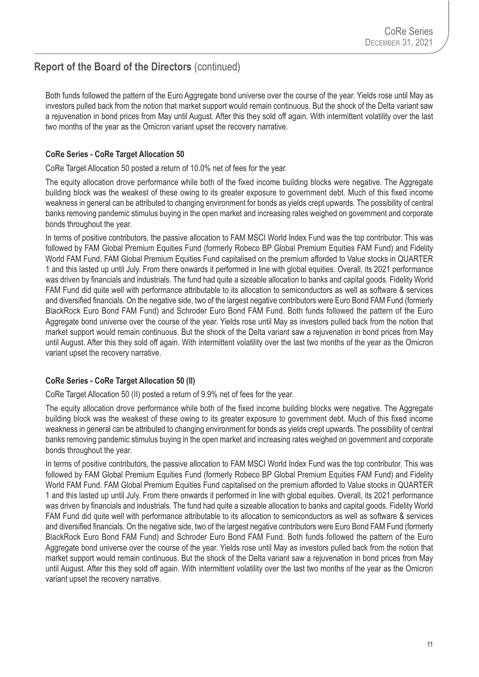Both funds followed the pattern of the Euro Aggregate bond universe over the course of the year. Yields rose until May as investors pulled back from the notion that market support would remain continuous. But the shock of the Delta variant saw a rejuvenation in bond prices from May until August. After this they sold off again. With intermittent volatility over the last two months of the year as the Omicron variant upset the recovery narrative.

#### **CoRe Series - CoRe Target Allocation 50**

CoRe Target Allocation 50 posted a return of 10.0% net of fees for the year.

The equity allocation drove performance while both of the fixed income building blocks were negative. The Aggregate building block was the weakest of these owing to its greater exposure to government debt. Much of this fixed income weakness in general can be attributed to changing environment for bonds as yields crept upwards. The possibility of central banks removing pandemic stimulus buying in the open market and increasing rates weighed on government and corporate bonds throughout the year.

In terms of positive contributors, the passive allocation to FAM MSCI World Index Fund was the top contributor. This was followed by FAM Global Premium Equities Fund (formerly Robeco BP Global Premium Equities FAM Fund) and Fidelity World FAM Fund. FAM Global Premium Equities Fund capitalised on the premium afforded to Value stocks in QUARTER 1 and this lasted up until July. From there onwards it performed in line with global equities. Overall, its 2021 performance was driven by financials and industrials. The fund had quite a sizeable allocation to banks and capital goods. Fidelity World FAM Fund did quite well with performance attributable to its allocation to semiconductors as well as software & services and diversified financials. On the negative side, two of the largest negative contributors were Euro Bond FAM Fund (formerly BlackRock Euro Bond FAM Fund) and Schroder Euro Bond FAM Fund. Both funds followed the pattern of the Euro Aggregate bond universe over the course of the year. Yields rose until May as investors pulled back from the notion that market support would remain continuous. But the shock of the Delta variant saw a rejuvenation in bond prices from May until August. After this they sold off again. With intermittent volatility over the last two months of the year as the Omicron variant upset the recovery narrative.

#### **CoRe Series - CoRe Target Allocation 50 (II)**

CoRe Target Allocation 50 (II) posted a return of 9.9% net of fees for the year.

The equity allocation drove performance while both of the fixed income building blocks were negative. The Aggregate building block was the weakest of these owing to its greater exposure to government debt. Much of this fixed income weakness in general can be attributed to changing environment for bonds as yields crept upwards. The possibility of central banks removing pandemic stimulus buying in the open market and increasing rates weighed on government and corporate bonds throughout the year.

In terms of positive contributors, the passive allocation to FAM MSCI World Index Fund was the top contributor. This was followed by FAM Global Premium Equities Fund (formerly Robeco BP Global Premium Equities FAM Fund) and Fidelity World FAM Fund. FAM Global Premium Equities Fund capitalised on the premium afforded to Value stocks in QUARTER 1 and this lasted up until July. From there onwards it performed in line with global equities. Overall, its 2021 performance was driven by financials and industrials. The fund had quite a sizeable allocation to banks and capital goods. Fidelity World FAM Fund did quite well with performance attributable to its allocation to semiconductors as well as software & services and diversified financials. On the negative side, two of the largest negative contributors were Euro Bond FAM Fund (formerly BlackRock Euro Bond FAM Fund) and Schroder Euro Bond FAM Fund. Both funds followed the pattern of the Euro Aggregate bond universe over the course of the year. Yields rose until May as investors pulled back from the notion that market support would remain continuous. But the shock of the Delta variant saw a rejuvenation in bond prices from May until August. After this they sold off again. With intermittent volatility over the last two months of the year as the Omicron variant upset the recovery narrative.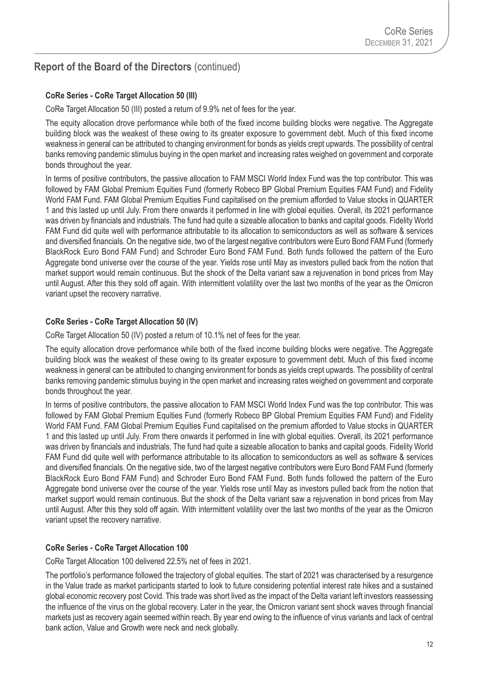#### **CoRe Series - CoRe Target Allocation 50 (III)**

CoRe Target Allocation 50 (III) posted a return of 9.9% net of fees for the year.

The equity allocation drove performance while both of the fixed income building blocks were negative. The Aggregate building block was the weakest of these owing to its greater exposure to government debt. Much of this fixed income weakness in general can be attributed to changing environment for bonds as yields crept upwards. The possibility of central banks removing pandemic stimulus buying in the open market and increasing rates weighed on government and corporate bonds throughout the year.

In terms of positive contributors, the passive allocation to FAM MSCI World Index Fund was the top contributor. This was followed by FAM Global Premium Equities Fund (formerly Robeco BP Global Premium Equities FAM Fund) and Fidelity World FAM Fund. FAM Global Premium Equities Fund capitalised on the premium afforded to Value stocks in QUARTER 1 and this lasted up until July. From there onwards it performed in line with global equities. Overall, its 2021 performance was driven by financials and industrials. The fund had quite a sizeable allocation to banks and capital goods. Fidelity World FAM Fund did quite well with performance attributable to its allocation to semiconductors as well as software & services and diversified financials. On the negative side, two of the largest negative contributors were Euro Bond FAM Fund (formerly BlackRock Euro Bond FAM Fund) and Schroder Euro Bond FAM Fund. Both funds followed the pattern of the Euro Aggregate bond universe over the course of the year. Yields rose until May as investors pulled back from the notion that market support would remain continuous. But the shock of the Delta variant saw a rejuvenation in bond prices from May until August. After this they sold off again. With intermittent volatility over the last two months of the year as the Omicron variant upset the recovery narrative.

#### **CoRe Series - CoRe Target Allocation 50 (IV)**

CoRe Target Allocation 50 (IV) posted a return of 10.1% net of fees for the year.

The equity allocation drove performance while both of the fixed income building blocks were negative. The Aggregate building block was the weakest of these owing to its greater exposure to government debt. Much of this fixed income weakness in general can be attributed to changing environment for bonds as yields crept upwards. The possibility of central banks removing pandemic stimulus buying in the open market and increasing rates weighed on government and corporate bonds throughout the year.

In terms of positive contributors, the passive allocation to FAM MSCI World Index Fund was the top contributor. This was followed by FAM Global Premium Equities Fund (formerly Robeco BP Global Premium Equities FAM Fund) and Fidelity World FAM Fund. FAM Global Premium Equities Fund capitalised on the premium afforded to Value stocks in QUARTER 1 and this lasted up until July. From there onwards it performed in line with global equities. Overall, its 2021 performance was driven by financials and industrials. The fund had quite a sizeable allocation to banks and capital goods. Fidelity World FAM Fund did quite well with performance attributable to its allocation to semiconductors as well as software & services and diversified financials. On the negative side, two of the largest negative contributors were Euro Bond FAM Fund (formerly BlackRock Euro Bond FAM Fund) and Schroder Euro Bond FAM Fund. Both funds followed the pattern of the Euro Aggregate bond universe over the course of the year. Yields rose until May as investors pulled back from the notion that market support would remain continuous. But the shock of the Delta variant saw a rejuvenation in bond prices from May until August. After this they sold off again. With intermittent volatility over the last two months of the year as the Omicron variant upset the recovery narrative.

#### **CoRe Series - CoRe Target Allocation 100**

CoRe Target Allocation 100 delivered 22.5% net of fees in 2021.

The portfolio's performance followed the trajectory of global equities. The start of 2021 was characterised by a resurgence in the Value trade as market participants started to look to future considering potential interest rate hikes and a sustained global economic recovery post Covid. This trade was short lived as the impact of the Delta variant left investors reassessing the influence of the virus on the global recovery. Later in the year, the Omicron variant sent shock waves through financial markets just as recovery again seemed within reach. By year end owing to the influence of virus variants and lack of central bank action, Value and Growth were neck and neck globally.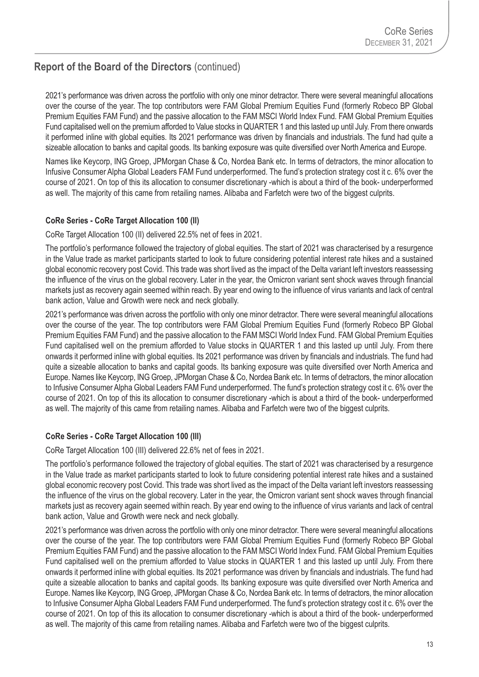2021's performance was driven across the portfolio with only one minor detractor. There were several meaningful allocations over the course of the year. The top contributors were FAM Global Premium Equities Fund (formerly Robeco BP Global Premium Equities FAM Fund) and the passive allocation to the FAM MSCI World Index Fund. FAM Global Premium Equities Fund capitalised well on the premium afforded to Value stocks in QUARTER 1 and this lasted up until July. From there onwards it performed inline with global equities. Its 2021 performance was driven by financials and industrials. The fund had quite a sizeable allocation to banks and capital goods. Its banking exposure was quite diversified over North America and Europe.

Names like Keycorp, ING Groep, JPMorgan Chase & Co, Nordea Bank etc. In terms of detractors, the minor allocation to Infusive Consumer Alpha Global Leaders FAM Fund underperformed. The fund's protection strategy cost it c. 6% over the course of 2021. On top of this its allocation to consumer discretionary -which is about a third of the book- underperformed as well. The majority of this came from retailing names. Alibaba and Farfetch were two of the biggest culprits.

#### **CoRe Series - CoRe Target Allocation 100 (II)**

CoRe Target Allocation 100 (II) delivered 22.5% net of fees in 2021.

The portfolio's performance followed the trajectory of global equities. The start of 2021 was characterised by a resurgence in the Value trade as market participants started to look to future considering potential interest rate hikes and a sustained global economic recovery post Covid. This trade was short lived as the impact of the Delta variant left investors reassessing the influence of the virus on the global recovery. Later in the year, the Omicron variant sent shock waves through financial markets just as recovery again seemed within reach. By year end owing to the influence of virus variants and lack of central bank action, Value and Growth were neck and neck globally.

2021's performance was driven across the portfolio with only one minor detractor. There were several meaningful allocations over the course of the year. The top contributors were FAM Global Premium Equities Fund (formerly Robeco BP Global Premium Equities FAM Fund) and the passive allocation to the FAM MSCI World Index Fund. FAM Global Premium Equities Fund capitalised well on the premium afforded to Value stocks in QUARTER 1 and this lasted up until July. From there onwards it performed inline with global equities. Its 2021 performance was driven by financials and industrials. The fund had quite a sizeable allocation to banks and capital goods. Its banking exposure was quite diversified over North America and Europe. Names like Keycorp, ING Groep, JPMorgan Chase & Co, Nordea Bank etc. In terms of detractors, the minor allocation to Infusive Consumer Alpha Global Leaders FAM Fund underperformed. The fund's protection strategy cost it c. 6% over the course of 2021. On top of this its allocation to consumer discretionary -which is about a third of the book- underperformed as well. The majority of this came from retailing names. Alibaba and Farfetch were two of the biggest culprits.

#### **CoRe Series - CoRe Target Allocation 100 (III)**

CoRe Target Allocation 100 (III) delivered 22.6% net of fees in 2021.

The portfolio's performance followed the trajectory of global equities. The start of 2021 was characterised by a resurgence in the Value trade as market participants started to look to future considering potential interest rate hikes and a sustained global economic recovery post Covid. This trade was short lived as the impact of the Delta variant left investors reassessing the influence of the virus on the global recovery. Later in the year, the Omicron variant sent shock waves through financial markets just as recovery again seemed within reach. By year end owing to the influence of virus variants and lack of central bank action, Value and Growth were neck and neck globally.

2021's performance was driven across the portfolio with only one minor detractor. There were several meaningful allocations over the course of the year. The top contributors were FAM Global Premium Equities Fund (formerly Robeco BP Global Premium Equities FAM Fund) and the passive allocation to the FAM MSCI World Index Fund. FAM Global Premium Equities Fund capitalised well on the premium afforded to Value stocks in QUARTER 1 and this lasted up until July. From there onwards it performed inline with global equities. Its 2021 performance was driven by financials and industrials. The fund had quite a sizeable allocation to banks and capital goods. Its banking exposure was quite diversified over North America and Europe. Names like Keycorp, ING Groep, JPMorgan Chase & Co, Nordea Bank etc. In terms of detractors, the minor allocation to Infusive Consumer Alpha Global Leaders FAM Fund underperformed. The fund's protection strategy cost it c. 6% over the course of 2021. On top of this its allocation to consumer discretionary -which is about a third of the book- underperformed as well. The majority of this came from retailing names. Alibaba and Farfetch were two of the biggest culprits.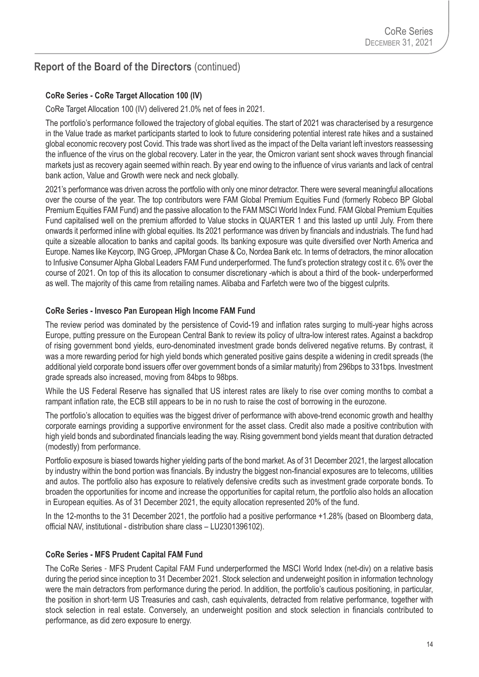#### **CoRe Series - CoRe Target Allocation 100 (IV)**

CoRe Target Allocation 100 (IV) delivered 21.0% net of fees in 2021.

The portfolio's performance followed the trajectory of global equities. The start of 2021 was characterised by a resurgence in the Value trade as market participants started to look to future considering potential interest rate hikes and a sustained global economic recovery post Covid. This trade was short lived as the impact of the Delta variant left investors reassessing the influence of the virus on the global recovery. Later in the year, the Omicron variant sent shock waves through financial markets just as recovery again seemed within reach. By year end owing to the influence of virus variants and lack of central bank action, Value and Growth were neck and neck globally.

2021's performance was driven across the portfolio with only one minor detractor. There were several meaningful allocations over the course of the year. The top contributors were FAM Global Premium Equities Fund (formerly Robeco BP Global Premium Equities FAM Fund) and the passive allocation to the FAM MSCI World Index Fund. FAM Global Premium Equities Fund capitalised well on the premium afforded to Value stocks in QUARTER 1 and this lasted up until July. From there onwards it performed inline with global equities. Its 2021 performance was driven by financials and industrials. The fund had quite a sizeable allocation to banks and capital goods. Its banking exposure was quite diversified over North America and Europe. Names like Keycorp, ING Groep, JPMorgan Chase & Co, Nordea Bank etc. In terms of detractors, the minor allocation to Infusive Consumer Alpha Global Leaders FAM Fund underperformed. The fund's protection strategy cost it c. 6% over the course of 2021. On top of this its allocation to consumer discretionary -which is about a third of the book- underperformed as well. The majority of this came from retailing names. Alibaba and Farfetch were two of the biggest culprits.

#### **CoRe Series - Invesco Pan European High Income FAM Fund**

The review period was dominated by the persistence of Covid-19 and inflation rates surging to multi-year highs across Europe, putting pressure on the European Central Bank to review its policy of ultra-low interest rates. Against a backdrop of rising government bond yields, euro-denominated investment grade bonds delivered negative returns. By contrast, it was a more rewarding period for high yield bonds which generated positive gains despite a widening in credit spreads (the additional yield corporate bond issuers offer over government bonds of a similar maturity) from 296bps to 331bps. Investment grade spreads also increased, moving from 84bps to 98bps.

While the US Federal Reserve has signalled that US interest rates are likely to rise over coming months to combat a rampant inflation rate, the ECB still appears to be in no rush to raise the cost of borrowing in the eurozone.

The portfolio's allocation to equities was the biggest driver of performance with above-trend economic growth and healthy corporate earnings providing a supportive environment for the asset class. Credit also made a positive contribution with high yield bonds and subordinated financials leading the way. Rising government bond yields meant that duration detracted (modestly) from performance.

Portfolio exposure is biased towards higher yielding parts of the bond market. As of 31 December 2021, the largest allocation by industry within the bond portion was financials. By industry the biggest non-financial exposures are to telecoms, utilities and autos. The portfolio also has exposure to relatively defensive credits such as investment grade corporate bonds. To broaden the opportunities for income and increase the opportunities for capital return, the portfolio also holds an allocation in European equities. As of 31 December 2021, the equity allocation represented 20% of the fund.

In the 12-months to the 31 December 2021, the portfolio had a positive performance +1.28% (based on Bloomberg data, official NAV, institutional - distribution share class – LU2301396102).

#### **CoRe Series - MFS Prudent Capital FAM Fund**

The CoRe Series - MFS Prudent Capital FAM Fund underperformed the MSCI World Index (net-div) on a relative basis during the period since inception to 31 December 2021. Stock selection and underweight position in information technology were the main detractors from performance during the period. In addition, the portfolio's cautious positioning, in particular, the position in short-term US Treasuries and cash, cash equivalents, detracted from relative performance, together with stock selection in real estate. Conversely, an underweight position and stock selection in financials contributed to performance, as did zero exposure to energy.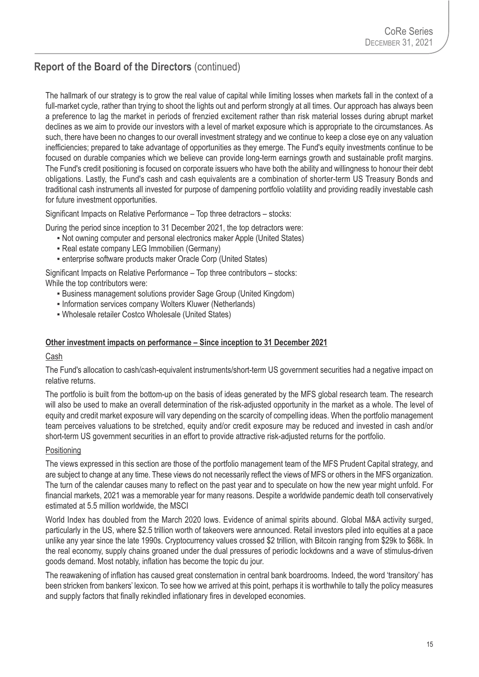The hallmark of our strategy is to grow the real value of capital while limiting losses when markets fall in the context of a full-market cycle, rather than trying to shoot the lights out and perform strongly at all times. Our approach has always been a preference to lag the market in periods of frenzied excitement rather than risk material losses during abrupt market declines as we aim to provide our investors with a level of market exposure which is appropriate to the circumstances. As such, there have been no changes to our overall investment strategy and we continue to keep a close eye on any valuation inefficiencies; prepared to take advantage of opportunities as they emerge. The Fund's equity investments continue to be focused on durable companies which we believe can provide long-term earnings growth and sustainable profit margins. The Fund's credit positioning is focused on corporate issuers who have both the ability and willingness to honour their debt obligations. Lastly, the Fund's cash and cash equivalents are a combination of shorter-term US Treasury Bonds and traditional cash instruments all invested for purpose of dampening portfolio volatility and providing readily investable cash for future investment opportunities.

Significant Impacts on Relative Performance – Top three detractors – stocks:

During the period since inception to 31 December 2021, the top detractors were:

- Not owning computer and personal electronics maker Apple (United States)
- Real estate company LEG Immobilien (Germany)
- enterprise software products maker Oracle Corp (United States)

Significant Impacts on Relative Performance – Top three contributors – stocks: While the top contributors were:

- **Business management solutions provider Sage Group (United Kingdom)**
- **Information services company Wolters Kluwer (Netherlands)**
- Wholesale retailer Costco Wholesale (United States)

#### **Other investment impacts on performance – Since inception to 31 December 2021**

#### Cash

The Fund's allocation to cash/cash-equivalent instruments/short-term US government securities had a negative impact on relative returns.

The portfolio is built from the bottom-up on the basis of ideas generated by the MFS global research team. The research will also be used to make an overall determination of the risk-adjusted opportunity in the market as a whole. The level of equity and credit market exposure will vary depending on the scarcity of compelling ideas. When the portfolio management team perceives valuations to be stretched, equity and/or credit exposure may be reduced and invested in cash and/or short-term US government securities in an effort to provide attractive risk-adjusted returns for the portfolio.

#### Positioning

The views expressed in this section are those of the portfolio management team of the MFS Prudent Capital strategy, and are subject to change at any time. These views do not necessarily reflect the views of MFS or others in the MFS organization. The turn of the calendar causes many to reflect on the past year and to speculate on how the new year might unfold. For financial markets, 2021 was a memorable year for many reasons. Despite a worldwide pandemic death toll conservatively estimated at 5.5 million worldwide, the MSCI

World Index has doubled from the March 2020 lows. Evidence of animal spirits abound. Global M&A activity surged, particularly in the US, where \$2.5 trillion worth of takeovers were announced. Retail investors piled into equities at a pace unlike any year since the late 1990s. Cryptocurrency values crossed \$2 trillion, with Bitcoin ranging from \$29k to \$68k. In the real economy, supply chains groaned under the dual pressures of periodic lockdowns and a wave of stimulus-driven goods demand. Most notably, inflation has become the topic du jour.

The reawakening of inflation has caused great consternation in central bank boardrooms. Indeed, the word 'transitory' has been stricken from bankers' lexicon. To see how we arrived at this point, perhaps it is worthwhile to tally the policy measures and supply factors that finally rekindled inflationary fires in developed economies.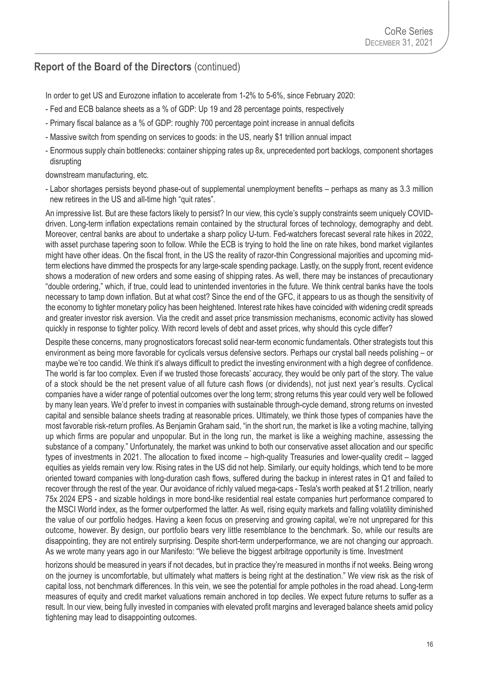In order to get US and Eurozone inflation to accelerate from 1-2% to 5-6%, since February 2020:

- Fed and ECB balance sheets as a % of GDP: Up 19 and 28 percentage points, respectively
- Primary fiscal balance as a % of GDP: roughly 700 percentage point increase in annual deficits
- Massive switch from spending on services to goods: in the US, nearly \$1 trillion annual impact
- Enormous supply chain bottlenecks: container shipping rates up 8x, unprecedented port backlogs, component shortages disrupting

downstream manufacturing, etc.

- Labor shortages persists beyond phase-out of supplemental unemployment benefits – perhaps as many as 3.3 million new retirees in the US and all-time high "quit rates".

An impressive list. But are these factors likely to persist? In our view, this cycle's supply constraints seem uniquely COVIDdriven. Long-term inflation expectations remain contained by the structural forces of technology, demography and debt. Moreover, central banks are about to undertake a sharp policy U-turn. Fed-watchers forecast several rate hikes in 2022, with asset purchase tapering soon to follow. While the ECB is trying to hold the line on rate hikes, bond market vigilantes might have other ideas. On the fiscal front, in the US the reality of razor-thin Congressional majorities and upcoming midterm elections have dimmed the prospects for any large-scale spending package. Lastly, on the supply front, recent evidence shows a moderation of new orders and some easing of shipping rates. As well, there may be instances of precautionary "double ordering," which, if true, could lead to unintended inventories in the future. We think central banks have the tools necessary to tamp down inflation. But at what cost? Since the end of the GFC, it appears to us as though the sensitivity of the economy to tighter monetary policy has been heightened. Interest rate hikes have coincided with widening credit spreads and greater investor risk aversion. Via the credit and asset price transmission mechanisms, economic activity has slowed quickly in response to tighter policy. With record levels of debt and asset prices, why should this cycle differ?

Despite these concerns, many prognosticators forecast solid near-term economic fundamentals. Other strategists tout this environment as being more favorable for cyclicals versus defensive sectors. Perhaps our crystal ball needs polishing – or maybe we're too candid. We think it's always difficult to predict the investing environment with a high degree of confidence. The world is far too complex. Even if we trusted those forecasts' accuracy, they would be only part of the story. The value of a stock should be the net present value of all future cash flows (or dividends), not just next year's results. Cyclical companies have a wider range of potential outcomes over the long term; strong returns this year could very well be followed by many lean years. We'd prefer to invest in companies with sustainable through-cycle demand, strong returns on invested capital and sensible balance sheets trading at reasonable prices. Ultimately, we think those types of companies have the most favorable risk-return profiles. As Benjamin Graham said, "in the short run, the market is like a voting machine, tallying up which firms are popular and unpopular. But in the long run, the market is like a weighing machine, assessing the substance of a company." Unfortunately, the market was unkind to both our conservative asset allocation and our specific types of investments in 2021. The allocation to fixed income – high-quality Treasuries and lower-quality credit – lagged equities as yields remain very low. Rising rates in the US did not help. Similarly, our equity holdings, which tend to be more oriented toward companies with long-duration cash flows, suffered during the backup in interest rates in Q1 and failed to recover through the rest of the year. Our avoidance of richly valued mega-caps - Tesla's worth peaked at \$1.2 trillion, nearly 75x 2024 EPS - and sizable holdings in more bond-like residential real estate companies hurt performance compared to the MSCI World index, as the former outperformed the latter. As well, rising equity markets and falling volatility diminished the value of our portfolio hedges. Having a keen focus on preserving and growing capital, we're not unprepared for this outcome, however. By design, our portfolio bears very little resemblance to the benchmark. So, while our results are disappointing, they are not entirely surprising. Despite short-term underperformance, we are not changing our approach. As we wrote many years ago in our Manifesto: "We believe the biggest arbitrage opportunity is time. Investment

horizons should be measured in years if not decades, but in practice they're measured in months if not weeks. Being wrong on the journey is uncomfortable, but ultimately what matters is being right at the destination." We view risk as the risk of capital loss, not benchmark differences. In this vein, we see the potential for ample potholes in the road ahead. Long-term measures of equity and credit market valuations remain anchored in top deciles. We expect future returns to suffer as a result. In our view, being fully invested in companies with elevated profit margins and leveraged balance sheets amid policy tightening may lead to disappointing outcomes.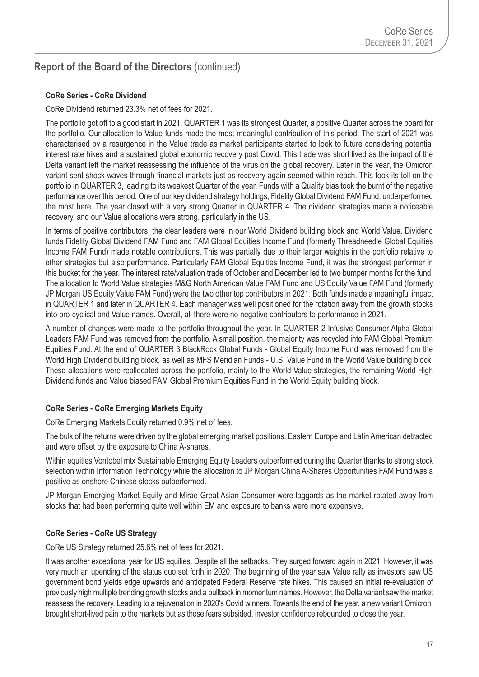#### **CoRe Series - CoRe Dividend**

CoRe Dividend returned 23.3% net of fees for 2021.

The portfolio got off to a good start in 2021. QUARTER 1 was its strongest Quarter, a positive Quarter across the board for the portfolio. Our allocation to Value funds made the most meaningful contribution of this period. The start of 2021 was characterised by a resurgence in the Value trade as market participants started to look to future considering potential interest rate hikes and a sustained global economic recovery post Covid. This trade was short lived as the impact of the Delta variant left the market reassessing the influence of the virus on the global recovery. Later in the year, the Omicron variant sent shock waves through financial markets just as recovery again seemed within reach. This took its toll on the portfolio in QUARTER 3, leading to its weakest Quarter of the year. Funds with a Quality bias took the burnt of the negative performance over this period. One of our key dividend strategy holdings, Fidelity Global Dividend FAM Fund, underperformed the most here. The year closed with a very strong Quarter in QUARTER 4. The dividend strategies made a noticeable recovery, and our Value allocations were strong, particularly in the US.

In terms of positive contributors, the clear leaders were in our World Dividend building block and World Value. Dividend funds Fidelity Global Dividend FAM Fund and FAM Global Equities Income Fund (formerly Threadneedle Global Equities Income FAM Fund) made notable contributions. This was partially due to their larger weights in the portfolio relative to other strategies but also performance. Particularly FAM Global Equities Income Fund, it was the strongest performer in this bucket for the year. The interest rate/valuation trade of October and December led to two bumper months for the fund. The allocation to World Value strategies M&G North American Value FAM Fund and US Equity Value FAM Fund (formerly JP Morgan US Equity Value FAM Fund) were the two other top contributors in 2021. Both funds made a meaningful impact in QUARTER 1 and later in QUARTER 4. Each manager was well positioned for the rotation away from the growth stocks into pro-cyclical and Value names. Overall, all there were no negative contributors to performance in 2021.

A number of changes were made to the portfolio throughout the year. In QUARTER 2 Infusive Consumer Alpha Global Leaders FAM Fund was removed from the portfolio. A small position, the majority was recycled into FAM Global Premium Equities Fund. At the end of QUARTER 3 BlackRock Global Funds - Global Equity Income Fund was removed from the World High Dividend building block, as well as MFS Meridian Funds - U.S. Value Fund in the World Value building block. These allocations were reallocated across the portfolio, mainly to the World Value strategies, the remaining World High Dividend funds and Value biased FAM Global Premium Equities Fund in the World Equity building block.

#### **CoRe Series - CoRe Emerging Markets Equity**

CoRe Emerging Markets Equity returned 0.9% net of fees.

The bulk of the returns were driven by the global emerging market positions. Eastern Europe and Latin American detracted and were offset by the exposure to China A-shares.

Within equities Vontobel mtx Sustainable Emerging Equity Leaders outperformed during the Quarter thanks to strong stock selection within Information Technology while the allocation to JP Morgan China A-Shares Opportunities FAM Fund was a positive as onshore Chinese stocks outperformed.

JP Morgan Emerging Market Equity and Mirae Great Asian Consumer were laggards as the market rotated away from stocks that had been performing quite well within EM and exposure to banks were more expensive.

#### **CoRe Series - CoRe US Strategy**

CoRe US Strategy returned 25.6% net of fees for 2021.

It was another exceptional year for US equities. Despite all the setbacks. They surged forward again in 2021. However, it was very much an upending of the status quo set forth in 2020. The beginning of the year saw Value rally as investors saw US government bond yields edge upwards and anticipated Federal Reserve rate hikes. This caused an initial re-evaluation of previously high multiple trending growth stocks and a pullback in momentum names. However, the Delta variant saw the market reassess the recovery. Leading to a rejuvenation in 2020's Covid winners. Towards the end of the year, a new variant Omicron, brought short-lived pain to the markets but as those fears subsided, investor confidence rebounded to close the year.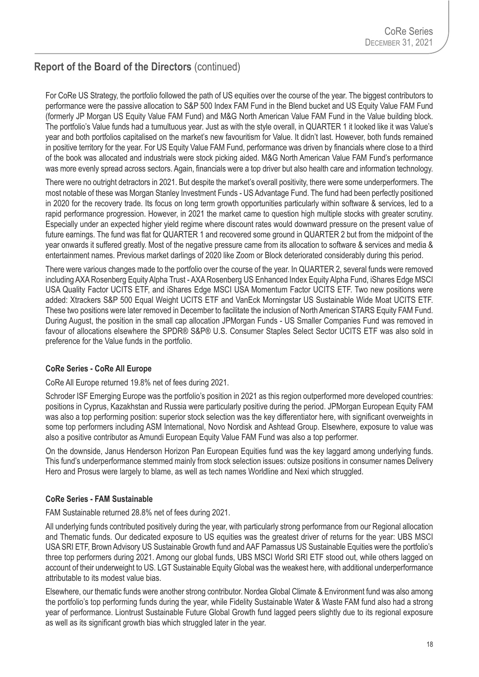For CoRe US Strategy, the portfolio followed the path of US equities over the course of the year. The biggest contributors to performance were the passive allocation to S&P 500 Index FAM Fund in the Blend bucket and US Equity Value FAM Fund (formerly JP Morgan US Equity Value FAM Fund) and M&G North American Value FAM Fund in the Value building block. The portfolio's Value funds had a tumultuous year. Just as with the style overall, in QUARTER 1 it looked like it was Value's year and both portfolios capitalised on the market's new favouritism for Value. It didn't last. However, both funds remained in positive territory for the year. For US Equity Value FAM Fund, performance was driven by financials where close to a third of the book was allocated and industrials were stock picking aided. M&G North American Value FAM Fund's performance was more evenly spread across sectors. Again, financials were a top driver but also health care and information technology.

There were no outright detractors in 2021. But despite the market's overall positivity, there were some underperformers. The most notable of these was Morgan Stanley Investment Funds - US Advantage Fund. The fund had been perfectly positioned in 2020 for the recovery trade. Its focus on long term growth opportunities particularly within software & services, led to a rapid performance progression. However, in 2021 the market came to question high multiple stocks with greater scrutiny. Especially under an expected higher yield regime where discount rates would downward pressure on the present value of future earnings. The fund was flat for QUARTER 1 and recovered some ground in QUARTER 2 but from the midpoint of the year onwards it suffered greatly. Most of the negative pressure came from its allocation to software & services and media & entertainment names. Previous market darlings of 2020 like Zoom or Block deteriorated considerably during this period.

There were various changes made to the portfolio over the course of the year. In QUARTER 2, several funds were removed including AXA Rosenberg Equity Alpha Trust - AXA Rosenberg US Enhanced Index Equity Alpha Fund, iShares Edge MSCI USA Quality Factor UCITS ETF, and iShares Edge MSCI USA Momentum Factor UCITS ETF. Two new positions were added: Xtrackers S&P 500 Equal Weight UCITS ETF and VanEck Morningstar US Sustainable Wide Moat UCITS ETF. These two positions were later removed in December to facilitate the inclusion of North American STARS Equity FAM Fund. During August, the position in the small cap allocation JPMorgan Funds - US Smaller Companies Fund was removed in favour of allocations elsewhere the SPDR® S&P® U.S. Consumer Staples Select Sector UCITS ETF was also sold in preference for the Value funds in the portfolio.

#### **CoRe Series - CoRe All Europe**

CoRe All Europe returned 19.8% net of fees during 2021.

Schroder ISF Emerging Europe was the portfolio's position in 2021 as this region outperformed more developed countries: positions in Cyprus, Kazakhstan and Russia were particularly positive during the period. JPMorgan European Equity FAM was also a top performing position: superior stock selection was the key differentiator here, with significant overweights in some top performers including ASM International, Novo Nordisk and Ashtead Group. Elsewhere, exposure to value was also a positive contributor as Amundi European Equity Value FAM Fund was also a top performer.

On the downside, Janus Henderson Horizon Pan European Equities fund was the key laggard among underlying funds. This fund's underperformance stemmed mainly from stock selection issues: outsize positions in consumer names Delivery Hero and Prosus were largely to blame, as well as tech names Worldline and Nexi which struggled.

#### **CoRe Series - FAM Sustainable**

FAM Sustainable returned 28.8% net of fees during 2021.

All underlying funds contributed positively during the year, with particularly strong performance from our Regional allocation and Thematic funds. Our dedicated exposure to US equities was the greatest driver of returns for the year: UBS MSCI USA SRI ETF, Brown Advisory US Sustainable Growth fund and AAF Parnassus US Sustainable Equities were the portfolio's three top performers during 2021. Among our global funds, UBS MSCI World SRI ETF stood out, while others lagged on account of their underweight to US. LGT Sustainable Equity Global was the weakest here, with additional underperformance attributable to its modest value bias.

Elsewhere, our thematic funds were another strong contributor. Nordea Global Climate & Environment fund was also among the portfolio's top performing funds during the year, while Fidelity Sustainable Water & Waste FAM fund also had a strong year of performance. Liontrust Sustainable Future Global Growth fund lagged peers slightly due to its regional exposure as well as its significant growth bias which struggled later in the year.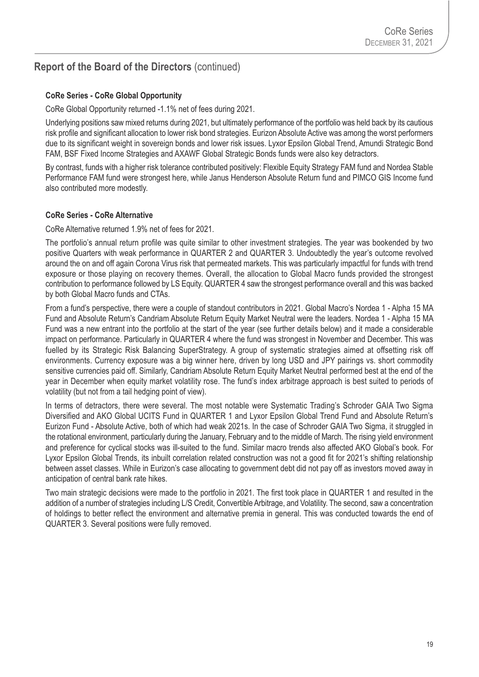#### **CoRe Series - CoRe Global Opportunity**

CoRe Global Opportunity returned -1.1% net of fees during 2021.

Underlying positions saw mixed returns during 2021, but ultimately performance of the portfolio was held back by its cautious risk profile and significant allocation to lower risk bond strategies. Eurizon Absolute Active was among the worst performers due to its significant weight in sovereign bonds and lower risk issues. Lyxor Epsilon Global Trend, Amundi Strategic Bond FAM, BSF Fixed Income Strategies and AXAWF Global Strategic Bonds funds were also key detractors.

By contrast, funds with a higher risk tolerance contributed positively: Flexible Equity Strategy FAM fund and Nordea Stable Performance FAM fund were strongest here, while Janus Henderson Absolute Return fund and PIMCO GIS Income fund also contributed more modestly.

#### **CoRe Series - CoRe Alternative**

CoRe Alternative returned 1.9% net of fees for 2021.

The portfolio's annual return profile was quite similar to other investment strategies. The year was bookended by two positive Quarters with weak performance in QUARTER 2 and QUARTER 3. Undoubtedly the year's outcome revolved around the on and off again Corona Virus risk that permeated markets. This was particularly impactful for funds with trend exposure or those playing on recovery themes. Overall, the allocation to Global Macro funds provided the strongest contribution to performance followed by LS Equity. QUARTER 4 saw the strongest performance overall and this was backed by both Global Macro funds and CTAs.

From a fund's perspective, there were a couple of standout contributors in 2021. Global Macro's Nordea 1 - Alpha 15 MA Fund and Absolute Return's Candriam Absolute Return Equity Market Neutral were the leaders. Nordea 1 - Alpha 15 MA Fund was a new entrant into the portfolio at the start of the year (see further details below) and it made a considerable impact on performance. Particularly in QUARTER 4 where the fund was strongest in November and December. This was fuelled by its Strategic Risk Balancing SuperStrategy. A group of systematic strategies aimed at offsetting risk off environments. Currency exposure was a big winner here, driven by long USD and JPY pairings vs. short commodity sensitive currencies paid off. Similarly, Candriam Absolute Return Equity Market Neutral performed best at the end of the year in December when equity market volatility rose. The fund's index arbitrage approach is best suited to periods of volatility (but not from a tail hedging point of view).

In terms of detractors, there were several. The most notable were Systematic Trading's Schroder GAIA Two Sigma Diversified and AKO Global UCITS Fund in QUARTER 1 and Lyxor Epsilon Global Trend Fund and Absolute Return's Eurizon Fund - Absolute Active, both of which had weak 2021s. In the case of Schroder GAIA Two Sigma, it struggled in the rotational environment, particularly during the January, February and to the middle of March. The rising yield environment and preference for cyclical stocks was ill-suited to the fund. Similar macro trends also affected AKO Global's book. For Lyxor Epsilon Global Trends, its inbuilt correlation related construction was not a good fit for 2021's shifting relationship between asset classes. While in Eurizon's case allocating to government debt did not pay off as investors moved away in anticipation of central bank rate hikes.

Two main strategic decisions were made to the portfolio in 2021. The first took place in QUARTER 1 and resulted in the addition of a number of strategies including L/S Credit, Convertible Arbitrage, and Volatility. The second, saw a concentration of holdings to better reflect the environment and alternative premia in general. This was conducted towards the end of QUARTER 3. Several positions were fully removed.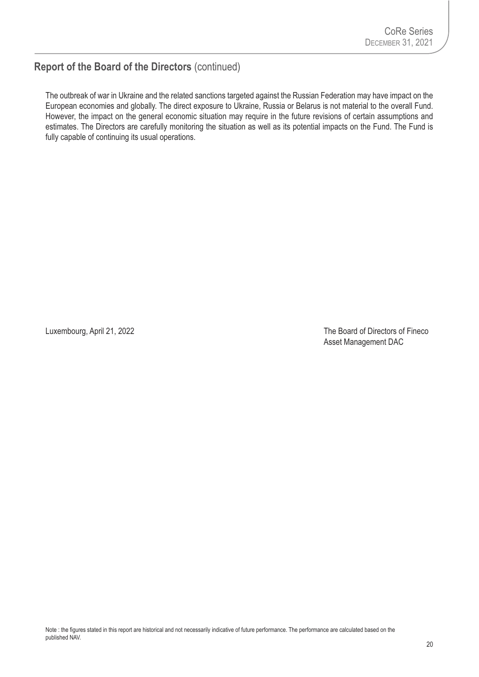The outbreak of war in Ukraine and the related sanctions targeted against the Russian Federation may have impact on the European economies and globally. The direct exposure to Ukraine, Russia or Belarus is not material to the overall Fund. However, the impact on the general economic situation may require in the future revisions of certain assumptions and estimates. The Directors are carefully monitoring the situation as well as its potential impacts on the Fund. The Fund is fully capable of continuing its usual operations.

Luxembourg, April 21, 2022 2003 and the Board of Directors of Fineco Asset Management DAC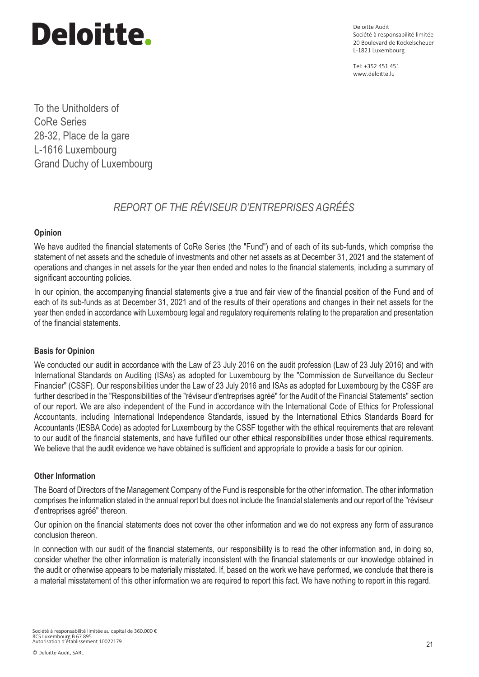# Deloitte.

Deloitte Audit Société à responsabilité limitée 20 Boulevard de Kockelscheuer L-1821 Luxembourg

Tel: +352 451 451 www.deloitte.lu

To the Unitholders of CoRe Series 28-32, Place de la gare L-1616 Luxembourg Grand Duchy of Luxembourg

## *REPORT OF THE RÉVISEUR D'ENTREPRISES AGRÉÉS*

#### **Opinion**

We have audited the financial statements of CoRe Series (the "Fund") and of each of its sub-funds, which comprise the statement of net assets and the schedule of investments and other net assets as at December 31, 2021 and the statement of operations and changes in net assets for the year then ended and notes to the financial statements, including a summary of significant accounting policies.

In our opinion, the accompanying financial statements give a true and fair view of the financial position of the Fund and of each of its sub-funds as at December 31, 2021 and of the results of their operations and changes in their net assets for the year then ended in accordance with Luxembourg legal and regulatory requirements relating to the preparation and presentation of the financial statements.

#### **Basis for Opinion**

We conducted our audit in accordance with the Law of 23 July 2016 on the audit profession (Law of 23 July 2016) and with International Standards on Auditing (ISAs) as adopted for Luxembourg by the "Commission de Surveillance du Secteur Financier" (CSSF). Our responsibilities under the Law of 23 July 2016 and ISAs as adopted for Luxembourg by the CSSF are further described in the "Responsibilities of the "réviseur d'entreprises agréé" for the Audit of the Financial Statements" section of our report. We are also independent of the Fund in accordance with the International Code of Ethics for Professional Accountants, including International Independence Standards, issued by the International Ethics Standards Board for Accountants (IESBA Code) as adopted for Luxembourg by the CSSF together with the ethical requirements that are relevant to our audit of the financial statements, and have fulfilled our other ethical responsibilities under those ethical requirements. We believe that the audit evidence we have obtained is sufficient and appropriate to provide a basis for our opinion.

#### **Other Information**

The Board of Directors of the Management Company of the Fund is responsible for the other information. The other information comprises the information stated in the annual report but does not include the financial statements and our report of the "réviseur d'entreprises agréé" thereon.

Our opinion on the financial statements does not cover the other information and we do not express any form of assurance conclusion thereon.

ln connection with our audit of the financial statements, our responsibility is to read the other information and, in doing so, consider whether the other information is materially inconsistent with the financial statements or our knowledge obtained in the audit or otherwise appears to be materially misstated. If, based on the work we have performed, we conclude that there is a material misstatement of this other information we are required to report this fact. We have nothing to report in this regard.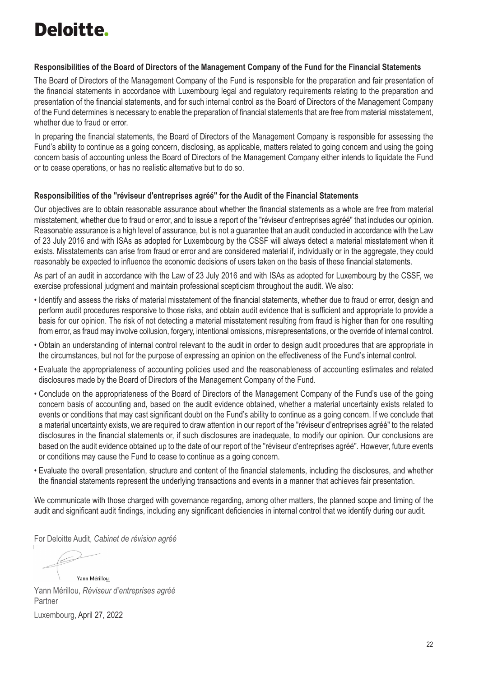# Deloitte.

#### **Responsibilities of the Board of Directors of the Management Company of the Fund for the Financial Statements**

The Board of Directors of the Management Company of the Fund is responsible for the preparation and fair presentation of the financial statements in accordance with Luxembourg legal and regulatory requirements relating to the preparation and presentation of the financial statements, and for such internal control as the Board of Directors of the Management Company of the Fund determines is necessary to enable the preparation of financial statements that are free from material misstatement, whether due to fraud or error.

In preparing the financial statements, the Board of Directors of the Management Company is responsible for assessing the Fund's ability to continue as a going concern, disclosing, as applicable, matters related to going concern and using the going concern basis of accounting unless the Board of Directors of the Management Company either intends to liquidate the Fund or to cease operations, or has no realistic alternative but to do so.

#### **Responsibilities of the "réviseur d'entreprises agréé" for the Audit of the Financial Statements**

Our objectives are to obtain reasonable assurance about whether the financial statements as a whole are free from material misstatement, whether due to fraud or error, and to issue a report of the "réviseur d'entreprises agréé" that includes our opinion. Reasonable assurance is a high level of assurance, but is not a guarantee that an audit conducted in accordance with the Law of 23 July 2016 and with ISAs as adopted for Luxembourg by the CSSF will always detect a material misstatement when it exists. Misstatements can arise from fraud or error and are considered material if, individually or in the aggregate, they could reasonably be expected to influence the economic decisions of users taken on the basis of these financial statements.

As part of an audit in accordance with the Law of 23 July 2016 and with ISAs as adopted for Luxembourg by the CSSF, we exercise professional judgment and maintain professional scepticism throughout the audit. We also:

- Identify and assess the risks of material misstatement of the financial statements, whether due to fraud or error, design and perform audit procedures responsive to those risks, and obtain audit evidence that is sufficient and appropriate to provide a basis for our opinion. The risk of not detecting a material misstatement resulting from fraud is higher than for one resulting from error, as fraud may involve collusion, forgery, intentional omissions, misrepresentations, or the override of internal control.
- Obtain an understanding of internal control relevant to the audit in order to design audit procedures that are appropriate in the circumstances, but not for the purpose of expressing an opinion on the effectiveness of the Fund's internal control.
- Evaluate the appropriateness of accounting policies used and the reasonableness of accounting estimates and related disclosures made by the Board of Directors of the Management Company of the Fund.
- Conclude on the appropriateness of the Board of Directors of the Management Company of the Fund's use of the going concern basis of accounting and, based on the audit evidence obtained, whether a material uncertainty exists related to events or conditions that may cast significant doubt on the Fund's ability to continue as a going concern. If we conclude that a material uncertainty exists, we are required to draw attention in our report of the "réviseur d'entreprises agréé" to the related disclosures in the financial statements or, if such disclosures are inadequate, to modify our opinion. Our conclusions are based on the audit evidence obtained up to the date of our report of the "réviseur d'entreprises agréé". However, future events or conditions may cause the Fund to cease to continue as a going concern.
- Evaluate the overall presentation, structure and content of the financial statements, including the disclosures, and whether the financial statements represent the underlying transactions and events in a manner that achieves fair presentation.

We communicate with those charged with governance regarding, among other matters, the planned scope and timing of the audit and significant audit findings, including any significant deficiencies in internal control that we identify during our audit.

For Deloitte Audit, *Cabinet de révision agréé*

Yann Mérillou

Yann Mérillou, *Réviseur d'entreprises agréé* Partner Luxembourg, April 27, 2022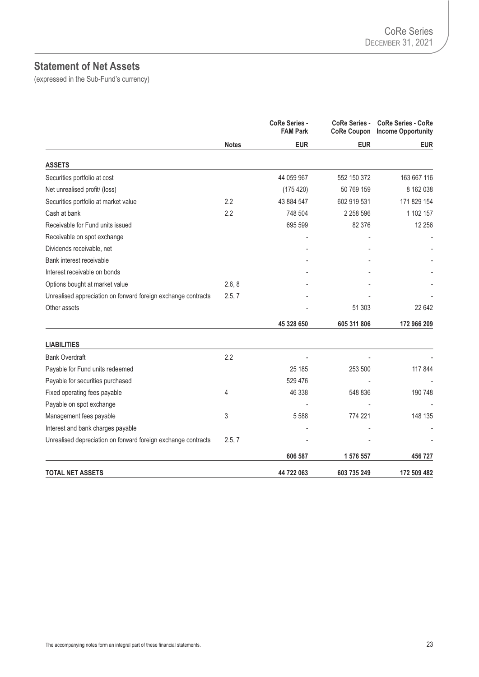## **Statement of Net Assets**

|                                                               |              | CoRe Series -<br><b>FAM Park</b> | <b>CoRe Series -</b><br><b>CoRe Coupon</b> | <b>CoRe Series - CoRe</b><br><b>Income Opportunity</b> |
|---------------------------------------------------------------|--------------|----------------------------------|--------------------------------------------|--------------------------------------------------------|
|                                                               | <b>Notes</b> | <b>EUR</b>                       | <b>EUR</b>                                 | <b>EUR</b>                                             |
| <b>ASSETS</b>                                                 |              |                                  |                                            |                                                        |
| Securities portfolio at cost                                  |              | 44 059 967                       | 552 150 372                                | 163 667 116                                            |
| Net unrealised profit/ (loss)                                 |              | (175 420)                        | 50 769 159                                 | 8 162 038                                              |
| Securities portfolio at market value                          | 2.2          | 43 884 547                       | 602 919 531                                | 171 829 154                                            |
| Cash at bank                                                  | 2.2          | 748 504                          | 2 2 5 8 5 9 6                              | 1 102 157                                              |
| Receivable for Fund units issued                              |              | 695 599                          | 82 376                                     | 12 25 6                                                |
| Receivable on spot exchange                                   |              |                                  |                                            |                                                        |
| Dividends receivable, net                                     |              |                                  |                                            |                                                        |
| Bank interest receivable                                      |              |                                  |                                            |                                                        |
| Interest receivable on bonds                                  |              |                                  |                                            |                                                        |
| Options bought at market value                                | 2.6, 8       |                                  |                                            |                                                        |
| Unrealised appreciation on forward foreign exchange contracts | 2.5, 7       |                                  |                                            |                                                        |
| Other assets                                                  |              |                                  | 51 303                                     | 22 642                                                 |
|                                                               |              | 45 328 650                       | 605 311 806                                | 172 966 209                                            |
| <b>LIABILITIES</b>                                            |              |                                  |                                            |                                                        |
| <b>Bank Overdraft</b>                                         | 2.2          |                                  |                                            |                                                        |
| Payable for Fund units redeemed                               |              | 25 185                           | 253 500                                    | 117 844                                                |
| Payable for securities purchased                              |              | 529 476                          |                                            |                                                        |
| Fixed operating fees payable                                  | 4            | 46 338                           | 548 836                                    | 190 748                                                |
| Payable on spot exchange                                      |              |                                  |                                            |                                                        |
| Management fees payable                                       | 3            | 5588                             | 774 221                                    | 148 135                                                |
| Interest and bank charges payable                             |              |                                  |                                            |                                                        |
| Unrealised depreciation on forward foreign exchange contracts | 2.5, 7       |                                  |                                            |                                                        |
|                                                               |              | 606 587                          | 1 576 557                                  | 456 727                                                |
| <b>TOTAL NET ASSETS</b>                                       |              | 44 722 063                       | 603 735 249                                | 172 509 482                                            |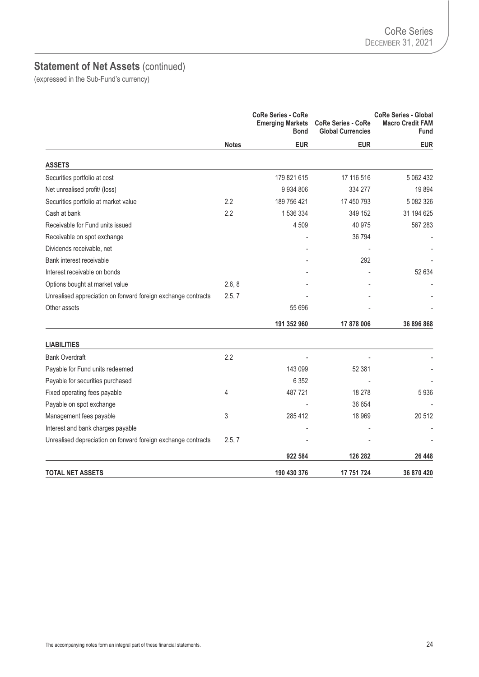|                                                               |              | <b>CoRe Series - CoRe</b><br><b>Emerging Markets</b><br><b>Bond</b> | <b>CoRe Series - CoRe</b><br><b>Global Currencies</b> | <b>CoRe Series - Global</b><br><b>Macro Credit FAM</b><br>Fund |
|---------------------------------------------------------------|--------------|---------------------------------------------------------------------|-------------------------------------------------------|----------------------------------------------------------------|
|                                                               | <b>Notes</b> | <b>EUR</b>                                                          | <b>EUR</b>                                            | <b>EUR</b>                                                     |
| <b>ASSETS</b>                                                 |              |                                                                     |                                                       |                                                                |
| Securities portfolio at cost                                  |              | 179 821 615                                                         | 17 116 516                                            | 5 062 432                                                      |
| Net unrealised profit/ (loss)                                 |              | 9 9 3 4 8 0 6                                                       | 334 277                                               | 19894                                                          |
| Securities portfolio at market value                          | 2.2          | 189 756 421                                                         | 17 450 793                                            | 5 082 326                                                      |
| Cash at bank                                                  | 2.2          | 1536334                                                             | 349 152                                               | 31 194 625                                                     |
| Receivable for Fund units issued                              |              | 4509                                                                | 40 975                                                | 567 283                                                        |
| Receivable on spot exchange                                   |              |                                                                     | 36 794                                                |                                                                |
| Dividends receivable, net                                     |              |                                                                     |                                                       |                                                                |
| Bank interest receivable                                      |              |                                                                     | 292                                                   |                                                                |
| Interest receivable on bonds                                  |              |                                                                     |                                                       | 52 634                                                         |
| Options bought at market value                                | 2.6, 8       |                                                                     |                                                       |                                                                |
| Unrealised appreciation on forward foreign exchange contracts | 2.5, 7       |                                                                     |                                                       |                                                                |
| Other assets                                                  |              | 55 696                                                              |                                                       |                                                                |
|                                                               |              | 191 352 960                                                         | 17 878 006                                            | 36 896 868                                                     |
| <b>LIABILITIES</b>                                            |              |                                                                     |                                                       |                                                                |
| <b>Bank Overdraft</b>                                         | 2.2          |                                                                     |                                                       |                                                                |
| Payable for Fund units redeemed                               |              | 143 099                                                             | 52 381                                                |                                                                |
| Payable for securities purchased                              |              | 6 3 5 2                                                             |                                                       |                                                                |
| Fixed operating fees payable                                  | 4            | 487721                                                              | 18 278                                                | 5936                                                           |
| Payable on spot exchange                                      |              |                                                                     | 36 654                                                |                                                                |
| Management fees payable                                       | 3            | 285 412                                                             | 18 969                                                | 20 512                                                         |
| Interest and bank charges payable                             |              |                                                                     |                                                       |                                                                |
| Unrealised depreciation on forward foreign exchange contracts | 2.5, 7       |                                                                     |                                                       |                                                                |
|                                                               |              | 922 584                                                             | 126 282                                               | 26 448                                                         |
| <b>TOTAL NET ASSETS</b>                                       |              | 190 430 376                                                         | 17 751 724                                            | 36 870 420                                                     |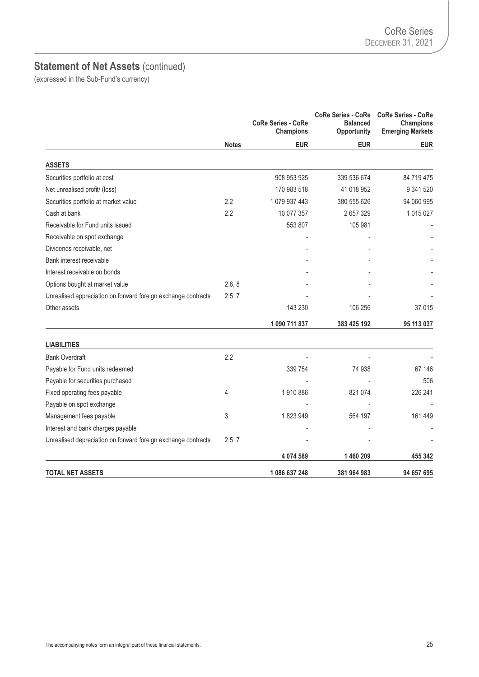|                                                               |              | <b>CoRe Series - CoRe</b><br><b>Champions</b> | <b>CoRe Series - CoRe</b><br><b>Balanced</b><br>Opportunity | <b>CoRe Series - CoRe</b><br><b>Champions</b><br><b>Emerging Markets</b> |
|---------------------------------------------------------------|--------------|-----------------------------------------------|-------------------------------------------------------------|--------------------------------------------------------------------------|
|                                                               | <b>Notes</b> | <b>EUR</b>                                    | <b>EUR</b>                                                  | <b>EUR</b>                                                               |
| <b>ASSETS</b>                                                 |              |                                               |                                                             |                                                                          |
| Securities portfolio at cost                                  |              | 908 953 925                                   | 339 536 674                                                 | 84 719 475                                                               |
| Net unrealised profit/ (loss)                                 |              | 170 983 518                                   | 41 018 952                                                  | 9 341 520                                                                |
| Securities portfolio at market value                          | 2.2          | 1079 937 443                                  | 380 555 626                                                 | 94 060 995                                                               |
| Cash at bank                                                  | 2.2          | 10 077 357                                    | 2657329                                                     | 1 015 027                                                                |
| Receivable for Fund units issued                              |              | 553 807                                       | 105 981                                                     |                                                                          |
| Receivable on spot exchange                                   |              |                                               |                                                             |                                                                          |
| Dividends receivable, net                                     |              |                                               |                                                             |                                                                          |
| Bank interest receivable                                      |              |                                               |                                                             |                                                                          |
| Interest receivable on bonds                                  |              |                                               |                                                             |                                                                          |
| Options bought at market value                                | 2.6, 8       |                                               |                                                             |                                                                          |
| Unrealised appreciation on forward foreign exchange contracts | 2.5, 7       |                                               |                                                             |                                                                          |
| Other assets                                                  |              | 143 230                                       | 106 256                                                     | 37 015                                                                   |
|                                                               |              | 1 090 711 837                                 | 383 425 192                                                 | 95 113 037                                                               |
| <b>LIABILITIES</b>                                            |              |                                               |                                                             |                                                                          |
| <b>Bank Overdraft</b>                                         | 2.2          |                                               |                                                             |                                                                          |
| Payable for Fund units redeemed                               |              | 339 754                                       | 74 938                                                      | 67 146                                                                   |
| Payable for securities purchased                              |              |                                               |                                                             | 506                                                                      |
| Fixed operating fees payable                                  | 4            | 1910886                                       | 821 074                                                     | 226 241                                                                  |
| Payable on spot exchange                                      |              |                                               |                                                             |                                                                          |
| Management fees payable                                       | 3            | 1823949                                       | 564 197                                                     | 161 449                                                                  |
| Interest and bank charges payable                             |              |                                               |                                                             |                                                                          |
| Unrealised depreciation on forward foreign exchange contracts | 2.5, 7       |                                               |                                                             |                                                                          |
|                                                               |              | 4 074 589                                     | 1460209                                                     | 455 342                                                                  |
| <b>TOTAL NET ASSETS</b>                                       |              | 1 086 637 248                                 | 381 964 983                                                 | 94 657 695                                                               |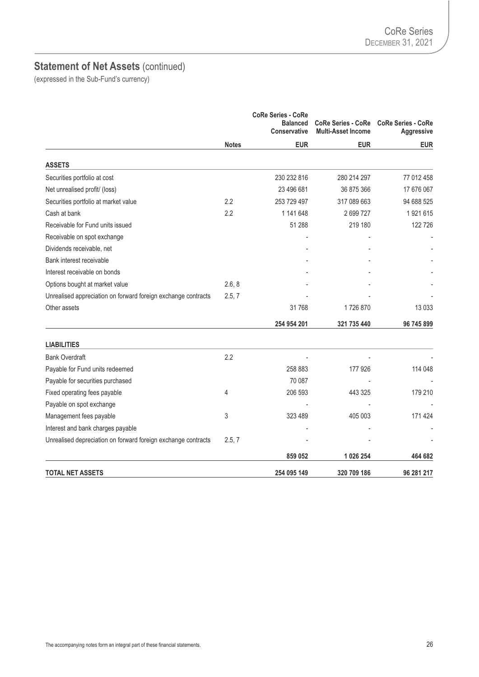|                                                               |              | <b>CoRe Series - CoRe</b><br><b>Balanced</b><br><b>Conservative</b> | <b>CoRe Series - CoRe</b><br><b>Multi-Asset Income</b> | <b>CoRe Series - CoRe</b><br><b>Aggressive</b> |
|---------------------------------------------------------------|--------------|---------------------------------------------------------------------|--------------------------------------------------------|------------------------------------------------|
|                                                               | <b>Notes</b> | <b>EUR</b>                                                          | <b>EUR</b>                                             | <b>EUR</b>                                     |
| <b>ASSETS</b>                                                 |              |                                                                     |                                                        |                                                |
| Securities portfolio at cost                                  |              | 230 232 816                                                         | 280 214 297                                            | 77 012 458                                     |
| Net unrealised profit/ (loss)                                 |              | 23 496 681                                                          | 36 875 366                                             | 17 676 067                                     |
| Securities portfolio at market value                          | 2.2          | 253 729 497                                                         | 317 089 663                                            | 94 688 525                                     |
| Cash at bank                                                  | 2.2          | 1 141 648                                                           | 2699727                                                | 1 921 615                                      |
| Receivable for Fund units issued                              |              | 51 288                                                              | 219 180                                                | 122 726                                        |
| Receivable on spot exchange                                   |              |                                                                     |                                                        |                                                |
| Dividends receivable, net                                     |              |                                                                     |                                                        |                                                |
| Bank interest receivable                                      |              |                                                                     |                                                        |                                                |
| Interest receivable on bonds                                  |              |                                                                     |                                                        |                                                |
| Options bought at market value                                | 2.6, 8       |                                                                     |                                                        |                                                |
| Unrealised appreciation on forward foreign exchange contracts | 2.5, 7       |                                                                     |                                                        |                                                |
| Other assets                                                  |              | 31768                                                               | 1726870                                                | 13 0 33                                        |
|                                                               |              | 254 954 201                                                         | 321 735 440                                            | 96 745 899                                     |
| <b>LIABILITIES</b>                                            |              |                                                                     |                                                        |                                                |
| <b>Bank Overdraft</b>                                         | 2.2          |                                                                     |                                                        |                                                |
| Payable for Fund units redeemed                               |              | 258 883                                                             | 177 926                                                | 114 048                                        |
| Payable for securities purchased                              |              | 70 087                                                              |                                                        |                                                |
| Fixed operating fees payable                                  | 4            | 206 593                                                             | 443 325                                                | 179 210                                        |
| Payable on spot exchange                                      |              |                                                                     |                                                        |                                                |
| Management fees payable                                       | 3            | 323 489                                                             | 405 003                                                | 171 424                                        |
| Interest and bank charges payable                             |              |                                                                     |                                                        |                                                |
| Unrealised depreciation on forward foreign exchange contracts | 2.5, 7       |                                                                     |                                                        |                                                |
|                                                               |              | 859 052                                                             | 1 026 254                                              | 464 682                                        |
| <b>TOTAL NET ASSETS</b>                                       |              | 254 095 149                                                         | 320 709 186                                            | 96 281 217                                     |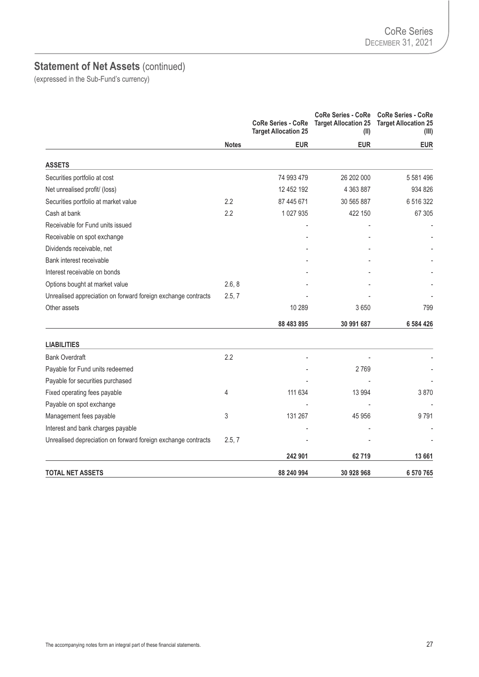|                                                               |              | <b>CoRe Series - CoRe</b><br><b>Target Allocation 25</b> | <b>CoRe Series - CoRe</b><br><b>Target Allocation 25</b><br>(II) | <b>CoRe Series - CoRe</b><br><b>Target Allocation 25</b><br>(III) |
|---------------------------------------------------------------|--------------|----------------------------------------------------------|------------------------------------------------------------------|-------------------------------------------------------------------|
|                                                               | <b>Notes</b> | <b>EUR</b>                                               | <b>EUR</b>                                                       | <b>EUR</b>                                                        |
| <b>ASSETS</b>                                                 |              |                                                          |                                                                  |                                                                   |
| Securities portfolio at cost                                  |              | 74 993 479                                               | 26 202 000                                                       | 5 581 496                                                         |
| Net unrealised profit/ (loss)                                 |              | 12 452 192                                               | 4 363 887                                                        | 934 826                                                           |
| Securities portfolio at market value                          | 2.2          | 87 445 671                                               | 30 565 887                                                       | 6516322                                                           |
| Cash at bank                                                  | 2.2          | 1 0 27 9 35                                              | 422 150                                                          | 67 305                                                            |
| Receivable for Fund units issued                              |              |                                                          |                                                                  |                                                                   |
| Receivable on spot exchange                                   |              |                                                          |                                                                  |                                                                   |
| Dividends receivable, net                                     |              |                                                          |                                                                  |                                                                   |
| Bank interest receivable                                      |              |                                                          |                                                                  |                                                                   |
| Interest receivable on bonds                                  |              |                                                          |                                                                  |                                                                   |
| Options bought at market value                                | 2.6, 8       |                                                          |                                                                  |                                                                   |
| Unrealised appreciation on forward foreign exchange contracts | 2.5, 7       |                                                          |                                                                  |                                                                   |
| Other assets                                                  |              | 10 289                                                   | 3650                                                             | 799                                                               |
|                                                               |              | 88 483 895                                               | 30 991 687                                                       | 6 584 426                                                         |
| <b>LIABILITIES</b>                                            |              |                                                          |                                                                  |                                                                   |
| <b>Bank Overdraft</b>                                         | 2.2          |                                                          |                                                                  |                                                                   |
| Payable for Fund units redeemed                               |              |                                                          | 2769                                                             |                                                                   |
| Payable for securities purchased                              |              |                                                          |                                                                  |                                                                   |
| Fixed operating fees payable                                  | 4            | 111 634                                                  | 13 9 94                                                          | 3870                                                              |
| Payable on spot exchange                                      |              |                                                          |                                                                  |                                                                   |
| Management fees payable                                       | 3            | 131 267                                                  | 45 956                                                           | 9791                                                              |
| Interest and bank charges payable                             |              |                                                          |                                                                  |                                                                   |
| Unrealised depreciation on forward foreign exchange contracts | 2.5, 7       |                                                          |                                                                  |                                                                   |
|                                                               |              | 242 901                                                  | 62719                                                            | 13 661                                                            |
| <b>TOTAL NET ASSETS</b>                                       |              | 88 240 994                                               | 30 928 968                                                       | 6 570 765                                                         |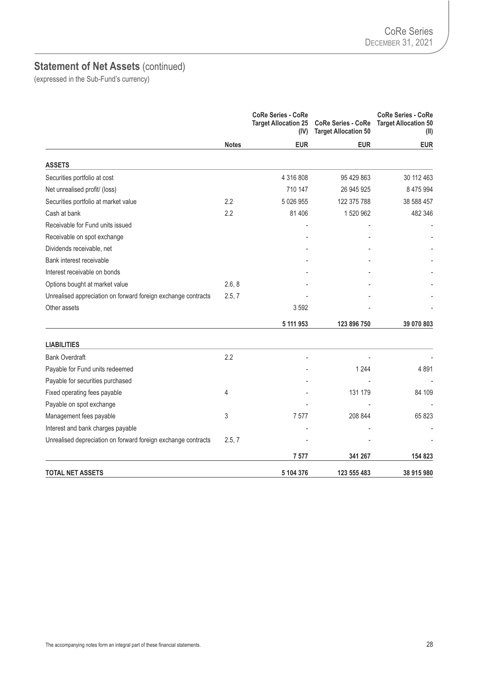|                                                               |              | <b>CoRe Series - CoRe</b><br><b>Target Allocation 25</b><br>(IV) | <b>CoRe Series - CoRe</b><br><b>Target Allocation 50</b> | <b>CoRe Series - CoRe</b><br><b>Target Allocation 50</b><br>(II) |
|---------------------------------------------------------------|--------------|------------------------------------------------------------------|----------------------------------------------------------|------------------------------------------------------------------|
|                                                               | <b>Notes</b> | <b>EUR</b>                                                       | <b>EUR</b>                                               | <b>EUR</b>                                                       |
| <b>ASSETS</b>                                                 |              |                                                                  |                                                          |                                                                  |
| Securities portfolio at cost                                  |              | 4 316 808                                                        | 95 429 863                                               | 30 112 463                                                       |
| Net unrealised profit/ (loss)                                 |              | 710 147                                                          | 26 945 925                                               | 8 475 994                                                        |
| Securities portfolio at market value                          | 2.2          | 5 0 26 9 55                                                      | 122 375 788                                              | 38 588 457                                                       |
| Cash at bank                                                  | 2.2          | 81 40 6                                                          | 1520962                                                  | 482 346                                                          |
| Receivable for Fund units issued                              |              |                                                                  |                                                          |                                                                  |
| Receivable on spot exchange                                   |              |                                                                  |                                                          |                                                                  |
| Dividends receivable, net                                     |              |                                                                  |                                                          |                                                                  |
| Bank interest receivable                                      |              |                                                                  |                                                          |                                                                  |
| Interest receivable on bonds                                  |              |                                                                  |                                                          |                                                                  |
| Options bought at market value                                | 2.6, 8       |                                                                  |                                                          |                                                                  |
| Unrealised appreciation on forward foreign exchange contracts | 2.5, 7       |                                                                  |                                                          |                                                                  |
| Other assets                                                  |              | 3592                                                             |                                                          |                                                                  |
|                                                               |              | 5 111 953                                                        | 123 896 750                                              | 39 070 803                                                       |
| <b>LIABILITIES</b>                                            |              |                                                                  |                                                          |                                                                  |
| <b>Bank Overdraft</b>                                         | 2.2          |                                                                  |                                                          |                                                                  |
| Payable for Fund units redeemed                               |              |                                                                  | 1 2 4 4                                                  | 4891                                                             |
| Payable for securities purchased                              |              |                                                                  |                                                          |                                                                  |
| Fixed operating fees payable                                  | 4            |                                                                  | 131 179                                                  | 84 109                                                           |
| Payable on spot exchange                                      |              |                                                                  |                                                          |                                                                  |
| Management fees payable                                       | 3            | 7577                                                             | 208 844                                                  | 65 823                                                           |
| Interest and bank charges payable                             |              |                                                                  |                                                          |                                                                  |
| Unrealised depreciation on forward foreign exchange contracts | 2.5, 7       |                                                                  |                                                          |                                                                  |
|                                                               |              | 7577                                                             | 341 267                                                  | 154 823                                                          |
| <b>TOTAL NET ASSETS</b>                                       |              | 5 104 376                                                        | 123 555 483                                              | 38 915 980                                                       |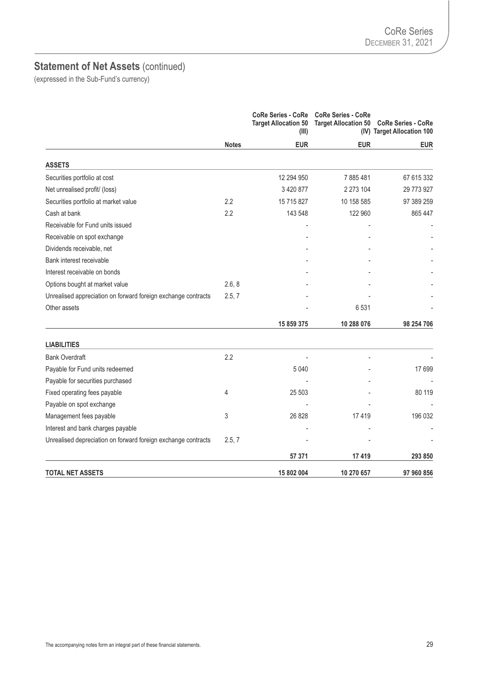|                                                               |              | <b>CoRe Series - CoRe</b><br><b>Target Allocation 50</b><br>(III) | <b>CoRe Series - CoRe</b> | Target Allocation 50 CoRe Series - CoRe<br>(IV) Target Allocation 100 |
|---------------------------------------------------------------|--------------|-------------------------------------------------------------------|---------------------------|-----------------------------------------------------------------------|
|                                                               | <b>Notes</b> | <b>EUR</b>                                                        | <b>EUR</b>                | <b>EUR</b>                                                            |
| <b>ASSETS</b>                                                 |              |                                                                   |                           |                                                                       |
| Securities portfolio at cost                                  |              | 12 294 950                                                        | 7885481                   | 67 615 332                                                            |
| Net unrealised profit/ (loss)                                 |              | 3 4 20 8 77                                                       | 2 273 104                 | 29 773 927                                                            |
| Securities portfolio at market value                          | 2.2          | 15 715 827                                                        | 10 158 585                | 97 389 259                                                            |
| Cash at bank                                                  | 2.2          | 143 548                                                           | 122 960                   | 865 447                                                               |
| Receivable for Fund units issued                              |              |                                                                   |                           |                                                                       |
| Receivable on spot exchange                                   |              |                                                                   |                           |                                                                       |
| Dividends receivable, net                                     |              |                                                                   |                           |                                                                       |
| Bank interest receivable                                      |              |                                                                   |                           |                                                                       |
| Interest receivable on bonds                                  |              |                                                                   |                           |                                                                       |
| Options bought at market value                                | 2.6, 8       |                                                                   |                           |                                                                       |
| Unrealised appreciation on forward foreign exchange contracts | 2.5, 7       |                                                                   |                           |                                                                       |
| Other assets                                                  |              |                                                                   | 6531                      |                                                                       |
|                                                               |              | 15 859 375                                                        | 10 288 076                | 98 254 706                                                            |
| <b>LIABILITIES</b>                                            |              |                                                                   |                           |                                                                       |
| <b>Bank Overdraft</b>                                         | 2.2          |                                                                   |                           |                                                                       |
| Payable for Fund units redeemed                               |              | 5 0 4 0                                                           |                           | 17699                                                                 |
| Payable for securities purchased                              |              |                                                                   |                           |                                                                       |
| Fixed operating fees payable                                  | 4            | 25 503                                                            |                           | 80 119                                                                |
| Payable on spot exchange                                      |              |                                                                   |                           |                                                                       |
| Management fees payable                                       | 3            | 26 8 28                                                           | 17419                     | 196 032                                                               |
| Interest and bank charges payable                             |              |                                                                   |                           |                                                                       |
| Unrealised depreciation on forward foreign exchange contracts | 2.5, 7       |                                                                   |                           |                                                                       |
|                                                               |              | 57 371                                                            | 17419                     | 293 850                                                               |
| <b>TOTAL NET ASSETS</b>                                       |              | 15 802 004                                                        | 10 270 657                | 97 960 856                                                            |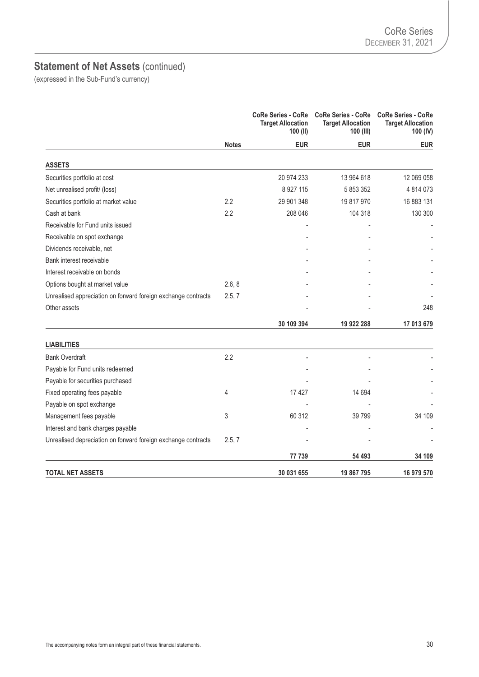|                                                               |              | <b>CoRe Series - CoRe</b><br><b>Target Allocation</b><br>100 (II) | <b>CoRe Series - CoRe</b><br><b>Target Allocation</b><br>100 (III) | <b>CoRe Series - CoRe</b><br><b>Target Allocation</b><br>100 (IV) |
|---------------------------------------------------------------|--------------|-------------------------------------------------------------------|--------------------------------------------------------------------|-------------------------------------------------------------------|
|                                                               | <b>Notes</b> | <b>EUR</b>                                                        | <b>EUR</b>                                                         | <b>EUR</b>                                                        |
| <b>ASSETS</b>                                                 |              |                                                                   |                                                                    |                                                                   |
| Securities portfolio at cost                                  |              | 20 974 233                                                        | 13 964 618                                                         | 12 069 058                                                        |
| Net unrealised profit/ (loss)                                 |              | 8 9 27 115                                                        | 5 853 352                                                          | 4 814 073                                                         |
| Securities portfolio at market value                          | 2.2          | 29 901 348                                                        | 19 817 970                                                         | 16 883 131                                                        |
| Cash at bank                                                  | 2.2          | 208 046                                                           | 104 318                                                            | 130 300                                                           |
| Receivable for Fund units issued                              |              |                                                                   |                                                                    |                                                                   |
| Receivable on spot exchange                                   |              |                                                                   |                                                                    |                                                                   |
| Dividends receivable, net                                     |              |                                                                   |                                                                    |                                                                   |
| Bank interest receivable                                      |              |                                                                   |                                                                    |                                                                   |
| Interest receivable on bonds                                  |              |                                                                   |                                                                    |                                                                   |
| Options bought at market value                                | 2.6, 8       |                                                                   |                                                                    |                                                                   |
| Unrealised appreciation on forward foreign exchange contracts | 2.5, 7       |                                                                   |                                                                    |                                                                   |
| Other assets                                                  |              |                                                                   |                                                                    | 248                                                               |
|                                                               |              | 30 109 394                                                        | 19 922 288                                                         | 17 013 679                                                        |
| <b>LIABILITIES</b>                                            |              |                                                                   |                                                                    |                                                                   |
| <b>Bank Overdraft</b>                                         | 2.2          |                                                                   |                                                                    |                                                                   |
| Payable for Fund units redeemed                               |              |                                                                   |                                                                    |                                                                   |
| Payable for securities purchased                              |              |                                                                   |                                                                    |                                                                   |
| Fixed operating fees payable                                  | 4            | 17427                                                             | 14 694                                                             |                                                                   |
| Payable on spot exchange                                      |              |                                                                   |                                                                    |                                                                   |
| Management fees payable                                       | 3            | 60 312                                                            | 39 799                                                             | 34 109                                                            |
| Interest and bank charges payable                             |              |                                                                   |                                                                    |                                                                   |
| Unrealised depreciation on forward foreign exchange contracts | 2.5, 7       |                                                                   |                                                                    |                                                                   |
|                                                               |              | 77 739                                                            | 54 493                                                             | 34 109                                                            |
| <b>TOTAL NET ASSETS</b>                                       |              | 30 031 655                                                        | 19 867 795                                                         | 16 979 570                                                        |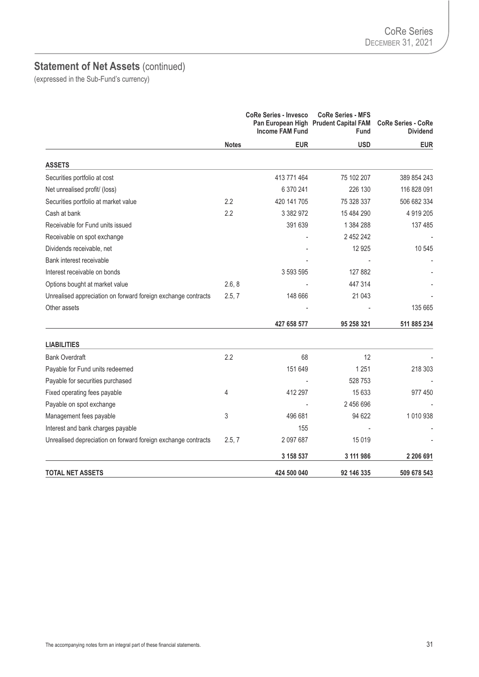|                                                               |                  | <b>CoRe Series - Invesco</b><br><b>Income FAM Fund</b> | <b>CoRe Series - MFS</b><br>Pan European High Prudent Capital FAM<br><b>Fund</b> | <b>CoRe Series - CoRe</b><br><b>Dividend</b> |
|---------------------------------------------------------------|------------------|--------------------------------------------------------|----------------------------------------------------------------------------------|----------------------------------------------|
|                                                               | <b>Notes</b>     | <b>EUR</b>                                             | <b>USD</b>                                                                       | <b>EUR</b>                                   |
| <b>ASSETS</b>                                                 |                  |                                                        |                                                                                  |                                              |
| Securities portfolio at cost                                  |                  | 413 771 464                                            | 75 102 207                                                                       | 389 854 243                                  |
| Net unrealised profit/ (loss)                                 |                  | 6 370 241                                              | 226 130                                                                          | 116 828 091                                  |
| Securities portfolio at market value                          | $2.2\phantom{0}$ | 420 141 705                                            | 75 328 337                                                                       | 506 682 334                                  |
| Cash at bank                                                  | 2.2              | 3 382 972                                              | 15 484 290                                                                       | 4 919 205                                    |
| Receivable for Fund units issued                              |                  | 391 639                                                | 1 384 288                                                                        | 137 485                                      |
| Receivable on spot exchange                                   |                  |                                                        | 2 452 242                                                                        |                                              |
| Dividends receivable, net                                     |                  |                                                        | 12 9 25                                                                          | 10 545                                       |
| Bank interest receivable                                      |                  |                                                        |                                                                                  |                                              |
| Interest receivable on bonds                                  |                  | 3 593 595                                              | 127 882                                                                          |                                              |
| Options bought at market value                                | 2.6, 8           |                                                        | 447 314                                                                          |                                              |
| Unrealised appreciation on forward foreign exchange contracts | 2.5, 7           | 148 666                                                | 21 043                                                                           |                                              |
| Other assets                                                  |                  |                                                        |                                                                                  | 135 665                                      |
|                                                               |                  | 427 658 577                                            | 95 258 321                                                                       | 511 885 234                                  |
| <b>LIABILITIES</b>                                            |                  |                                                        |                                                                                  |                                              |
| <b>Bank Overdraft</b>                                         | 2.2              | 68                                                     | 12                                                                               |                                              |
| Payable for Fund units redeemed                               |                  | 151 649                                                | 1 2 5 1                                                                          | 218 303                                      |
| Payable for securities purchased                              |                  |                                                        | 528 753                                                                          |                                              |
| Fixed operating fees payable                                  | 4                | 412 297                                                | 15 633                                                                           | 977 450                                      |
| Payable on spot exchange                                      |                  |                                                        | 2 456 696                                                                        |                                              |
| Management fees payable                                       | 3                | 496 681                                                | 94 622                                                                           | 1010938                                      |
| Interest and bank charges payable                             |                  | 155                                                    |                                                                                  |                                              |
| Unrealised depreciation on forward foreign exchange contracts | 2.5, 7           | 2 097 687                                              | 15 0 19                                                                          |                                              |
|                                                               |                  | 3 158 537                                              | 3 111 986                                                                        | 2 206 691                                    |
| <b>TOTAL NET ASSETS</b>                                       |                  | 424 500 040                                            | 92 146 335                                                                       | 509 678 543                                  |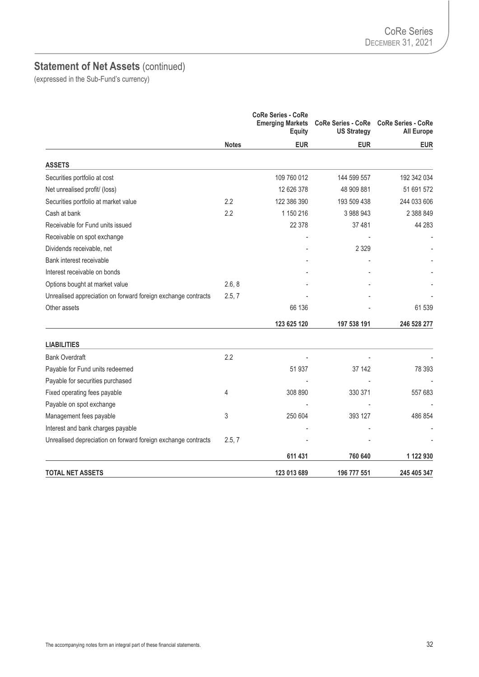# **Statement of Net Assets** (continued)

|                                                               |              | <b>CoRe Series - CoRe</b><br><b>Emerging Markets</b><br><b>Equity</b> | <b>CoRe Series - CoRe</b><br><b>US Strategy</b> | <b>CoRe Series - CoRe</b><br><b>All Europe</b> |
|---------------------------------------------------------------|--------------|-----------------------------------------------------------------------|-------------------------------------------------|------------------------------------------------|
|                                                               | <b>Notes</b> | <b>EUR</b>                                                            | <b>EUR</b>                                      | <b>EUR</b>                                     |
| <b>ASSETS</b>                                                 |              |                                                                       |                                                 |                                                |
| Securities portfolio at cost                                  |              | 109 760 012                                                           | 144 599 557                                     | 192 342 034                                    |
| Net unrealised profit/ (loss)                                 |              | 12 626 378                                                            | 48 909 881                                      | 51 691 572                                     |
| Securities portfolio at market value                          | 2.2          | 122 386 390                                                           | 193 509 438                                     | 244 033 606                                    |
| Cash at bank                                                  | 2.2          | 1 150 216                                                             | 3988943                                         | 2 388 849                                      |
| Receivable for Fund units issued                              |              | 22 378                                                                | 37 481                                          | 44 283                                         |
| Receivable on spot exchange                                   |              |                                                                       |                                                 |                                                |
| Dividends receivable, net                                     |              |                                                                       | 2 3 2 9                                         |                                                |
| Bank interest receivable                                      |              |                                                                       |                                                 |                                                |
| Interest receivable on bonds                                  |              |                                                                       |                                                 |                                                |
| Options bought at market value                                | 2.6, 8       |                                                                       |                                                 |                                                |
| Unrealised appreciation on forward foreign exchange contracts | 2.5, 7       |                                                                       |                                                 |                                                |
| Other assets                                                  |              | 66 136                                                                |                                                 | 61 539                                         |
|                                                               |              | 123 625 120                                                           | 197 538 191                                     | 246 528 277                                    |
| <b>LIABILITIES</b>                                            |              |                                                                       |                                                 |                                                |
| <b>Bank Overdraft</b>                                         | 2.2          |                                                                       |                                                 |                                                |
| Payable for Fund units redeemed                               |              | 51 937                                                                | 37 142                                          | 78 393                                         |
| Payable for securities purchased                              |              |                                                                       |                                                 |                                                |
| Fixed operating fees payable                                  | 4            | 308 890                                                               | 330 371                                         | 557 683                                        |
| Payable on spot exchange                                      |              |                                                                       |                                                 |                                                |
| Management fees payable                                       | 3            | 250 604                                                               | 393 127                                         | 486 854                                        |
| Interest and bank charges payable                             |              |                                                                       |                                                 |                                                |
| Unrealised depreciation on forward foreign exchange contracts | 2.5, 7       |                                                                       |                                                 |                                                |
|                                                               |              | 611 431                                                               | 760 640                                         | 1 122 930                                      |
| <b>TOTAL NET ASSETS</b>                                       |              | 123 013 689                                                           | 196 777 551                                     | 245 405 347                                    |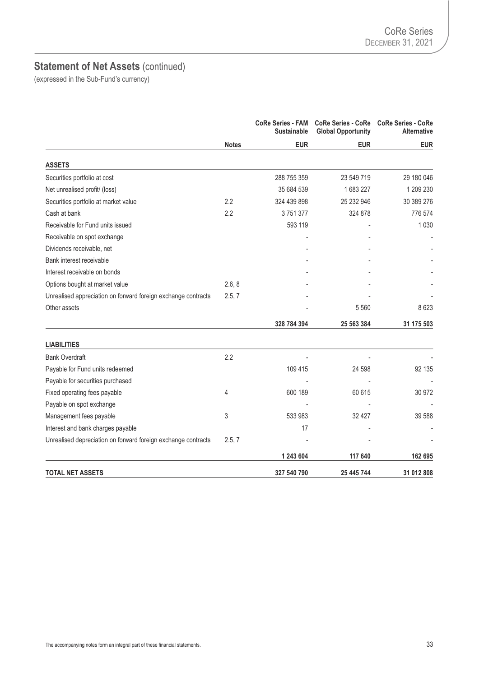# **Statement of Net Assets** (continued)

|                                                               |              | <b>CoRe Series - FAM</b><br><b>Sustainable</b> | <b>Global Opportunity</b> | CoRe Series - CoRe CoRe Series - CoRe<br><b>Alternative</b> |
|---------------------------------------------------------------|--------------|------------------------------------------------|---------------------------|-------------------------------------------------------------|
|                                                               | <b>Notes</b> | <b>EUR</b>                                     | <b>EUR</b>                | <b>EUR</b>                                                  |
| <b>ASSETS</b>                                                 |              |                                                |                           |                                                             |
| Securities portfolio at cost                                  |              | 288 755 359                                    | 23 549 719                | 29 180 046                                                  |
| Net unrealised profit/ (loss)                                 |              | 35 684 539                                     | 1683227                   | 1 209 230                                                   |
| Securities portfolio at market value                          | 2.2          | 324 439 898                                    | 25 232 946                | 30 389 276                                                  |
| Cash at bank                                                  | 2.2          | 3751377                                        | 324 878                   | 776 574                                                     |
| Receivable for Fund units issued                              |              | 593 119                                        |                           | 1 0 3 0                                                     |
| Receivable on spot exchange                                   |              |                                                |                           |                                                             |
| Dividends receivable, net                                     |              |                                                |                           |                                                             |
| Bank interest receivable                                      |              |                                                |                           |                                                             |
| Interest receivable on bonds                                  |              |                                                |                           |                                                             |
| Options bought at market value                                | 2.6, 8       |                                                |                           |                                                             |
| Unrealised appreciation on forward foreign exchange contracts | 2.5, 7       |                                                |                           |                                                             |
| Other assets                                                  |              |                                                | 5 5 6 0                   | 8623                                                        |
|                                                               |              | 328 784 394                                    | 25 563 384                | 31 175 503                                                  |
| <b>LIABILITIES</b>                                            |              |                                                |                           |                                                             |
| <b>Bank Overdraft</b>                                         | 2.2          |                                                |                           |                                                             |
| Payable for Fund units redeemed                               |              | 109 415                                        | 24 598                    | 92 135                                                      |
| Payable for securities purchased                              |              |                                                |                           |                                                             |
| Fixed operating fees payable                                  | 4            | 600 189                                        | 60 615                    | 30 972                                                      |
| Payable on spot exchange                                      |              |                                                |                           |                                                             |
| Management fees payable                                       | 3            | 533 983                                        | 32 427                    | 39 588                                                      |
| Interest and bank charges payable                             |              | 17                                             |                           |                                                             |
| Unrealised depreciation on forward foreign exchange contracts | 2.5, 7       |                                                |                           |                                                             |
|                                                               |              | 1 243 604                                      | 117 640                   | 162 695                                                     |
| <b>TOTAL NET ASSETS</b>                                       |              | 327 540 790                                    | 25 445 744                | 31 012 808                                                  |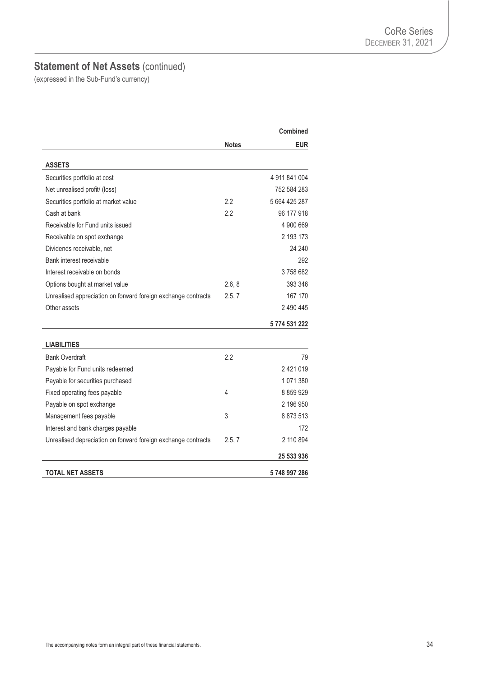# **Statement of Net Assets** (continued)

|                                                               |              | <b>Combined</b> |
|---------------------------------------------------------------|--------------|-----------------|
|                                                               | <b>Notes</b> | <b>EUR</b>      |
| <b>ASSETS</b>                                                 |              |                 |
| Securities portfolio at cost                                  |              | 4 911 841 004   |
| Net unrealised profit/ (loss)                                 |              | 752 584 283     |
| Securities portfolio at market value                          | 2.2          | 5 664 425 287   |
| Cash at bank                                                  | 2.2          | 96 177 918      |
| Receivable for Fund units issued                              |              | 4 900 669       |
| Receivable on spot exchange                                   |              | 2 193 173       |
| Dividends receivable, net                                     |              | 24 240          |
| Bank interest receivable                                      |              | 292             |
| Interest receivable on bonds                                  |              | 3758682         |
| Options bought at market value                                | 2.6, 8       | 393 346         |
| Unrealised appreciation on forward foreign exchange contracts | 2.5, 7       | 167 170         |
| Other assets                                                  |              | 2 490 445       |
|                                                               |              | 5 774 531 222   |
| <b>LIABILITIES</b>                                            |              |                 |
| <b>Bank Overdraft</b>                                         | 2.2          | 79              |
| Payable for Fund units redeemed                               |              | 2421019         |
| Payable for securities purchased                              |              | 1071380         |
| Fixed operating fees payable                                  | 4            | 8 8 5 9 9 2 9   |
| Payable on spot exchange                                      |              | 2 196 950       |
| Management fees payable                                       | 3            | 8 873 513       |
| Interest and bank charges payable                             |              | 172             |
| Unrealised depreciation on forward foreign exchange contracts | 2.5, 7       | 2 110 894       |
|                                                               |              | 25 533 936      |
| <b>TOTAL NET ASSETS</b>                                       |              | 5748997286      |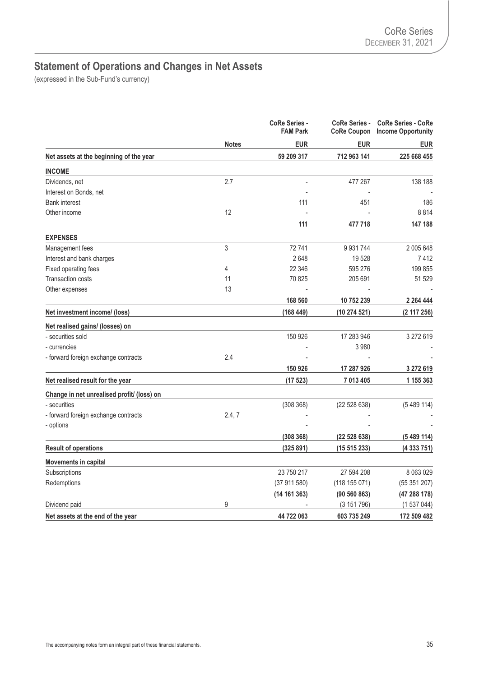# **Statement of Operations and Changes in Net Assets**

|                                            |              | <b>CoRe Series -</b><br><b>FAM Park</b> | <b>CoRe Series -</b> | <b>CoRe Series - CoRe</b><br><b>CoRe Coupon</b> Income Opportunity |
|--------------------------------------------|--------------|-----------------------------------------|----------------------|--------------------------------------------------------------------|
|                                            | <b>Notes</b> | <b>EUR</b>                              | <b>EUR</b>           | <b>EUR</b>                                                         |
| Net assets at the beginning of the year    |              | 59 209 317                              | 712 963 141          | 225 668 455                                                        |
| <b>INCOME</b>                              |              |                                         |                      |                                                                    |
| Dividends, net                             | 2.7          |                                         | 477 267              | 138 188                                                            |
| Interest on Bonds, net                     |              |                                         |                      |                                                                    |
| <b>Bank interest</b>                       |              | 111                                     | 451                  | 186                                                                |
| Other income                               | 12           |                                         |                      | 8814                                                               |
|                                            |              | 111                                     | 477 718              | 147 188                                                            |
| <b>EXPENSES</b>                            |              |                                         |                      |                                                                    |
| Management fees                            | 3            | 72741                                   | 9 9 31 7 44          | 2 005 648                                                          |
| Interest and bank charges                  |              | 2648                                    | 19528                | 7412                                                               |
| Fixed operating fees                       | 4            | 22 346                                  | 595 276              | 199 855                                                            |
| <b>Transaction costs</b>                   | 11           | 70 825                                  | 205 691              | 51 529                                                             |
| Other expenses                             | 13           |                                         |                      |                                                                    |
|                                            |              | 168 560                                 | 10 752 239           | 2 2 64 4 44                                                        |
| Net investment income/ (loss)              |              | (168449)                                | (10274521)           | (2 117 256)                                                        |
| Net realised gains/ (losses) on            |              |                                         |                      |                                                                    |
| - securities sold                          |              | 150 926                                 | 17 283 946           | 3 272 619                                                          |
| - currencies                               |              |                                         | 3980                 |                                                                    |
| - forward foreign exchange contracts       | 2.4          |                                         |                      |                                                                    |
|                                            |              | 150 926                                 | 17 287 926           | 3 272 619                                                          |
| Net realised result for the year           |              | (17523)                                 | 7 013 405            | 1 155 363                                                          |
| Change in net unrealised profit/ (loss) on |              |                                         |                      |                                                                    |
| - securities                               |              | (308 368)                               | (22528638)           | (5489114)                                                          |
| - forward foreign exchange contracts       | 2.4, 7       |                                         |                      |                                                                    |
| - options                                  |              |                                         |                      |                                                                    |
|                                            |              | (308 368)                               | (22528638)           | (5489114)                                                          |
| <b>Result of operations</b>                |              | (325891)                                | (15515233)           | (4333751)                                                          |
| <b>Movements in capital</b>                |              |                                         |                      |                                                                    |
| Subscriptions                              |              | 23 750 217                              | 27 594 208           | 8 0 63 0 29                                                        |
| Redemptions                                |              | (37911580)                              | (118155071)          | (55351207)                                                         |
|                                            |              | (14161363)                              | (90 560 863)         | (47288178)                                                         |
| Dividend paid                              | 9            |                                         | (3151796)            | (1537044)                                                          |
| Net assets at the end of the year          |              | 44 722 063                              | 603 735 249          | 172 509 482                                                        |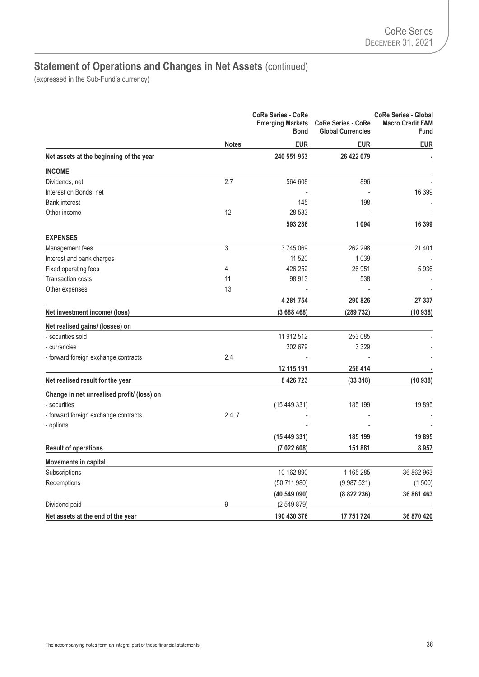|                                            | <b>Notes</b> | <b>CoRe Series - CoRe</b><br><b>Emerging Markets</b><br><b>Bond</b> | <b>CoRe Series - CoRe</b><br><b>Global Currencies</b> | <b>CoRe Series - Global</b><br><b>Macro Credit FAM</b><br><b>Fund</b> |
|--------------------------------------------|--------------|---------------------------------------------------------------------|-------------------------------------------------------|-----------------------------------------------------------------------|
|                                            |              | <b>EUR</b>                                                          | <b>EUR</b>                                            | <b>EUR</b>                                                            |
| Net assets at the beginning of the year    |              | 240 551 953                                                         | 26 422 079                                            |                                                                       |
| <b>INCOME</b>                              |              |                                                                     |                                                       |                                                                       |
| Dividends, net                             | 2.7          | 564 608                                                             | 896                                                   |                                                                       |
| Interest on Bonds, net                     |              |                                                                     |                                                       | 16 399                                                                |
| <b>Bank interest</b>                       |              | 145                                                                 | 198                                                   |                                                                       |
| Other income                               | 12           | 28 533                                                              |                                                       |                                                                       |
|                                            |              | 593 286                                                             | 1094                                                  | 16 399                                                                |
| <b>EXPENSES</b>                            |              |                                                                     |                                                       |                                                                       |
| Management fees                            | 3            | 3745069                                                             | 262 298                                               | 21 401                                                                |
| Interest and bank charges                  |              | 11 520                                                              | 1 0 3 9                                               |                                                                       |
| Fixed operating fees                       | 4            | 426 252                                                             | 26 951                                                | 5936                                                                  |
| <b>Transaction costs</b>                   | 11           | 98 913                                                              | 538                                                   |                                                                       |
| Other expenses                             | 13           |                                                                     |                                                       |                                                                       |
|                                            |              | 4 281 754                                                           | 290 826                                               | 27 337                                                                |
| Net investment income/ (loss)              |              | (3688468)                                                           | (289 732)                                             | (10938)                                                               |
| Net realised gains/ (losses) on            |              |                                                                     |                                                       |                                                                       |
| - securities sold                          |              | 11 912 512                                                          | 253 085                                               |                                                                       |
| - currencies                               |              | 202 679                                                             | 3 3 2 9                                               |                                                                       |
| - forward foreign exchange contracts       | 2.4          |                                                                     |                                                       |                                                                       |
|                                            |              | 12 115 191                                                          | 256 414                                               |                                                                       |
| Net realised result for the year           |              | 8 4 26 7 23                                                         | (33318)                                               | (10938)                                                               |
| Change in net unrealised profit/ (loss) on |              |                                                                     |                                                       |                                                                       |
| - securities                               |              | (15449331)                                                          | 185 199                                               | 19895                                                                 |
| - forward foreign exchange contracts       | 2.4, 7       |                                                                     |                                                       |                                                                       |
| - options                                  |              |                                                                     |                                                       |                                                                       |
|                                            |              | (15449331)                                                          | 185 199                                               | 19895                                                                 |
| <b>Result of operations</b>                |              | (7022608)                                                           | 151 881                                               | 8957                                                                  |
| <b>Movements in capital</b>                |              |                                                                     |                                                       |                                                                       |
| Subscriptions                              |              | 10 162 890                                                          | 1 165 285                                             | 36 862 963                                                            |
| Redemptions                                |              | (50711980)                                                          | (9987521)                                             | (1500)                                                                |
|                                            |              | (40 549 090)                                                        | (8822236)                                             | 36 861 463                                                            |
| Dividend paid                              | 9            | (2549879)                                                           |                                                       |                                                                       |
| Net assets at the end of the year          |              | 190 430 376                                                         | 17 751 724                                            | 36 870 420                                                            |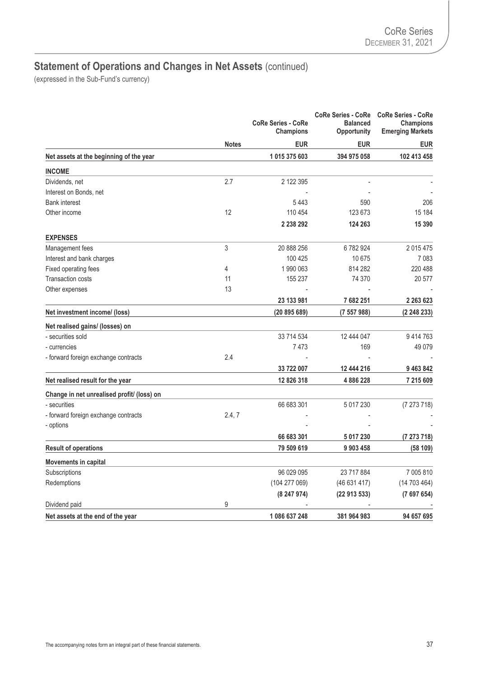|                                            |              | <b>CoRe Series - CoRe</b><br><b>Champions</b> | <b>CoRe Series - CoRe</b><br><b>Balanced</b><br><b>Opportunity</b> | <b>CoRe Series - CoRe</b><br><b>Champions</b><br><b>Emerging Markets</b> |
|--------------------------------------------|--------------|-----------------------------------------------|--------------------------------------------------------------------|--------------------------------------------------------------------------|
|                                            | <b>Notes</b> | <b>EUR</b>                                    | <b>EUR</b>                                                         | <b>EUR</b>                                                               |
| Net assets at the beginning of the year    |              | 1 015 375 603                                 | 394 975 058                                                        | 102 413 458                                                              |
| <b>INCOME</b>                              |              |                                               |                                                                    |                                                                          |
| Dividends, net                             | 2.7          | 2 122 395                                     |                                                                    |                                                                          |
| Interest on Bonds, net                     |              |                                               |                                                                    |                                                                          |
| <b>Bank interest</b>                       |              | 5443                                          | 590                                                                | 206                                                                      |
| Other income                               | 12           | 110 454                                       | 123 673                                                            | 15 184                                                                   |
|                                            |              | 2 2 3 8 2 9 2                                 | 124 263                                                            | 15 3 9 0                                                                 |
| <b>EXPENSES</b>                            |              |                                               |                                                                    |                                                                          |
| Management fees                            | 3            | 20 888 256                                    | 6782924                                                            | 2015475                                                                  |
| Interest and bank charges                  |              | 100 425                                       | 10 675                                                             | 7083                                                                     |
| Fixed operating fees                       | 4            | 1990063                                       | 814 282                                                            | 220 488                                                                  |
| Transaction costs                          | 11           | 155 237                                       | 74 370                                                             | 20 577                                                                   |
| Other expenses                             | 13           |                                               |                                                                    |                                                                          |
|                                            |              | 23 133 981                                    | 7 682 251                                                          | 2 2 6 3 6 2 3                                                            |
| Net investment income/ (loss)              |              | (20 895 689)                                  | (7557988)                                                          | (2 248 233)                                                              |
| Net realised gains/ (losses) on            |              |                                               |                                                                    |                                                                          |
| - securities sold                          |              | 33 714 534                                    | 12 444 047                                                         | 9414763                                                                  |
| - currencies                               |              | 7473                                          | 169                                                                | 49 0 79                                                                  |
| - forward foreign exchange contracts       | 2.4          |                                               |                                                                    |                                                                          |
|                                            |              | 33 722 007                                    | 12 444 216                                                         | 9 463 842                                                                |
| Net realised result for the year           |              | 12 826 318                                    | 4886228                                                            | 7 215 609                                                                |
| Change in net unrealised profit/ (loss) on |              |                                               |                                                                    |                                                                          |
| - securities                               |              | 66 683 301                                    | 5 017 230                                                          | (7273718)                                                                |
| - forward foreign exchange contracts       | 2.4, 7       |                                               |                                                                    |                                                                          |
| - options                                  |              |                                               |                                                                    |                                                                          |
|                                            |              | 66 683 301                                    | 5 017 230                                                          | (7273718)                                                                |
| <b>Result of operations</b>                |              | 79 509 619                                    | 9 903 458                                                          | (58109)                                                                  |
| <b>Movements in capital</b>                |              |                                               |                                                                    |                                                                          |
| Subscriptions                              |              | 96 029 095                                    | 23 717 884                                                         | 7 005 810                                                                |
| Redemptions                                |              | (104 277 069)                                 | (46631417)                                                         | (14703464)                                                               |
|                                            |              | (8247974)                                     | (2291353)                                                          | (7697654)                                                                |
| Dividend paid                              | 9            |                                               |                                                                    |                                                                          |
| Net assets at the end of the year          |              | 1 086 637 248                                 | 381 964 983                                                        | 94 657 695                                                               |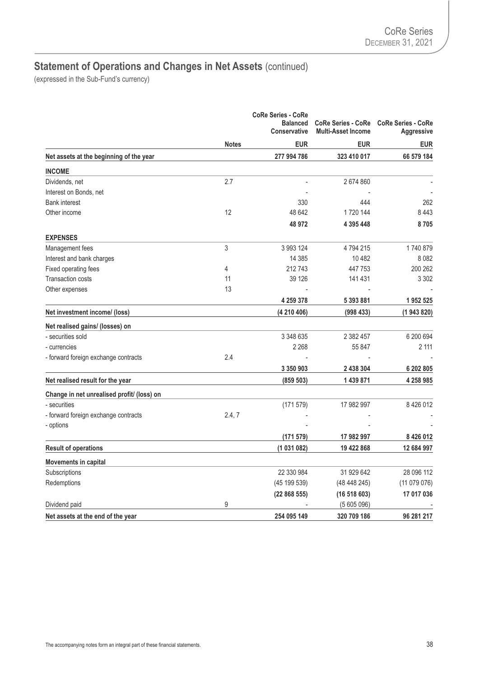|                                            | <b>Notes</b> | <b>CoRe Series - CoRe</b> |             | <b>CoRe Series - CoRe</b><br><b>Multi-Asset Income</b> | <b>CoRe Series - CoRe</b><br><b>Aggressive</b> |
|--------------------------------------------|--------------|---------------------------|-------------|--------------------------------------------------------|------------------------------------------------|
|                                            |              | <b>EUR</b>                | <b>EUR</b>  | <b>EUR</b>                                             |                                                |
| Net assets at the beginning of the year    |              | 277 994 786               | 323 410 017 | 66 579 184                                             |                                                |
| <b>INCOME</b>                              |              |                           |             |                                                        |                                                |
| Dividends, net                             | 2.7          |                           | 2674860     |                                                        |                                                |
| Interest on Bonds, net                     |              |                           |             |                                                        |                                                |
| <b>Bank interest</b>                       |              | 330                       | 444         | 262                                                    |                                                |
| Other income                               | 12           | 48 642                    | 1720 144    | 8443                                                   |                                                |
|                                            |              | 48 972                    | 4 395 448   | 8705                                                   |                                                |
| <b>EXPENSES</b>                            |              |                           |             |                                                        |                                                |
| Management fees                            | 3            | 3 993 124                 | 4794215     | 1740879                                                |                                                |
| Interest and bank charges                  |              | 14 385                    | 10482       | 8 0 8 2                                                |                                                |
| Fixed operating fees                       | 4            | 212743                    | 447 753     | 200 262                                                |                                                |
| <b>Transaction costs</b>                   | 11           | 39 1 26                   | 141 431     | 3 3 0 2                                                |                                                |
| Other expenses                             | 13           |                           |             |                                                        |                                                |
|                                            |              | 4 259 378                 | 5 393 881   | 1952 525                                               |                                                |
| Net investment income/ (loss)              |              | (4 210 406)               | (998433)    | (1943820)                                              |                                                |
| Net realised gains/ (losses) on            |              |                           |             |                                                        |                                                |
| - securities sold                          |              | 3 348 635                 | 2 382 457   | 6 200 694                                              |                                                |
| - currencies                               |              | 2 2 6 8                   | 55 847      | 2 111                                                  |                                                |
| - forward foreign exchange contracts       | 2.4          |                           |             |                                                        |                                                |
|                                            |              | 3 350 903                 | 2 438 304   | 6 202 805                                              |                                                |
| Net realised result for the year           |              | (859 503)                 | 1 439 871   | 4 258 985                                              |                                                |
| Change in net unrealised profit/ (loss) on |              |                           |             |                                                        |                                                |
| - securities                               |              | (171579)                  | 17 982 997  | 8 4 2 6 0 1 2                                          |                                                |
| - forward foreign exchange contracts       | 2.4, 7       |                           |             |                                                        |                                                |
| - options                                  |              |                           |             |                                                        |                                                |
|                                            |              | (171579)                  | 17 982 997  | 8 4 2 6 0 1 2                                          |                                                |
| <b>Result of operations</b>                |              | (1031082)                 | 19 422 868  | 12 684 997                                             |                                                |
| <b>Movements in capital</b>                |              |                           |             |                                                        |                                                |
| Subscriptions                              |              | 22 330 984                | 31 929 642  | 28 096 112                                             |                                                |
| Redemptions                                |              | (45 199 539)              | (48448245)  | (11079076)                                             |                                                |
|                                            |              | (22868555)                | (16518603)  | 17 017 036                                             |                                                |
| Dividend paid                              | 9            |                           | (5605096)   |                                                        |                                                |
| Net assets at the end of the year          |              | 254 095 149               | 320 709 186 | 96 281 217                                             |                                                |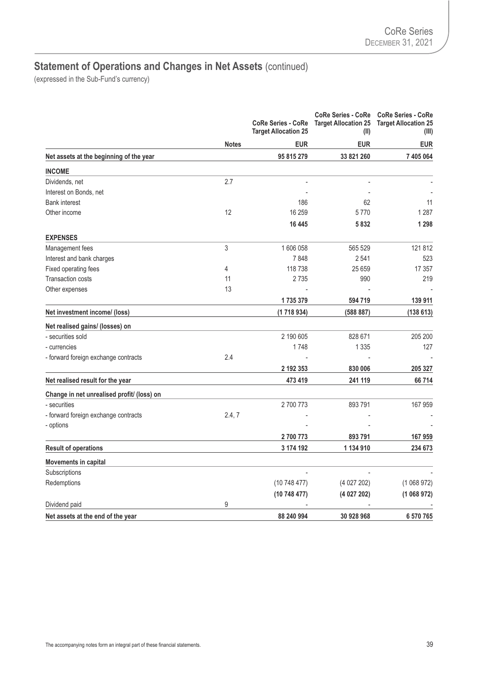|                                            |              | <b>CoRe Series - CoRe</b><br><b>Target Allocation 25</b> | <b>CoRe Series - CoRe</b><br><b>Target Allocation 25</b><br>(II) | <b>CoRe Series - CoRe</b><br><b>Target Allocation 25</b><br>(III) |
|--------------------------------------------|--------------|----------------------------------------------------------|------------------------------------------------------------------|-------------------------------------------------------------------|
|                                            | <b>Notes</b> | <b>EUR</b>                                               | <b>EUR</b>                                                       | <b>EUR</b>                                                        |
| Net assets at the beginning of the year    |              | 95 815 279                                               | 33 821 260                                                       | 7 405 064                                                         |
| <b>INCOME</b>                              |              |                                                          |                                                                  |                                                                   |
| Dividends, net                             | 2.7          |                                                          |                                                                  |                                                                   |
| Interest on Bonds, net                     |              |                                                          |                                                                  |                                                                   |
| <b>Bank interest</b>                       |              | 186                                                      | 62                                                               | 11                                                                |
| Other income                               | 12           | 16 259                                                   | 5770                                                             | 1 2 8 7                                                           |
|                                            |              | 16 445                                                   | 5832                                                             | 1 2 9 8                                                           |
| <b>EXPENSES</b>                            |              |                                                          |                                                                  |                                                                   |
| Management fees                            | 3            | 1 606 058                                                | 565 529                                                          | 121 812                                                           |
| Interest and bank charges                  |              | 7848                                                     | 2541                                                             | 523                                                               |
| Fixed operating fees                       | 4            | 118 738                                                  | 25 6 59                                                          | 17 357                                                            |
| <b>Transaction costs</b>                   | 11           | 2735                                                     | 990                                                              | 219                                                               |
| Other expenses                             | 13           |                                                          |                                                                  |                                                                   |
|                                            |              | 1735379                                                  | 594 719                                                          | 139 911                                                           |
| Net investment income/ (loss)              |              | (1718934)                                                | (588 887)                                                        | (138613)                                                          |
| Net realised gains/ (losses) on            |              |                                                          |                                                                  |                                                                   |
| - securities sold                          |              | 2 190 605                                                | 828 671                                                          | 205 200                                                           |
| - currencies                               |              | 1748                                                     | 1 3 3 5                                                          | 127                                                               |
| - forward foreign exchange contracts       | 2.4          |                                                          |                                                                  |                                                                   |
|                                            |              | 2 192 353                                                | 830 006                                                          | 205 327                                                           |
| Net realised result for the year           |              | 473 419                                                  | 241 119                                                          | 66 714                                                            |
| Change in net unrealised profit/ (loss) on |              |                                                          |                                                                  |                                                                   |
| - securities                               |              | 2700773                                                  | 893791                                                           | 167 959                                                           |
| - forward foreign exchange contracts       | 2.4, 7       |                                                          |                                                                  |                                                                   |
| - options                                  |              |                                                          |                                                                  |                                                                   |
|                                            |              | 2700773                                                  | 893791                                                           | 167 959                                                           |
| <b>Result of operations</b>                |              | 3 174 192                                                | 1 134 910                                                        | 234 673                                                           |
| <b>Movements in capital</b>                |              |                                                          |                                                                  |                                                                   |
| Subscriptions                              |              |                                                          |                                                                  |                                                                   |
| Redemptions                                |              | (10748477)                                               | (4027202)                                                        | (1068972)                                                         |
|                                            |              | (10 748 477)                                             | (4 027 202)                                                      | (1068972)                                                         |
| Dividend paid                              | 9            |                                                          |                                                                  |                                                                   |
| Net assets at the end of the year          |              | 88 240 994                                               | 30 928 968                                                       | 6 570 765                                                         |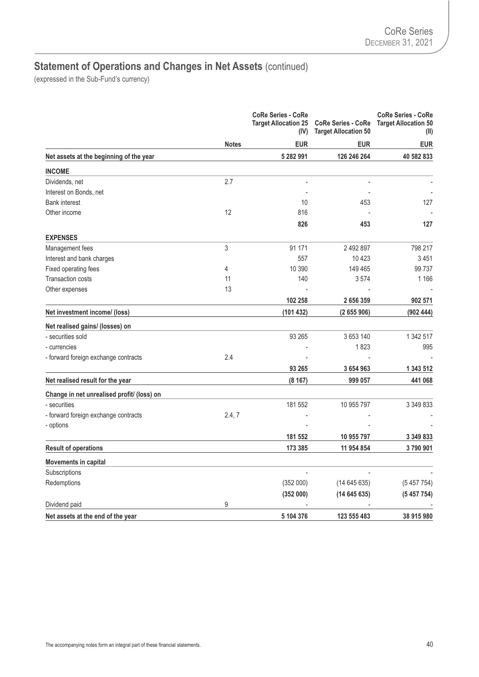|                                            | <b>Notes</b> | <b>CoRe Series - CoRe</b><br><b>Target Allocation 25</b><br>(IV) | <b>CoRe Series - CoRe</b><br><b>Target Allocation 50</b> | <b>CoRe Series - CoRe</b><br><b>Target Allocation 50</b><br>(II) |
|--------------------------------------------|--------------|------------------------------------------------------------------|----------------------------------------------------------|------------------------------------------------------------------|
|                                            |              | <b>EUR</b>                                                       | <b>EUR</b>                                               | EUR                                                              |
| Net assets at the beginning of the year    |              | 5 282 991                                                        | 126 246 264                                              | 40 582 833                                                       |
| <b>INCOME</b>                              |              |                                                                  |                                                          |                                                                  |
| Dividends, net                             | 2.7          | Ĭ.                                                               | $\overline{a}$                                           |                                                                  |
| Interest on Bonds, net                     |              |                                                                  |                                                          |                                                                  |
| <b>Bank interest</b>                       |              | 10                                                               | 453                                                      | 127                                                              |
| Other income                               | 12           | 816                                                              |                                                          |                                                                  |
|                                            |              | 826                                                              | 453                                                      | 127                                                              |
| <b>EXPENSES</b>                            |              |                                                                  |                                                          |                                                                  |
| Management fees                            | 3            | 91 171                                                           | 2492897                                                  | 798 217                                                          |
| Interest and bank charges                  |              | 557                                                              | 10423                                                    | 3451                                                             |
| Fixed operating fees                       | 4            | 10 390                                                           | 149 465                                                  | 99 737                                                           |
| Transaction costs                          | 11           | 140                                                              | 3574                                                     | 1 1 6 6                                                          |
| Other expenses                             | 13           |                                                                  |                                                          |                                                                  |
|                                            |              | 102 258                                                          | 2 656 359                                                | 902 571                                                          |
| Net investment income/ (loss)              |              | (101432)                                                         | (2655906)                                                | (902444)                                                         |
| Net realised gains/ (losses) on            |              |                                                                  |                                                          |                                                                  |
| - securities sold                          |              | 93 265                                                           | 3 653 140                                                | 1 342 517                                                        |
| - currencies                               |              |                                                                  | 1823                                                     | 995                                                              |
| - forward foreign exchange contracts       | 2.4          |                                                                  |                                                          |                                                                  |
|                                            |              | 93 265                                                           | 3 654 963                                                | 1 343 512                                                        |
| Net realised result for the year           |              | (8167)                                                           | 999 057                                                  | 441 068                                                          |
| Change in net unrealised profit/ (loss) on |              |                                                                  |                                                          |                                                                  |
| - securities                               |              | 181 552                                                          | 10 955 797                                               | 3 349 833                                                        |
| - forward foreign exchange contracts       | 2.4, 7       |                                                                  |                                                          |                                                                  |
| - options                                  |              |                                                                  |                                                          |                                                                  |
|                                            |              | 181 552                                                          | 10 955 797                                               | 3 349 833                                                        |
| <b>Result of operations</b>                |              | 173 385                                                          | 11 954 854                                               | 3790901                                                          |
| <b>Movements in capital</b>                |              |                                                                  |                                                          |                                                                  |
| Subscriptions                              |              |                                                                  |                                                          |                                                                  |
| Redemptions                                |              | (352000)                                                         | (14645635)                                               | (5457754)                                                        |
|                                            |              | (352000)                                                         | (14645635)                                               | (5457754)                                                        |
| Dividend paid                              | 9            |                                                                  |                                                          |                                                                  |
| Net assets at the end of the year          |              | 5 104 376                                                        | 123 555 483                                              | 38 915 980                                                       |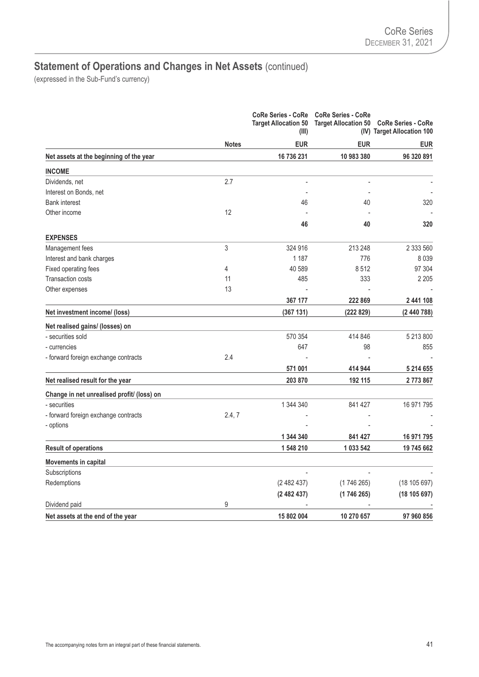|                                            |              | <b>CoRe Series - CoRe</b><br><b>Target Allocation 50</b><br>(III) | <b>CoRe Series - CoRe</b><br><b>Target Allocation 50</b> | <b>CoRe Series - CoRe</b><br>(IV) Target Allocation 100 |
|--------------------------------------------|--------------|-------------------------------------------------------------------|----------------------------------------------------------|---------------------------------------------------------|
|                                            | <b>Notes</b> | <b>EUR</b>                                                        | <b>EUR</b>                                               | <b>EUR</b>                                              |
| Net assets at the beginning of the year    |              | 16 736 231                                                        | 10 983 380                                               | 96 320 891                                              |
| <b>INCOME</b>                              |              |                                                                   |                                                          |                                                         |
| Dividends, net                             | 2.7          | L,                                                                | $\overline{\phantom{a}}$                                 |                                                         |
| Interest on Bonds, net                     |              |                                                                   |                                                          |                                                         |
| <b>Bank interest</b>                       |              | 46                                                                | 40                                                       | 320                                                     |
| Other income                               | 12           |                                                                   |                                                          |                                                         |
|                                            |              | 46                                                                | 40                                                       | 320                                                     |
| <b>EXPENSES</b>                            |              |                                                                   |                                                          |                                                         |
| Management fees                            | 3            | 324 916                                                           | 213 248                                                  | 2 333 560                                               |
| Interest and bank charges                  |              | 1 1 8 7                                                           | 776                                                      | 8039                                                    |
| Fixed operating fees                       | 4            | 40 589                                                            | 8512                                                     | 97 304                                                  |
| <b>Transaction costs</b>                   | 11           | 485                                                               | 333                                                      | 2 2 0 5                                                 |
| Other expenses                             | 13           |                                                                   |                                                          |                                                         |
|                                            |              | 367 177                                                           | 222 869                                                  | 2 441 108                                               |
| Net investment income/ (loss)              |              | (367 131)                                                         | (222829)                                                 | (2 440 788)                                             |
| Net realised gains/ (losses) on            |              |                                                                   |                                                          |                                                         |
| - securities sold                          |              | 570 354                                                           | 414 846                                                  | 5 213 800                                               |
| - currencies                               |              | 647                                                               | 98                                                       | 855                                                     |
| - forward foreign exchange contracts       | 2.4          |                                                                   |                                                          |                                                         |
|                                            |              | 571 001                                                           | 414 944                                                  | 5 214 655                                               |
| Net realised result for the year           |              | 203 870                                                           | 192 115                                                  | 2773867                                                 |
| Change in net unrealised profit/ (loss) on |              |                                                                   |                                                          |                                                         |
| - securities                               |              | 1 344 340                                                         | 841 427                                                  | 16 971 795                                              |
| - forward foreign exchange contracts       | 2.4, 7       |                                                                   |                                                          |                                                         |
| - options                                  |              |                                                                   |                                                          |                                                         |
|                                            |              | 1 344 340                                                         | 841 427                                                  | 16 971 795                                              |
| <b>Result of operations</b>                |              | 1 548 210                                                         | 1 033 542                                                | 19 745 662                                              |
| <b>Movements in capital</b>                |              |                                                                   |                                                          |                                                         |
| Subscriptions                              |              |                                                                   |                                                          |                                                         |
| Redemptions                                |              | (2482437)                                                         | (1746265)                                                | (18105697)                                              |
|                                            |              | (2482437)                                                         | (1746 265)                                               | (18105697)                                              |
| Dividend paid                              | 9            |                                                                   |                                                          |                                                         |
| Net assets at the end of the year          |              | 15 802 004                                                        | 10 270 657                                               | 97 960 856                                              |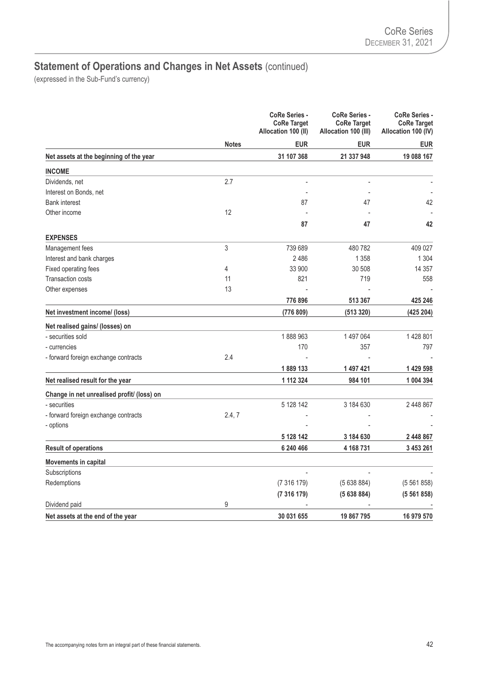|                                            |              | <b>CoRe Series -</b><br><b>CoRe Target</b><br>Allocation 100 (II) | <b>CoRe Series -</b><br><b>CoRe Target</b><br>Allocation 100 (III) | <b>CoRe Series -</b><br><b>CoRe Target</b><br>Allocation 100 (IV) |
|--------------------------------------------|--------------|-------------------------------------------------------------------|--------------------------------------------------------------------|-------------------------------------------------------------------|
|                                            | <b>Notes</b> | <b>EUR</b>                                                        | <b>EUR</b>                                                         | <b>EUR</b>                                                        |
| Net assets at the beginning of the year    |              | 31 107 368                                                        | 21 337 948                                                         | 19 088 167                                                        |
| <b>INCOME</b>                              |              |                                                                   |                                                                    |                                                                   |
| Dividends, net                             | 2.7          | L,                                                                | ÷,                                                                 |                                                                   |
| Interest on Bonds, net                     |              |                                                                   |                                                                    |                                                                   |
| <b>Bank interest</b>                       |              | 87                                                                | 47                                                                 | 42                                                                |
| Other income                               | 12           |                                                                   |                                                                    |                                                                   |
|                                            |              | 87                                                                | 47                                                                 | 42                                                                |
| <b>EXPENSES</b>                            |              |                                                                   |                                                                    |                                                                   |
| Management fees                            | 3            | 739 689                                                           | 480782                                                             | 409 027                                                           |
| Interest and bank charges                  |              | 2486                                                              | 1 3 5 8                                                            | 1 3 0 4                                                           |
| Fixed operating fees                       | 4            | 33 900                                                            | 30 508                                                             | 14 3 5 7                                                          |
| <b>Transaction costs</b>                   | 11           | 821                                                               | 719                                                                | 558                                                               |
| Other expenses                             | 13           |                                                                   |                                                                    |                                                                   |
|                                            |              | 776 896                                                           | 513 367                                                            | 425 246                                                           |
| Net investment income/ (loss)              |              | (776 809)                                                         | (513 320)                                                          | (425 204)                                                         |
| Net realised gains/ (losses) on            |              |                                                                   |                                                                    |                                                                   |
| - securities sold                          |              | 1888963                                                           | 1497064                                                            | 1428801                                                           |
| - currencies                               |              | 170                                                               | 357                                                                | 797                                                               |
| - forward foreign exchange contracts       | 2.4          |                                                                   |                                                                    |                                                                   |
|                                            |              | 1889 133                                                          | 1 497 421                                                          | 1 429 598                                                         |
| Net realised result for the year           |              | 1 112 324                                                         | 984 101                                                            | 1 004 394                                                         |
| Change in net unrealised profit/ (loss) on |              |                                                                   |                                                                    |                                                                   |
| - securities                               |              | 5 128 142                                                         | 3 184 630                                                          | 2 448 867                                                         |
| - forward foreign exchange contracts       | 2.4, 7       |                                                                   |                                                                    |                                                                   |
| - options                                  |              |                                                                   |                                                                    |                                                                   |
|                                            |              | 5 128 142                                                         | 3 184 630                                                          | 2 448 867                                                         |
| <b>Result of operations</b>                |              | 6 240 466                                                         | 4 168 731                                                          | 3 453 261                                                         |
| <b>Movements in capital</b>                |              |                                                                   |                                                                    |                                                                   |
| Subscriptions                              |              |                                                                   |                                                                    |                                                                   |
| Redemptions                                |              | (7316179)                                                         | (5638884)                                                          | (5561858)                                                         |
|                                            |              | (7316179)                                                         | (5638884)                                                          | (5561858)                                                         |
| Dividend paid                              | 9            |                                                                   |                                                                    |                                                                   |
| Net assets at the end of the year          |              | 30 031 655                                                        | 19 867 795                                                         | 16 979 570                                                        |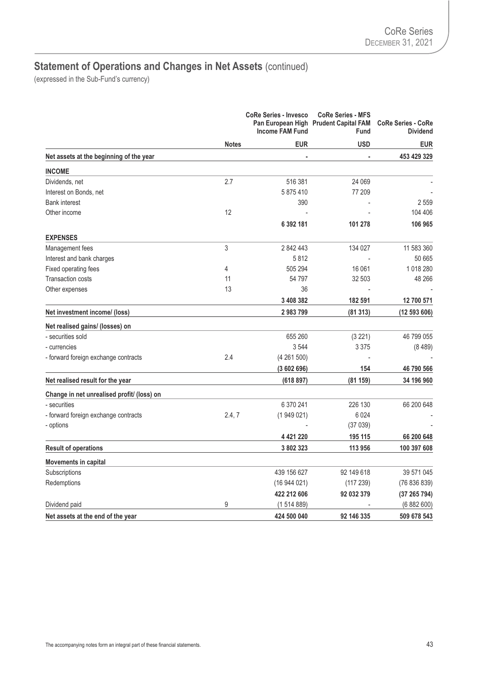|                                            |              | <b>CoRe Series - Invesco</b><br><b>Income FAM Fund</b> | <b>CoRe Series - MFS</b><br>Pan European High Prudent Capital FAM<br>Fund | <b>CoRe Series - CoRe</b><br><b>Dividend</b> |
|--------------------------------------------|--------------|--------------------------------------------------------|---------------------------------------------------------------------------|----------------------------------------------|
|                                            | <b>Notes</b> | <b>EUR</b>                                             | <b>USD</b>                                                                | <b>EUR</b>                                   |
| Net assets at the beginning of the year    |              |                                                        | ä,                                                                        | 453 429 329                                  |
| <b>INCOME</b>                              |              |                                                        |                                                                           |                                              |
| Dividends, net                             | 2.7          | 516 381                                                | 24 069                                                                    |                                              |
| Interest on Bonds, net                     |              | 5875410                                                | 77 209                                                                    |                                              |
| <b>Bank interest</b>                       |              | 390                                                    |                                                                           | 2559                                         |
| Other income                               | 12           |                                                        |                                                                           | 104 406                                      |
|                                            |              | 6 392 181                                              | 101 278                                                                   | 106 965                                      |
| <b>EXPENSES</b>                            |              |                                                        |                                                                           |                                              |
| Management fees                            | 3            | 2 842 443                                              | 134 027                                                                   | 11 583 360                                   |
| Interest and bank charges                  |              | 5812                                                   |                                                                           | 50 665                                       |
| Fixed operating fees                       | 4            | 505 294                                                | 16 061                                                                    | 1018280                                      |
| Transaction costs                          | 11           | 54 797                                                 | 32 503                                                                    | 48 266                                       |
| Other expenses                             | 13           | 36                                                     |                                                                           |                                              |
|                                            |              | 3 408 382                                              | 182 591                                                                   | 12 700 571                                   |
| Net investment income/ (loss)              |              | 2983799                                                | (81313)                                                                   | (12 593 606)                                 |
| Net realised gains/ (losses) on            |              |                                                        |                                                                           |                                              |
| - securities sold                          |              | 655 260                                                | (3 221)                                                                   | 46 799 055                                   |
| - currencies                               |              | 3544                                                   | 3 3 7 5                                                                   | (8489)                                       |
| - forward foreign exchange contracts       | 2.4          | (4261500)                                              |                                                                           |                                              |
|                                            |              | (3602696)                                              | 154                                                                       | 46 790 566                                   |
| Net realised result for the year           |              | (618897)                                               | (81159)                                                                   | 34 196 960                                   |
| Change in net unrealised profit/ (loss) on |              |                                                        |                                                                           |                                              |
| - securities                               |              | 6 370 241                                              | 226 130                                                                   | 66 200 648                                   |
| - forward foreign exchange contracts       | 2.4, 7       | (1949021)                                              | 6024                                                                      |                                              |
| - options                                  |              |                                                        | (37039)                                                                   |                                              |
|                                            |              | 4 421 220                                              | 195 115                                                                   | 66 200 648                                   |
| <b>Result of operations</b>                |              | 3 802 323                                              | 113 956                                                                   | 100 397 608                                  |
| <b>Movements in capital</b>                |              |                                                        |                                                                           |                                              |
| Subscriptions                              |              | 439 156 627                                            | 92 149 618                                                                | 39 571 045                                   |
| Redemptions                                |              | (16944021)                                             | (117239)                                                                  | (76836839)                                   |
|                                            |              | 422 212 606                                            | 92 032 379                                                                | (37265794)                                   |
| Dividend paid                              | 9            | (1514889)                                              |                                                                           | (6882600)                                    |
| Net assets at the end of the year          |              | 424 500 040                                            | 92 146 335                                                                | 509 678 543                                  |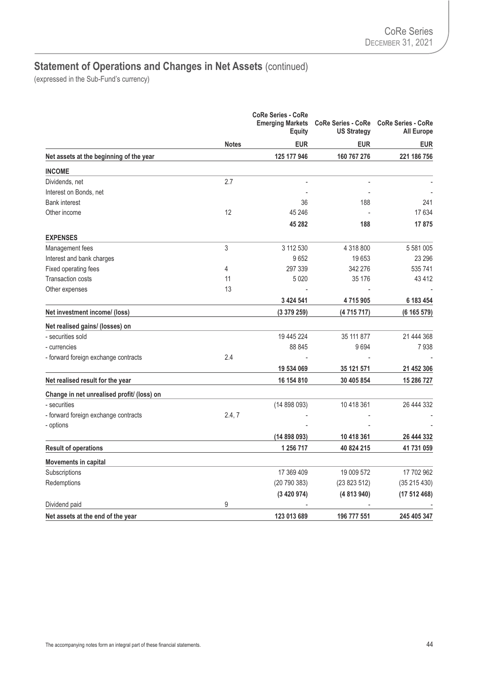|                                            | <b>Notes</b> | <b>CoRe Series - CoRe</b><br><b>Emerging Markets</b><br>Equity | <b>CoRe Series - CoRe</b><br><b>US Strategy</b> | <b>CoRe Series - CoRe</b><br><b>All Europe</b> |
|--------------------------------------------|--------------|----------------------------------------------------------------|-------------------------------------------------|------------------------------------------------|
|                                            |              | <b>EUR</b>                                                     | <b>EUR</b>                                      | <b>EUR</b>                                     |
| Net assets at the beginning of the year    |              | 125 177 946                                                    | 160 767 276                                     | 221 186 756                                    |
| <b>INCOME</b>                              |              |                                                                |                                                 |                                                |
| Dividends, net                             | 2.7          |                                                                |                                                 |                                                |
| Interest on Bonds, net                     |              |                                                                |                                                 |                                                |
| <b>Bank interest</b>                       |              | 36                                                             | 188                                             | 241                                            |
| Other income                               | 12           | 45 246                                                         |                                                 | 17 634                                         |
|                                            |              | 45 282                                                         | 188                                             | 17875                                          |
| <b>EXPENSES</b>                            |              |                                                                |                                                 |                                                |
| Management fees                            | 3            | 3 112 530                                                      | 4 318 800                                       | 5 581 005                                      |
| Interest and bank charges                  |              | 9652                                                           | 19653                                           | 23 296                                         |
| Fixed operating fees                       | 4            | 297 339                                                        | 342 276                                         | 535 741                                        |
| Transaction costs                          | 11           | 5 0 20                                                         | 35 176                                          | 43412                                          |
| Other expenses                             | 13           |                                                                |                                                 |                                                |
|                                            |              | 3 424 541                                                      | 4715905                                         | 6 183 454                                      |
| Net investment income/ (loss)              |              | (3379259)                                                      | (4715717)                                       | (6 165 579)                                    |
| Net realised gains/ (losses) on            |              |                                                                |                                                 |                                                |
| - securities sold                          |              | 19 445 224                                                     | 35 111 877                                      | 21 444 368                                     |
| - currencies                               |              | 88 845                                                         | 9694                                            | 7938                                           |
| - forward foreign exchange contracts       | 2.4          |                                                                |                                                 |                                                |
|                                            |              | 19 534 069                                                     | 35 121 571                                      | 21 452 306                                     |
| Net realised result for the year           |              | 16 154 810                                                     | 30 405 854                                      | 15 286 727                                     |
| Change in net unrealised profit/ (loss) on |              |                                                                |                                                 |                                                |
| - securities                               |              | (14898093)                                                     | 10 418 361                                      | 26 444 332                                     |
| - forward foreign exchange contracts       | 2.4, 7       |                                                                |                                                 |                                                |
| - options                                  |              |                                                                |                                                 |                                                |
|                                            |              | (14898093)                                                     | 10 418 361                                      | 26 444 332                                     |
| <b>Result of operations</b>                |              | 1 256 717                                                      | 40 824 215                                      | 41 731 059                                     |
| <b>Movements in capital</b>                |              |                                                                |                                                 |                                                |
| Subscriptions                              |              | 17 369 409                                                     | 19 009 572                                      | 17 702 962                                     |
| Redemptions                                |              | (20790383)                                                     | (23823512)                                      | (35215430)                                     |
|                                            |              | (3420974)                                                      | (4813940)                                       | (17512468)                                     |
| Dividend paid                              | 9            |                                                                |                                                 |                                                |
| Net assets at the end of the year          |              | 123 013 689                                                    | 196 777 551                                     | 245 405 347                                    |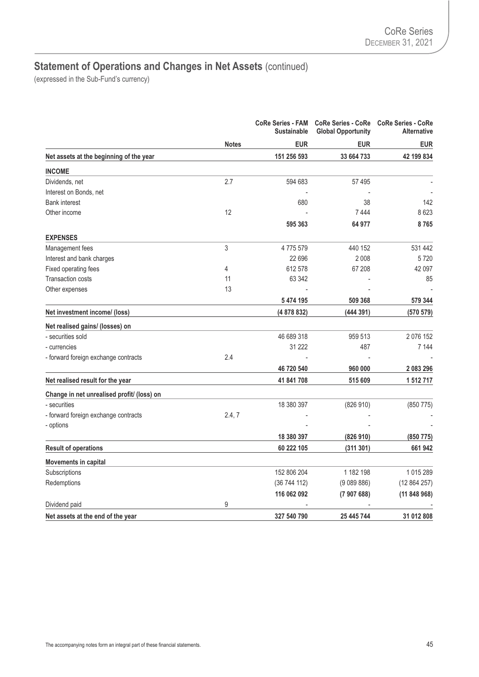|                                            |                   | <b>CoRe Series - FAM</b><br><b>Sustainable</b> | <b>CoRe Series - CoRe</b><br><b>Global Opportunity</b> | <b>CoRe Series - CoRe</b><br><b>Alternative</b> |
|--------------------------------------------|-------------------|------------------------------------------------|--------------------------------------------------------|-------------------------------------------------|
|                                            | <b>Notes</b>      | <b>EUR</b>                                     | <b>EUR</b>                                             | <b>EUR</b>                                      |
| Net assets at the beginning of the year    |                   | 151 256 593                                    | 33 664 733                                             | 42 199 834                                      |
| <b>INCOME</b>                              |                   |                                                |                                                        |                                                 |
| Dividends, net                             | 2.7               | 594 683                                        | 57 495                                                 |                                                 |
| Interest on Bonds, net                     |                   |                                                |                                                        |                                                 |
| <b>Bank interest</b>                       |                   | 680                                            | 38                                                     | 142                                             |
| Other income                               | $12 \overline{ }$ |                                                | 7444                                                   | 8623                                            |
|                                            |                   | 595 363                                        | 64 977                                                 | 8765                                            |
| <b>EXPENSES</b>                            |                   |                                                |                                                        |                                                 |
| Management fees                            | 3                 | 4775579                                        | 440 152                                                | 531 442                                         |
| Interest and bank charges                  |                   | 22 696                                         | 2008                                                   | 5720                                            |
| Fixed operating fees                       | 4                 | 612578                                         | 67 208                                                 | 42 097                                          |
| <b>Transaction costs</b>                   | 11                | 63 342                                         |                                                        | 85                                              |
| Other expenses                             | 13                |                                                |                                                        |                                                 |
|                                            |                   | 5 474 195                                      | 509 368                                                | 579 344                                         |
| Net investment income/ (loss)              |                   | (4 878 832)                                    | (444391)                                               | (570 579)                                       |
| Net realised gains/ (losses) on            |                   |                                                |                                                        |                                                 |
| - securities sold                          |                   | 46 689 318                                     | 959 513                                                | 2 0 7 6 1 5 2                                   |
| - currencies                               |                   | 31 222                                         | 487                                                    | 7 144                                           |
| - forward foreign exchange contracts       | 2.4               |                                                |                                                        |                                                 |
|                                            |                   | 46 720 540                                     | 960 000                                                | 2 083 296                                       |
| Net realised result for the year           |                   | 41 841 708                                     | 515 609                                                | 1 512 717                                       |
| Change in net unrealised profit/ (loss) on |                   |                                                |                                                        |                                                 |
| - securities                               |                   | 18 380 397                                     | (826910)                                               | (850 775)                                       |
| - forward foreign exchange contracts       | 2.4, 7            |                                                |                                                        |                                                 |
| - options                                  |                   |                                                |                                                        |                                                 |
|                                            |                   | 18 380 397                                     | (826910)                                               | (850 775)                                       |
| <b>Result of operations</b>                |                   | 60 222 105                                     | (311301)                                               | 661942                                          |
| <b>Movements in capital</b>                |                   |                                                |                                                        |                                                 |
| Subscriptions                              |                   | 152 806 204                                    | 1 182 198                                              | 1015289                                         |
| Redemptions                                |                   | (36744112)                                     | (9089886)                                              | (12864257)                                      |
|                                            |                   | 116 062 092                                    | (7907688)                                              | (11848968)                                      |
| Dividend paid                              | 9                 |                                                |                                                        |                                                 |
| Net assets at the end of the year          |                   | 327 540 790                                    | 25 445 744                                             | 31 012 808                                      |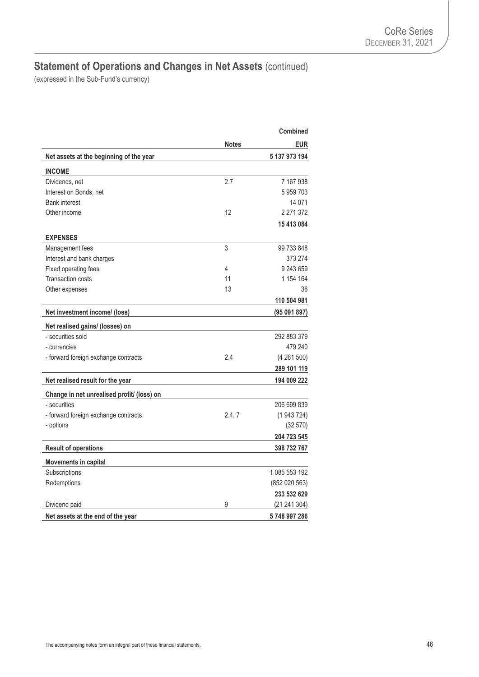|                                            |              | Combined      |
|--------------------------------------------|--------------|---------------|
|                                            | <b>Notes</b> | <b>EUR</b>    |
| Net assets at the beginning of the year    |              | 5 137 973 194 |
| <b>INCOME</b>                              |              |               |
| Dividends, net                             | 2.7          | 7 167 938     |
| Interest on Bonds, net                     |              | 5959703       |
| <b>Bank interest</b>                       |              | 14 0 71       |
| Other income                               | 12           | 2 271 372     |
|                                            |              | 15 413 084    |
| <b>EXPENSES</b>                            |              |               |
| Management fees                            | 3            | 99 733 848    |
| Interest and bank charges                  |              | 373 274       |
| Fixed operating fees                       | 4            | 9 243 659     |
| <b>Transaction costs</b>                   | 11           | 1 154 164     |
| Other expenses                             | 13           | 36            |
|                                            |              | 110 504 981   |
| Net investment income/ (loss)              |              | (95091897)    |
| Net realised gains/ (losses) on            |              |               |
| - securities sold                          |              | 292 883 379   |
| - currencies                               |              | 479 240       |
| - forward foreign exchange contracts       | 2.4          | (4261500)     |
|                                            |              | 289 101 119   |
| Net realised result for the year           |              | 194 009 222   |
| Change in net unrealised profit/ (loss) on |              |               |
| - securities                               |              | 206 699 839   |
| - forward foreign exchange contracts       | 2.4, 7       | (1943724)     |
| - options                                  |              | (32 570)      |
|                                            |              | 204 723 545   |
| <b>Result of operations</b>                |              | 398 732 767   |
| <b>Movements in capital</b>                |              |               |
| Subscriptions                              |              | 1 085 553 192 |
| Redemptions                                |              | (852 020 563) |
|                                            |              | 233 532 629   |
| Dividend paid                              | 9            | (21241304)    |
| Net assets at the end of the year          |              | 5748997286    |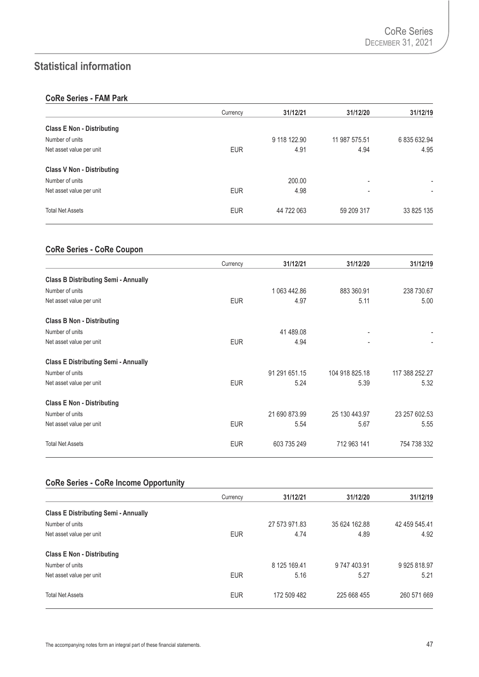## **Statistical information**

### **CoRe Series - FAM Park**

|                                   | Currency   | 31/12/21     | 31/12/20                 | 31/12/19                 |
|-----------------------------------|------------|--------------|--------------------------|--------------------------|
| <b>Class E Non - Distributing</b> |            |              |                          |                          |
| Number of units                   |            | 9 118 122.90 | 11 987 575.51            | 6 835 632.94             |
| Net asset value per unit          | <b>EUR</b> | 4.91         | 4.94                     | 4.95                     |
| <b>Class V Non - Distributing</b> |            |              |                          |                          |
| Number of units                   |            | 200.00       | $\overline{\phantom{0}}$ |                          |
| Net asset value per unit          | <b>EUR</b> | 4.98         | ٠                        | $\overline{\phantom{a}}$ |
| <b>Total Net Assets</b>           | <b>EUR</b> | 44 722 063   | 59 209 317               | 33 825 135               |

### **CoRe Series - CoRe Coupon**

|                                             | Currency   | 31/12/21      | 31/12/20       | 31/12/19       |
|---------------------------------------------|------------|---------------|----------------|----------------|
| <b>Class B Distributing Semi - Annually</b> |            |               |                |                |
| Number of units                             |            | 1 063 442.86  | 883 360.91     | 238 730.67     |
| Net asset value per unit                    | <b>EUR</b> | 4.97          | 5.11           | 5.00           |
| <b>Class B Non - Distributing</b>           |            |               |                |                |
| Number of units                             |            | 41 489.08     |                |                |
| Net asset value per unit                    | <b>EUR</b> | 4.94          |                |                |
| <b>Class E Distributing Semi - Annually</b> |            |               |                |                |
| Number of units                             |            | 91 291 651.15 | 104 918 825.18 | 117 388 252.27 |
| Net asset value per unit                    | <b>EUR</b> | 5.24          | 5.39           | 5.32           |
| <b>Class E Non - Distributing</b>           |            |               |                |                |
| Number of units                             |            | 21 690 873.99 | 25 130 443.97  | 23 257 602.53  |
| Net asset value per unit                    | <b>EUR</b> | 5.54          | 5.67           | 5.55           |
| <b>Total Net Assets</b>                     | <b>EUR</b> | 603 735 249   | 712 963 141    | 754 738 332    |

## **CoRe Series - CoRe Income Opportunity**

|                                             | Currency   | 31/12/21      | 31/12/20      | 31/12/19      |
|---------------------------------------------|------------|---------------|---------------|---------------|
| <b>Class E Distributing Semi - Annually</b> |            |               |               |               |
| Number of units                             |            | 27 573 971.83 | 35 624 162.88 | 42 459 545.41 |
| Net asset value per unit                    | <b>EUR</b> | 4.74          | 4.89          | 4.92          |
| <b>Class E Non - Distributing</b>           |            |               |               |               |
| Number of units                             |            | 8 125 169.41  | 9 747 403.91  | 9925818.97    |
| Net asset value per unit                    | <b>EUR</b> | 5.16          | 5.27          | 5.21          |
| <b>Total Net Assets</b>                     | <b>EUR</b> | 172 509 482   | 225 668 455   | 260 571 669   |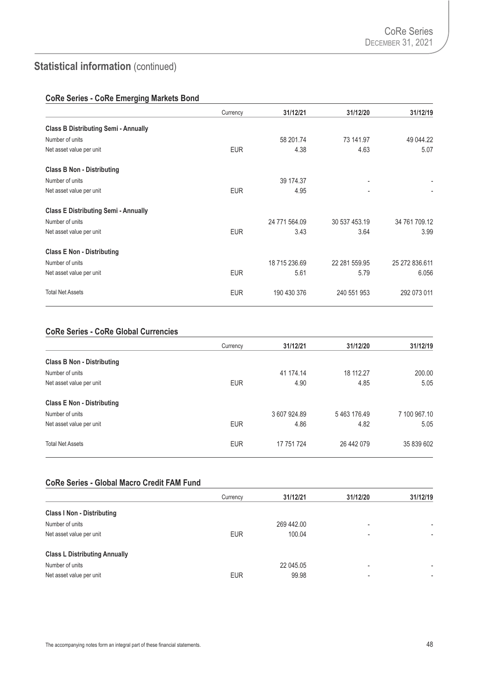### **CoRe Series - CoRe Emerging Markets Bond**

|                                             | Currency   | 31/12/21      | 31/12/20       | 31/12/19                 |
|---------------------------------------------|------------|---------------|----------------|--------------------------|
| <b>Class B Distributing Semi - Annually</b> |            |               |                |                          |
| Number of units                             |            | 58 201.74     | 73 141.97      | 49 044.22                |
| Net asset value per unit                    | <b>EUR</b> | 4.38          | 4.63           | 5.07                     |
| <b>Class B Non - Distributing</b>           |            |               |                |                          |
| Number of units                             |            | 39 174.37     |                |                          |
| Net asset value per unit                    | <b>EUR</b> | 4.95          | $\blacksquare$ | $\overline{\phantom{a}}$ |
| <b>Class E Distributing Semi - Annually</b> |            |               |                |                          |
| Number of units                             |            | 24 771 564.09 | 30 537 453.19  | 34 761 709.12            |
| Net asset value per unit                    | <b>EUR</b> | 3.43          | 3.64           | 3.99                     |
| <b>Class E Non - Distributing</b>           |            |               |                |                          |
| Number of units                             |            | 18 715 236.69 | 22 281 559.95  | 25 272 836.611           |
| Net asset value per unit                    | <b>EUR</b> | 5.61          | 5.79           | 6.056                    |
| <b>Total Net Assets</b>                     | <b>EUR</b> | 190 430 376   | 240 551 953    | 292 073 011              |

### **CoRe Series - CoRe Global Currencies**

|                                   | Currency   | 31/12/21     | 31/12/20   | 31/12/19     |
|-----------------------------------|------------|--------------|------------|--------------|
| <b>Class B Non - Distributing</b> |            |              |            |              |
| Number of units                   |            | 41 174.14    | 18 112.27  | 200.00       |
| Net asset value per unit          | <b>EUR</b> | 4.90         | 4.85       | 5.05         |
| <b>Class E Non - Distributing</b> |            |              |            |              |
| Number of units                   |            | 3 607 924.89 | 5463176.49 | 7 100 967.10 |
| Net asset value per unit          | <b>EUR</b> | 4.86         | 4.82       | 5.05         |
| <b>Total Net Assets</b>           | <b>EUR</b> | 17 751 724   | 26 442 079 | 35 839 602   |

#### **CoRe Series - Global Macro Credit FAM Fund**

|                                      | Currency   | 31/12/21   | 31/12/20                 | 31/12/19       |
|--------------------------------------|------------|------------|--------------------------|----------------|
| <b>Class I Non - Distributing</b>    |            |            |                          |                |
| Number of units                      |            | 269 442.00 | $\overline{\phantom{0}}$ | ٠              |
| Net asset value per unit             | <b>EUR</b> | 100.04     | $\overline{\phantom{0}}$ | ٠              |
| <b>Class L Distributing Annually</b> |            |            |                          |                |
| Number of units                      |            | 22 045.05  | $\overline{\phantom{0}}$ | $\blacksquare$ |
| Net asset value per unit             | <b>EUR</b> | 99.98      | $\overline{\phantom{0}}$ | $\blacksquare$ |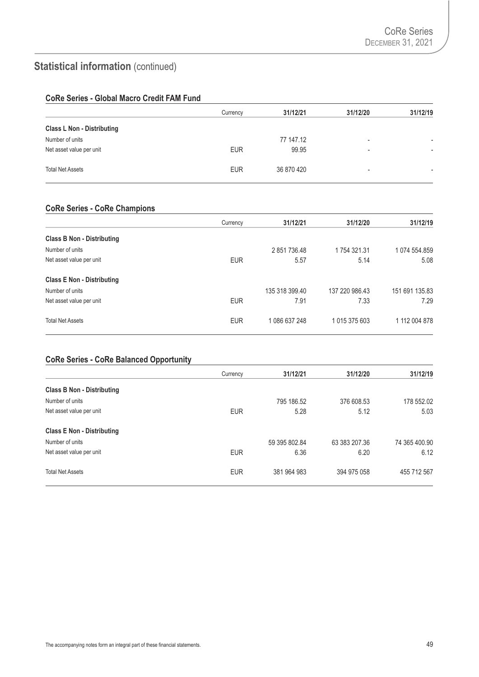### **CoRe Series - Global Macro Credit FAM Fund**

|                                   | Currency   | 31/12/21   | 31/12/20                 | 31/12/19 |
|-----------------------------------|------------|------------|--------------------------|----------|
| <b>Class L Non - Distributing</b> |            |            |                          |          |
| Number of units                   |            | 77 147.12  | $\overline{\phantom{a}}$ | -        |
| Net asset value per unit          | <b>EUR</b> | 99.95      | $\overline{\phantom{0}}$ |          |
| <b>Total Net Assets</b>           | <b>EUR</b> | 36 870 420 | ۰                        |          |

## **CoRe Series - CoRe Champions**

|                                   | Currency   | 31/12/21       | 31/12/20       | 31/12/19       |
|-----------------------------------|------------|----------------|----------------|----------------|
| <b>Class B Non - Distributing</b> |            |                |                |                |
| Number of units                   |            | 2851736.48     | 1754321.31     | 1 074 554.859  |
| Net asset value per unit          | <b>EUR</b> | 5.57           | 5.14           | 5.08           |
| <b>Class E Non - Distributing</b> |            |                |                |                |
| Number of units                   |            | 135 318 399.40 | 137 220 986.43 | 151 691 135.83 |
| Net asset value per unit          | <b>EUR</b> | 7.91           | 7.33           | 7.29           |
| <b>Total Net Assets</b>           | <b>EUR</b> | 1 086 637 248  | 1 015 375 603  | 1 112 004 878  |

### **CoRe Series - CoRe Balanced Opportunity**

|                                   | Currency   | 31/12/21      | 31/12/20      | 31/12/19      |
|-----------------------------------|------------|---------------|---------------|---------------|
| <b>Class B Non - Distributing</b> |            |               |               |               |
| Number of units                   |            | 795 186.52    | 376 608.53    | 178 552.02    |
| Net asset value per unit          | <b>EUR</b> | 5.28          | 5.12          | 5.03          |
| <b>Class E Non - Distributing</b> |            |               |               |               |
| Number of units                   |            | 59 395 802.84 | 63 383 207.36 | 74 365 400.90 |
| Net asset value per unit          | <b>EUR</b> | 6.36          | 6.20          | 6.12          |
| <b>Total Net Assets</b>           | <b>EUR</b> | 381 964 983   | 394 975 058   | 455 712 567   |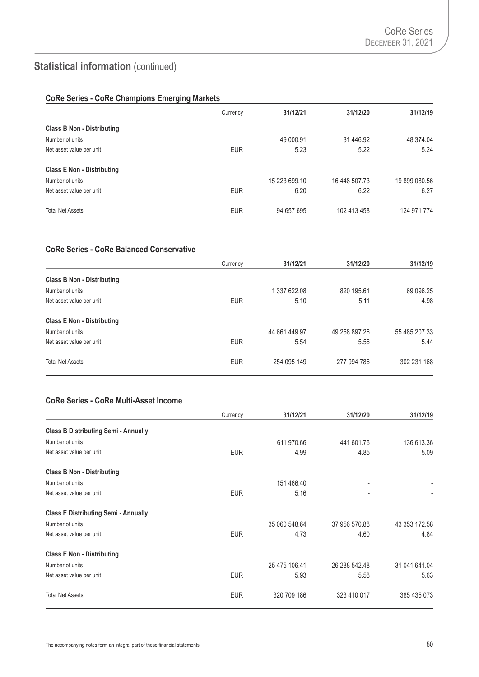### **CoRe Series - CoRe Champions Emerging Markets**

|                                   | Currency   | 31/12/21      | 31/12/20      | 31/12/19      |
|-----------------------------------|------------|---------------|---------------|---------------|
| <b>Class B Non - Distributing</b> |            |               |               |               |
| Number of units                   |            | 49 000.91     | 31 446.92     | 48 374.04     |
| Net asset value per unit          | <b>EUR</b> | 5.23          | 5.22          | 5.24          |
| <b>Class E Non - Distributing</b> |            |               |               |               |
| Number of units                   |            | 15 223 699.10 | 16 448 507.73 | 19 899 080.56 |
| Net asset value per unit          | <b>EUR</b> | 6.20          | 6.22          | 6.27          |
| <b>Total Net Assets</b>           | <b>EUR</b> | 94 657 695    | 102 413 458   | 124 971 774   |

### **CoRe Series - CoRe Balanced Conservative**

|                                   | Currency   | 31/12/21      | 31/12/20      | 31/12/19      |
|-----------------------------------|------------|---------------|---------------|---------------|
| <b>Class B Non - Distributing</b> |            |               |               |               |
| Number of units                   |            | 1 337 622.08  | 820 195.61    | 69 096.25     |
| Net asset value per unit          | <b>EUR</b> | 5.10          | 5.11          | 4.98          |
| <b>Class E Non - Distributing</b> |            |               |               |               |
| Number of units                   |            | 44 661 449.97 | 49 258 897.26 | 55 485 207.33 |
| Net asset value per unit          | <b>EUR</b> | 5.54          | 5.56          | 5.44          |
| <b>Total Net Assets</b>           | <b>EUR</b> | 254 095 149   | 277 994 786   | 302 231 168   |

## **CoRe Series - CoRe Multi-Asset Income**

|                                             | Currency   | 31/12/21      | 31/12/20      | 31/12/19      |
|---------------------------------------------|------------|---------------|---------------|---------------|
| <b>Class B Distributing Semi - Annually</b> |            |               |               |               |
| Number of units                             |            | 611 970.66    | 441 601.76    | 136 613.36    |
| Net asset value per unit                    | <b>EUR</b> | 4.99          | 4.85          | 5.09          |
| <b>Class B Non - Distributing</b>           |            |               |               |               |
| Number of units                             |            | 151 466.40    |               |               |
| Net asset value per unit                    | <b>EUR</b> | 5.16          |               |               |
| <b>Class E Distributing Semi - Annually</b> |            |               |               |               |
| Number of units                             |            | 35 060 548.64 | 37 956 570.88 | 43 353 172.58 |
| Net asset value per unit                    | <b>EUR</b> | 4.73          | 4.60          | 4.84          |
| <b>Class E Non - Distributing</b>           |            |               |               |               |
| Number of units                             |            | 25 475 106.41 | 26 288 542.48 | 31 041 641.04 |
| Net asset value per unit                    | <b>EUR</b> | 5.93          | 5.58          | 5.63          |
| <b>Total Net Assets</b>                     | <b>EUR</b> | 320 709 186   | 323 410 017   | 385 435 073   |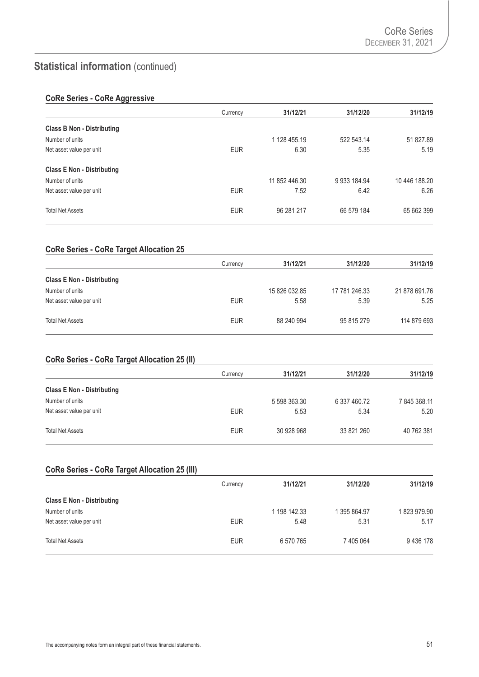### **CoRe Series - CoRe Aggressive**

|                                   | Currency   | 31/12/21      | 31/12/20     | 31/12/19      |
|-----------------------------------|------------|---------------|--------------|---------------|
| <b>Class B Non - Distributing</b> |            |               |              |               |
| Number of units                   |            | 1 128 455.19  | 522 543.14   | 51 827.89     |
| Net asset value per unit          | <b>EUR</b> | 6.30          | 5.35         | 5.19          |
| <b>Class E Non - Distributing</b> |            |               |              |               |
| Number of units                   |            | 11 852 446.30 | 9 933 184.94 | 10 446 188.20 |
| Net asset value per unit          | <b>EUR</b> | 7.52          | 6.42         | 6.26          |
| <b>Total Net Assets</b>           | <b>EUR</b> | 96 281 217    | 66 579 184   | 65 662 399    |

### **CoRe Series - CoRe Target Allocation 25**

|                                   | Currency   | 31/12/21      | 31/12/20      | 31/12/19      |
|-----------------------------------|------------|---------------|---------------|---------------|
| <b>Class E Non - Distributing</b> |            |               |               |               |
| Number of units                   |            | 15 826 032.85 | 17 781 246.33 | 21 878 691.76 |
| Net asset value per unit          | <b>EUR</b> | 5.58          | 5.39          | 5.25          |
| <b>Total Net Assets</b>           | <b>EUR</b> | 88 240 994    | 95 815 279    | 114 879 693   |

#### **CoRe Series - CoRe Target Allocation 25 (II)**

|                                   | Currency   | 31/12/21     | 31/12/20     | 31/12/19     |
|-----------------------------------|------------|--------------|--------------|--------------|
| <b>Class E Non - Distributing</b> |            |              |              |              |
| Number of units                   |            | 5 598 363.30 | 6 337 460.72 | 7 845 368.11 |
| Net asset value per unit          | <b>EUR</b> | 5.53         | 5.34         | 5.20         |
| <b>Total Net Assets</b>           | <b>EUR</b> | 30 928 968   | 33 821 260   | 40 762 381   |

### **CoRe Series - CoRe Target Allocation 25 (III)**

|                                   | Currency   | 31/12/21     | 31/12/20     | 31/12/19   |
|-----------------------------------|------------|--------------|--------------|------------|
| <b>Class E Non - Distributing</b> |            |              |              |            |
| Number of units                   |            | 1 198 142.33 | 1 395 864.97 | 1823979.90 |
| Net asset value per unit          | <b>EUR</b> | 5.48         | 5.31         | 5.17       |
| <b>Total Net Assets</b>           | <b>EUR</b> | 6 570 765    | 7 405 064    | 9436178    |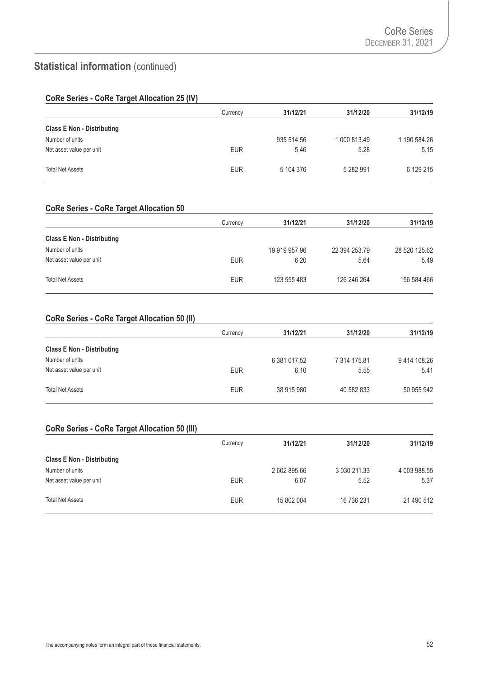### **CoRe Series - CoRe Target Allocation 25 (IV)**

|                                   | Currency   | 31/12/21   | 31/12/20     | 31/12/19     |
|-----------------------------------|------------|------------|--------------|--------------|
| <b>Class E Non - Distributing</b> |            |            |              |              |
| Number of units                   |            | 935 514.56 | 1 000 813.49 | 1 190 584.26 |
| Net asset value per unit          | <b>EUR</b> | 5.46       | 5.28         | 5.15         |
| <b>Total Net Assets</b>           | <b>EUR</b> | 5 104 376  | 5 282 991    | 6 129 215    |

## **CoRe Series - CoRe Target Allocation 50**

|                                   | Currency   | 31/12/21      | 31/12/20      | 31/12/19      |
|-----------------------------------|------------|---------------|---------------|---------------|
| <b>Class E Non - Distributing</b> |            |               |               |               |
| Number of units                   |            | 19 919 957.96 | 22 394 253.79 | 28 520 125.62 |
| Net asset value per unit          | <b>EUR</b> | 6.20          | 5.64          | 5.49          |
| <b>Total Net Assets</b>           | <b>EUR</b> | 123 555 483   | 126 246 264   | 156 584 466   |

#### **CoRe Series - CoRe Target Allocation 50 (II)**

|                                   | Currency   | 31/12/21     | 31/12/20     | 31/12/19    |
|-----------------------------------|------------|--------------|--------------|-------------|
| <b>Class E Non - Distributing</b> |            |              |              |             |
| Number of units                   |            | 6 381 017.52 | 7 314 175.81 | 9414 108.26 |
| Net asset value per unit          | <b>EUR</b> | 6.10         | 5.55         | 5.41        |
| <b>Total Net Assets</b>           | <b>EUR</b> | 38 915 980   | 40 582 833   | 50 955 942  |

#### **CoRe Series - CoRe Target Allocation 50 (III)**

|                                   | Currency   | 31/12/21     | 31/12/20     | 31/12/19     |
|-----------------------------------|------------|--------------|--------------|--------------|
| <b>Class E Non - Distributing</b> |            |              |              |              |
| Number of units                   |            | 2 602 895.66 | 3 030 211.33 | 4 003 988.55 |
| Net asset value per unit          | <b>EUR</b> | 6.07         | 5.52         | 5.37         |
| <b>Total Net Assets</b>           | <b>EUR</b> | 15 802 004   | 16 736 231   | 21 490 512   |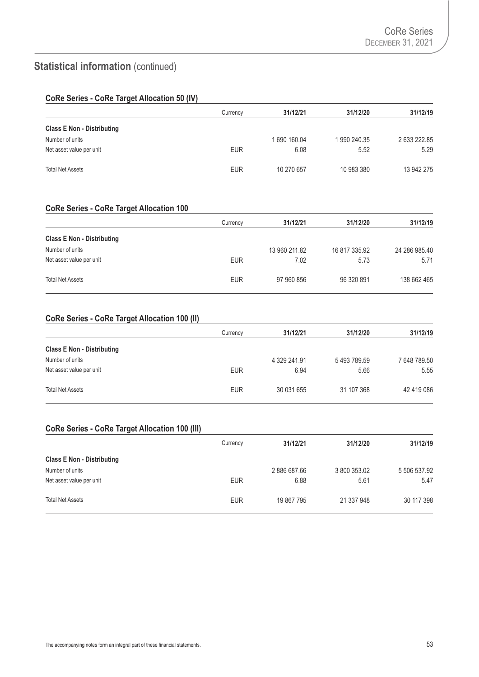### **CoRe Series - CoRe Target Allocation 50 (IV)**

|                                   | Currency   | 31/12/21    | 31/12/20    | 31/12/19     |
|-----------------------------------|------------|-------------|-------------|--------------|
| <b>Class E Non - Distributing</b> |            |             |             |              |
| Number of units                   |            | 1690 160.04 | 1990 240.35 | 2 633 222.85 |
| Net asset value per unit          | <b>EUR</b> | 6.08        | 5.52        | 5.29         |
| <b>Total Net Assets</b>           | <b>EUR</b> | 10 270 657  | 10 983 380  | 13 942 275   |

## **CoRe Series - CoRe Target Allocation 100**

|                                   | Currency   | 31/12/21      | 31/12/20      | 31/12/19      |
|-----------------------------------|------------|---------------|---------------|---------------|
| <b>Class E Non - Distributing</b> |            |               |               |               |
| Number of units                   |            | 13 960 211.82 | 16 817 335.92 | 24 286 985.40 |
| Net asset value per unit          | <b>EUR</b> | 7.02          | 5.73          | 5.71          |
| <b>Total Net Assets</b>           | <b>EUR</b> | 97 960 856    | 96 320 891    | 138 662 465   |

#### **CoRe Series - CoRe Target Allocation 100 (II)**

|                                   | Currency   | 31/12/21     | 31/12/20   | 31/12/19     |
|-----------------------------------|------------|--------------|------------|--------------|
| <b>Class E Non - Distributing</b> |            |              |            |              |
| Number of units                   |            | 4 329 241.91 | 5493789.59 | 7 648 789.50 |
| Net asset value per unit          | <b>EUR</b> | 6.94         | 5.66       | 5.55         |
| <b>Total Net Assets</b>           | <b>EUR</b> | 30 031 655   | 31 107 368 | 42 419 086   |

#### **CoRe Series - CoRe Target Allocation 100 (III)**

|                                   | Currency   | 31/12/21   | 31/12/20     | 31/12/19     |
|-----------------------------------|------------|------------|--------------|--------------|
| <b>Class E Non - Distributing</b> |            |            |              |              |
| Number of units                   |            | 2886687.66 | 3 800 353.02 | 5 506 537.92 |
| Net asset value per unit          | <b>EUR</b> | 6.88       | 5.61         | 5.47         |
| <b>Total Net Assets</b>           | <b>EUR</b> | 19 867 795 | 21 337 948   | 30 117 398   |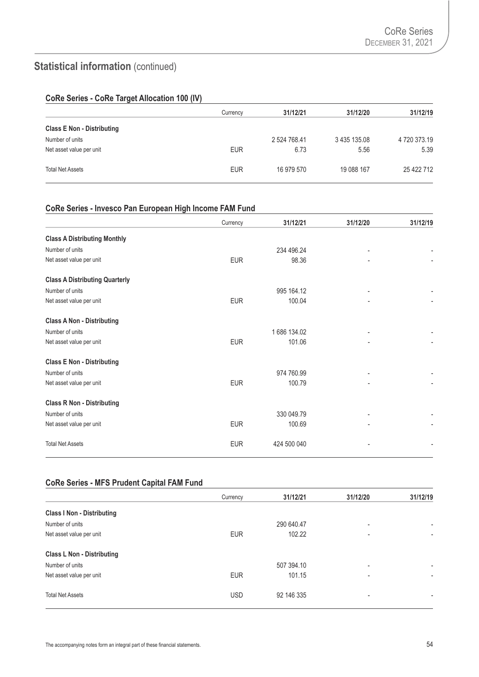### **CoRe Series - CoRe Target Allocation 100 (IV)**

|                                   | Currency   | 31/12/21     | 31/12/20     | 31/12/19     |
|-----------------------------------|------------|--------------|--------------|--------------|
| <b>Class E Non - Distributing</b> |            |              |              |              |
| Number of units                   |            | 2 524 768.41 | 3 435 135.08 | 4 720 373.19 |
| Net asset value per unit          | <b>EUR</b> | 6.73         | 5.56         | 5.39         |
| <b>Total Net Assets</b>           | <b>EUR</b> | 16 979 570   | 19 088 167   | 25 422 712   |

## **CoRe Series - Invesco Pan European High Income FAM Fund**

|                                       | Currency   | 31/12/21    | 31/12/20                     | 31/12/19 |
|---------------------------------------|------------|-------------|------------------------------|----------|
| <b>Class A Distributing Monthly</b>   |            |             |                              |          |
| Number of units                       |            | 234 496.24  | $\qquad \qquad \blacksquare$ |          |
| Net asset value per unit              | <b>EUR</b> | 98.36       | ٠                            |          |
| <b>Class A Distributing Quarterly</b> |            |             |                              |          |
| Number of units                       |            | 995 164.12  |                              |          |
| Net asset value per unit              | <b>EUR</b> | 100.04      |                              |          |
| <b>Class A Non - Distributing</b>     |            |             |                              |          |
| Number of units                       |            | 1686 134.02 |                              |          |
| Net asset value per unit              | <b>EUR</b> | 101.06      |                              |          |
| <b>Class E Non - Distributing</b>     |            |             |                              |          |
| Number of units                       |            | 974 760.99  |                              |          |
| Net asset value per unit              | <b>EUR</b> | 100.79      |                              |          |
| <b>Class R Non - Distributing</b>     |            |             |                              |          |
| Number of units                       |            | 330 049.79  |                              |          |
| Net asset value per unit              | <b>EUR</b> | 100.69      |                              |          |
| <b>Total Net Assets</b>               | <b>EUR</b> | 424 500 040 |                              |          |

#### **CoRe Series - MFS Prudent Capital FAM Fund**

|                                   | Currency   | 31/12/21   | 31/12/20                 | 31/12/19       |
|-----------------------------------|------------|------------|--------------------------|----------------|
| <b>Class I Non - Distributing</b> |            |            |                          |                |
| Number of units                   |            | 290 640.47 |                          |                |
| Net asset value per unit          | <b>EUR</b> | 102.22     | ۰                        | ٠              |
| <b>Class L Non - Distributing</b> |            |            |                          |                |
| Number of units                   |            | 507 394.10 | $\overline{\phantom{a}}$ | ٠              |
| Net asset value per unit          | <b>EUR</b> | 101.15     | ٠                        | $\blacksquare$ |
| <b>Total Net Assets</b>           | <b>USD</b> | 92 146 335 | $\overline{\phantom{0}}$ |                |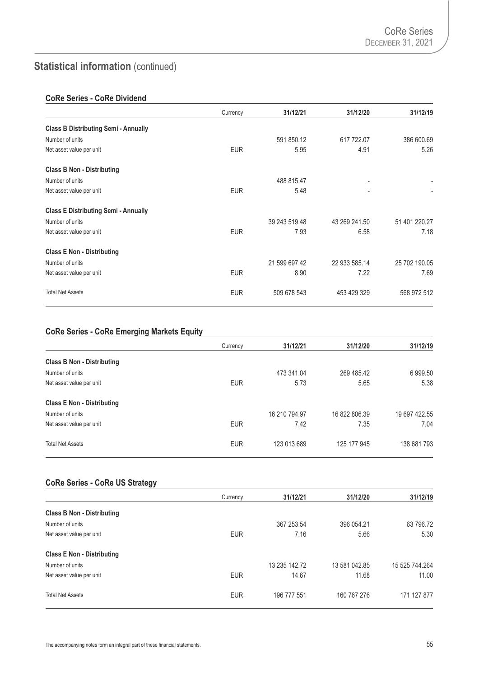### **CoRe Series - CoRe Dividend**

|                                             | Currency   | 31/12/21      | 31/12/20       | 31/12/19      |
|---------------------------------------------|------------|---------------|----------------|---------------|
| <b>Class B Distributing Semi - Annually</b> |            |               |                |               |
| Number of units                             |            | 591 850.12    | 617 722.07     | 386 600.69    |
| Net asset value per unit                    | <b>EUR</b> | 5.95          | 4.91           | 5.26          |
| <b>Class B Non - Distributing</b>           |            |               |                |               |
| Number of units                             |            | 488 815.47    | $\blacksquare$ |               |
| Net asset value per unit                    | <b>EUR</b> | 5.48          | $\blacksquare$ |               |
| <b>Class E Distributing Semi - Annually</b> |            |               |                |               |
| Number of units                             |            | 39 243 519.48 | 43 269 241.50  | 51 401 220.27 |
| Net asset value per unit                    | <b>EUR</b> | 7.93          | 6.58           | 7.18          |
| <b>Class E Non - Distributing</b>           |            |               |                |               |
| Number of units                             |            | 21 599 697.42 | 22 933 585.14  | 25 702 190.05 |
| Net asset value per unit                    | <b>EUR</b> | 8.90          | 7.22           | 7.69          |
| <b>Total Net Assets</b>                     | <b>EUR</b> | 509 678 543   | 453 429 329    | 568 972 512   |

## **CoRe Series - CoRe Emerging Markets Equity**

|                                   | Currency   | 31/12/21      | 31/12/20      | 31/12/19      |
|-----------------------------------|------------|---------------|---------------|---------------|
| <b>Class B Non - Distributing</b> |            |               |               |               |
| Number of units                   |            | 473 341.04    | 269 485.42    | 6 999.50      |
| Net asset value per unit          | <b>EUR</b> | 5.73          | 5.65          | 5.38          |
| <b>Class E Non - Distributing</b> |            |               |               |               |
| Number of units                   |            | 16 210 794.97 | 16 822 806.39 | 19 697 422.55 |
| Net asset value per unit          | <b>EUR</b> | 7.42          | 7.35          | 7.04          |
| <b>Total Net Assets</b>           | <b>EUR</b> | 123 013 689   | 125 177 945   | 138 681 793   |

### **CoRe Series - CoRe US Strategy**

|                                   | Currency   | 31/12/21      | 31/12/20      | 31/12/19       |
|-----------------------------------|------------|---------------|---------------|----------------|
| <b>Class B Non - Distributing</b> |            |               |               |                |
| Number of units                   |            | 367 253.54    | 396 054.21    | 63 796.72      |
| Net asset value per unit          | <b>EUR</b> | 7.16          | 5.66          | 5.30           |
| <b>Class E Non - Distributing</b> |            |               |               |                |
| Number of units                   |            | 13 235 142.72 | 13 581 042.85 | 15 525 744.264 |
| Net asset value per unit          | <b>EUR</b> | 14.67         | 11.68         | 11.00          |
| <b>Total Net Assets</b>           | <b>EUR</b> | 196 777 551   | 160 767 276   | 171 127 877    |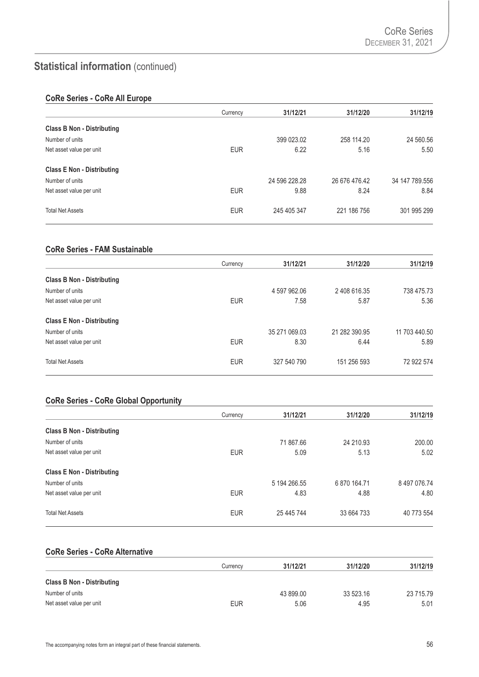### **CoRe Series - CoRe All Europe**

|                                   | Currency   | 31/12/21      | 31/12/20      | 31/12/19       |
|-----------------------------------|------------|---------------|---------------|----------------|
| <b>Class B Non - Distributing</b> |            |               |               |                |
| Number of units                   |            | 399 023.02    | 258 114.20    | 24 560.56      |
| Net asset value per unit          | <b>EUR</b> | 6.22          | 5.16          | 5.50           |
| <b>Class E Non - Distributing</b> |            |               |               |                |
| Number of units                   |            | 24 596 228.28 | 26 676 476.42 | 34 147 789.556 |
| Net asset value per unit          | <b>EUR</b> | 9.88          | 8.24          | 8.84           |
| <b>Total Net Assets</b>           | <b>EUR</b> | 245 405 347   | 221 186 756   | 301 995 299    |

### **CoRe Series - FAM Sustainable**

|                                   | Currency   | 31/12/21      | 31/12/20      | 31/12/19      |
|-----------------------------------|------------|---------------|---------------|---------------|
| <b>Class B Non - Distributing</b> |            |               |               |               |
| Number of units                   |            | 4 597 962.06  | 2 408 616.35  | 738 475.73    |
| Net asset value per unit          | <b>EUR</b> | 7.58          | 5.87          | 5.36          |
| <b>Class E Non - Distributing</b> |            |               |               |               |
| Number of units                   |            | 35 271 069.03 | 21 282 390.95 | 11 703 440.50 |
| Net asset value per unit          | <b>EUR</b> | 8.30          | 6.44          | 5.89          |
| <b>Total Net Assets</b>           | <b>EUR</b> | 327 540 790   | 151 256 593   | 72 922 574    |

## **CoRe Series - CoRe Global Opportunity**

|                                   | Currency   | 31/12/21     | 31/12/20     | 31/12/19     |
|-----------------------------------|------------|--------------|--------------|--------------|
| <b>Class B Non - Distributing</b> |            |              |              |              |
| Number of units                   |            | 71 867.66    | 24 210.93    | 200.00       |
| Net asset value per unit          | <b>EUR</b> | 5.09         | 5.13         | 5.02         |
| <b>Class E Non - Distributing</b> |            |              |              |              |
| Number of units                   |            | 5 194 266.55 | 6 870 164.71 | 8 497 076.74 |
| Net asset value per unit          | <b>EUR</b> | 4.83         | 4.88         | 4.80         |
| <b>Total Net Assets</b>           | <b>EUR</b> | 25 445 744   | 33 664 733   | 40 773 554   |

### **CoRe Series - CoRe Alternative**

|                                   | Currencv   | 31/12/21  | 31/12/20  | 31/12/19  |
|-----------------------------------|------------|-----------|-----------|-----------|
| <b>Class B Non - Distributing</b> |            |           |           |           |
| Number of units                   |            | 43 899.00 | 33 523.16 | 23 715.79 |
| Net asset value per unit          | <b>EUR</b> | 5.06      | 4.95      | 5.01      |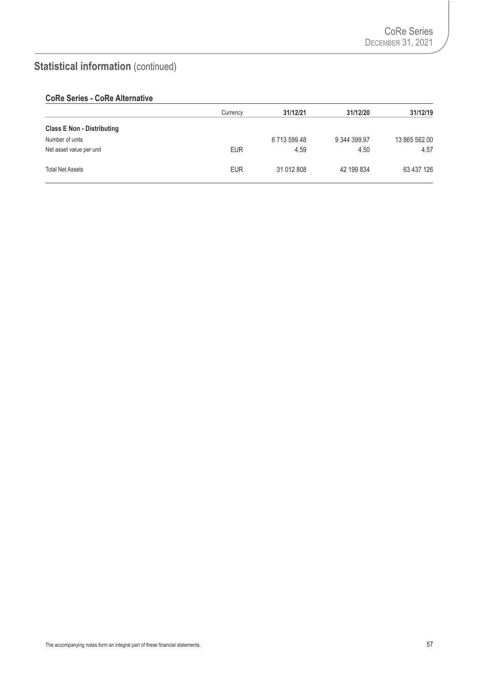## **CoRe Series - CoRe Alternative**

|                                   | Currency   | 31/12/21   | 31/12/20     | 31/12/19      |
|-----------------------------------|------------|------------|--------------|---------------|
| <b>Class E Non - Distributing</b> |            |            |              |               |
| Number of units                   |            | 6713599.48 | 9 344 399.97 | 13 865 562.00 |
| Net asset value per unit          | <b>EUR</b> | 4.59       | 4.50         | 4.57          |
| <b>Total Net Assets</b>           | <b>EUR</b> | 31 012 808 | 42 199 834   | 63 437 126    |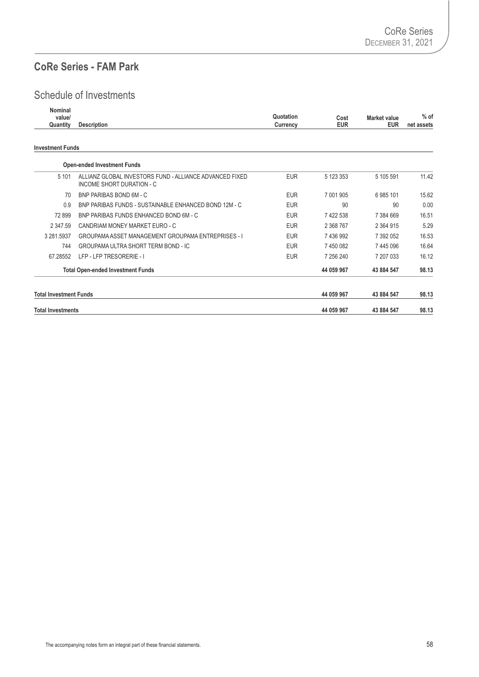# **CoRe Series - FAM Park**

## Schedule of Investments

| Nominal  |                    |           |      |                     |            |
|----------|--------------------|-----------|------|---------------------|------------|
| value/   |                    | Quotation | Cost | <b>Market value</b> | $%$ of     |
| Quantity | <b>Description</b> | Currency  | EUR  | <b>EUR</b>          | net assets |
|          |                    |           |      |                     |            |

#### **Investment Funds**

| <b>Total Investments</b>      |                                                                                      |            | 44 059 967 | 43 884 547    | 98.13 |
|-------------------------------|--------------------------------------------------------------------------------------|------------|------------|---------------|-------|
| <b>Total Investment Funds</b> |                                                                                      |            | 44 059 967 | 43 884 547    | 98.13 |
|                               | <b>Total Open-ended Investment Funds</b>                                             |            | 44 059 967 | 43 884 547    | 98.13 |
| 67.28552                      | LFP - LFP TRESORERIE - I                                                             | <b>EUR</b> | 7 256 240  | 7 207 033     | 16.12 |
| 744                           | GROUPAMA ULTRA SHORT TERM BOND - IC                                                  | <b>EUR</b> | 7 450 082  | 7445096       | 16.64 |
| 3 281.5937                    | GROUPAMA ASSET MANAGEMENT GROUPAMA ENTREPRISES - I                                   | <b>EUR</b> | 7 436 992  | 7 392 052     | 16.53 |
| 2 347 59                      | CANDRIAM MONEY MARKET EURO - C                                                       | <b>EUR</b> | 2 368 767  | 2 3 6 4 9 1 5 | 5.29  |
| 72899                         | BNP PARIBAS FUNDS ENHANCED BOND 6M - C                                               | <b>EUR</b> | 7 422 538  | 7 384 669     | 16.51 |
| 0.9                           | BNP PARIBAS FUNDS - SUSTAINABLE ENHANCED BOND 12M - C                                | <b>EUR</b> | 90         | 90            | 0.00  |
| 70                            | BNP PARIBAS BOND 6M - C                                                              | <b>EUR</b> | 7 001 905  | 6985101       | 15.62 |
| 5 1 0 1                       | ALLIANZ GLOBAL INVESTORS FUND - ALLIANCE ADVANCED FIXED<br>INCOME SHORT DURATION - C | <b>EUR</b> | 5 123 353  | 5 105 591     | 11.42 |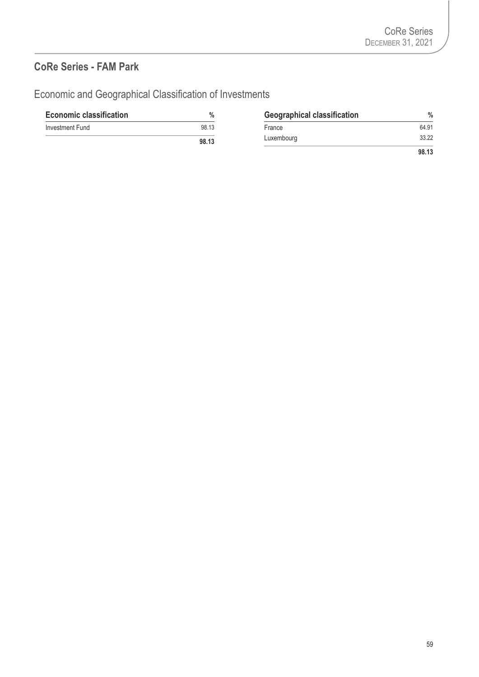## **CoRe Series - FAM Park**

Economic and Geographical Classification of Investments

| <b>Economic classification</b> | %     | <b>Geographical classification</b> | $\frac{0}{0}$ |
|--------------------------------|-------|------------------------------------|---------------|
| Investment Fund                | 98.13 | France                             | 64.91         |
|                                | 98.13 | Luxembourg                         | 33.22         |
|                                |       |                                    | 98.13         |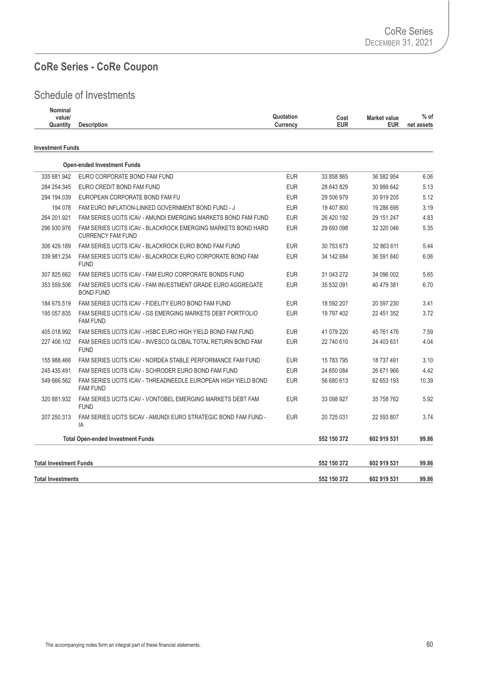## **CoRe Series - CoRe Coupon**

## Schedule of Investments

| Nominal  |                    |                                          |            |
|----------|--------------------|------------------------------------------|------------|
| value/   |                    | Quotation<br><b>Market value</b><br>Cost | $%$ of     |
| Quantity | <b>Description</b> | <b>EUR</b><br>EUR<br>Currencv            | net assets |
|          |                    |                                          |            |

#### **Investment Funds**

|                               | <b>Open-ended Investment Funds</b>                                                       |            |             |             |       |
|-------------------------------|------------------------------------------------------------------------------------------|------------|-------------|-------------|-------|
| 335 681.942                   | EURO CORPORATE BOND FAM FUND                                                             | <b>EUR</b> | 33 858 865  | 36 582 954  | 6.06  |
| 284 254.345                   | EURO CREDIT BOND FAM FUND                                                                | <b>EUR</b> | 28 643 829  | 30 999 642  | 5.13  |
| 294 194.039                   | EUROPEAN CORPORATE BOND FAM FU                                                           | <b>EUR</b> | 29 506 979  | 30 919 205  | 5.12  |
| 194 078                       | FAM EURO INFLATION-LINKED GOVERNMENT BOND FUND - J                                       | <b>EUR</b> | 19 407 800  | 19 286 695  | 3.19  |
| 264 201.921                   | FAM SERIES UCITS ICAV - AMUNDI EMERGING MARKETS BOND FAM FUND                            | <b>EUR</b> | 26 420 192  | 29 151 247  | 4.83  |
| 296 930.976                   | FAM SERIES UCITS ICAV - BLACKROCK EMERGING MARKETS BOND HARD<br><b>CURRENCY FAM FUND</b> | <b>EUR</b> | 29 693 098  | 32 320 046  | 5.35  |
| 306 429.189                   | FAM SERIES UCITS ICAV - BLACKROCK EURO BOND FAM FUND                                     | <b>EUR</b> | 30 753 673  | 32 863 611  | 5.44  |
| 339 981.234                   | FAM SERIES UCITS ICAV - BLACKROCK EURO CORPORATE BOND FAM<br><b>FUND</b>                 | <b>EUR</b> | 34 142 684  | 36 591 840  | 6.06  |
| 307 825.662                   | FAM SERIES UCITS ICAV - FAM EURO CORPORATE BONDS FUND                                    | <b>EUR</b> | 31 043 272  | 34 096 002  | 5.65  |
| 353 559.506                   | FAM SERIES UCITS ICAV - FAM INVESTMENT GRADE EURO AGGREGATE<br><b>BOND FUND</b>          | <b>EUR</b> | 35 532 091  | 40 479 381  | 6.70  |
| 184 675.519                   | FAM SERIES UCITS ICAV - FIDELITY EURO BOND FAM FUND                                      | <b>EUR</b> | 18 592 207  | 20 597 230  | 3.41  |
| 195 057.835                   | FAM SERIES UCITS ICAV - GS EMERGING MARKETS DEBT PORTFOLIO<br><b>FAM FUND</b>            | <b>EUR</b> | 19 797 402  | 22 451 352  | 3.72  |
| 405 018.992                   | FAM SERIES UCITS ICAV - HSBC EURO HIGH YIELD BOND FAM FUND                               | <b>EUR</b> | 41 079 220  | 45 761 476  | 7.59  |
| 227 406.102                   | FAM SERIES UCITS ICAV - INVESCO GLOBAL TOTAL RETURN BOND FAM<br><b>FUND</b>              | <b>EUR</b> | 22 740 610  | 24 403 631  | 4.04  |
| 155 988.466                   | FAM SERIES UCITS ICAV - NORDEA STABLE PERFORMANCE FAM FUND                               | <b>EUR</b> | 15 783 795  | 18 737 491  | 3.10  |
| 245 435.491                   | FAM SERIES UCITS ICAV - SCHRODER EURO BOND FAM FUND                                      | <b>EUR</b> | 24 650 084  | 26 671 966  | 4.42  |
| 549 666.562                   | FAM SERIES UCITS ICAV - THREADNEEDLE EUROPEAN HIGH YIELD BOND<br><b>FAM FUND</b>         | <b>EUR</b> | 56 680 613  | 62 653 193  | 10.39 |
| 320 881.932                   | FAM SERIES UCITS ICAV - VONTOBEL EMERGING MARKETS DEBT FAM<br><b>FUND</b>                | <b>EUR</b> | 33 098 927  | 35 758 762  | 5.92  |
| 207 250.313                   | FAM SERIES UCITS SICAV - AMUNDI EURO STRATEGIC BOND FAM FUND -<br>IA                     | <b>EUR</b> | 20 725 031  | 22 593 807  | 3.74  |
|                               | <b>Total Open-ended Investment Funds</b>                                                 |            | 552 150 372 | 602 919 531 | 99.86 |
| <b>Total Investment Funds</b> |                                                                                          |            | 552 150 372 | 602 919 531 | 99.86 |
| <b>Total Investments</b>      |                                                                                          |            | 552 150 372 | 602 919 531 | 99.86 |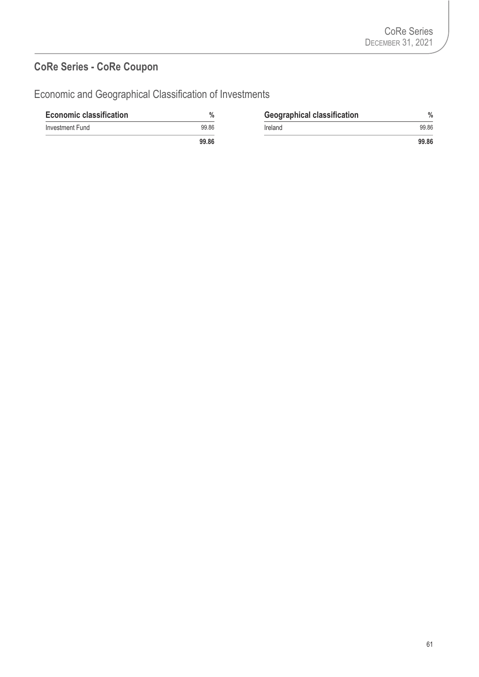## **CoRe Series - CoRe Coupon**

Economic and Geographical Classification of Investments

| <b>Economic classification</b> | $\%$  | <b>Geographical classification</b> | $\frac{0}{0}$ |
|--------------------------------|-------|------------------------------------|---------------|
| Investment Fund                | 99.86 | Ireland                            | 99.86         |
|                                | 99.86 |                                    | 99.86         |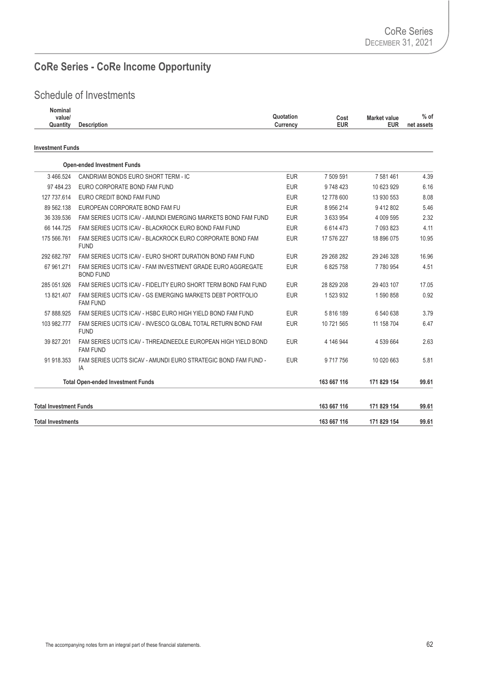# **CoRe Series - CoRe Income Opportunity**

## Schedule of Investments

| <b>Nominal</b><br>value/<br>Quantity | <b>Description</b>                                                               | Quotation<br>Currency | Cost<br><b>EUR</b> | <b>Market value</b><br><b>EUR</b> | $%$ of<br>net assets |
|--------------------------------------|----------------------------------------------------------------------------------|-----------------------|--------------------|-----------------------------------|----------------------|
| <b>Investment Funds</b>              |                                                                                  |                       |                    |                                   |                      |
|                                      | <b>Open-ended Investment Funds</b>                                               |                       |                    |                                   |                      |
| 3 466.524                            | CANDRIAM BONDS EURO SHORT TERM - IC                                              | <b>EUR</b>            | 7 509 591          | 7 581 461                         | 4.39                 |
| 97 484.23                            | EURO CORPORATE BOND FAM FUND                                                     | <b>EUR</b>            | 9748423            | 10 623 929                        | 6.16                 |
| 127 737.614                          | EURO CREDIT BOND FAM FUND                                                        | <b>EUR</b>            | 12 778 600         | 13 930 553                        | 8.08                 |
| 89 562.138                           | EUROPEAN CORPORATE BOND FAM FU                                                   | <b>EUR</b>            | 8 956 214          | 9412802                           | 5.46                 |
| 36 339.536                           | FAM SERIES UCITS ICAV - AMUNDI EMERGING MARKETS BOND FAM FUND                    | <b>EUR</b>            | 3 633 954          | 4 009 595                         | 2.32                 |
| 66 144.725                           | FAM SERIES UCITS ICAV - BLACKROCK EURO BOND FAM FUND                             | <b>EUR</b>            | 6 6 14 4 73        | 7 093 823                         | 4.11                 |
| 175 566.761                          | FAM SERIES UCITS ICAV - BLACKROCK EURO CORPORATE BOND FAM<br><b>FUND</b>         | <b>EUR</b>            | 17 576 227         | 18 896 075                        | 10.95                |
| 292 682.797                          | FAM SERIES UCITS ICAV - EURO SHORT DURATION BOND FAM FUND                        | <b>EUR</b>            | 29 268 282         | 29 246 328                        | 16.96                |
| 67 961.271                           | FAM SERIES UCITS ICAV - FAM INVESTMENT GRADE EURO AGGREGATE<br><b>BOND FUND</b>  | <b>EUR</b>            | 6825758            | 7780954                           | 4.51                 |
| 285 051.926                          | FAM SERIES UCITS ICAV - FIDELITY EURO SHORT TERM BOND FAM FUND                   | <b>EUR</b>            | 28 829 208         | 29 403 107                        | 17.05                |
| 13 821.407                           | FAM SERIES UCITS ICAV - GS EMERGING MARKETS DEBT PORTFOLIO<br><b>FAM FUND</b>    | <b>EUR</b>            | 1 523 932          | 1 590 858                         | 0.92                 |
| 57 888.925                           | FAM SERIES UCITS ICAV - HSBC EURO HIGH YIELD BOND FAM FUND                       | <b>EUR</b>            | 5 816 189          | 6 540 638                         | 3.79                 |
| 103 982.777                          | FAM SERIES UCITS ICAV - INVESCO GLOBAL TOTAL RETURN BOND FAM<br><b>FUND</b>      | <b>EUR</b>            | 10 721 565         | 11 158 704                        | 6.47                 |
| 39 827.201                           | FAM SERIES UCITS ICAV - THREADNEEDLE EUROPEAN HIGH YIELD BOND<br><b>FAM FUND</b> | <b>EUR</b>            | 4 146 944          | 4 539 664                         | 2.63                 |
| 91 918.353                           | FAM SERIES UCITS SICAV - AMUNDI EURO STRATEGIC BOND FAM FUND -<br>IA             | <b>EUR</b>            | 9 717 756          | 10 020 663                        | 5.81                 |
|                                      | <b>Total Open-ended Investment Funds</b>                                         |                       | 163 667 116        | 171 829 154                       | 99.61                |
| <b>Total Investment Funds</b>        |                                                                                  |                       | 163 667 116        | 171 829 154                       | 99.61                |
| <b>Total Investments</b>             |                                                                                  |                       | 163 667 116        | 171 829 154                       | 99.61                |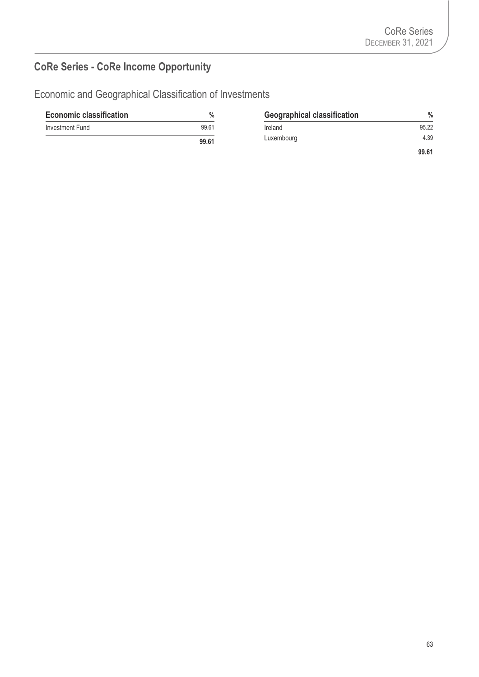# **CoRe Series - CoRe Income Opportunity**

Economic and Geographical Classification of Investments

| <b>Economic classification</b> | $\%$  | <b>Geographical classification</b> | $\%$  |
|--------------------------------|-------|------------------------------------|-------|
| Investment Fund                | 99.61 | Ireland                            | 95.22 |
|                                | 99.61 | Luxembourg                         | 4.39  |
|                                |       |                                    | 99.61 |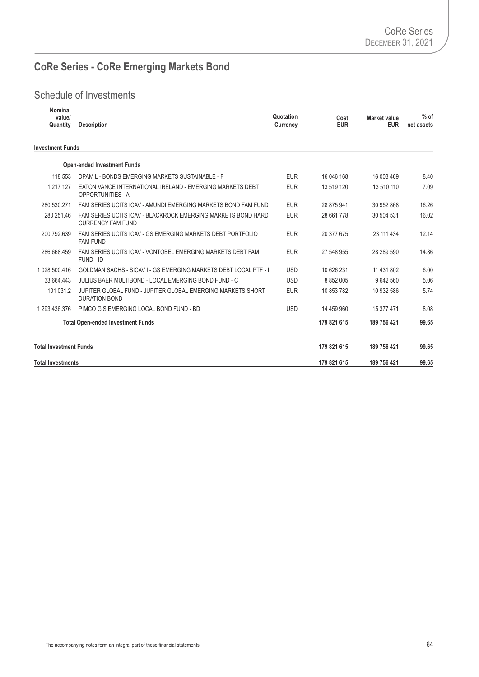# **CoRe Series - CoRe Emerging Markets Bond**

## Schedule of Investments

| Nominal<br>value/<br>Quantity | <b>Description</b>                                                                       | Quotation<br>Currency | Cost<br><b>EUR</b> | <b>Market value</b><br><b>EUR</b> | $%$ of<br>net assets |
|-------------------------------|------------------------------------------------------------------------------------------|-----------------------|--------------------|-----------------------------------|----------------------|
| <b>Investment Funds</b>       |                                                                                          |                       |                    |                                   |                      |
|                               | <b>Open-ended Investment Funds</b>                                                       |                       |                    |                                   |                      |
| 118 553                       | DPAM L - BONDS EMERGING MARKETS SUSTAINABLE - F                                          | <b>EUR</b>            | 16 046 168         | 16 003 469                        | 8.40                 |
| 1 217 127                     | EATON VANCE INTERNATIONAL IRELAND - EMERGING MARKETS DEBT<br><b>OPPORTUNITIES - A</b>    | <b>EUR</b>            | 13 519 120         | 13 510 110                        | 7.09                 |
| 280 530.271                   | FAM SERIES UCITS ICAV - AMUNDI EMERGING MARKETS BOND FAM FUND                            | <b>EUR</b>            | 28 875 941         | 30 952 868                        | 16.26                |
| 280 251.46                    | FAM SERIES UCITS ICAV - BLACKROCK EMERGING MARKETS BOND HARD<br><b>CURRENCY FAM FUND</b> | <b>EUR</b>            | 28 661 778         | 30 504 531                        | 16.02                |
| 200 792.639                   | FAM SERIES UCITS ICAV - GS EMERGING MARKETS DEBT PORTFOLIO<br><b>FAM FUND</b>            | <b>EUR</b>            | 20 377 675         | 23 111 434                        | 12.14                |
| 286 668.459                   | FAM SERIES UCITS ICAV - VONTOBEL EMERGING MARKETS DEBT FAM<br>FUND - ID                  | <b>EUR</b>            | 27 548 955         | 28 289 590                        | 14.86                |
| 1 028 500.416                 | GOLDMAN SACHS - SICAV I - GS EMERGING MARKETS DEBT LOCAL PTF - I                         | <b>USD</b>            | 10 626 231         | 11 431 802                        | 6.00                 |
| 33 664.443                    | JULIUS BAER MULTIBOND - LOCAL EMERGING BOND FUND - C                                     | <b>USD</b>            | 8 852 005          | 9 642 560                         | 5.06                 |
| 101 031.2                     | JUPITER GLOBAL FUND - JUPITER GLOBAL EMERGING MARKETS SHORT<br><b>DURATION BOND</b>      | <b>EUR</b>            | 10 853 782         | 10 932 586                        | 5.74                 |
| 1 293 436.376                 | PIMCO GIS EMERGING LOCAL BOND FUND - BD                                                  | <b>USD</b>            | 14 459 960         | 15 377 471                        | 8.08                 |
|                               | <b>Total Open-ended Investment Funds</b>                                                 |                       | 179 821 615        | 189 756 421                       | 99.65                |
| <b>Total Investment Funds</b> |                                                                                          |                       | 179 821 615        | 189 756 421                       | 99.65                |
| <b>Total Investments</b>      |                                                                                          |                       | 179 821 615        | 189 756 421                       | 99.65                |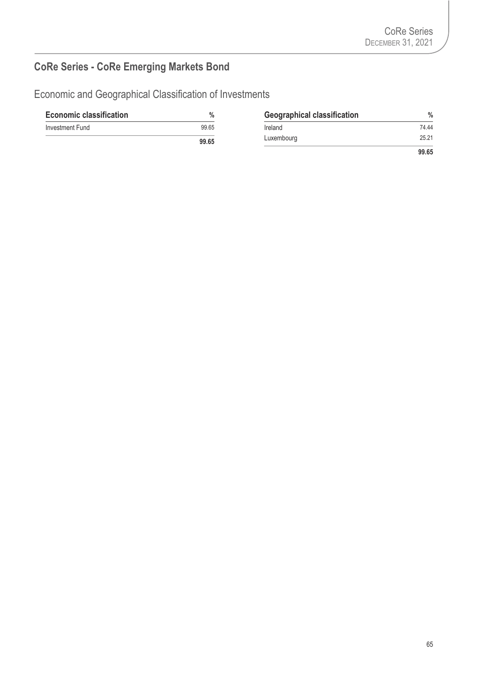# **CoRe Series - CoRe Emerging Markets Bond**

Economic and Geographical Classification of Investments

| <b>Economic classification</b> | $\%$  | <b>Geographical classification</b> | $\frac{0}{0}$ |
|--------------------------------|-------|------------------------------------|---------------|
| Investment Fund                | 99.65 | Ireland                            | 74.44         |
|                                | 99.65 | Luxembourg                         | 25.21         |
|                                |       |                                    | 99.65         |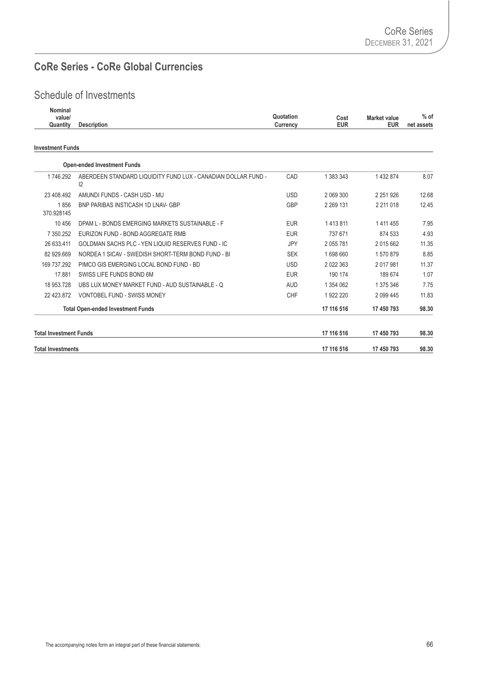## **CoRe Series - CoRe Global Currencies**

## Schedule of Investments

| Nominal  |                    |                                          |                   |
|----------|--------------------|------------------------------------------|-------------------|
| value/   |                    | Quotation<br><b>Market value</b><br>Cost | $%$ of            |
| Quantity | <b>Description</b> | EUR<br>Currency                          | EUR<br>net assets |
|          |                    |                                          |                   |

#### **Investment Funds**

| <b>Total Investments</b>      |                                                                     |            | 17 116 516    | 17 450 793    | 98.30 |
|-------------------------------|---------------------------------------------------------------------|------------|---------------|---------------|-------|
| <b>Total Investment Funds</b> |                                                                     |            | 17 116 516    | 17 450 793    | 98.30 |
|                               | 17 116 516<br><b>Total Open-ended Investment Funds</b>              |            |               | 17 450 793    | 98.30 |
| 22 423.872                    | VONTOBEL FUND - SWISS MONEY                                         | <b>CHF</b> | 1922 220      | 2 0 9 4 4 5   | 11.83 |
| 18 953.728                    | UBS LUX MONEY MARKET FUND - AUD SUSTAINABLE - Q                     | <b>AUD</b> | 1 354 062     | 1 375 346     | 7.75  |
| 17.881                        | SWISS LIFE FUNDS BOND 6M                                            | <b>EUR</b> | 190 174       | 189 674       | 1.07  |
| 169 737.292                   | PIMCO GIS EMERGING LOCAL BOND FUND - BD                             | <b>USD</b> | 2 0 2 2 3 6 3 | 2017981       | 11.37 |
| 82 929.669                    | NORDEA 1 SICAV - SWEDISH SHORT-TERM BOND FUND - BI                  | <b>SEK</b> | 1698660       | 1570879       | 8.85  |
| 26 633.411                    | GOLDMAN SACHS PLC - YEN LIQUID RESERVES FUND - IC                   | <b>JPY</b> | 2 055 781     | 2 015 662     | 11.35 |
| 7 350.252                     | EURIZON FUND - BOND AGGREGATE RMB                                   | <b>EUR</b> | 737 671       | 874 533       | 4.93  |
| 10 45 6                       | DPAM L - BONDS EMERGING MARKETS SUSTAINABLE - F                     | <b>EUR</b> | 1413811       | 1 4 1 4 4 5 5 | 7.95  |
| 1856<br>370.928145            | <b>BNP PARIBAS INSTICASH 1D LNAV- GBP</b>                           | <b>GBP</b> | 2 2 69 1 31   | 2 211 018     | 12.45 |
| 23 408.492                    | AMUNDI FUNDS - CASH USD - MU                                        | <b>USD</b> | 2 069 300     | 2 2 5 1 9 2 6 | 12.68 |
| 1 746.292                     | ABERDEEN STANDARD LIQUIDITY FUND LUX - CANADIAN DOLLAR FUND -<br>12 | CAD        | 1 383 343     | 1 432 874     | 8.07  |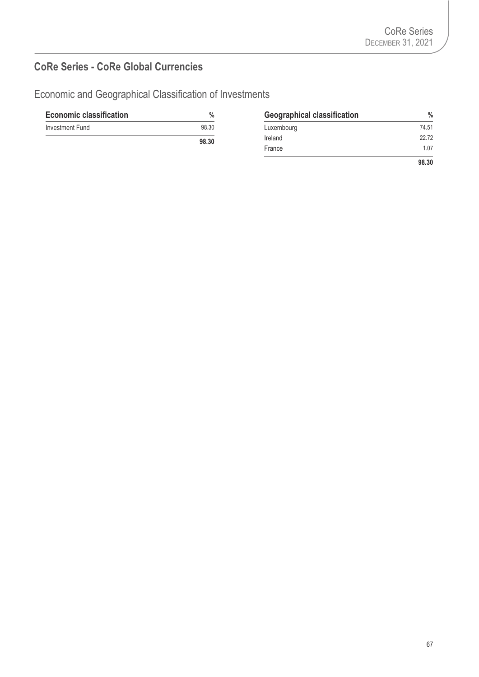## **CoRe Series - CoRe Global Currencies**

Economic and Geographical Classification of Investments

| <b>Economic classification</b> |      |
|--------------------------------|------|
| Investment Fund                | 98.3 |
|                                | .    |

| <b>Economic classification</b> | $\frac{0}{0}$ | <b>Geographical classification</b> | $\%$  |
|--------------------------------|---------------|------------------------------------|-------|
| Investment Fund                | 98.30         | Luxembourg                         | 74.51 |
|                                | 98.30         | Ireland                            | 22.72 |
|                                |               | France                             | 1.07  |
|                                |               |                                    | 98.30 |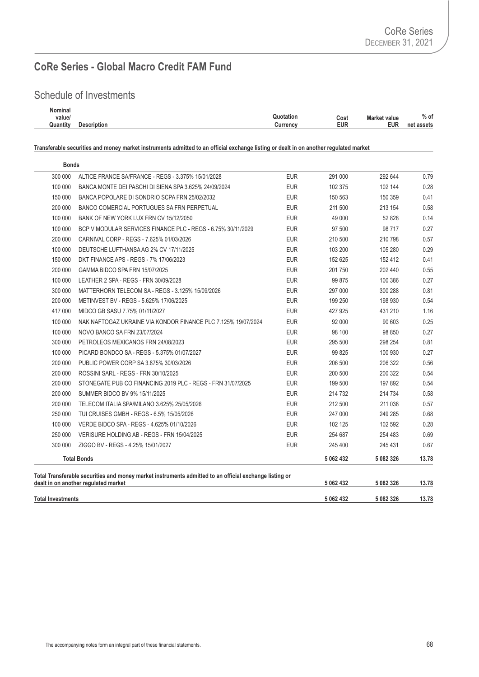#### **CoRe Series - Global Macro Credit FAM Fund**

#### Schedule of Investments

| Nominal  |             |                        |                     |               |
|----------|-------------|------------------------|---------------------|---------------|
| value/   |             | Quotation<br>Cost      | <b>Market value</b> | $%$ of        |
| Quantity | Description | <b>EUR</b><br>Currencv | <b>EUR</b>          | net<br>assets |
|          |             |                        |                     |               |

**Transferable securities and money market instruments admitted to an official exchange listing or dealt in on another regulated market**

| <b>Total Investments</b> |                                                                                                                                                |            | 5 062 432 | 5 082 326 | 13.78 |
|--------------------------|------------------------------------------------------------------------------------------------------------------------------------------------|------------|-----------|-----------|-------|
|                          | Total Transferable securities and money market instruments admitted to an official exchange listing or<br>dealt in on another regulated market |            | 5 062 432 | 5 082 326 | 13.78 |
|                          | <b>Total Bonds</b>                                                                                                                             |            | 5 062 432 | 5 082 326 | 13.78 |
| 300 000                  | ZIGGO BV - REGS - 4.25% 15/01/2027                                                                                                             | <b>EUR</b> | 245 400   | 245 431   | 0.67  |
| 250 000                  | VERISURE HOLDING AB - REGS - FRN 15/04/2025                                                                                                    | <b>EUR</b> | 254 687   | 254 483   | 0.69  |
| 100 000                  | VERDE BIDCO SPA - REGS - 4.625% 01/10/2026                                                                                                     | <b>EUR</b> | 102 125   | 102 592   | 0.28  |
| 250 000                  | TUI CRUISES GMBH - REGS - 6.5% 15/05/2026                                                                                                      | <b>EUR</b> | 247 000   | 249 285   | 0.68  |
| 200 000                  | TELECOM ITALIA SPA/MILANO 3.625% 25/05/2026                                                                                                    | <b>EUR</b> | 212 500   | 211 038   | 0.57  |
| 200 000                  | SUMMER BIDCO BV 9% 15/11/2025                                                                                                                  | <b>EUR</b> | 214 732   | 214 734   | 0.58  |
| 200 000                  | STONEGATE PUB CO FINANCING 2019 PLC - REGS - FRN 31/07/2025                                                                                    | <b>EUR</b> | 199 500   | 197 892   | 0.54  |
| 200 000                  | ROSSINI SARL - REGS - FRN 30/10/2025                                                                                                           | <b>EUR</b> | 200 500   | 200 322   | 0.54  |
| 200 000                  | PUBLIC POWER CORP SA 3.875% 30/03/2026                                                                                                         | <b>EUR</b> | 206 500   | 206 322   | 0.56  |
| 100 000                  | PICARD BONDCO SA - REGS - 5.375% 01/07/2027                                                                                                    | <b>EUR</b> | 99 825    | 100 930   | 0.27  |
| 300 000                  | PETROLEOS MEXICANOS FRN 24/08/2023                                                                                                             | <b>EUR</b> | 295 500   | 298 254   | 0.81  |
| 100 000                  | NOVO BANCO SA FRN 23/07/2024                                                                                                                   | <b>EUR</b> | 98 100    | 98 850    | 0.27  |
| 100 000                  | NAK NAFTOGAZ UKRAINE VIA KONDOR FINANCE PLC 7.125% 19/07/2024                                                                                  | <b>EUR</b> | 92 000    | 90 603    | 0.25  |
| 417 000                  | MIDCO GB SASU 7.75% 01/11/2027                                                                                                                 | <b>EUR</b> | 427 925   | 431 210   | 1.16  |
| 200 000                  | METINVEST BV - REGS - 5.625% 17/06/2025                                                                                                        | <b>EUR</b> | 199 250   | 198 930   | 0.54  |
| 300 000                  | MATTERHORN TELECOM SA - REGS - 3.125% 15/09/2026                                                                                               | <b>EUR</b> | 297 000   | 300 288   | 0.81  |
| 100 000                  | LEATHER 2 SPA - REGS - FRN 30/09/2028                                                                                                          | <b>EUR</b> | 99 875    | 100 386   | 0.27  |
| 200 000                  | GAMMA BIDCO SPA FRN 15/07/2025                                                                                                                 | <b>EUR</b> | 201 750   | 202 440   | 0.55  |
| 150 000                  | DKT FINANCE APS - REGS - 7% 17/06/2023                                                                                                         | <b>EUR</b> | 152 625   | 152 412   | 0.41  |
| 100 000                  | DEUTSCHE LUFTHANSA AG 2% CV 17/11/2025                                                                                                         | <b>EUR</b> | 103 200   | 105 280   | 0.29  |
| 200 000                  | CARNIVAL CORP - REGS - 7.625% 01/03/2026                                                                                                       | <b>EUR</b> | 210 500   | 210 798   | 0.57  |
| 100 000                  | BCP V MODULAR SERVICES FINANCE PLC - REGS - 6.75% 30/11/2029                                                                                   | <b>EUR</b> | 97 500    | 98 717    | 0.27  |
| 100 000                  | BANK OF NEW YORK LUX FRN CV 15/12/2050                                                                                                         | <b>EUR</b> | 49 000    | 52 828    | 0.14  |
| 200 000                  | BANCO COMERCIAL PORTUGUES SA FRN PERPETUAL                                                                                                     | <b>EUR</b> | 211 500   | 213 154   | 0.58  |
| 150 000                  | BANCA POPOLARE DI SONDRIO SCPA FRN 25/02/2032                                                                                                  | <b>EUR</b> | 150 563   | 150 359   | 0.41  |
| 100 000                  | BANCA MONTE DEI PASCHI DI SIENA SPA 3.625% 24/09/2024                                                                                          | <b>EUR</b> | 102 375   | 102 144   | 0.28  |
| 300 000                  | ALTICE FRANCE SA/FRANCE - REGS - 3.375% 15/01/2028                                                                                             | <b>EUR</b> | 291 000   | 292 644   | 0.79  |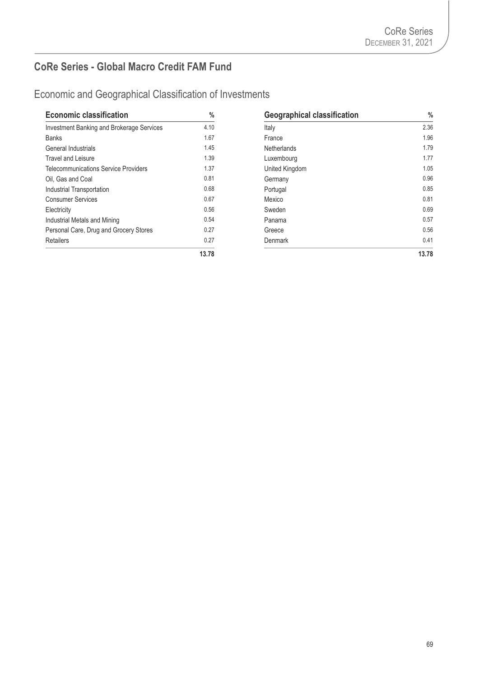#### **CoRe Series - Global Macro Credit FAM Fund**

| <b>Economic classification</b>                   | %     |
|--------------------------------------------------|-------|
| <b>Investment Banking and Brokerage Services</b> | 4.10  |
| <b>Banks</b>                                     | 1.67  |
| General Industrials                              | 1.45  |
| <b>Travel and Leisure</b>                        | 1.39  |
| Telecommunications Service Providers             | 1.37  |
| Oil. Gas and Coal                                | 0.81  |
| Industrial Transportation                        | 0.68  |
| <b>Consumer Services</b>                         | 0.67  |
| Electricity                                      | 0.56  |
| Industrial Metals and Mining                     | 0.54  |
| Personal Care, Drug and Grocery Stores           | 0.27  |
| Retailers                                        | 0.27  |
|                                                  | 12.78 |

| <b>Economic classification</b>                   | $\%$  | <b>Geographical classification</b> | $\frac{0}{0}$ |
|--------------------------------------------------|-------|------------------------------------|---------------|
| <b>Investment Banking and Brokerage Services</b> | 4.10  | Italy                              | 2.36          |
| <b>Banks</b>                                     | 1.67  | France                             | 1.96          |
| General Industrials                              | 1.45  | <b>Netherlands</b>                 | 1.79          |
| Travel and Leisure                               | 1.39  | Luxembourg                         | 1.77          |
| Telecommunications Service Providers             | 1.37  | United Kingdom                     | 1.05          |
| Oil. Gas and Coal                                | 0.81  | Germany                            | 0.96          |
| <b>Industrial Transportation</b>                 | 0.68  | Portugal                           | 0.85          |
| <b>Consumer Services</b>                         | 0.67  | Mexico                             | 0.81          |
| Electricity                                      | 0.56  | Sweden                             | 0.69          |
| Industrial Metals and Mining                     | 0.54  | Panama                             | 0.57          |
| Personal Care, Drug and Grocery Stores           | 0.27  | Greece                             | 0.56          |
| <b>Retailers</b>                                 | 0.27  | <b>Denmark</b>                     | 0.41          |
|                                                  | 13.78 |                                    | 13.78         |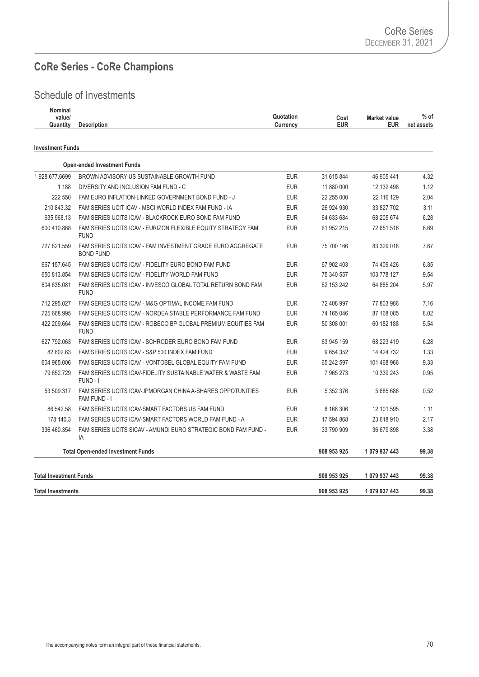#### **CoRe Series - CoRe Champions**

| Nominal<br>value/<br>Quantity | <b>Description</b>                                                              | Quotation<br>Currency | Cost<br><b>EUR</b> | <b>Market value</b><br><b>EUR</b> | $%$ of<br>net assets |
|-------------------------------|---------------------------------------------------------------------------------|-----------------------|--------------------|-----------------------------------|----------------------|
| <b>Investment Funds</b>       |                                                                                 |                       |                    |                                   |                      |
|                               | <b>Open-ended Investment Funds</b>                                              |                       |                    |                                   |                      |
| 1928 677.6699                 | BROWN ADVISORY US SUSTAINABLE GROWTH FUND                                       | <b>EUR</b>            | 31 615 844         | 46 905 441                        | 4.32                 |
| 1 1 8 8                       | DIVERSITY AND INCLUSION FAM FUND - C                                            | <b>EUR</b>            | 11 880 000         | 12 132 498                        | 1.12                 |
| 222 550                       | FAM EURO INFLATION-LINKED GOVERNMENT BOND FUND - J                              | <b>EUR</b>            | 22 255 000         | 22 116 129                        | 2.04                 |
| 210 843.32                    | FAM SERIES UCIT ICAV - MSCI WORLD INDEX FAM FUND - IA                           | <b>EUR</b>            | 26 924 930         | 33 827 702                        | 3.11                 |
| 635 968.13                    | FAM SERIES UCITS ICAV - BLACKROCK EURO BOND FAM FUND                            | <b>EUR</b>            | 64 633 684         | 68 205 674                        | 6.28                 |
| 600 410.868                   | FAM SERIES UCITS ICAV - EURIZON FLEXIBLE EQUITY STRATEGY FAM<br><b>FUND</b>     | <b>EUR</b>            | 61 952 215         | 72 651 516                        | 6.69                 |
| 727 821.559                   | FAM SERIES UCITS ICAV - FAM INVESTMENT GRADE EURO AGGREGATE<br><b>BOND FUND</b> | <b>EUR</b>            | 75 700 166         | 83 329 018                        | 7.67                 |
| 667 157.645                   | FAM SERIES UCITS ICAV - FIDELITY EURO BOND FAM FUND                             | <b>EUR</b>            | 67 902 403         | 74 409 426                        | 6.85                 |
| 650 813.854                   | FAM SERIES UCITS ICAV - FIDELITY WORLD FAM FUND                                 | <b>EUR</b>            | 75 340 557         | 103 778 127                       | 9.54                 |
| 604 635.081                   | FAM SERIES UCITS ICAV - INVESCO GLOBAL TOTAL RETURN BOND FAM<br><b>FUND</b>     | <b>EUR</b>            | 62 153 242         | 64 885 204                        | 5.97                 |
| 712 295.027                   | FAM SERIES UCITS ICAV - M&G OPTIMAL INCOME FAM FUND                             | <b>EUR</b>            | 72 408 997         | 77 803 986                        | 7.16                 |
| 725 668.995                   | FAM SERIES UCITS ICAV - NORDEA STABLE PERFORMANCE FAM FUND                      | <b>EUR</b>            | 74 165 046         | 87 168 085                        | 8.02                 |
| 422 209.664                   | FAM SERIES UCITS ICAV - ROBECO BP GLOBAL PREMIUM EQUITIES FAM<br><b>FUND</b>    | <b>EUR</b>            | 50 308 001         | 60 182 188                        | 5.54                 |
| 627 792.063                   | FAM SERIES UCITS ICAV - SCHRODER EURO BOND FAM FUND                             | <b>EUR</b>            | 63 945 159         | 68 223 419                        | 6.28                 |
| 82 602.63                     | FAM SERIES UCITS ICAV - S&P 500 INDEX FAM FUND                                  | <b>EUR</b>            | 9 654 352          | 14 424 732                        | 1.33                 |
| 604 965,006                   | FAM SERIES UCITS ICAV - VONTOBEL GLOBAL EQUITY FAM FUND                         | <b>EUR</b>            | 65 242 597         | 101 468 966                       | 9.33                 |
| 79 652.729                    | FAM SERIES UCITS ICAV-FIDELITY SUSTAINABLE WATER & WASTE FAM<br>FUND-I          | <b>EUR</b>            | 7 965 273          | 10 339 243                        | 0.95                 |
| 53 509.317                    | FAM SERIES UCITS ICAV-JPMORGAN CHINA A-SHARES OPPOTUNITIES<br>FAM FUND - I      | <b>EUR</b>            | 5 352 376          | 5685686                           | 0.52                 |
| 86 542.58                     | FAM SERIES UCITS ICAV-SMART FACTORS US FAM FUND                                 | <b>EUR</b>            | 8 168 306          | 12 101 595                        | 1.11                 |
| 178 140.3                     | FAM SERIES UCITS ICAV-SMART FACTORS WORLD FAM FUND - A                          | <b>EUR</b>            | 17 594 868         | 23 618 910                        | 2.17                 |
| 336 460.354                   | FAM SERIES UCITS SICAV - AMUNDI EURO STRATEGIC BOND FAM FUND -<br>IA            | <b>EUR</b>            | 33 790 909         | 36 679 898                        | 3.38                 |
|                               | <b>Total Open-ended Investment Funds</b>                                        |                       | 908 953 925        | 1079 937 443                      | 99.38                |
| <b>Total Investment Funds</b> |                                                                                 |                       | 908 953 925        | 1079937443                        | 99.38                |
| <b>Total Investments</b>      |                                                                                 |                       | 908 953 925        | 1 079 937 443                     | 99.38                |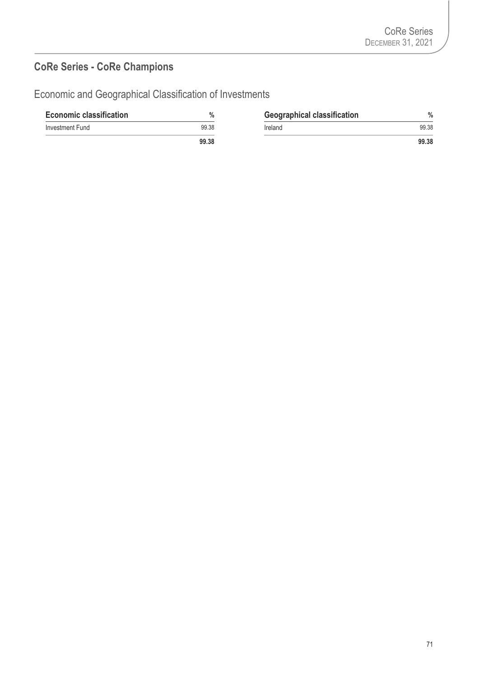# **CoRe Series - CoRe Champions**

| <b>Economic classification</b> | $\%$             | <b>Geographical classification</b> | $\%$  |
|--------------------------------|------------------|------------------------------------|-------|
| Investment Fund                | 99.38<br>Ireland |                                    | 99.38 |
|                                | 99.38            |                                    | 99.38 |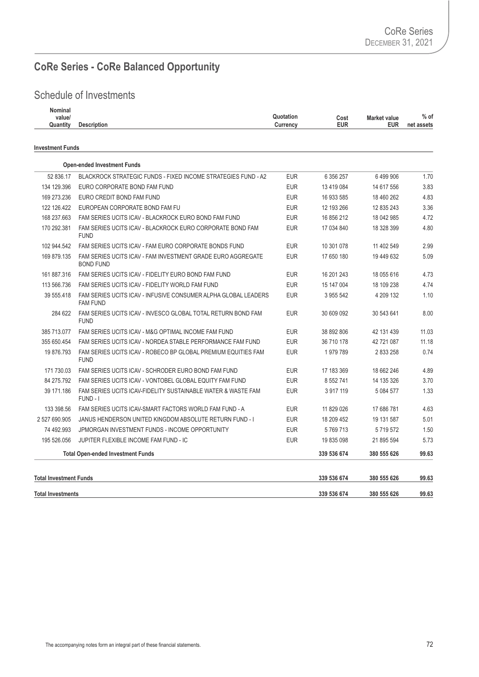# **CoRe Series - CoRe Balanced Opportunity**

| Nominal<br>value/<br>Quantity<br><b>Description</b> | Quotation<br>Cost<br><b>EUR</b><br>Currency | <b>Market value</b><br><b>EUR</b> | $%$ of<br>net assets |
|-----------------------------------------------------|---------------------------------------------|-----------------------------------|----------------------|
| <b>Investment Funds</b>                             |                                             |                                   |                      |

| <b>Total Investments</b>      |                                                                                   |            | 339 536 674   | 380 555 626   | 99.63 |
|-------------------------------|-----------------------------------------------------------------------------------|------------|---------------|---------------|-------|
| <b>Total Investment Funds</b> |                                                                                   |            | 339 536 674   | 380 555 626   | 99.63 |
|                               | <b>Total Open-ended Investment Funds</b>                                          |            | 339 536 674   | 380 555 626   | 99.63 |
| 195 526.056                   | JUPITER FLEXIBLE INCOME FAM FUND - IC                                             | <b>EUR</b> | 19 835 098    | 21 895 594    | 5.73  |
| 74 492.993                    | JPMORGAN INVESTMENT FUNDS - INCOME OPPORTUNITY                                    | <b>EUR</b> | 5769713       | 5 7 1 9 5 7 2 | 1.50  |
| 2 527 690.905                 | JANUS HENDERSON UNITED KINGDOM ABSOLUTE RETURN FUND - I                           | <b>EUR</b> | 18 209 452    | 19 131 587    | 5.01  |
| 133 398.56                    | FAM SERIES UCITS ICAV-SMART FACTORS WORLD FAM FUND - A                            | <b>EUR</b> | 11 829 026    | 17 686 781    | 4.63  |
| 39 171.186                    | FAM SERIES UCITS ICAV-FIDELITY SUSTAINABLE WATER & WASTE FAM<br>FUND - I          | <b>EUR</b> | 3917119       | 5 084 577     | 1.33  |
| 84 275.792                    | FAM SERIES UCITS ICAV - VONTOBEL GLOBAL EQUITY FAM FUND                           | <b>EUR</b> | 8 5 5 2 7 4 1 | 14 135 326    | 3.70  |
| 171 730.03                    | FAM SERIES UCITS ICAV - SCHRODER EURO BOND FAM FUND                               | <b>EUR</b> | 17 183 369    | 18 662 246    | 4.89  |
| 19 876.793                    | FAM SERIES UCITS ICAV - ROBECO BP GLOBAL PREMIUM EQUITIES FAM<br><b>FUND</b>      | <b>EUR</b> | 1979789       | 2833258       | 0.74  |
| 355 650.454                   | FAM SERIES UCITS ICAV - NORDEA STABLE PERFORMANCE FAM FUND                        | <b>EUR</b> | 36 710 178    | 42 721 087    | 11.18 |
| 385 713.077                   | FAM SERIES UCITS ICAV - M&G OPTIMAL INCOME FAM FUND                               | <b>EUR</b> | 38 892 806    | 42 131 439    | 11.03 |
| 284 622                       | FAM SERIES UCITS ICAV - INVESCO GLOBAL TOTAL RETURN BOND FAM<br><b>FUND</b>       | <b>EUR</b> | 30 609 092    | 30 543 641    | 8.00  |
| 39 555.418                    | FAM SERIES UCITS ICAV - INFUSIVE CONSUMER ALPHA GLOBAL LEADERS<br><b>FAM FUND</b> | <b>EUR</b> | 3 955 542     | 4 209 132     | 1.10  |
| 113 566.736                   | FAM SERIES UCITS ICAV - FIDELITY WORLD FAM FUND                                   | <b>EUR</b> | 15 147 004    | 18 109 238    | 4.74  |
| 161 887.316                   | FAM SERIES UCITS ICAV - FIDELITY EURO BOND FAM FUND                               | <b>EUR</b> | 16 201 243    | 18 055 616    | 4.73  |
| 169 879.135                   | FAM SERIES UCITS ICAV - FAM INVESTMENT GRADE EURO AGGREGATE<br><b>BOND FUND</b>   | <b>EUR</b> | 17 650 180    | 19 449 632    | 5.09  |
| 102 944.542                   | FAM SERIES UCITS ICAV - FAM EURO CORPORATE BONDS FUND                             | <b>EUR</b> | 10 301 078    | 11 402 549    | 2.99  |
| 170 292.381                   | FAM SERIES UCITS ICAV - BLACKROCK EURO CORPORATE BOND FAM<br><b>FUND</b>          | <b>EUR</b> | 17 034 840    | 18 328 399    | 4.80  |
| 168 237.663                   | FAM SERIES UCITS ICAV - BLACKROCK EURO BOND FAM FUND                              | <b>EUR</b> | 16 856 212    | 18 042 985    | 4.72  |
| 122 126.422                   | EUROPEAN CORPORATE BOND FAM FU                                                    | <b>EUR</b> | 12 193 266    | 12 835 243    | 3.36  |
| 169 273.236                   | EURO CREDIT BOND FAM FUND                                                         | <b>EUR</b> | 16 933 585    | 18 460 262    | 4.83  |
| 134 129.396                   | EURO CORPORATE BOND FAM FUND                                                      | <b>EUR</b> | 13 419 084    | 14 617 556    | 3.83  |
| 52 836.17                     | BLACKROCK STRATEGIC FUNDS - FIXED INCOME STRATEGIES FUND - A2                     | <b>EUR</b> | 6 356 257     | 6499906       | 1.70  |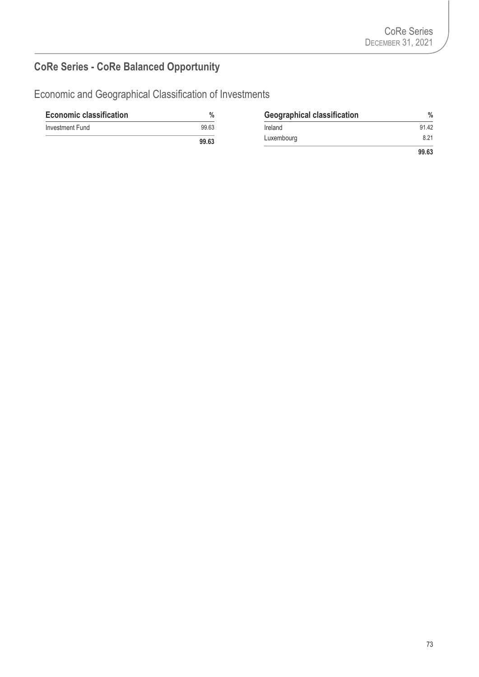# **CoRe Series - CoRe Balanced Opportunity**

| <b>Economic classification</b> | %     | <b>Geographical classification</b> | $\%$  |
|--------------------------------|-------|------------------------------------|-------|
| Investment Fund                | 99.63 | Ireland                            | 91.42 |
|                                | 99.63 | Luxembourg                         | 8.21  |
|                                |       |                                    | 99.63 |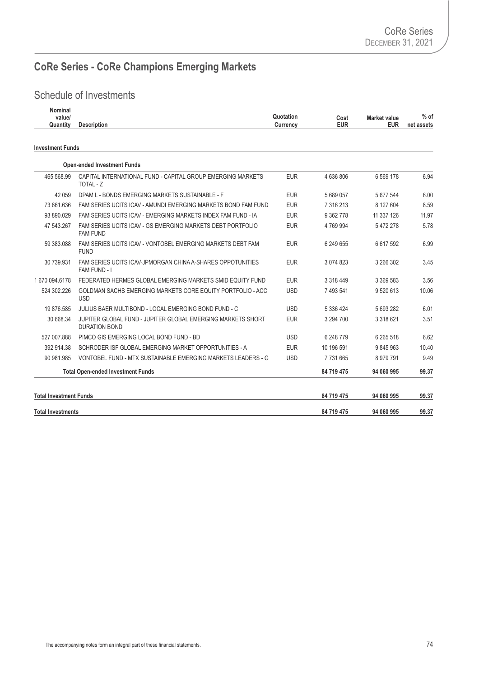# **CoRe Series - CoRe Champions Emerging Markets**

| <b>Nominal</b><br>value/<br>Quantity | <b>Description</b>                                                                  | Quotation<br>Currency | Cost<br><b>EUR</b> | <b>Market value</b><br><b>EUR</b> | $%$ of<br>net assets |
|--------------------------------------|-------------------------------------------------------------------------------------|-----------------------|--------------------|-----------------------------------|----------------------|
| <b>Investment Funds</b>              |                                                                                     |                       |                    |                                   |                      |
|                                      | <b>Open-ended Investment Funds</b>                                                  |                       |                    |                                   |                      |
| 465 568.99                           | CAPITAL INTERNATIONAL FUND - CAPITAL GROUP EMERGING MARKETS<br>TOTAL - Z            | <b>EUR</b>            | 4 636 806          | 6 5 69 178                        | 6.94                 |
| 42 059                               | DPAM L - BONDS EMERGING MARKETS SUSTAINABLE - F                                     | <b>EUR</b>            | 5 689 057          | 5 677 544                         | 6.00                 |
| 73 661.636                           | FAM SERIES UCITS ICAV - AMUNDI EMERGING MARKETS BOND FAM FUND                       | <b>EUR</b>            | 7 316 213          | 8 127 604                         | 8.59                 |
| 93 890.029                           | FAM SERIES UCITS ICAV - EMERGING MARKETS INDEX FAM FUND - IA                        | <b>EUR</b>            | 9 362 778          | 11 337 126                        | 11.97                |
| 47 543.267                           | FAM SERIES UCITS ICAV - GS EMERGING MARKETS DEBT PORTFOLIO<br><b>FAM FUND</b>       | <b>EUR</b>            | 4 769 994          | 5 472 278                         | 5.78                 |
| 59 383.088                           | FAM SERIES UCITS ICAV - VONTOBEL EMERGING MARKETS DEBT FAM<br><b>FUND</b>           | <b>EUR</b>            | 6 249 655          | 6 617 592                         | 6.99                 |
| 30 739.931                           | FAM SERIES UCITS ICAV-JPMORGAN CHINA A-SHARES OPPOTUNITIES<br>FAM FUND - I          | <b>EUR</b>            | 3 074 823          | 3 266 302                         | 3.45                 |
| 1670 094.6178                        | FEDERATED HERMES GLOBAL EMERGING MARKETS SMID EQUITY FUND                           | <b>EUR</b>            | 3 3 18 4 49        | 3 369 583                         | 3.56                 |
| 524 302.226                          | GOLDMAN SACHS EMERGING MARKETS CORE EQUITY PORTFOLIO - ACC<br><b>USD</b>            | <b>USD</b>            | 7 493 541          | 9 520 613                         | 10.06                |
| 19 876.585                           | JULIUS BAER MULTIBOND - LOCAL EMERGING BOND FUND - C                                | <b>USD</b>            | 5 336 424          | 5 693 282                         | 6.01                 |
| 30 668.34                            | JUPITER GLOBAL FUND - JUPITER GLOBAL EMERGING MARKETS SHORT<br><b>DURATION BOND</b> | <b>EUR</b>            | 3 294 700          | 3 318 621                         | 3.51                 |
| 527 007.888                          | PIMCO GIS EMERGING LOCAL BOND FUND - BD                                             | <b>USD</b>            | 6 248 779          | 6 265 518                         | 6.62                 |
| 392 914.38                           | SCHRODER ISF GLOBAL EMERGING MARKET OPPORTUNITIES - A                               | <b>EUR</b>            | 10 196 591         | 9 845 963                         | 10.40                |
| 90 981.985                           | VONTOBEL FUND - MTX SUSTAINABLE EMERGING MARKETS LEADERS - G                        | <b>USD</b>            | 7 731 665          | 8 979 791                         | 9.49                 |
|                                      | <b>Total Open-ended Investment Funds</b>                                            |                       | 84 719 475         | 94 060 995                        | 99.37                |
| <b>Total Investment Funds</b>        |                                                                                     |                       | 84 719 475         | 94 060 995                        | 99.37                |
| <b>Total Investments</b>             |                                                                                     |                       | 84 719 475         | 94 060 995                        | 99.37                |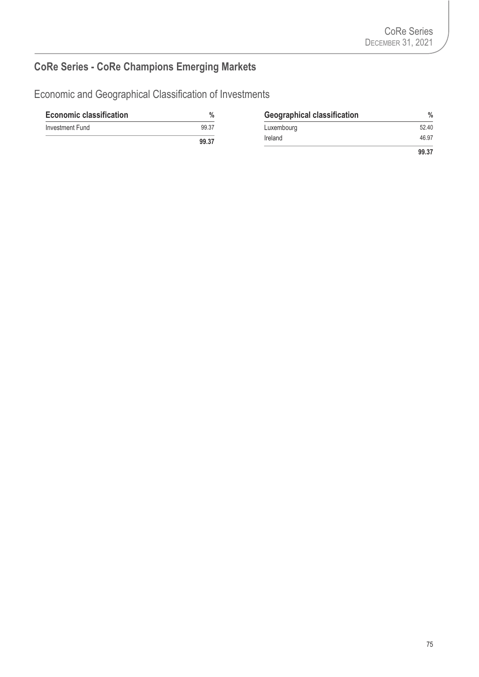# **CoRe Series - CoRe Champions Emerging Markets**

| <b>Economic classification</b> | $\%$  | <b>Geographical classification</b> | $\frac{0}{0}$ |
|--------------------------------|-------|------------------------------------|---------------|
| Investment Fund                | 99.37 | Luxembourg                         | 52.40         |
|                                | 99.37 | Ireland                            | 46.97         |
|                                |       |                                    | 99.37         |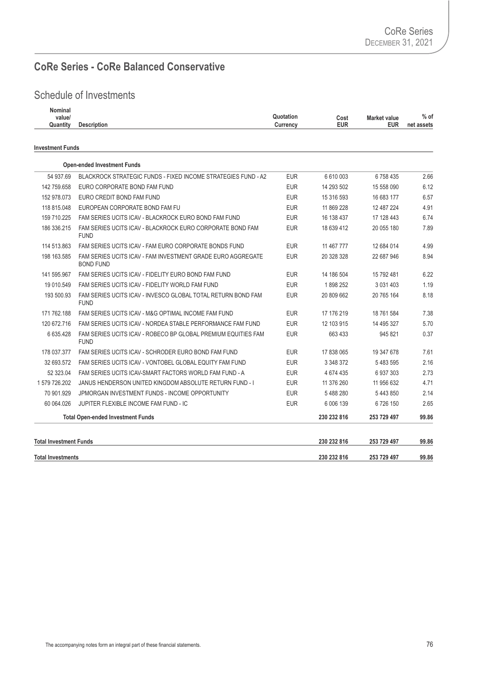#### **CoRe Series - CoRe Balanced Conservative**

| Nominal<br>value/ |                    | Quotation | Cost       | <b>Market value</b> | % of       |
|-------------------|--------------------|-----------|------------|---------------------|------------|
| Quantity          | <b>Description</b> | Currencv  | <b>EUR</b> | <b>EUR</b>          | net assets |
|                   |                    |           |            |                     |            |

| <b>Investment Funds</b>       |                                                                                 |            |             |               |       |
|-------------------------------|---------------------------------------------------------------------------------|------------|-------------|---------------|-------|
|                               | <b>Open-ended Investment Funds</b>                                              |            |             |               |       |
| 54 937.69                     | <b>BLACKROCK STRATEGIC FUNDS - FIXED INCOME STRATEGIES FUND - A2</b>            | <b>EUR</b> | 6 610 003   | 6758435       | 2.66  |
| 142 759.658                   | EURO CORPORATE BOND FAM FUND                                                    | <b>EUR</b> | 14 293 502  | 15 558 090    | 6.12  |
| 152 978.073                   | EURO CREDIT BOND FAM FUND                                                       | <b>EUR</b> | 15 316 593  | 16 683 177    | 6.57  |
| 118 815.048                   | EUROPEAN CORPORATE BOND FAM FU                                                  | <b>EUR</b> | 11 869 228  | 12 487 224    | 4.91  |
| 159 710.225                   | FAM SERIES UCITS ICAV - BLACKROCK EURO BOND FAM FUND                            | <b>EUR</b> | 16 138 437  | 17 128 443    | 6.74  |
| 186 336.215                   | FAM SERIES UCITS ICAV - BLACKROCK EURO CORPORATE BOND FAM<br><b>FUND</b>        | <b>EUR</b> | 18 639 412  | 20 055 180    | 7.89  |
| 114 513.863                   | FAM SERIES UCITS ICAV - FAM EURO CORPORATE BONDS FUND                           | <b>EUR</b> | 11 467 777  | 12 684 014    | 4.99  |
| 198 163.585                   | FAM SERIES UCITS ICAV - FAM INVESTMENT GRADE EURO AGGREGATE<br><b>BOND FUND</b> | <b>EUR</b> | 20 328 328  | 22 687 946    | 8.94  |
| 141 595.967                   | FAM SERIES UCITS ICAV - FIDELITY EURO BOND FAM FUND                             | <b>EUR</b> | 14 186 504  | 15 792 481    | 6.22  |
| 19 010.549                    | FAM SERIES UCITS ICAV - FIDELITY WORLD FAM FUND                                 | <b>EUR</b> | 1898252     | 3 0 3 1 4 0 3 | 1.19  |
| 193 500.93                    | FAM SERIES UCITS ICAV - INVESCO GLOBAL TOTAL RETURN BOND FAM<br><b>FUND</b>     | <b>EUR</b> | 20 809 662  | 20 765 164    | 8.18  |
| 171 762.188                   | FAM SERIES UCITS ICAV - M&G OPTIMAL INCOME FAM FUND                             | <b>EUR</b> | 17 176 219  | 18 761 584    | 7.38  |
| 120 672.716                   | FAM SERIES UCITS ICAV - NORDEA STABLE PERFORMANCE FAM FUND                      | <b>EUR</b> | 12 103 915  | 14 495 327    | 5.70  |
| 6 635.428                     | FAM SERIES UCITS ICAV - ROBECO BP GLOBAL PREMIUM EQUITIES FAM<br><b>FUND</b>    | <b>EUR</b> | 663 433     | 945 821       | 0.37  |
| 178 037.377                   | FAM SERIES UCITS ICAV - SCHRODER EURO BOND FAM FUND                             | <b>EUR</b> | 17 838 065  | 19 347 678    | 7.61  |
| 32 693.572                    | FAM SERIES UCITS ICAV - VONTOBEL GLOBAL EQUITY FAM FUND                         | <b>EUR</b> | 3 348 372   | 5483595       | 2.16  |
| 52 323.04                     | FAM SERIES UCITS ICAV-SMART FACTORS WORLD FAM FUND - A                          | <b>EUR</b> | 4 674 435   | 6937303       | 2.73  |
| 1579726.202                   | JANUS HENDERSON UNITED KINGDOM ABSOLUTE RETURN FUND - I                         | <b>EUR</b> | 11 376 260  | 11 956 632    | 4.71  |
| 70 901.929                    | JPMORGAN INVESTMENT FUNDS - INCOME OPPORTUNITY                                  | <b>EUR</b> | 5488280     | 5 443 850     | 2.14  |
| 60 064 026                    | JUPITER FLEXIBLE INCOME FAM FUND - IC                                           | <b>EUR</b> | 6 006 139   | 6 726 150     | 2.65  |
|                               | <b>Total Open-ended Investment Funds</b>                                        |            | 230 232 816 | 253 729 497   | 99.86 |
| <b>Total Investment Funds</b> |                                                                                 |            | 230 232 816 | 253 729 497   | 99.86 |
| <b>Total Investments</b>      |                                                                                 |            | 230 232 816 | 253 729 497   | 99.86 |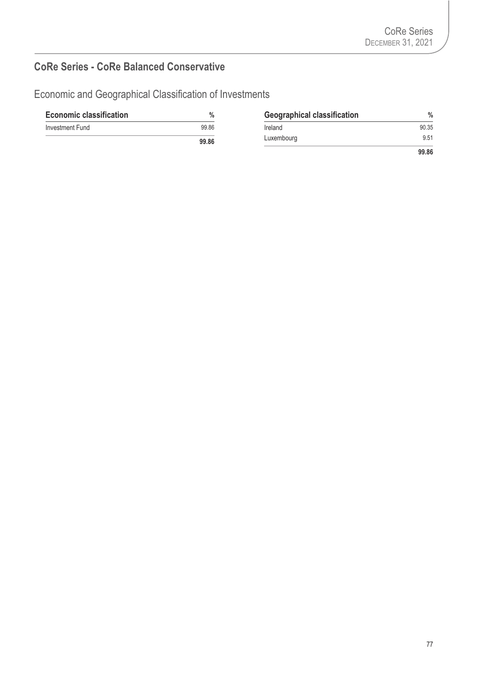#### **CoRe Series - CoRe Balanced Conservative**

| <b>Economic classification</b> | $\%$  | <b>Geographical classification</b> | $\%$  |
|--------------------------------|-------|------------------------------------|-------|
| Investment Fund                | 99.86 | Ireland                            | 90.35 |
|                                | 99.86 | Luxembourg                         | 9.51  |
|                                |       |                                    | 99.86 |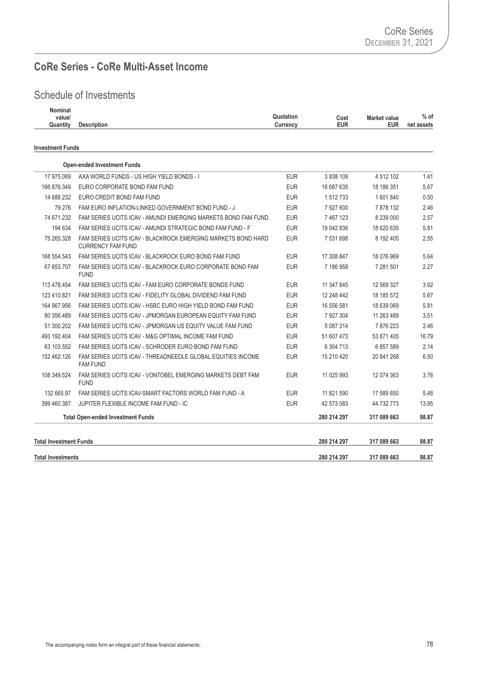#### **CoRe Series - CoRe Multi-Asset Income**

| Nominal<br>value/<br>Quantity | <b>Description</b>                                                                                                  | Quotation<br>Currency    | Cost<br><b>EUR</b>     | <b>Market value</b><br><b>EUR</b> | $%$ of<br>net assets |
|-------------------------------|---------------------------------------------------------------------------------------------------------------------|--------------------------|------------------------|-----------------------------------|----------------------|
| <b>Investment Funds</b>       |                                                                                                                     |                          |                        |                                   |                      |
|                               |                                                                                                                     |                          |                        |                                   |                      |
|                               | <b>Open-ended Investment Funds</b>                                                                                  |                          |                        |                                   |                      |
| 17 975,069                    | AXA WORLD FUNDS - US HIGH YIELD BONDS - I                                                                           | <b>EUR</b>               | 3 838 109              | 4 512 102                         | 1.41                 |
| 166 876.349                   | EURO CORPORATE BOND FAM FUND                                                                                        | <b>EUR</b>               | 16 687 635             | 18 186 351                        | 5.67                 |
| 14 688.232                    | EURO CREDIT BOND FAM FUND                                                                                           | <b>EUR</b><br><b>EUR</b> | 1 512 733              | 1 601 840                         | 0.50<br>2.46         |
| 79 276<br>74 671.232          | FAM EURO INFLATION-LINKED GOVERNMENT BOND FUND - J<br>FAM SERIES UCITS ICAV - AMUNDI EMERGING MARKETS BOND FAM FUND | <b>EUR</b>               | 7 927 600<br>7 467 123 | 7878132<br>8 239 000              | 2.57                 |
| 194 634                       | FAM SERIES UCITS ICAV - AMUNDI STRATEGIC BOND FAM FUND - F                                                          | <b>EUR</b>               | 19 042 836             | 18 620 635                        | 5.81                 |
| 75 265.328                    | FAM SERIES UCITS ICAV - BLACKROCK EMERGING MARKETS BOND HARD                                                        | <b>EUR</b>               | 7 531 698              | 8 192 405                         | 2.55                 |
|                               | <b>CURRENCY FAM FUND</b>                                                                                            |                          |                        |                                   |                      |
| 168 554.543                   | FAM SERIES UCITS ICAV - BLACKROCK EURO BOND FAM FUND                                                                | <b>EUR</b>               | 17 308 847             | 18 076 969                        | 5.64                 |
| 67 653.707                    | FAM SERIES UCITS ICAV - BLACKROCK EURO CORPORATE BOND FAM<br><b>FUND</b>                                            | <b>EUR</b>               | 7 186 958              | 7 281 501                         | 2.27                 |
| 113 478.454                   | FAM SERIES UCITS ICAV - FAM EURO CORPORATE BONDS FUND                                                               | <b>EUR</b>               | 11 347 845             | 12 569 327                        | 3.92                 |
| 123 410.821                   | FAM SERIES UCITS ICAV - FIDELITY GLOBAL DIVIDEND FAM FUND                                                           | <b>EUR</b>               | 12 248 442             | 18 185 572                        | 5.67                 |
| 164 967.956                   | FAM SERIES UCITS ICAV - HSBC EURO HIGH YIELD BOND FAM FUND                                                          | <b>EUR</b>               | 16 556 581             | 18 639 069                        | 5.81                 |
| 80 356.489                    | FAM SERIES UCITS ICAV - JPMORGAN EUROPEAN EQUITY FAM FUND                                                           | <b>EUR</b>               | 7 927 304              | 11 263 489                        | 3.51                 |
| 51 300.202                    | FAM SERIES UCITS ICAV - JPMORGAN US EQUITY VALUE FAM FUND                                                           | <b>EUR</b>               | 5 087 314              | 7876223                           | 2.46                 |
| 493 192.404                   | FAM SERIES UCITS ICAV - M&G OPTIMAL INCOME FAM FUND                                                                 | <b>EUR</b>               | 51 607 473             | 53 871 405                        | 16.79                |
| 63 103.552                    | FAM SERIES UCITS ICAV - SCHRODER EURO BOND FAM FUND                                                                 | <b>EUR</b>               | 6 304 713              | 6857589                           | 2.14                 |
| 152 462.126                   | FAM SERIES UCITS ICAV - THREADNEEDLE GLOBAL EQUITIES INCOME<br><b>FAM FUND</b>                                      | <b>EUR</b>               | 15 210 420             | 20 841 268                        | 6.50                 |
| 108 349.524                   | FAM SERIES UCITS ICAV - VONTOBEL EMERGING MARKETS DEBT FAM<br><b>FUND</b>                                           | <b>EUR</b>               | 11 025 993             | 12 074 363                        | 3.76                 |
| 132 665.97                    | FAM SERIES UCITS ICAV-SMART FACTORS WORLD FAM FUND - A                                                              | <b>EUR</b>               | 11 821 590             | 17 589 650                        | 5.48                 |
| 399 460.387                   | JUPITER FLEXIBLE INCOME FAM FUND - IC                                                                               | <b>EUR</b>               | 42 573 083             | 44 732 773                        | 13.95                |
|                               | <b>Total Open-ended Investment Funds</b>                                                                            |                          | 280 214 297            | 317 089 663                       | 98.87                |
| <b>Total Investment Funds</b> |                                                                                                                     |                          | 280 214 297            | 317 089 663                       | 98.87                |
| <b>Total Investments</b>      |                                                                                                                     |                          | 280 214 297            | 317 089 663                       | 98.87                |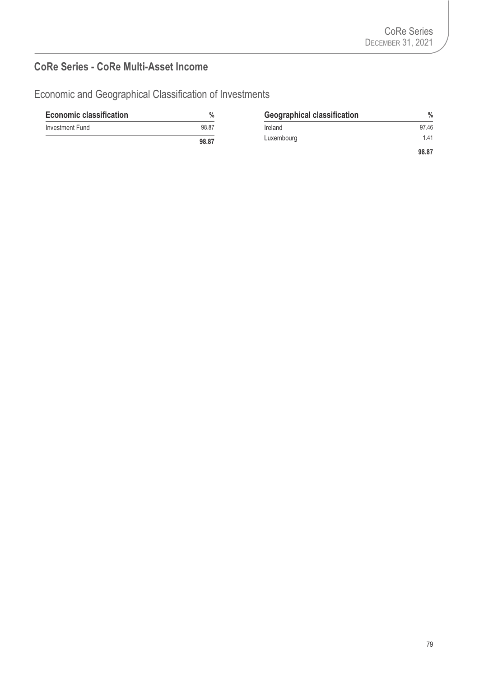#### **CoRe Series - CoRe Multi-Asset Income**

| <b>Economic classification</b> | $\%$  | <b>Geographical classification</b> | $\%$  |
|--------------------------------|-------|------------------------------------|-------|
| Investment Fund                | 98.87 | Ireland                            | 97.46 |
|                                | 98.87 | Luxembourg                         | 1.41  |
|                                |       |                                    | 98.87 |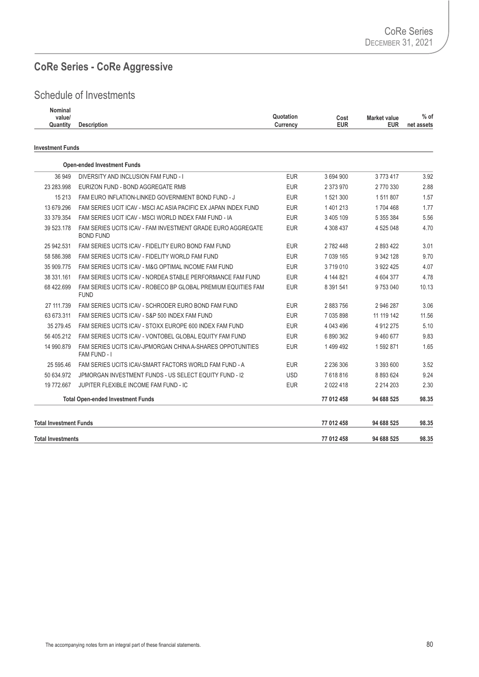#### **CoRe Series - CoRe Aggressive**

#### Schedule of Investments

| Nominal  |                    |                                          |                          |
|----------|--------------------|------------------------------------------|--------------------------|
| value/   |                    | Quotation<br>Cost<br><b>Market value</b> | $%$ of                   |
| Quantity | <b>Description</b> | <b>EUR</b><br>Currencv                   | <b>EUR</b><br>net assets |
|          |                    |                                          |                          |

#### **Investment Funds**

| <b>Total Investments</b>      |                                                                                 |            | 77 012 458    | 94 688 525   | 98.35 |
|-------------------------------|---------------------------------------------------------------------------------|------------|---------------|--------------|-------|
| <b>Total Investment Funds</b> |                                                                                 |            | 77 012 458    | 94 688 525   | 98.35 |
|                               | <b>Total Open-ended Investment Funds</b>                                        |            | 77 012 458    | 94 688 525   | 98.35 |
| 19 772.667                    | JUPITER FLEXIBLE INCOME FAM FUND - IC                                           | <b>EUR</b> | 2 0 2 2 4 1 8 | 2 2 14 2 0 3 | 2.30  |
| 50 634.972                    | JPMORGAN INVESTMENT FUNDS - US SELECT EQUITY FUND - 12                          | <b>USD</b> | 7618816       | 8 893 624    | 9.24  |
| 25 595.46                     | FAM SERIES UCITS ICAV-SMART FACTORS WORLD FAM FUND - A                          | <b>EUR</b> | 2 236 306     | 3 393 600    | 3.52  |
| 14 990.879                    | FAM SERIES UCITS ICAV-JPMORGAN CHINA A-SHARES OPPOTUNITIES<br>FAM FUND - I      | <b>EUR</b> | 1 499 492     | 1592871      | 1.65  |
| 56 405.212                    | FAM SERIES UCITS ICAV - VONTOBEL GLOBAL EQUITY FAM FUND                         | <b>EUR</b> | 6890362       | 9460677      | 9.83  |
| 35 279.45                     | FAM SERIES UCITS ICAV - STOXX EUROPE 600 INDEX FAM FUND                         | <b>EUR</b> | 4 043 496     | 4 912 275    | 5.10  |
| 63 673.311                    | FAM SERIES UCITS ICAV - S&P 500 INDEX FAM FUND                                  | <b>EUR</b> | 7 035 898     | 11 119 142   | 11.56 |
| 27 111.739                    | FAM SERIES UCITS ICAV - SCHRODER EURO BOND FAM FUND                             | <b>EUR</b> | 2883756       | 2 946 287    | 3.06  |
| 68 422.699                    | FAM SERIES UCITS ICAV - ROBECO BP GLOBAL PREMIUM EQUITIES FAM<br><b>FUND</b>    | <b>EUR</b> | 8 391 541     | 9753040      | 10.13 |
| 38 331.161                    | FAM SERIES UCITS ICAV - NORDEA STABLE PERFORMANCE FAM FUND                      | <b>EUR</b> | 4 144 821     | 4 604 377    | 4.78  |
| 35 909.775                    | FAM SERIES UCITS ICAV - M&G OPTIMAL INCOME FAM FUND                             | <b>EUR</b> | 3719010       | 3 922 425    | 4.07  |
| 58 586.398                    | FAM SERIES UCITS ICAV - FIDELITY WORLD FAM FUND                                 | <b>EUR</b> | 7 039 165     | 9 342 128    | 9.70  |
| 25 942.531                    | FAM SERIES UCITS ICAV - FIDELITY EURO BOND FAM FUND                             | <b>EUR</b> | 2 782 448     | 2893422      | 3.01  |
| 39 523.178                    | FAM SERIES UCITS ICAV - FAM INVESTMENT GRADE EURO AGGREGATE<br><b>BOND FUND</b> | <b>EUR</b> | 4 308 437     | 4 525 048    | 4.70  |
| 33 379.354                    | FAM SERIES UCIT ICAV - MSCI WORLD INDEX FAM FUND - IA                           | <b>EUR</b> | 3 405 109     | 5 355 384    | 5.56  |
| 13 679.296                    | FAM SERIES UCIT ICAV - MSCI AC ASIA PACIFIC EX JAPAN INDEX FUND                 | <b>EUR</b> | 1 401 213     | 1704 468     | 1.77  |
| 15 213                        | FAM EURO INFLATION-LINKED GOVERNMENT BOND FUND - J                              | <b>EUR</b> | 1 521 300     | 1511807      | 1.57  |
| 23 283.998                    | EURIZON FUND - BOND AGGREGATE RMB                                               | <b>EUR</b> | 2 373 970     | 2 770 330    | 2.88  |
| 36 949                        | DIVERSITY AND INCLUSION FAM FUND - I                                            | <b>EUR</b> | 3 694 900     | 3773417      | 3.92  |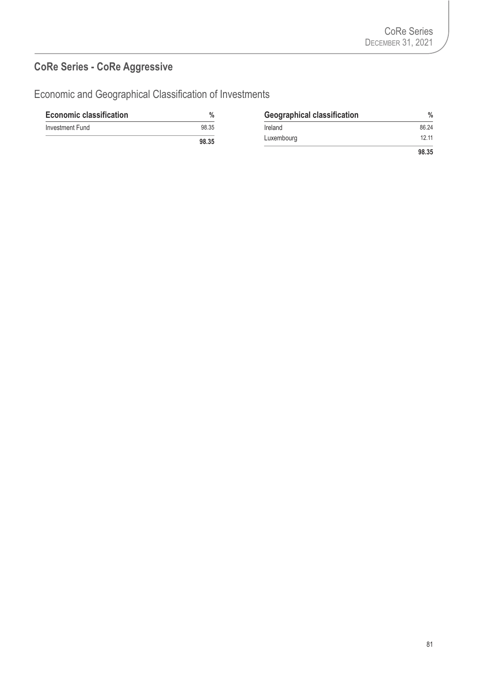# **CoRe Series - CoRe Aggressive**

| <b>Economic classification</b> | $\frac{0}{0}$ | <b>Geographical classification</b> | $\frac{0}{0}$ |
|--------------------------------|---------------|------------------------------------|---------------|
| Investment Fund                | 98.35         | Ireland                            | 86.24         |
|                                | 98.35         | Luxembourg                         | 12.11         |
|                                |               |                                    | 98.35         |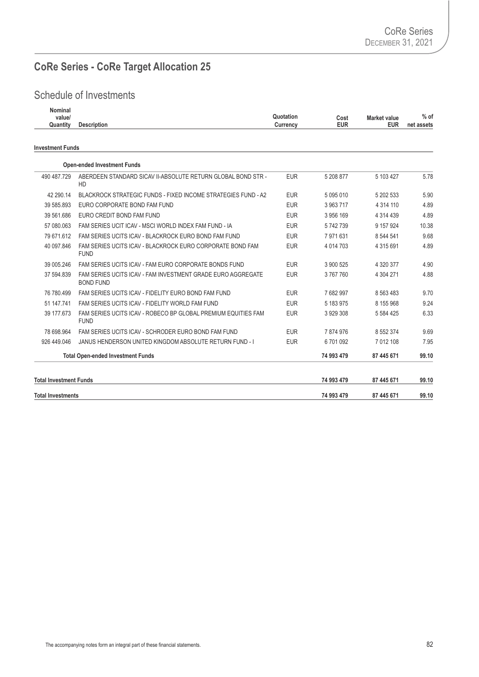# **CoRe Series - CoRe Target Allocation 25**

| Nominal<br>value/<br>Quantity | <b>Description</b>                                                              | Quotation<br>Currency | Cost<br><b>EUR</b> | <b>Market value</b><br><b>EUR</b> | $%$ of<br>net assets |
|-------------------------------|---------------------------------------------------------------------------------|-----------------------|--------------------|-----------------------------------|----------------------|
| <b>Investment Funds</b>       |                                                                                 |                       |                    |                                   |                      |
|                               | <b>Open-ended Investment Funds</b>                                              |                       |                    |                                   |                      |
| 490 487.729                   | ABERDEEN STANDARD SICAV II-ABSOLUTE RETURN GLOBAL BOND STR -<br>HD              | <b>EUR</b>            | 5 208 877          | 5 103 427                         | 5.78                 |
| 42 290.14                     | <b>BLACKROCK STRATEGIC FUNDS - FIXED INCOME STRATEGIES FUND - A2</b>            | <b>EUR</b>            | 5 095 010          | 5 202 533                         | 5.90                 |
| 39 585.893                    | EURO CORPORATE BOND FAM FUND                                                    | <b>EUR</b>            | 3 963 717          | 4 3 1 4 1 1 0                     | 4.89                 |
| 39 561.686                    | EURO CREDIT BOND FAM FUND                                                       | <b>EUR</b>            | 3 956 169          | 4 314 439                         | 4.89                 |
| 57 080,063                    | FAM SERIES UCIT ICAV - MSCI WORLD INDEX FAM FUND - IA                           | <b>EUR</b>            | 5742739            | 9 157 9 24                        | 10.38                |
| 79 671.612                    | FAM SERIES UCITS ICAV - BLACKROCK EURO BOND FAM FUND                            | <b>EUR</b>            | 7971631            | 8 544 541                         | 9.68                 |
| 40 097.846                    | FAM SERIES UCITS ICAV - BLACKROCK EURO CORPORATE BOND FAM<br><b>FUND</b>        | <b>EUR</b>            | 4 0 14 7 0 3       | 4 3 1 5 6 9 1                     | 4.89                 |
| 39 005.246                    | FAM SERIES UCITS ICAV - FAM FURO CORPORATE BONDS FUND                           | <b>EUR</b>            | 3 900 525          | 4 320 377                         | 4.90                 |
| 37 594.839                    | FAM SERIES UCITS ICAV - FAM INVESTMENT GRADE EURO AGGREGATE<br><b>BOND FUND</b> | <b>EUR</b>            | 3767760            | 4 304 271                         | 4.88                 |
| 76 780.499                    | FAM SERIES UCITS ICAV - FIDELITY EURO BOND FAM FUND                             | <b>EUR</b>            | 7682997            | 8 5 6 3 4 8 3                     | 9.70                 |
| 51 147.741                    | FAM SERIES UCITS ICAV - FIDELITY WORLD FAM FUND                                 | <b>EUR</b>            | 5 183 975          | 8 155 968                         | 9.24                 |
| 39 177.673                    | FAM SERIES UCITS ICAV - ROBECO BP GLOBAL PREMIUM EQUITIES FAM<br><b>FUND</b>    | <b>EUR</b>            | 3 929 308          | 5 5 8 4 4 2 5                     | 6.33                 |
| 78 698.964                    | FAM SERIES UCITS ICAV - SCHRODER EURO BOND FAM FUND                             | <b>EUR</b>            | 7874976            | 8 552 374                         | 9.69                 |
| 926 449 046                   | JANUS HENDERSON UNITED KINGDOM ABSOLUTE RETURN FUND - I                         | <b>EUR</b>            | 6701092            | 7 012 108                         | 7.95                 |
|                               | <b>Total Open-ended Investment Funds</b>                                        |                       | 74 993 479         | 87 445 671                        | 99.10                |

| <b>Total Investment Funds</b> | 74 993 479 | 87 445 671 | 99.10 |
|-------------------------------|------------|------------|-------|
| <b>Total Investments</b>      | 74 993 479 | 87 445 671 | 99.10 |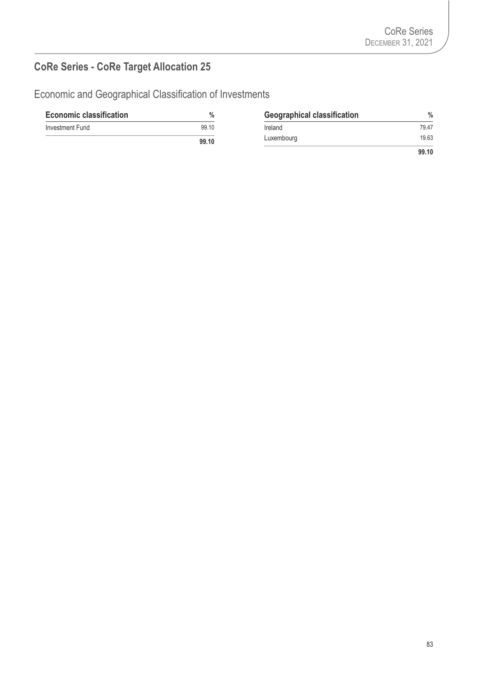# **CoRe Series - CoRe Target Allocation 25**

| <b>Economic classification</b> | $\%$  | <b>Geographical classification</b> | $\frac{0}{0}$ |
|--------------------------------|-------|------------------------------------|---------------|
| Investment Fund                | 99.10 | Ireland                            | 79.47         |
|                                | 99.10 | Luxembourg                         | 19.63         |
|                                |       |                                    | 99.10         |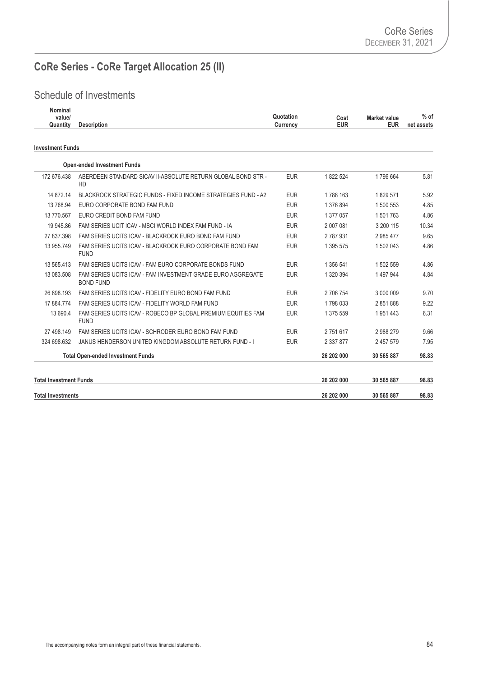# **CoRe Series - CoRe Target Allocation 25 (II)**

| <b>Nominal</b><br>value/<br>Quantity | <b>Description</b>                                                              | Quotation<br>Currency | Cost<br><b>EUR</b> | <b>Market value</b><br><b>EUR</b> | $%$ of<br>net assets |
|--------------------------------------|---------------------------------------------------------------------------------|-----------------------|--------------------|-----------------------------------|----------------------|
| <b>Investment Funds</b>              |                                                                                 |                       |                    |                                   |                      |
|                                      | <b>Open-ended Investment Funds</b>                                              |                       |                    |                                   |                      |
| 172 676.438                          | ABERDEEN STANDARD SICAV II-ABSOLUTE RETURN GLOBAL BOND STR -<br>HD              | <b>EUR</b>            | 1822 524           | 1796 664                          | 5.81                 |
| 14 872.14                            | <b>BLACKROCK STRATEGIC FUNDS - FIXED INCOME STRATEGIES FUND - A2</b>            | <b>EUR</b>            | 1788 163           | 1829 571                          | 5.92                 |
| 13 768.94                            | EURO CORPORATE BOND FAM FUND                                                    | <b>EUR</b>            | 1 376 894          | 1 500 553                         | 4.85                 |
| 13 770.567                           | EURO CREDIT BOND FAM FUND                                                       | <b>EUR</b>            | 1 377 057          | 1 501 763                         | 4.86                 |
| 19 945.86                            | FAM SERIES UCIT ICAV - MSCI WORLD INDEX FAM FUND - IA                           | <b>EUR</b>            | 2 007 081          | 3 200 115                         | 10.34                |
| 27 837,398                           | FAM SERIES UCITS ICAV - BLACKROCK EURO BOND FAM FUND                            | <b>EUR</b>            | 2 787 931          | 2 985 477                         | 9.65                 |
| 13 955.749                           | FAM SERIES UCITS ICAV - BLACKROCK EURO CORPORATE BOND FAM<br><b>FUND</b>        | <b>EUR</b>            | 1 395 575          | 1 502 043                         | 4.86                 |
| 13 565.413                           | FAM SERIES UCITS ICAV - FAM EURO CORPORATE BONDS FUND                           | <b>EUR</b>            | 1 356 541          | 1 502 559                         | 4.86                 |
| 13 083.508                           | FAM SERIES UCITS ICAV - FAM INVESTMENT GRADE EURO AGGREGATE<br><b>BOND FUND</b> | <b>EUR</b>            | 1 320 394          | 1 497 944                         | 4.84                 |
| 26 898.193                           | FAM SERIES UCITS ICAV - FIDELITY EURO BOND FAM FUND                             | <b>EUR</b>            | 2 706 754          | 3 000 009                         | 9.70                 |
| 17 884.774                           | FAM SERIES UCITS ICAV - FIDELITY WORLD FAM FUND                                 | <b>EUR</b>            | 1798033            | 2851888                           | 9.22                 |
| 13 690.4                             | FAM SERIES UCITS ICAV - ROBECO BP GLOBAL PREMIUM EQUITIES FAM<br><b>FUND</b>    | <b>EUR</b>            | 1 375 559          | 1951443                           | 6.31                 |
| 27 498.149                           | FAM SERIES UCITS ICAV - SCHRODER EURO BOND FAM FUND                             | <b>EUR</b>            | 2751617            | 2988279                           | 9.66                 |
| 324 698.632                          | JANUS HENDERSON UNITED KINGDOM ABSOLUTE RETURN FUND - I                         | <b>EUR</b>            | 2 337 877          | 2 457 579                         | 7.95                 |
|                                      | <b>Total Open-ended Investment Funds</b>                                        |                       | 26 202 000         | 30 565 887                        | 98.83                |
| <b>Total Investment Funds</b>        |                                                                                 |                       | 26 202 000         | 30 565 887                        | 98.83                |
| <b>Total Investments</b>             |                                                                                 |                       | 26 202 000         | 30 565 887                        | 98.83                |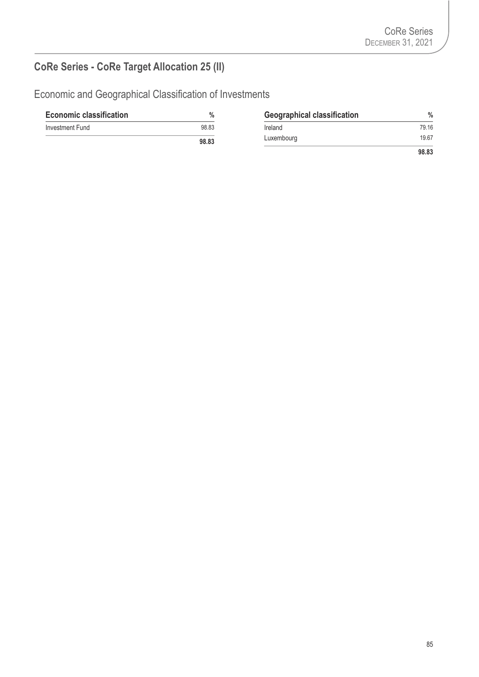# **CoRe Series - CoRe Target Allocation 25 (II)**

| <b>Economic classification</b> | $\%$  | <b>Geographical classification</b> | $\%$  |
|--------------------------------|-------|------------------------------------|-------|
| Investment Fund                | 98.83 | Ireland                            | 79.16 |
|                                | 98.83 | Luxembourg                         | 19.67 |
|                                |       |                                    | 98.83 |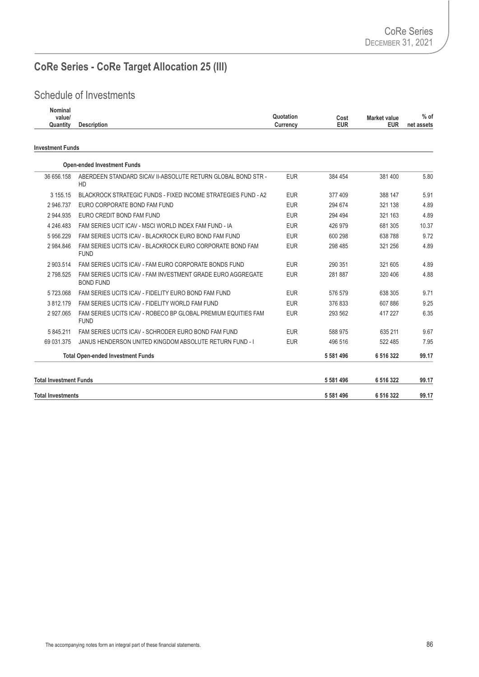# **CoRe Series - CoRe Target Allocation 25 (III)**

| <b>Nominal</b><br>value/<br>Quantity | <b>Description</b>                                                              | Quotation<br>Currency | Cost<br><b>EUR</b> | Market value<br><b>EUR</b> | $%$ of<br>net assets |
|--------------------------------------|---------------------------------------------------------------------------------|-----------------------|--------------------|----------------------------|----------------------|
| <b>Investment Funds</b>              |                                                                                 |                       |                    |                            |                      |
|                                      | <b>Open-ended Investment Funds</b>                                              |                       |                    |                            |                      |
| 36 656.158                           | ABERDEEN STANDARD SICAV II-ABSOLUTE RETURN GLOBAL BOND STR -<br>HD              | <b>EUR</b>            | 384 454            | 381 400                    | 5.80                 |
| 3 155.15                             | BLACKROCK STRATEGIC FUNDS - FIXED INCOME STRATEGIES FUND - A2                   | <b>EUR</b>            | 377 409            | 388 147                    | 5.91                 |
| 2 946 737                            | FURO CORPORATE BOND FAM FUND                                                    | <b>EUR</b>            | 294 674            | 321 138                    | 4.89                 |
| 2 944.935                            | EURO CREDIT BOND FAM FUND                                                       | <b>EUR</b>            | 294 494            | 321 163                    | 4.89                 |
| 4 246.483                            | FAM SERIES UCIT ICAV - MSCI WORLD INDEX FAM FUND - IA                           | <b>EUR</b>            | 426 979            | 681 305                    | 10.37                |
| 5956.229                             | FAM SERIES UCITS ICAV - BLACKROCK EURO BOND FAM FUND                            | <b>EUR</b>            | 600 298            | 638 788                    | 9.72                 |
| 2 984.846                            | FAM SERIES UCITS ICAV - BLACKROCK EURO CORPORATE BOND FAM<br><b>FUND</b>        | <b>EUR</b>            | 298 485            | 321 256                    | 4.89                 |
| 2 903.514                            | FAM SERIES UCITS ICAV - FAM EURO CORPORATE BONDS FUND                           | <b>EUR</b>            | 290 351            | 321 605                    | 4.89                 |
| 2798.525                             | FAM SERIES UCITS ICAV - FAM INVESTMENT GRADE EURO AGGREGATE<br><b>BOND FUND</b> | <b>EUR</b>            | 281 887            | 320 406                    | 4.88                 |
| 5723.068                             | FAM SERIES UCITS ICAV - FIDELITY EURO BOND FAM FUND                             | <b>EUR</b>            | 576 579            | 638 305                    | 9.71                 |
| 3812.179                             | FAM SERIES UCITS ICAV - FIDELITY WORLD FAM FUND                                 | <b>EUR</b>            | 376 833            | 607886                     | 9.25                 |
| 2 927,065                            | FAM SERIES UCITS ICAV - ROBECO BP GLOBAL PREMIUM EQUITIES FAM<br><b>FUND</b>    | <b>EUR</b>            | 293 562            | 417 227                    | 6.35                 |
| 5 845.211                            | FAM SERIES UCITS ICAV - SCHRODER EURO BOND FAM FUND                             | <b>EUR</b>            | 588 975            | 635 211                    | 9.67                 |
| 69 031.375                           | JANUS HENDERSON UNITED KINGDOM ABSOLUTE RETURN FUND - I                         | <b>EUR</b>            | 496 516            | 522 485                    | 7.95                 |
|                                      | <b>Total Open-ended Investment Funds</b>                                        |                       | 5 581 496          | 6 516 322                  | 99.17                |
| <b>Total Investment Funds</b>        |                                                                                 |                       | 5 581 496          | 6 516 322                  | 99.17                |
| <b>Total Investments</b>             |                                                                                 |                       | 5 581 496          | 6 516 322                  | 99.17                |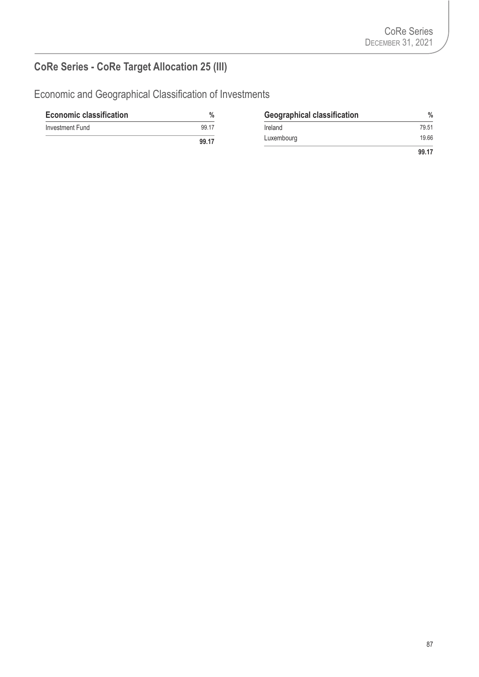# **CoRe Series - CoRe Target Allocation 25 (III)**

| <b>Economic classification</b> | %     | <b>Geographical classification</b> | $\%$  |
|--------------------------------|-------|------------------------------------|-------|
| Investment Fund                | 99.17 | Ireland                            | 79.51 |
|                                | 99.17 | Luxembourg                         | 19.66 |
|                                |       |                                    | 99.17 |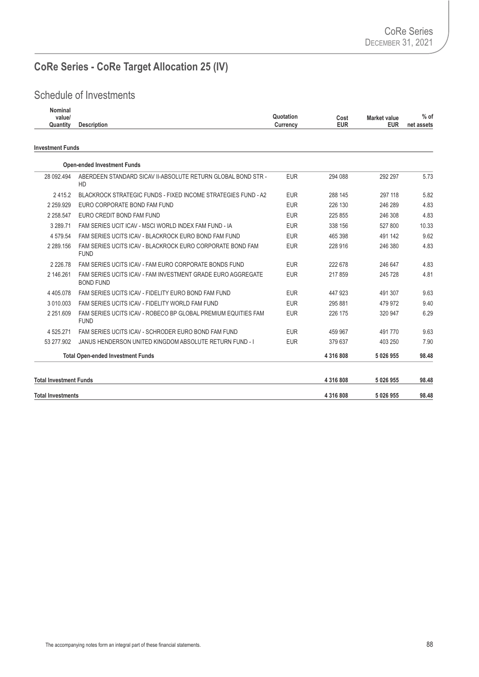# **CoRe Series - CoRe Target Allocation 25 (IV)**

| Nominal<br>value/<br>Quantity | <b>Description</b>                                                 | Quotation<br>Currency | Cost<br><b>EUR</b> | <b>Market value</b><br><b>EUR</b> | $%$ of<br>net assets |
|-------------------------------|--------------------------------------------------------------------|-----------------------|--------------------|-----------------------------------|----------------------|
| <b>Investment Funds</b>       |                                                                    |                       |                    |                                   |                      |
|                               | <b>Open-ended Investment Funds</b>                                 |                       |                    |                                   |                      |
| 28 092 494                    | ABERDEEN STANDARD SICAV II-ABSOLUTE RETURN GLOBAL BOND STR -<br>HD | <b>EUR</b>            | 294 088            | 292 297                           | 5.73                 |
| 2415.2                        | BLACKROCK STRATEGIC FUNDS - FIXED INCOME STRATEGIES FUND - A2      | <b>EUR</b>            | 288 145            | 297 118                           | 5.82                 |
| 2 2 5 9 9 2 9                 | EURO CORPORATE BOND FAM FUND                                       | <b>EUR</b>            | 226 130            | 246 289                           | 4.83                 |
| 2.250E17                      | ELIDO COEDIT DOND EAM ELIND                                        | <b>CHID</b>           | 2250E              | <b>COC SIG</b>                    | 102                  |

| <b>Total Investments</b>      |                                                                                 |            | 4 3 1 6 8 0 8 | 5 0 26 9 55 | 98.48 |
|-------------------------------|---------------------------------------------------------------------------------|------------|---------------|-------------|-------|
| <b>Total Investment Funds</b> |                                                                                 |            | 4 3 1 6 8 0 8 | 5 0 26 9 55 | 98.48 |
|                               | <b>Total Open-ended Investment Funds</b>                                        |            | 4 3 1 6 8 0 8 | 5 0 26 9 55 | 98.48 |
| 53 277.902                    | JANUS HENDERSON UNITED KINGDOM ABSOLUTE RETURN FUND - I                         | <b>EUR</b> | 379 637       | 403 250     | 7.90  |
| 4 525.271                     | FAM SERIES UCITS ICAV - SCHRODER FURO BOND FAM FUND                             | <b>EUR</b> | 459 967       | 491 770     | 9.63  |
| 2 251.609                     | FAM SERIES UCITS ICAV - ROBECO BP GLOBAL PREMIUM EQUITIES FAM<br><b>FUND</b>    | <b>EUR</b> | 226 175       | 320 947     | 6.29  |
| 3 010,003                     | FAM SERIES UCITS ICAV - FIDELITY WORLD FAM FUND                                 | <b>EUR</b> | 295 881       | 479 972     | 9.40  |
| 4 4 0 5 0 7 8                 | FAM SERIES UCITS ICAV - FIDELITY EURO BOND FAM FUND                             | <b>EUR</b> | 447 923       | 491 307     | 9.63  |
| 2 146.261                     | FAM SERIES UCITS ICAV - FAM INVESTMENT GRADE EURO AGGREGATE<br><b>BOND FUND</b> | <b>EUR</b> | 217859        | 245 728     | 4.81  |
| 2 2 2 6 . 7 8                 | FAM SERIES UCITS ICAV - FAM FURO CORPORATE BONDS FUND                           | <b>EUR</b> | 222 678       | 246 647     | 4.83  |
| 2 289.156                     | FAM SERIES UCITS ICAV - BLACKROCK EURO CORPORATE BOND FAM<br><b>FUND</b>        | <b>EUR</b> | 228 916       | 246 380     | 4.83  |
| 4 579.54                      | FAM SERIES UCITS ICAV - BLACKROCK EURO BOND FAM FUND                            | <b>EUR</b> | 465 398       | 491 142     | 9.62  |
| 3 289.71                      | FAM SERIES UCIT ICAV - MSCI WORLD INDEX FAM FUND - IA                           | <b>EUR</b> | 338 156       | 527 800     | 10.33 |
| 2 2 58.547                    | EURO CREDIT BOND FAM FUND                                                       | <b>EUR</b> | 225 855       | 246 308     | 4.83  |
|                               |                                                                                 |            |               |             |       |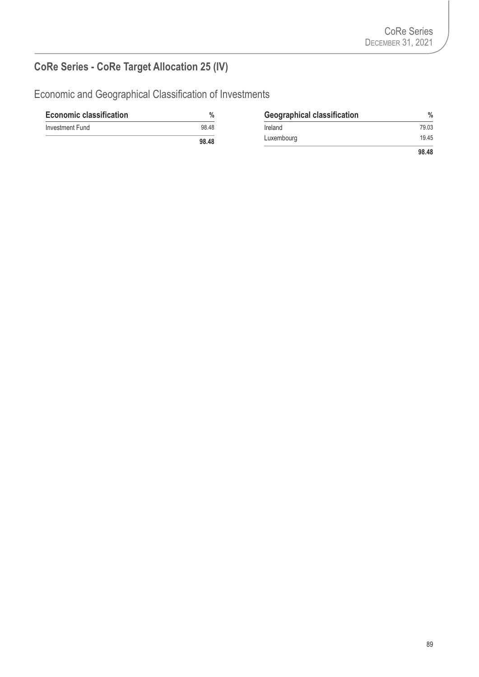# **CoRe Series - CoRe Target Allocation 25 (IV)**

| <b>Economic classification</b> | $\%$  | <b>Geographical classification</b> | $\frac{0}{0}$ |
|--------------------------------|-------|------------------------------------|---------------|
| Investment Fund                | 98.48 | Ireland                            | 79.03         |
|                                | 98.48 | Luxembourg                         | 19.45         |
|                                |       |                                    | 98.48         |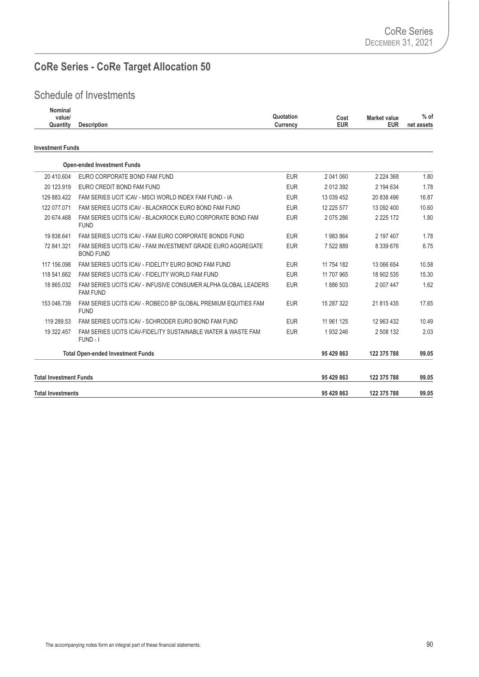# **CoRe Series - CoRe Target Allocation 50**

| Nominal<br>value/<br>Quantity | <b>Description</b>                                                                | Quotation<br>Currency | Cost<br><b>EUR</b> | <b>Market value</b><br><b>EUR</b> | $%$ of<br>net assets |
|-------------------------------|-----------------------------------------------------------------------------------|-----------------------|--------------------|-----------------------------------|----------------------|
| <b>Investment Funds</b>       |                                                                                   |                       |                    |                                   |                      |
|                               | <b>Open-ended Investment Funds</b>                                                |                       |                    |                                   |                      |
| 20 410.604                    | EURO CORPORATE BOND FAM FUND                                                      | <b>EUR</b>            | 2 041 060          | 2 2 2 4 3 6 8                     | 1.80                 |
| 20 123.919                    | EURO CREDIT BOND FAM FUND                                                         | <b>EUR</b>            | 2012392            | 2 194 634                         | 1.78                 |
| 129 883.422                   | FAM SERIES UCIT ICAV - MSCI WORLD INDEX FAM FUND - IA                             | <b>EUR</b>            | 13 039 452         | 20 838 496                        | 16.87                |
| 122 077 071                   | FAM SERIES UCITS ICAV - BLACKROCK EURO BOND FAM FUND                              | <b>EUR</b>            | 12 225 577         | 13 092 400                        | 10.60                |
| 20 674.468                    | FAM SERIES UCITS ICAV - BLACKROCK EURO CORPORATE BOND FAM<br><b>FUND</b>          | <b>EUR</b>            | 2 075 286          | 2 2 2 5 1 7 2                     | 1.80                 |
| 19 838.641                    | FAM SERIES UCITS ICAV - FAM EURO CORPORATE BONDS FUND                             | <b>EUR</b>            | 1983864            | 2 197 407                         | 1.78                 |
| 72 841.321                    | FAM SERIES UCITS ICAV - FAM INVESTMENT GRADE EURO AGGREGATE<br><b>BOND FUND</b>   | <b>EUR</b>            | 7 522 889          | 8 339 676                         | 6.75                 |
| 117 156,098                   | FAM SERIES UCITS ICAV - FIDELITY EURO BOND FAM FUND                               | <b>EUR</b>            | 11 754 182         | 13 066 654                        | 10.58                |
| 118 541.662                   | FAM SERIES UCITS ICAV - FIDELITY WORLD FAM FUND                                   | <b>EUR</b>            | 11 707 965         | 18 902 535                        | 15.30                |
| 18 865.032                    | FAM SERIES UCITS ICAV - INFUSIVE CONSUMER ALPHA GLOBAL LEADERS<br><b>FAM FUND</b> | <b>EUR</b>            | 1886 503           | 2 007 447                         | 1.62                 |
| 153 046.739                   | FAM SERIES UCITS ICAV - ROBECO BP GLOBAL PREMIUM EQUITIES FAM<br><b>FUND</b>      | <b>EUR</b>            | 15 287 322         | 21 815 435                        | 17.65                |
| 119 289.53                    | FAM SERIES UCITS ICAV - SCHRODER EURO BOND FAM FUND                               | <b>EUR</b>            | 11 961 125         | 12 963 432                        | 10.49                |
| 19 322.457                    | FAM SERIES UCITS ICAV-FIDELITY SUSTAINABLE WATER & WASTE FAM<br>FUND - I          | <b>EUR</b>            | 1932246            | 2 508 132                         | 2.03                 |
|                               | <b>Total Open-ended Investment Funds</b>                                          |                       | 95 429 863         | 122 375 788                       | 99.05                |
| <b>Total Investment Funds</b> |                                                                                   |                       | 95 429 863         | 122 375 788                       | 99.05                |
| <b>Total Investments</b>      |                                                                                   |                       | 95 429 863         | 122 375 788                       | 99.05                |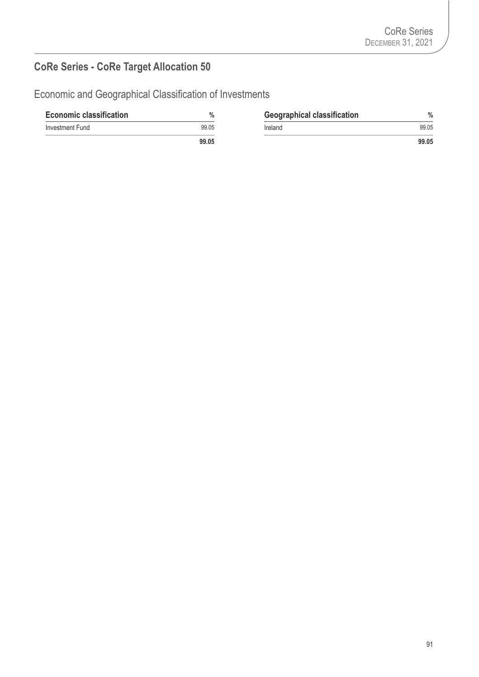# **CoRe Series - CoRe Target Allocation 50**

| <b>Economic classification</b> | $\%$  | <b>Geographical classification</b> | $\%$  |
|--------------------------------|-------|------------------------------------|-------|
| Investment Fund                | 99.05 | Ireland                            | 99.05 |
|                                | 99.05 |                                    | 99.05 |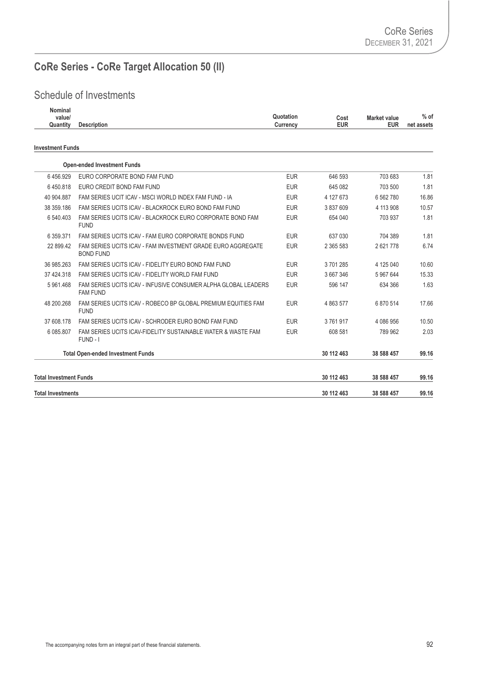# **CoRe Series - CoRe Target Allocation 50 (II)**

| Nominal<br>value/<br>Quantity | <b>Description</b>                                                                | Quotation<br>Currency | Cost<br><b>EUR</b> | <b>Market value</b><br><b>EUR</b> | $%$ of<br>net assets |
|-------------------------------|-----------------------------------------------------------------------------------|-----------------------|--------------------|-----------------------------------|----------------------|
| <b>Investment Funds</b>       |                                                                                   |                       |                    |                                   |                      |
|                               | <b>Open-ended Investment Funds</b>                                                |                       |                    |                                   |                      |
| 6456.929                      | EURO CORPORATE BOND FAM FUND                                                      | <b>EUR</b>            | 646 593            | 703 683                           | 1.81                 |
| 6450.818                      | EURO CREDIT BOND FAM FUND                                                         | <b>EUR</b>            | 645 082            | 703 500                           | 1.81                 |
| 40 904.887                    | FAM SERIES UCIT ICAV - MSCI WORLD INDEX FAM FUND - IA                             | <b>EUR</b>            | 4 127 673          | 6 562 780                         | 16.86                |
| 38 359.186                    | FAM SERIES UCITS ICAV - BLACKROCK EURO BOND FAM FUND                              | <b>EUR</b>            | 3 837 609          | 4 113 908                         | 10.57                |
| 6 540.403                     | FAM SERIES UCITS ICAV - BLACKROCK EURO CORPORATE BOND FAM<br><b>FUND</b>          | <b>EUR</b>            | 654 040            | 703 937                           | 1.81                 |
| 6 359 371                     | FAM SERIES UCITS ICAV - FAM EURO CORPORATE BONDS FUND                             | <b>EUR</b>            | 637 030            | 704 389                           | 1.81                 |
| 22 899.42                     | FAM SERIES UCITS ICAV - FAM INVESTMENT GRADE EURO AGGREGATE<br><b>BOND FUND</b>   | <b>EUR</b>            | 2 365 583          | 2621778                           | 6.74                 |
| 36 985.263                    | FAM SERIES UCITS ICAV - FIDELITY EURO BOND FAM FUND                               | <b>EUR</b>            | 3701285            | 4 125 040                         | 10.60                |
| 37 424.318                    | FAM SERIES UCITS ICAV - FIDELITY WORLD FAM FUND                                   | <b>EUR</b>            | 3 667 346          | 5 967 644                         | 15.33                |
| 5 961.468                     | FAM SERIES UCITS ICAV - INFUSIVE CONSUMER ALPHA GLOBAL LEADERS<br><b>FAM FUND</b> | <b>EUR</b>            | 596 147            | 634 366                           | 1.63                 |
| 48 200.268                    | FAM SERIES UCITS ICAV - ROBECO BP GLOBAL PREMIUM EQUITIES FAM<br><b>FUND</b>      | <b>EUR</b>            | 4 863 577          | 6 870 514                         | 17.66                |
| 37 608.178                    | FAM SERIES UCITS ICAV - SCHRODER EURO BOND FAM FUND                               | <b>EUR</b>            | 3761917            | 4 086 956                         | 10.50                |
| 6 085.807                     | FAM SERIES UCITS ICAV-FIDELITY SUSTAINABLE WATER & WASTE FAM<br>FUND - I          | <b>EUR</b>            | 608 581            | 789 962                           | 2.03                 |
|                               | <b>Total Open-ended Investment Funds</b>                                          |                       | 30 112 463         | 38 588 457                        | 99.16                |
| <b>Total Investment Funds</b> |                                                                                   |                       | 30 112 463         | 38 588 457                        | 99.16                |
| <b>Total Investments</b>      |                                                                                   |                       | 30 112 463         | 38 588 457                        | 99.16                |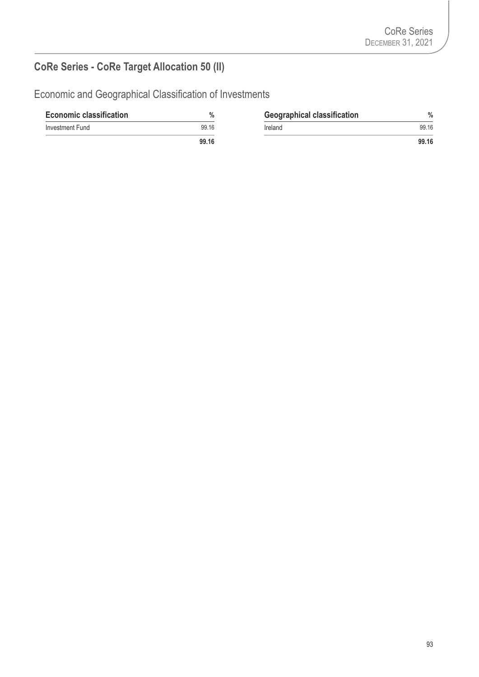# **CoRe Series - CoRe Target Allocation 50 (II)**

| <b>Economic classification</b> | $\%$  | <b>Geographical classification</b> | %     |
|--------------------------------|-------|------------------------------------|-------|
| Investment Fund                | 99.16 | Ireland                            | 99.16 |
|                                | 99.16 |                                    | 99.16 |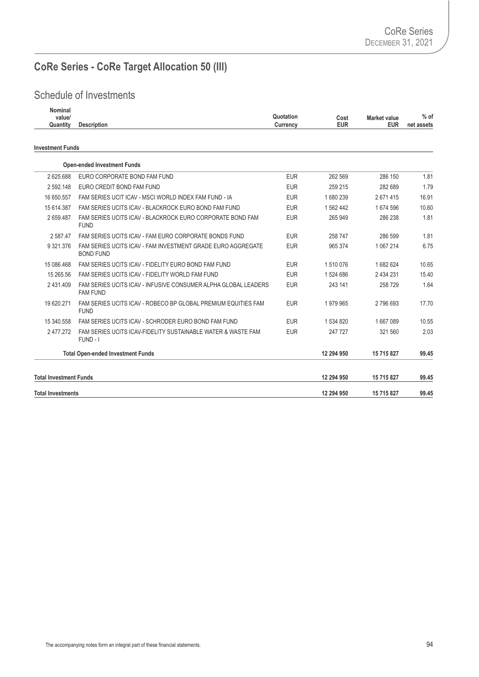# **CoRe Series - CoRe Target Allocation 50 (III)**

| Nominal<br>value/<br>Quantity | <b>Description</b>                                                                | Quotation<br>Currency | Cost<br><b>EUR</b> | <b>Market value</b><br><b>EUR</b> | $%$ of<br>net assets |
|-------------------------------|-----------------------------------------------------------------------------------|-----------------------|--------------------|-----------------------------------|----------------------|
| <b>Investment Funds</b>       |                                                                                   |                       |                    |                                   |                      |
|                               | <b>Open-ended Investment Funds</b>                                                |                       |                    |                                   |                      |
| 2 625.688                     | EURO CORPORATE BOND FAM FUND                                                      | <b>EUR</b>            | 262 569            | 286 150                           | 1.81                 |
| 2 592 148                     | EURO CREDIT BOND FAM FUND                                                         | <b>EUR</b>            | 259 215            | 282 689                           | 1.79                 |
| 16 650.557                    | FAM SERIES UCIT ICAV - MSCI WORLD INDEX FAM FUND - IA                             | <b>EUR</b>            | 1680239            | 2671415                           | 16.91                |
| 15 614.387                    | FAM SERIES UCITS ICAV - BLACKROCK EURO BOND FAM FUND                              | <b>EUR</b>            | 1562442            | 1674596                           | 10.60                |
| 2 659.487                     | FAM SERIES UCITS ICAV - BLACKROCK EURO CORPORATE BOND FAM<br><b>FUND</b>          | <b>EUR</b>            | 265 949            | 286 238                           | 1.81                 |
| 2 587.47                      | FAM SERIES UCITS ICAV - FAM EURO CORPORATE BONDS FUND                             | <b>EUR</b>            | 258 747            | 286 599                           | 1.81                 |
| 9 321.376                     | FAM SERIES UCITS ICAV - FAM INVESTMENT GRADE EURO AGGREGATE<br><b>BOND FUND</b>   | <b>EUR</b>            | 965 374            | 1 067 214                         | 6.75                 |
| 15 086 468                    | FAM SERIES UCITS ICAV - FIDELITY EURO BOND FAM FUND                               | <b>EUR</b>            | 1510076            | 1682624                           | 10.65                |
| 15 265.56                     | FAM SERIES UCITS ICAV - FIDELITY WORLD FAM FUND                                   | <b>EUR</b>            | 1524686            | 2 434 231                         | 15.40                |
| 2 431.409                     | FAM SERIES UCITS ICAV - INFUSIVE CONSUMER ALPHA GLOBAL LEADERS<br><b>FAM FUND</b> | <b>EUR</b>            | 243 141            | 258 729                           | 1.64                 |
| 19 620.271                    | FAM SERIES UCITS ICAV - ROBECO BP GLOBAL PREMIUM EQUITIES FAM<br><b>FUND</b>      | <b>EUR</b>            | 1979965            | 2796693                           | 17.70                |
| 15 340.558                    | FAM SERIES UCITS ICAV - SCHRODER EURO BOND FAM FUND                               | <b>EUR</b>            | 1 534 820          | 1667089                           | 10.55                |
| 2477.272                      | FAM SERIES UCITS ICAV-FIDELITY SUSTAINABLE WATER & WASTE FAM<br>FUND - I          | <b>EUR</b>            | 247 727            | 321 560                           | 2.03                 |
|                               | <b>Total Open-ended Investment Funds</b>                                          |                       | 12 294 950         | 15 715 827                        | 99.45                |
| <b>Total Investment Funds</b> |                                                                                   |                       | 12 294 950         | 15 715 827                        | 99.45                |
| <b>Total Investments</b>      |                                                                                   |                       | 12 294 950         | 15 715 827                        | 99.45                |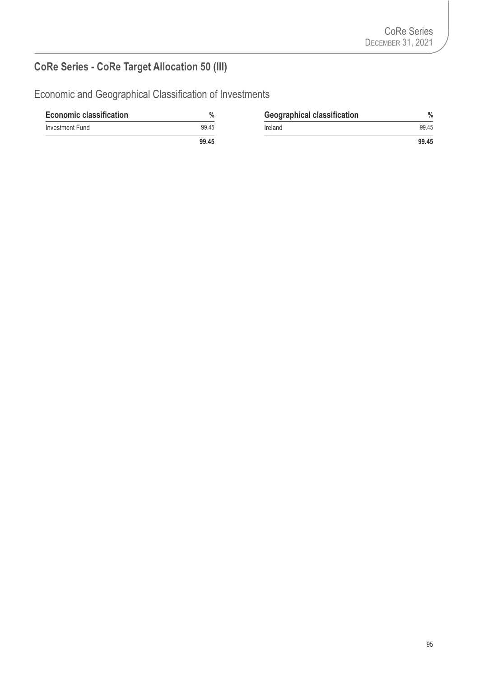# **CoRe Series - CoRe Target Allocation 50 (III)**

| <b>Economic classification</b> | $\%$  | <b>Geographical classification</b> | %     |
|--------------------------------|-------|------------------------------------|-------|
| Investment Fund                | 99.45 | Ireland                            | 99.45 |
|                                | 99.45 |                                    | 99.45 |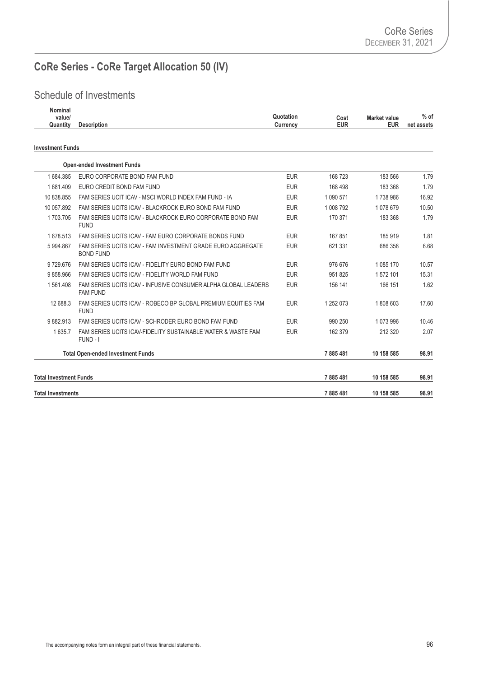# **CoRe Series - CoRe Target Allocation 50 (IV)**

| Nominal<br>value/<br>Quantity | <b>Description</b>                                                                | Quotation<br>Currency | Cost<br><b>EUR</b> | <b>Market value</b><br><b>EUR</b> | $%$ of<br>net assets |
|-------------------------------|-----------------------------------------------------------------------------------|-----------------------|--------------------|-----------------------------------|----------------------|
| <b>Investment Funds</b>       |                                                                                   |                       |                    |                                   |                      |
|                               | <b>Open-ended Investment Funds</b>                                                |                       |                    |                                   |                      |
| 1684.385                      | EURO CORPORATE BOND FAM FUND                                                      | <b>EUR</b>            | 168723             | 183 566                           | 1.79                 |
| 1681409                       | EURO CREDIT BOND FAM FUND                                                         | <b>EUR</b>            | 168 498            | 183 368                           | 1.79                 |
| 10 838.855                    | FAM SERIES UCIT ICAV - MSCI WORLD INDEX FAM FUND - IA                             | <b>EUR</b>            | 1 090 571          | 1738986                           | 16.92                |
| 10 057.892                    | FAM SERIES UCITS ICAV - BLACKROCK EURO BOND FAM FUND                              | <b>EUR</b>            | 1 008 792          | 1 078 679                         | 10.50                |
| 1703.705                      | FAM SERIES UCITS ICAV - BLACKROCK EURO CORPORATE BOND FAM<br><b>FUND</b>          | <b>EUR</b>            | 170 371            | 183 368                           | 1.79                 |
| 1678.513                      | FAM SERIES UCITS ICAV - FAM EURO CORPORATE BONDS FUND                             | <b>EUR</b>            | 167 851            | 185 919                           | 1.81                 |
| 5 994.867                     | FAM SERIES UCITS ICAV - FAM INVESTMENT GRADE EURO AGGREGATE<br><b>BOND FUND</b>   | <b>EUR</b>            | 621 331            | 686 358                           | 6.68                 |
| 9729.676                      | FAM SERIES UCITS ICAV - FIDELITY EURO BOND FAM FUND                               | <b>EUR</b>            | 976 676            | 1 085 170                         | 10.57                |
| 9858.966                      | FAM SERIES UCITS ICAV - FIDELITY WORLD FAM FUND                                   | <b>EUR</b>            | 951 825            | 1572101                           | 15.31                |
| 1561.408                      | FAM SERIES UCITS ICAV - INFUSIVE CONSUMER ALPHA GLOBAL LEADERS<br><b>FAM FUND</b> | <b>EUR</b>            | 156 141            | 166 151                           | 1.62                 |
| 12 688.3                      | FAM SERIES UCITS ICAV - ROBECO BP GLOBAL PREMIUM EQUITIES FAM<br><b>FUND</b>      | <b>EUR</b>            | 1 252 073          | 1808603                           | 17.60                |
| 9882.913                      | FAM SERIES UCITS ICAV - SCHRODER EURO BOND FAM FUND                               | <b>EUR</b>            | 990 250            | 1 073 996                         | 10.46                |
| 1635.7                        | FAM SERIES UCITS ICAV-FIDELITY SUSTAINABLE WATER & WASTE FAM<br>FUND - I          | <b>EUR</b>            | 162 379            | 212 320                           | 2.07                 |
|                               | <b>Total Open-ended Investment Funds</b>                                          |                       | 7885481            | 10 158 585                        | 98.91                |
| <b>Total Investment Funds</b> |                                                                                   |                       | 7885481            | 10 158 585                        | 98.91                |
| <b>Total Investments</b>      |                                                                                   |                       | 7885481            | 10 158 585                        | 98.91                |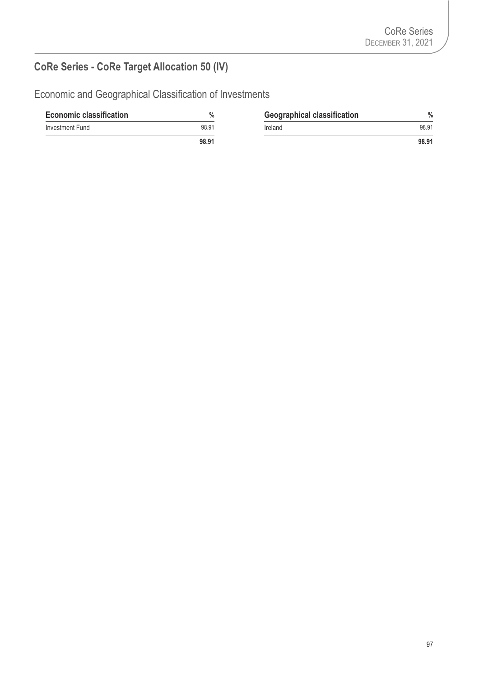# **CoRe Series - CoRe Target Allocation 50 (IV)**

| <b>Economic classification</b> | $\%$  | <b>Geographical classification</b> | $\%$  |
|--------------------------------|-------|------------------------------------|-------|
| Investment Fund                | 98.91 | Ireland                            | 98.91 |
|                                | 98.91 |                                    | 98.91 |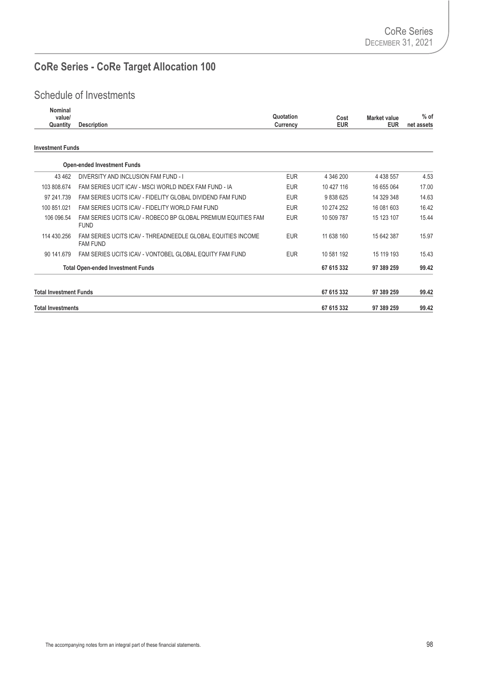# **CoRe Series - CoRe Target Allocation 100**

| Nominal<br>value/<br>Quantity | <b>Description</b>                                                             | Quotation<br>Currency | Cost<br><b>EUR</b> | Market value<br><b>EUR</b> | $%$ of<br>net assets |
|-------------------------------|--------------------------------------------------------------------------------|-----------------------|--------------------|----------------------------|----------------------|
| <b>Investment Funds</b>       |                                                                                |                       |                    |                            |                      |
|                               | <b>Open-ended Investment Funds</b>                                             |                       |                    |                            |                      |
| 43 4 62                       | DIVERSITY AND INCLUSION FAM FUND - I                                           | <b>EUR</b>            | 4 346 200          | 4 4 38 5 57                | 4.53                 |
| 103 808.674                   | FAM SERIES UCIT ICAV - MSCI WORLD INDEX FAM FUND - IA                          | <b>EUR</b>            | 10 427 116         | 16 655 064                 | 17.00                |
| 97 241.739                    | FAM SERIES UCITS ICAV - FIDELITY GLOBAL DIVIDEND FAM FUND                      | <b>EUR</b>            | 9838625            | 14 329 348                 | 14.63                |
| 100 851.021                   | FAM SERIES UCITS ICAV - FIDELITY WORLD FAM FUND                                | <b>EUR</b>            | 10 274 252         | 16 081 603                 | 16.42                |
| 106 096.54                    | FAM SERIES UCITS ICAV - ROBECO BP GLOBAL PREMIUM EQUITIES FAM<br><b>FUND</b>   | <b>EUR</b>            | 10 509 787         | 15 123 107                 | 15.44                |
| 114 430.256                   | FAM SERIES UCITS ICAV - THREADNEEDLE GLOBAL EQUITIES INCOME<br><b>FAM FUND</b> | <b>EUR</b>            | 11 638 160         | 15 642 387                 | 15.97                |
| 90 141.679                    | FAM SERIES UCITS ICAV - VONTOBEL GLOBAL EQUITY FAM FUND                        | <b>EUR</b>            | 10 581 192         | 15 119 193                 | 15.43                |
|                               | <b>Total Open-ended Investment Funds</b>                                       |                       | 67 615 332         | 97 389 259                 | 99.42                |
| <b>Total Investment Funds</b> |                                                                                |                       | 67 615 332         | 97 389 259                 | 99.42                |
| <b>Total Investments</b>      |                                                                                |                       | 67 615 332         | 97 389 259                 | 99.42                |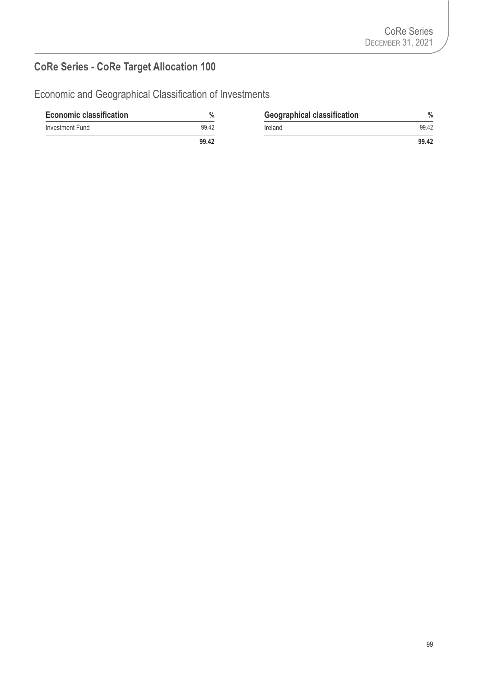# **CoRe Series - CoRe Target Allocation 100**

| <b>Economic classification</b> | $\%$  | <b>Geographical classification</b> | $\%$  |
|--------------------------------|-------|------------------------------------|-------|
| Investment Fund                | 99.42 | Ireland                            | 99.42 |
|                                | 99.42 |                                    | 99.42 |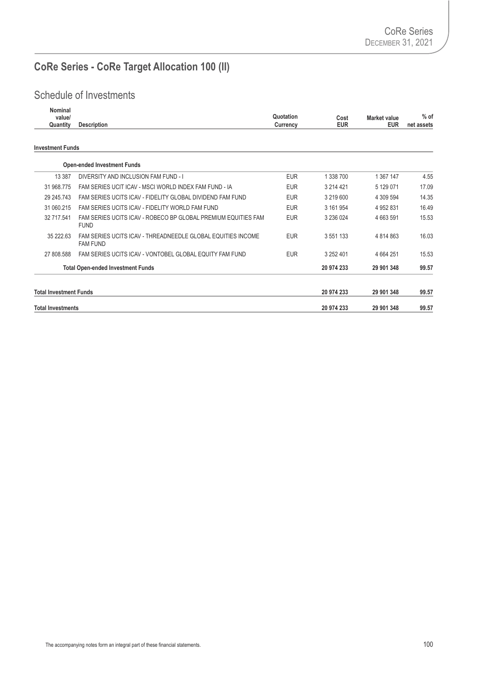# **CoRe Series - CoRe Target Allocation 100 (II)**

| Nominal<br>value/<br>Quantity | <b>Description</b>                                                             | Quotation<br>Currency | Cost<br><b>EUR</b> | Market value<br><b>EUR</b> | $%$ of<br>net assets |
|-------------------------------|--------------------------------------------------------------------------------|-----------------------|--------------------|----------------------------|----------------------|
| <b>Investment Funds</b>       |                                                                                |                       |                    |                            |                      |
|                               | <b>Open-ended Investment Funds</b>                                             |                       |                    |                            |                      |
| 13 387                        | DIVERSITY AND INCLUSION FAM FUND - I                                           | <b>EUR</b>            | 1 338 700          | 1 367 147                  | 4.55                 |
| 31 968.775                    | FAM SERIES UCIT ICAV - MSCI WORLD INDEX FAM FUND - IA                          | <b>EUR</b>            | 3 214 421          | 5 129 071                  | 17.09                |
| 29 245.743                    | FAM SERIES UCITS ICAV - FIDELITY GLOBAL DIVIDEND FAM FUND                      | <b>EUR</b>            | 3 219 600          | 4 309 594                  | 14.35                |
| 31 060.215                    | FAM SERIES UCITS ICAV - FIDELITY WORLD FAM FUND                                | <b>EUR</b>            | 3 161 954          | 4 952 831                  | 16.49                |
| 32 717.541                    | FAM SERIES UCITS ICAV - ROBECO BP GLOBAL PREMIUM EQUITIES FAM<br><b>FUND</b>   | <b>EUR</b>            | 3 236 024          | 4 663 591                  | 15.53                |
| 35 222.63                     | FAM SERIES UCITS ICAV - THREADNEEDLE GLOBAL EQUITIES INCOME<br><b>FAM FUND</b> | <b>EUR</b>            | 3 5 5 1 1 3 3      | 4 8 14 8 6 3               | 16.03                |
| 27 808.588                    | FAM SERIES UCITS ICAV - VONTOBEL GLOBAL EQUITY FAM FUND                        | <b>EUR</b>            | 3 252 401          | 4 6 64 251                 | 15.53                |
|                               | <b>Total Open-ended Investment Funds</b>                                       |                       | 20 974 233         | 29 901 348                 | 99.57                |
| <b>Total Investment Funds</b> |                                                                                |                       | 20 974 233         | 29 901 348                 | 99.57                |
| <b>Total Investments</b>      |                                                                                |                       | 20 974 233         | 29 901 348                 | 99.57                |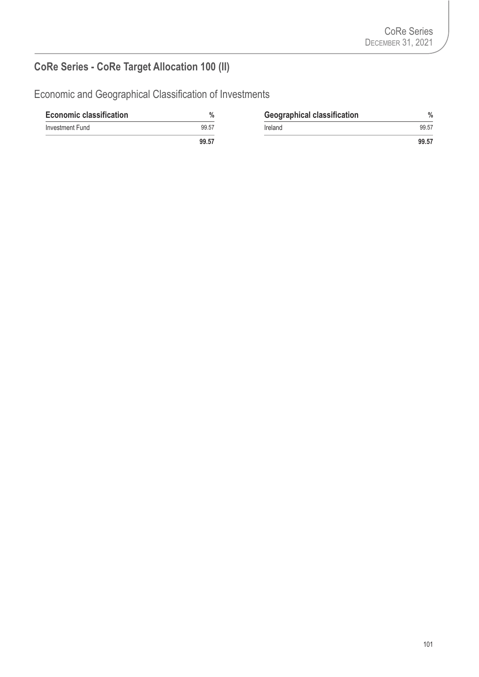# **CoRe Series - CoRe Target Allocation 100 (II)**

| <b>Economic classification</b> | $\%$  | <b>Geographical classification</b> | $\%$  |
|--------------------------------|-------|------------------------------------|-------|
| Investment Fund                | 99.57 | Ireland                            | 99.57 |
|                                | 99.57 |                                    | 99.57 |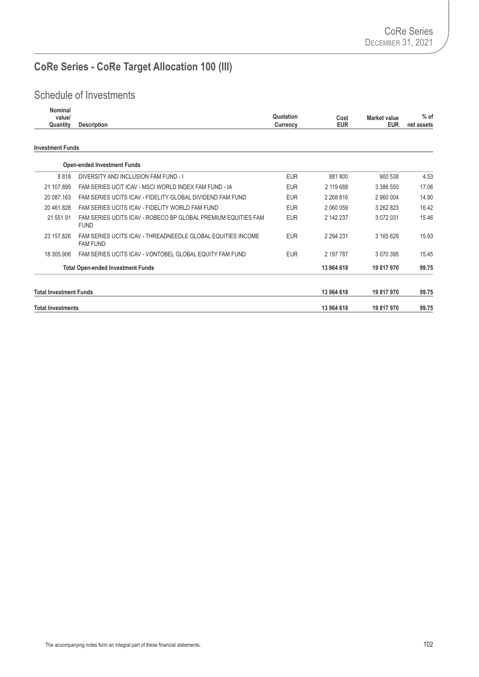# **CoRe Series - CoRe Target Allocation 100 (III)**

| Nominal<br>value/<br>Quantity | <b>Description</b>                                                             | Quotation<br>Currency | Cost<br><b>EUR</b> | Market value<br><b>EUR</b> | $%$ of<br>net assets |
|-------------------------------|--------------------------------------------------------------------------------|-----------------------|--------------------|----------------------------|----------------------|
| <b>Investment Funds</b>       |                                                                                |                       |                    |                            |                      |
|                               | <b>Open-ended Investment Funds</b>                                             |                       |                    |                            |                      |
| 8818                          | DIVERSITY AND INCLUSION FAM FUND - I                                           | <b>EUR</b>            | 881 800            | 900 538                    | 4.53                 |
| 21 107.895                    | FAM SERIES UCIT ICAV - MSCI WORLD INDEX FAM FUND - IA                          | <b>EUR</b>            | 2 119 688          | 3 386 550                  | 17.06                |
| 20 087.163                    | FAM SERIES UCITS ICAV - FIDELITY GLOBAL DIVIDEND FAM FUND                      | <b>EUR</b>            | 2 2 68 8 16        | 2 960 004                  | 14.90                |
| 20 461.828                    | FAM SERIES UCITS ICAV - FIDELITY WORLD FAM FUND                                | <b>EUR</b>            | 2 060 059          | 3 262 823                  | 16.42                |
| 21 551.91                     | FAM SERIES UCITS ICAV - ROBECO BP GLOBAL PREMIUM EQUITIES FAM<br><b>FUND</b>   | <b>EUR</b>            | 2 142 237          | 3 072 031                  | 15.46                |
| 23 157.826                    | FAM SERIES UCITS ICAV - THREADNEEDLE GLOBAL EQUITIES INCOME<br><b>FAM FUND</b> | <b>EUR</b>            | 2 2 9 4 2 3 1      | 3 165 629                  | 15.93                |
| 18 305,906                    | FAM SERIES UCITS ICAV - VONTOBEL GLOBAL EQUITY FAM FUND                        | <b>EUR</b>            | 2 197 787          | 3 070 395                  | 15.45                |
|                               | <b>Total Open-ended Investment Funds</b>                                       |                       | 13 964 618         | 19 817 970                 | 99.75                |
| <b>Total Investment Funds</b> |                                                                                |                       | 13 964 618         | 19 817 970                 | 99.75                |
| <b>Total Investments</b>      |                                                                                |                       | 13 964 618         | 19 817 970                 | 99.75                |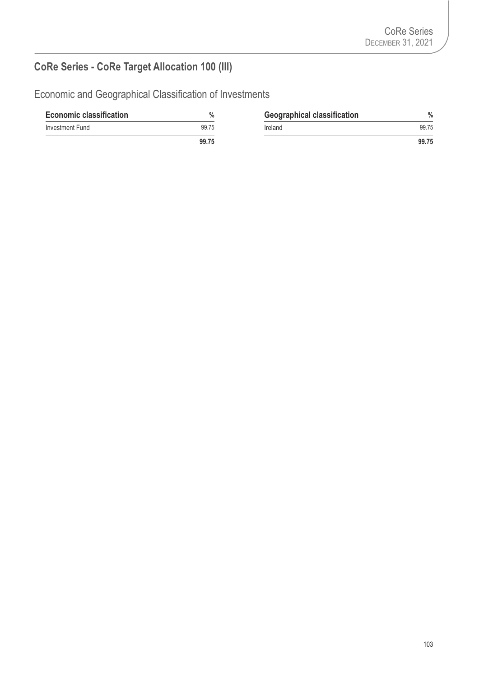# **CoRe Series - CoRe Target Allocation 100 (III)**

| <b>Economic classification</b> | %     | <b>Geographical classification</b> | $\%$  |
|--------------------------------|-------|------------------------------------|-------|
| Investment Fund                | 99.75 | <b>Ireland</b>                     | 99.75 |
|                                | 99.75 |                                    | 99.75 |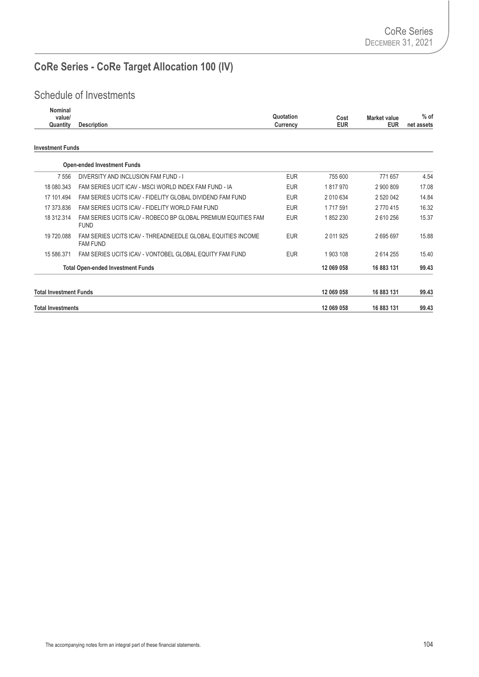# **CoRe Series - CoRe Target Allocation 100 (IV)**

| Nominal<br>value/<br>Quantity | <b>Description</b>                                                             | Quotation<br>Currency | Cost<br><b>EUR</b> | Market value<br><b>EUR</b> | $%$ of<br>net assets |
|-------------------------------|--------------------------------------------------------------------------------|-----------------------|--------------------|----------------------------|----------------------|
| <b>Investment Funds</b>       |                                                                                |                       |                    |                            |                      |
|                               | <b>Open-ended Investment Funds</b>                                             |                       |                    |                            |                      |
| 7 5 5 6                       | DIVERSITY AND INCLUSION FAM FUND - I                                           | <b>EUR</b>            | 755 600            | 771 657                    | 4.54                 |
| 18 080.343                    | FAM SERIES UCIT ICAV - MSCI WORLD INDEX FAM FUND - IA                          | <b>EUR</b>            | 1817970            | 2 900 809                  | 17.08                |
| 17 101.494                    | FAM SERIES UCITS ICAV - FIDELITY GLOBAL DIVIDEND FAM FUND                      | <b>EUR</b>            | 2 010 634          | 2 520 042                  | 14.84                |
| 17 373.836                    | FAM SERIES UCITS ICAV - FIDELITY WORLD FAM FUND                                | <b>EUR</b>            | 1 7 1 7 5 9 1      | 2 770 415                  | 16.32                |
| 18 312.314                    | FAM SERIES UCITS ICAV - ROBECO BP GLOBAL PREMIUM EQUITIES FAM<br><b>FUND</b>   | <b>EUR</b>            | 1852230            | 2610256                    | 15.37                |
| 19 720.088                    | FAM SERIES UCITS ICAV - THREADNEEDLE GLOBAL EQUITIES INCOME<br><b>FAM FUND</b> | <b>EUR</b>            | 2011925            | 2695697                    | 15.88                |
| 15 586.371                    | FAM SERIES UCITS ICAV - VONTOBEL GLOBAL EQUITY FAM FUND                        | <b>EUR</b>            | 1 903 108          | 2614255                    | 15.40                |
|                               | <b>Total Open-ended Investment Funds</b>                                       |                       | 12 069 058         | 16 883 131                 | 99.43                |
| <b>Total Investment Funds</b> |                                                                                |                       | 12 069 058         | 16 883 131                 | 99.43                |
| <b>Total Investments</b>      |                                                                                |                       | 12 069 058         | 16 883 131                 | 99.43                |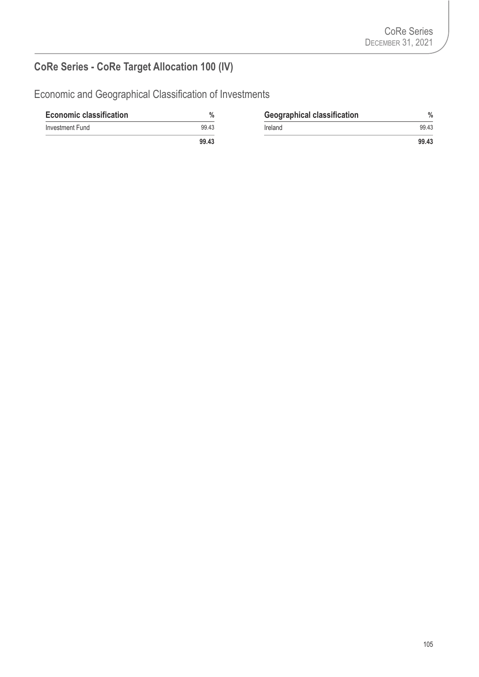# **CoRe Series - CoRe Target Allocation 100 (IV)**

| <b>Economic classification</b> | $\%$  | <b>Geographical classification</b> | $\%$  |
|--------------------------------|-------|------------------------------------|-------|
| Investment Fund                | 99.43 | Ireland                            | 99.43 |
|                                | 99.43 |                                    | 99.43 |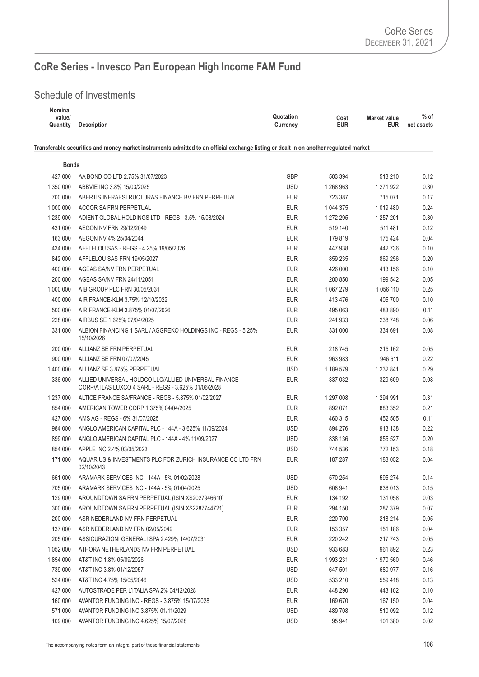#### Schedule of Investments

| Nominal  |                    |                        |                     |            |
|----------|--------------------|------------------------|---------------------|------------|
| value/   |                    | Quotation<br>Cost      | <b>Market value</b> | $%$ of     |
| Quantity | <b>Description</b> | EUR<br><b>Currency</b> | <b>EUR</b>          | net assets |
|          |                    |                        |                     |            |

| <b>Bonds</b> |                                                                                                            |            |           |           |      |
|--------------|------------------------------------------------------------------------------------------------------------|------------|-----------|-----------|------|
| 427 000      | AA BOND CO LTD 2.75% 31/07/2023                                                                            | GBP        | 503 394   | 513 210   | 0.12 |
| 1 350 000    | ABBVIE INC 3.8% 15/03/2025                                                                                 | <b>USD</b> | 1 268 963 | 1 271 922 | 0.30 |
| 700 000      | ABERTIS INFRAESTRUCTURAS FINANCE BV FRN PERPETUAL                                                          | <b>EUR</b> | 723 387   | 715 071   | 0.17 |
| 1 000 000    | ACCOR SA FRN PERPETUAL                                                                                     | <b>EUR</b> | 1 044 375 | 1 019 480 | 0.24 |
| 1 239 000    | ADIENT GLOBAL HOLDINGS LTD - REGS - 3.5% 15/08/2024                                                        | EUR        | 1 272 295 | 1 257 201 | 0.30 |
| 431 000      | AEGON NV FRN 29/12/2049                                                                                    | <b>EUR</b> | 519 140   | 511 481   | 0.12 |
| 163 000      | AEGON NV 4% 25/04/2044                                                                                     | <b>EUR</b> | 179 819   | 175 424   | 0.04 |
| 434 000      | AFFLELOU SAS - REGS - 4.25% 19/05/2026                                                                     | <b>EUR</b> | 447 938   | 442 736   | 0.10 |
| 842 000      | AFFLELOU SAS FRN 19/05/2027                                                                                | <b>EUR</b> | 859 235   | 869 256   | 0.20 |
| 400 000      | AGEAS SA/NV FRN PERPETUAL                                                                                  | <b>EUR</b> | 426 000   | 413 156   | 0.10 |
| 200 000      | AGEAS SA/NV FRN 24/11/2051                                                                                 | EUR        | 200 850   | 199 542   | 0.05 |
| 1 000 000    | AIB GROUP PLC FRN 30/05/2031                                                                               | <b>EUR</b> | 1 067 279 | 1 056 110 | 0.25 |
| 400 000      | AIR FRANCE-KLM 3.75% 12/10/2022                                                                            | <b>EUR</b> | 413 476   | 405 700   | 0.10 |
| 500 000      | AIR FRANCE-KLM 3.875% 01/07/2026                                                                           | <b>EUR</b> | 495 063   | 483 890   | 0.11 |
| 228 000      | AIRBUS SE 1.625% 07/04/2025                                                                                | <b>EUR</b> | 241 933   | 238 748   | 0.06 |
| 331 000      | ALBION FINANCING 1 SARL / AGGREKO HOLDINGS INC - REGS - 5.25%<br>15/10/2026                                | <b>EUR</b> | 331 000   | 334 691   | 0.08 |
| 200 000      | ALLIANZ SE FRN PERPETUAL                                                                                   | <b>EUR</b> | 218 745   | 215 162   | 0.05 |
| 900 000      | ALLIANZ SE FRN 07/07/2045                                                                                  | <b>EUR</b> | 963 983   | 946 611   | 0.22 |
| 1 400 000    | ALLIANZ SE 3.875% PERPETUAL                                                                                | <b>USD</b> | 1 189 579 | 1 232 841 | 0.29 |
| 336 000      | ALLIED UNIVERSAL HOLDCO LLC/ALLIED UNIVERSAL FINANCE<br>CORP/ATLAS LUXCO 4 SARL - REGS - 3.625% 01/06/2028 | <b>EUR</b> | 337 032   | 329 609   | 0.08 |
| 1 237 000    | ALTICE FRANCE SA/FRANCE - REGS - 5.875% 01/02/2027                                                         | <b>EUR</b> | 1 297 008 | 1 294 991 | 0.31 |
| 854 000      | AMERICAN TOWER CORP 1.375% 04/04/2025                                                                      | <b>EUR</b> | 892 071   | 883 352   | 0.21 |
| 427 000      | AMS AG - REGS - 6% 31/07/2025                                                                              | <b>EUR</b> | 460 315   | 452 505   | 0.11 |
| 984 000      | ANGLO AMERICAN CAPITAL PLC - 144A - 3.625% 11/09/2024                                                      | <b>USD</b> | 894 276   | 913 138   | 0.22 |
| 899 000      | ANGLO AMERICAN CAPITAL PLC - 144A - 4% 11/09/2027                                                          | <b>USD</b> | 838 136   | 855 527   | 0.20 |
| 854 000      | APPLE INC 2.4% 03/05/2023                                                                                  | <b>USD</b> | 744 536   | 772 153   | 0.18 |
| 171 000      | AQUARIUS & INVESTMENTS PLC FOR ZURICH INSURANCE CO LTD FRN<br>02/10/2043                                   | <b>EUR</b> | 187 287   | 183 052   | 0.04 |
| 651 000      | ARAMARK SERVICES INC - 144A - 5% 01/02/2028                                                                | <b>USD</b> | 570 254   | 595 274   | 0.14 |
| 705 000      | ARAMARK SERVICES INC - 144A - 5% 01/04/2025                                                                | <b>USD</b> | 608 941   | 636 013   | 0.15 |
| 129 000      | AROUNDTOWN SA FRN PERPETUAL (ISIN XS2027946610)                                                            | <b>EUR</b> | 134 192   | 131 058   | 0.03 |
| 300 000      | AROUNDTOWN SA FRN PERPETUAL (ISIN XS2287744721)                                                            | <b>EUR</b> | 294 150   | 287 379   | 0.07 |
| 200 000      | ASR NEDERLAND NV FRN PERPETUAL                                                                             | <b>EUR</b> | 220 700   | 218 214   | 0.05 |
| 137 000      | ASR NEDERLAND NV FRN 02/05/2049                                                                            | <b>EUR</b> | 153 357   | 151 186   | 0.04 |
| 205 000      | ASSICURAZIONI GENERALI SPA 2.429% 14/07/2031                                                               | <b>EUR</b> | 220 242   | 217 743   | 0.05 |
| 1 052 000    | ATHORA NETHERLANDS NV FRN PERPETUAL                                                                        | USD        | 933 683   | 961 892   | 0.23 |
| 1 854 000    | AT&T INC 1.8% 05/09/2026                                                                                   | EUR        | 1993 231  | 1970 560  | 0.46 |
| 739 000      | AT&T INC 3.8% 01/12/2057                                                                                   | <b>USD</b> | 647 501   | 680 977   | 0.16 |
| 524 000      | AT&T INC 4.75% 15/05/2046                                                                                  | <b>USD</b> | 533 210   | 559 418   | 0.13 |
| 427 000      | AUTOSTRADE PER L'ITALIA SPA 2% 04/12/2028                                                                  | <b>EUR</b> | 448 290   | 443 102   | 0.10 |
| 160 000      | AVANTOR FUNDING INC - REGS - 3.875% 15/07/2028                                                             | <b>EUR</b> | 169 670   | 167 150   | 0.04 |
| 571 000      | AVANTOR FUNDING INC 3.875% 01/11/2029                                                                      | <b>USD</b> | 489 708   | 510 092   | 0.12 |
| 109 000      | AVANTOR FUNDING INC 4.625% 15/07/2028                                                                      | <b>USD</b> | 95 941    | 101 380   | 0.02 |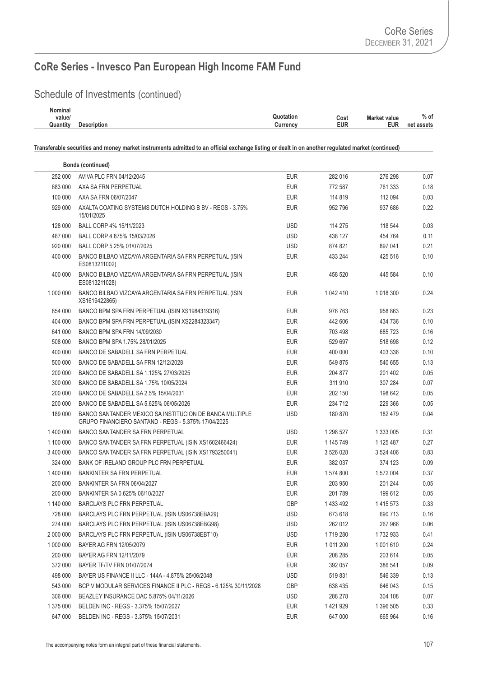## Schedule of Investments (continued)

| Nominal  |                    |                                          |            |
|----------|--------------------|------------------------------------------|------------|
| value/   |                    | Quotation<br><b>Market value</b><br>Cost | $%$ of     |
| Quantity | <b>Description</b> | EUR<br><b>EUR</b><br>Currency            | net assets |
|          |                    |                                          |            |

|           | <b>Bonds (continued)</b>                                                                                       |            |               |               |      |
|-----------|----------------------------------------------------------------------------------------------------------------|------------|---------------|---------------|------|
| 252 000   | AVIVA PLC FRN 04/12/2045                                                                                       | <b>EUR</b> | 282 016       | 276 298       | 0.07 |
| 683 000   | AXA SA FRN PERPETUAL                                                                                           | <b>EUR</b> | 772 587       | 761 333       | 0.18 |
| 100 000   | AXA SA FRN 06/07/2047                                                                                          | <b>EUR</b> | 114 819       | 112 094       | 0.03 |
| 929 000   | AXALTA COATING SYSTEMS DUTCH HOLDING B BV - REGS - 3.75%<br>15/01/2025                                         | <b>EUR</b> | 952 796       | 937 686       | 0.22 |
| 128 000   | BALL CORP 4% 15/11/2023                                                                                        | <b>USD</b> | 114 275       | 118 544       | 0.03 |
| 467 000   | BALL CORP 4.875% 15/03/2026                                                                                    | <b>USD</b> | 438 127       | 454 764       | 0.11 |
| 920 000   | BALL CORP 5.25% 01/07/2025                                                                                     | <b>USD</b> | 874 821       | 897 041       | 0.21 |
| 400 000   | BANCO BILBAO VIZCAYA ARGENTARIA SA FRN PERPETUAL (ISIN<br>ES0813211002)                                        | <b>EUR</b> | 433 244       | 425 516       | 0.10 |
| 400 000   | BANCO BILBAO VIZCAYA ARGENTARIA SA FRN PERPETUAL (ISIN<br>ES0813211028)                                        | <b>EUR</b> | 458 520       | 445 584       | 0.10 |
| 1 000 000 | BANCO BILBAO VIZCAYA ARGENTARIA SA FRN PERPETUAL (ISIN<br>XS1619422865)                                        | <b>EUR</b> | 1 042 410     | 1 018 300     | 0.24 |
| 854 000   | BANCO BPM SPA FRN PERPETUAL (ISIN XS1984319316)                                                                | <b>EUR</b> | 976 763       | 958 863       | 0.23 |
| 404 000   | BANCO BPM SPA FRN PERPETUAL (ISIN XS2284323347)                                                                | <b>EUR</b> | 442 606       | 434 736       | 0.10 |
| 641 000   | BANCO BPM SPA FRN 14/09/2030                                                                                   | <b>EUR</b> | 703 498       | 685 723       | 0.16 |
| 508 000   | BANCO BPM SPA 1.75% 28/01/2025                                                                                 | <b>EUR</b> | 529 697       | 518 698       | 0.12 |
| 400 000   | BANCO DE SABADELL SA FRN PERPETUAL                                                                             | <b>EUR</b> | 400 000       | 403 336       | 0.10 |
| 500 000   | BANCO DE SABADELL SA FRN 12/12/2028                                                                            | <b>EUR</b> | 549 875       | 540 655       | 0.13 |
| 200 000   | BANCO DE SABADELL SA 1.125% 27/03/2025                                                                         | <b>EUR</b> | 204 877       | 201 402       | 0.05 |
| 300 000   | BANCO DE SABADELL SA 1.75% 10/05/2024                                                                          | <b>EUR</b> | 311 910       | 307 284       | 0.07 |
| 200 000   | BANCO DE SABADELL SA 2.5% 15/04/2031                                                                           | <b>EUR</b> | 202 150       | 198 642       | 0.05 |
| 200 000   | BANCO DE SABADELL SA 5.625% 06/05/2026                                                                         | <b>EUR</b> | 234 712       | 229 366       | 0.05 |
| 189 000   | BANCO SANTANDER MEXICO SA INSTITUCION DE BANCA MULTIPLE<br>GRUPO FINANCIERO SANTAND - REGS - 5.375% 17/04/2025 | <b>USD</b> | 180 870       | 182 479       | 0.04 |
| 1 400 000 | <b>BANCO SANTANDER SA FRN PERPETUAL</b>                                                                        | <b>USD</b> | 1 298 527     | 1 333 005     | 0.31 |
| 1 100 000 | BANCO SANTANDER SA FRN PERPETUAL (ISIN XS1602466424)                                                           | <b>EUR</b> | 1 145 749     | 1 125 487     | 0.27 |
| 3 400 000 | BANCO SANTANDER SA FRN PERPETUAL (ISIN XS1793250041)                                                           | <b>EUR</b> | 3 526 028     | 3 524 406     | 0.83 |
| 324 000   | BANK OF IRELAND GROUP PLC FRN PERPETUAL                                                                        | <b>EUR</b> | 382 037       | 374 123       | 0.09 |
| 1 400 000 | <b>BANKINTER SA FRN PERPETUAL</b>                                                                              | <b>EUR</b> | 1 574 800     | 1 572 004     | 0.37 |
| 200 000   | BANKINTER SA FRN 06/04/2027                                                                                    | <b>EUR</b> | 203 950       | 201 244       | 0.05 |
| 200 000   | BANKINTER SA 0.625% 06/10/2027                                                                                 | EUR        | 201789        | 199 612       | 0.05 |
| 1 140 000 | <b>BARCLAYS PLC FRN PERPETUAL</b>                                                                              | <b>GBP</b> | 1 433 492     | 1 4 1 5 5 7 3 | 0.33 |
| 728 000   | BARCLAYS PLC FRN PERPETUAL (ISIN US06738EBA29)                                                                 | <b>USD</b> | 673 618       | 690 713       | 0.16 |
| 274 000   | BARCLAYS PLC FRN PERPETUAL (ISIN US06738EBG98)                                                                 | <b>USD</b> | 262 012       | 267 966       | 0.06 |
| 2 000 000 | BARCLAYS PLC FRN PERPETUAL (ISIN US06738EBT10)                                                                 | <b>USD</b> | 1719 280      | 1732933       | 0.41 |
| 1 000 000 | BAYER AG FRN 12/05/2079                                                                                        | <b>EUR</b> | 1 0 1 1 2 0 0 | 1 001 610     | 0.24 |
| 200 000   | BAYER AG FRN 12/11/2079                                                                                        | <b>EUR</b> | 208 285       | 203 614       | 0.05 |
| 372 000   | BAYER TF/TV FRN 01/07/2074                                                                                     | <b>EUR</b> | 392 057       | 386 541       | 0.09 |
| 498 000   | BAYER US FINANCE II LLC - 144A - 4.875% 25/06/2048                                                             | <b>USD</b> | 519831        | 546 339       | 0.13 |
| 543 000   | BCP V MODULAR SERVICES FINANCE II PLC - REGS - 6.125% 30/11/2028                                               | GBP        | 638 435       | 646 043       | 0.15 |
| 306 000   | BEAZLEY INSURANCE DAC 5.875% 04/11/2026                                                                        | <b>USD</b> | 288 278       | 304 108       | 0.07 |
| 1 375 000 | BELDEN INC - REGS - 3.375% 15/07/2027                                                                          | <b>EUR</b> | 1421929       | 1 396 505     | 0.33 |
| 647 000   | BELDEN INC - REGS - 3.375% 15/07/2031                                                                          | <b>EUR</b> | 647 000       | 665 964       | 0.16 |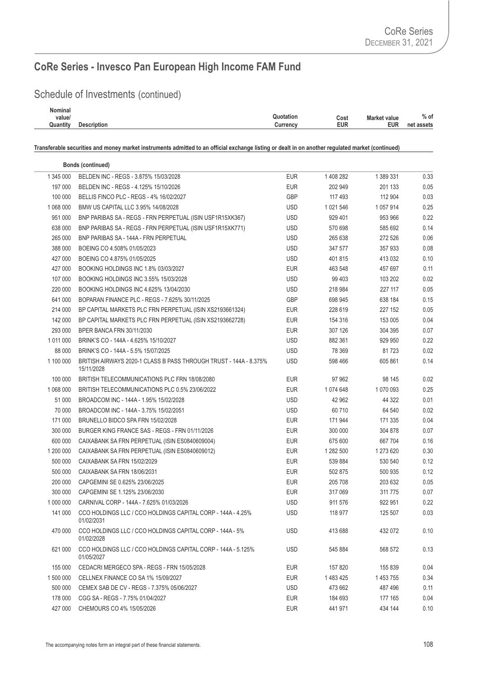## Schedule of Investments (continued)

| Nominal  |                    |                   |              |            |
|----------|--------------------|-------------------|--------------|------------|
| value/   |                    | Quotation<br>Cost | Market value | $%$ of     |
| Quantity | <b>Description</b> | EUR<br>Currency   | <b>EUR</b>   | net assets |
|          |                    |                   |              |            |

|               | <b>Bonds (continued)</b>                                                        |            |           |           |      |
|---------------|---------------------------------------------------------------------------------|------------|-----------|-----------|------|
| 1 345 000     | BELDEN INC - REGS - 3.875% 15/03/2028                                           | <b>EUR</b> | 1 408 282 | 1 389 331 | 0.33 |
| 197 000       | BELDEN INC - REGS - 4.125% 15/10/2026                                           | <b>EUR</b> | 202 949   | 201 133   | 0.05 |
| 100 000       | BELLIS FINCO PLC - REGS - 4% 16/02/2027                                         | <b>GBP</b> | 117 493   | 112 904   | 0.03 |
| 1 068 000     | BMW US CAPITAL LLC 3.95% 14/08/2028                                             | <b>USD</b> | 1 021 546 | 1 057 914 | 0.25 |
| 951 000       | BNP PARIBAS SA - REGS - FRN PERPETUAL (ISIN USF1R15XK367)                       | <b>USD</b> | 929 401   | 953 966   | 0.22 |
| 638 000       | BNP PARIBAS SA - REGS - FRN PERPETUAL (ISIN USF1R15XK771)                       | <b>USD</b> | 570 698   | 585 692   | 0.14 |
| 265 000       | <b>BNP PARIBAS SA - 144A - FRN PERPETUAL</b>                                    | <b>USD</b> | 265 638   | 272 526   | 0.06 |
| 388 000       | BOEING CO 4.508% 01/05/2023                                                     | <b>USD</b> | 347 577   | 357 933   | 0.08 |
| 427 000       | BOEING CO 4.875% 01/05/2025                                                     | <b>USD</b> | 401815    | 413 032   | 0.10 |
| 427 000       | BOOKING HOLDINGS INC 1.8% 03/03/2027                                            | <b>EUR</b> | 463 548   | 457 697   | 0.11 |
| 107 000       | BOOKING HOLDINGS INC 3.55% 15/03/2028                                           | <b>USD</b> | 99 403    | 103 202   | 0.02 |
| 220 000       | BOOKING HOLDINGS INC 4.625% 13/04/2030                                          | <b>USD</b> | 218 984   | 227 117   | 0.05 |
| 641 000       | BOPARAN FINANCE PLC - REGS - 7.625% 30/11/2025                                  | <b>GBP</b> | 698 945   | 638 184   | 0.15 |
| 214 000       | BP CAPITAL MARKETS PLC FRN PERPETUAL (ISIN XS2193661324)                        | <b>EUR</b> | 228 619   | 227 152   | 0.05 |
| 142 000       | BP CAPITAL MARKETS PLC FRN PERPETUAL (ISIN XS2193662728)                        | <b>EUR</b> | 154 316   | 153 005   | 0.04 |
| 293 000       | BPER BANCA FRN 30/11/2030                                                       | <b>EUR</b> | 307 126   | 304 395   | 0.07 |
| 1 0 1 1 0 0 0 | BRINK'S CO - 144A - 4.625% 15/10/2027                                           | <b>USD</b> | 882 361   | 929 950   | 0.22 |
| 88 000        | BRINK'S CO - 144A - 5.5% 15/07/2025                                             | <b>USD</b> | 78 369    | 81723     | 0.02 |
| 1 100 000     | BRITISH AIRWAYS 2020-1 CLASS B PASS THROUGH TRUST - 144A - 8.375%<br>15/11/2028 | <b>USD</b> | 598 466   | 605 861   | 0.14 |
| 100 000       | BRITISH TELECOMMUNICATIONS PLC FRN 18/08/2080                                   | <b>EUR</b> | 97 962    | 98 145    | 0.02 |
| 1 068 000     | BRITISH TELECOMMUNICATIONS PLC 0.5% 23/06/2022                                  | <b>EUR</b> | 1 074 648 | 1 070 093 | 0.25 |
| 51 000        | BROADCOM INC - 144A - 1.95% 15/02/2028                                          | <b>USD</b> | 42 962    | 44 322    | 0.01 |
| 70 000        | BROADCOM INC - 144A - 3.75% 15/02/2051                                          | <b>USD</b> | 60 710    | 64 540    | 0.02 |
| 171 000       | BRUNELLO BIDCO SPA FRN 15/02/2028                                               | <b>EUR</b> | 171 944   | 171 335   | 0.04 |
| 300 000       | BURGER KING FRANCE SAS - REGS - FRN 01/11/2026                                  | <b>EUR</b> | 300 000   | 304 878   | 0.07 |
| 600 000       | CAIXABANK SA FRN PERPETUAL (ISIN ES0840609004)                                  | <b>EUR</b> | 675 600   | 667 704   | 0.16 |
| 1 200 000     | CAIXABANK SA FRN PERPETUAL (ISIN ES0840609012)                                  | <b>EUR</b> | 1 282 500 | 1 273 620 | 0.30 |
| 500 000       | CAIXABANK SA FRN 15/02/2029                                                     | <b>EUR</b> | 539 884   | 530 540   | 0.12 |
| 500 000       | CAIXABANK SA FRN 18/06/2031                                                     | <b>EUR</b> | 502 875   | 500 935   | 0.12 |
| 200 000       | CAPGEMINI SE 0.625% 23/06/2025                                                  | <b>EUR</b> | 205 708   | 203 632   | 0.05 |
| 300 000       | CAPGEMINI SE 1.125% 23/06/2030                                                  | <b>EUR</b> | 317 069   | 311 775   | 0.07 |
| 1 000 000     | CARNIVAL CORP - 144A - 7.625% 01/03/2026                                        | <b>USD</b> | 911 576   | 922 951   | 0.22 |
| 141 000       | CCO HOLDINGS LLC / CCO HOLDINGS CAPITAL CORP - 144A - 4.25%<br>01/02/2031       | <b>USD</b> | 118 977   | 125 507   | 0.03 |
| 470 000       | CCO HOLDINGS LLC / CCO HOLDINGS CAPITAL CORP - 144A - 5%<br>01/02/2028          | <b>USD</b> | 413 688   | 432 072   | 0.10 |
| 621 000       | CCO HOLDINGS LLC / CCO HOLDINGS CAPITAL CORP - 144A - 5.125%<br>01/05/2027      | <b>USD</b> | 545 884   | 568 572   | 0.13 |
| 155 000       | CEDACRI MERGECO SPA - REGS - FRN 15/05/2028                                     | <b>EUR</b> | 157 820   | 155 839   | 0.04 |
| 1 500 000     | CELLNEX FINANCE CO SA 1% 15/09/2027                                             | <b>EUR</b> | 1 483 425 | 1 453 755 | 0.34 |
| 500 000       | CEMEX SAB DE CV - REGS - 7.375% 05/06/2027                                      | <b>USD</b> | 473 662   | 487 496   | 0.11 |
| 178 000       | CGG SA - REGS - 7.75% 01/04/2027                                                | <b>EUR</b> | 184 693   | 177 165   | 0.04 |
| 427 000       | CHEMOURS CO 4% 15/05/2026                                                       | <b>EUR</b> | 441 971   | 434 144   | 0.10 |
|               |                                                                                 |            |           |           |      |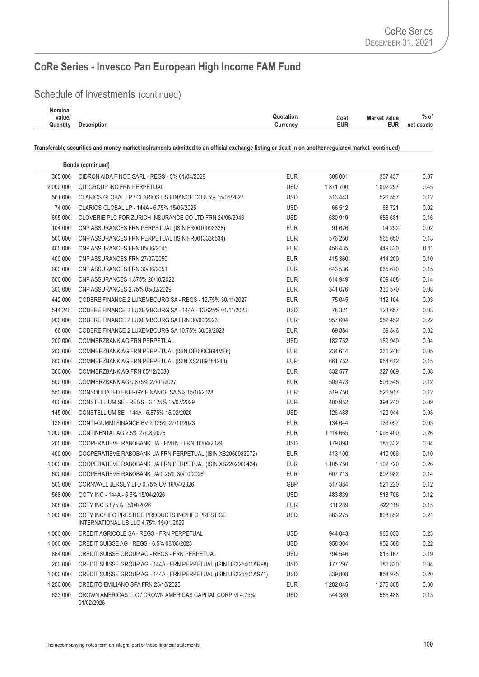## Schedule of Investments (continued)

| Nominal  |                    |                        |              |            |
|----------|--------------------|------------------------|--------------|------------|
| value/   |                    | Quotation<br>Cost      | Market value | $%$ of     |
| Quantity | <b>Description</b> | <b>EUR</b><br>Currency | EUR          | net assets |
|          |                    |                        |              |            |

|           | <b>Bonds (continued)</b>                                                                 |            |           |           |      |
|-----------|------------------------------------------------------------------------------------------|------------|-----------|-----------|------|
| 305 000   | CIDRON AIDA FINCO SARL - REGS - 5% 01/04/2028                                            | <b>EUR</b> | 308 001   | 307 437   | 0.07 |
| 2 000 000 | CITIGROUP INC FRN PERPETUAL                                                              | <b>USD</b> | 1871700   | 1892 297  | 0.45 |
| 561 000   | CLARIOS GLOBAL LP / CLARIOS US FINANCE CO 8.5% 15/05/2027                                | <b>USD</b> | 513 443   | 526 557   | 0.12 |
| 74 000    | CLARIOS GLOBAL LP - 144A - 6.75% 15/05/2025                                              | <b>USD</b> | 66 512    | 68721     | 0.02 |
| 695 000   | CLOVERIE PLC FOR ZURICH INSURANCE CO LTD FRN 24/06/2046                                  | <b>USD</b> | 680 919   | 686 681   | 0.16 |
| 104 000   | CNP ASSURANCES FRN PERPETUAL (ISIN FR0010093328)                                         | <b>EUR</b> | 91 676    | 94 292    | 0.02 |
| 500 000   | CNP ASSURANCES FRN PERPETUAL (ISIN FR0013336534)                                         | EUR        | 576 250   | 565 650   | 0.13 |
| 400 000   | CNP ASSURANCES FRN 05/06/2045                                                            | <b>EUR</b> | 456 435   | 449 820   | 0.11 |
| 400 000   | CNP ASSURANCES FRN 27/07/2050                                                            | <b>EUR</b> | 415 360   | 414 200   | 0.10 |
| 600 000   | CNP ASSURANCES FRN 30/06/2051                                                            | <b>EUR</b> | 643 536   | 635 670   | 0.15 |
| 600 000   | CNP ASSURANCES 1.875% 20/10/2022                                                         | <b>EUR</b> | 614 949   | 609 408   | 0.14 |
| 300 000   | CNP ASSURANCES 2.75% 05/02/2029                                                          | <b>EUR</b> | 341 076   | 336 570   | 0.08 |
| 442 000   | CODERE FINANCE 2 LUXEMBOURG SA - REGS - 12.75% 30/11/2027                                | <b>EUR</b> | 75 045    | 112 104   | 0.03 |
| 544 248   | CODERE FINANCE 2 LUXEMBOURG SA - 144A - 13.625% 01/11/2023                               | <b>USD</b> | 78 321    | 123 657   | 0.03 |
| 900 000   | CODERE FINANCE 2 LUXEMBOURG SA FRN 30/09/2023                                            | <b>EUR</b> | 957 604   | 952 452   | 0.22 |
| 66 000    | CODERE FINANCE 2 LUXEMBOURG SA 10.75% 30/09/2023                                         | <b>EUR</b> | 69 884    | 69 846    | 0.02 |
| 200 000   | COMMERZBANK AG FRN PERPETUAL                                                             | <b>USD</b> | 182752    | 189 949   | 0.04 |
| 200 000   | COMMERZBANK AG FRN PERPETUAL (ISIN DE000CB94MF6)                                         | <b>EUR</b> | 234 614   | 231 248   | 0.05 |
| 600 000   | COMMERZBANK AG FRN PERPETUAL (ISIN XS2189784288)                                         | <b>EUR</b> | 661 752   | 654 612   | 0.15 |
| 300 000   | COMMERZBANK AG FRN 05/12/2030                                                            | <b>EUR</b> | 332 577   | 327 069   | 0.08 |
| 500 000   | COMMERZBANK AG 0.875% 22/01/2027                                                         | <b>EUR</b> | 509 473   | 503 545   | 0.12 |
| 550 000   | CONSOLIDATED ENERGY FINANCE SA 5% 15/10/2028                                             | <b>EUR</b> | 519 750   | 526 917   | 0.12 |
| 400 000   | CONSTELLIUM SE - REGS - 3.125% 15/07/2029                                                | <b>EUR</b> | 400 952   | 398 240   | 0.09 |
| 145 000   | CONSTELLIUM SE - 144A - 5.875% 15/02/2026                                                | <b>USD</b> | 126 483   | 129 944   | 0.03 |
| 128 000   | CONTI-GUMMI FINANCE BV 2.125% 27/11/2023                                                 | <b>EUR</b> | 134 644   | 133 057   | 0.03 |
| 1 000 000 | CONTINENTAL AG 2.5% 27/08/2026                                                           | <b>EUR</b> | 1 114 665 | 1 096 400 | 0.26 |
| 200 000   | COOPERATIEVE RABOBANK UA - EMTN - FRN 10/04/2029                                         | <b>USD</b> | 179 898   | 185 332   | 0.04 |
| 400 000   | COOPERATIEVE RABOBANK UA FRN PERPETUAL (ISIN XS2050933972)                               | <b>EUR</b> | 413 100   | 410 956   | 0.10 |
| 1 000 000 | COOPERATIEVE RABOBANK UA FRN PERPETUAL (ISIN XS2202900424)                               | <b>EUR</b> | 1 105 750 | 1 102 720 | 0.26 |
| 600 000   | COOPERATIEVE RABOBANK UA 0.25% 30/10/2026                                                | <b>EUR</b> | 607 713   | 602 982   | 0.14 |
| 500 000   | CORNWALL JERSEY LTD 0.75% CV 16/04/2026                                                  | GBP        | 517 384   | 521 220   | 0.12 |
| 568 000   | COTY INC - 144A - 6.5% 15/04/2026                                                        | <b>USD</b> | 483 839   | 518706    | 0.12 |
| 608 000   | COTY INC 3.875% 15/04/2026                                                               | <b>EUR</b> | 611 289   | 622 118   | 0.15 |
| 1 000 000 | COTY INC/HFC PRESTIGE PRODUCTS INC/HFC PRESTIGE<br>INTERNATIONAL US LLC 4.75% 15/01/2029 | <b>USD</b> | 883 275   | 898 852   | 0.21 |
| 1 000 000 | CREDIT AGRICOLE SA - REGS - FRN PERPETUAL                                                | <b>USD</b> | 944 043   | 965 053   | 0.23 |
| 1 000 000 | CREDIT SUISSE AG - REGS - 6.5% 08/08/2023                                                | <b>USD</b> | 958 304   | 952 588   | 0.22 |
| 864 000   | CREDIT SUISSE GROUP AG - REGS - FRN PERPETUAL                                            | <b>USD</b> | 794 546   | 815 167   | 0.19 |
| 200 000   | CREDIT SUISSE GROUP AG - 144A - FRN PERPETUAL (ISIN US225401AR98)                        | <b>USD</b> | 177 297   | 181 820   | 0.04 |
| 1 000 000 | CREDIT SUISSE GROUP AG - 144A - FRN PERPETUAL (ISIN US225401AS71)                        | <b>USD</b> | 839 808   | 858 975   | 0.20 |
| 1 250 000 | CREDITO EMILIANO SPA FRN 25/10/2025                                                      | <b>EUR</b> | 1 282 045 | 1 276 888 | 0.30 |
| 623 000   | CROWN AMERICAS LLC / CROWN AMERICAS CAPITAL CORP VI 4.75%<br>01/02/2026                  | <b>USD</b> | 544 389   | 565 488   | 0.13 |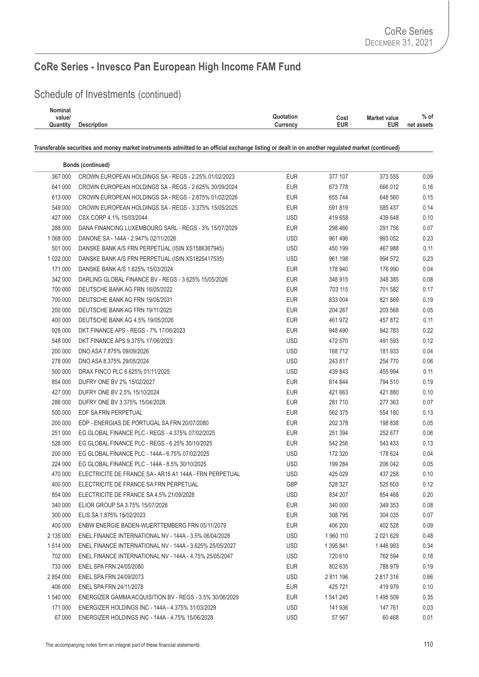## Schedule of Investments (continued)

| Nominal  |                    |           |      |                     |            |
|----------|--------------------|-----------|------|---------------------|------------|
| value/   |                    | Quotation | Cost | <b>Market value</b> | $%$ of     |
| Quantity | <b>Description</b> | Currency  | EUR  | EUR                 | net assets |
|          |                    |           |      |                     |            |

|           | <b>Bonds (continued)</b>                                 |            |           |               |      |
|-----------|----------------------------------------------------------|------------|-----------|---------------|------|
| 367 000   | CROWN EUROPEAN HOLDINGS SA - REGS - 2.25% 01/02/2023     | <b>EUR</b> | 377 107   | 373 555       | 0.09 |
| 641 000   | CROWN EUROPEAN HOLDINGS SA - REGS - 2.625% 30/09/2024    | <b>EUR</b> | 673 778   | 666 012       | 0.16 |
| 613 000   | CROWN EUROPEAN HOLDINGS SA - REGS - 2.875% 01/02/2026    | <b>EUR</b> | 655 744   | 648 560       | 0.15 |
| 549 000   | CROWN EUROPEAN HOLDINGS SA - REGS - 3.375% 15/05/2025    | <b>EUR</b> | 591 819   | 585 437       | 0.14 |
| 427 000   | CSX CORP 4.1% 15/03/2044                                 | USD        | 419 658   | 439 648       | 0.10 |
| 288 000   | DANA FINANCING LUXEMBOURG SARL - REGS - 3% 15/07/2029    | <b>EUR</b> | 298 466   | 291 756       | 0.07 |
| 1 068 000 | DANONE SA - 144A - 2.947% 02/11/2026                     | <b>USD</b> | 961 496   | 993 052       | 0.23 |
| 501 000   | DANSKE BANK A/S FRN PERPETUAL (ISIN XS1586367945)        | <b>USD</b> | 450 199   | 467 988       | 0.11 |
| 1 022 000 | DANSKE BANK A/S FRN PERPETUAL (ISIN XS1825417535)        | <b>USD</b> | 961 198   | 994 572       | 0.23 |
| 171 000   | DANSKE BANK A/S 1.625% 15/03/2024                        | <b>EUR</b> | 178 940   | 176 990       | 0.04 |
| 342 000   | DARLING GLOBAL FINANCE BV - REGS - 3.625% 15/05/2026     | <b>EUR</b> | 348 915   | 348 385       | 0.08 |
| 700 000   | DEUTSCHE BANK AG FRN 16/05/2022                          | <b>EUR</b> | 703 115   | 701 582       | 0.17 |
| 700 000   | DEUTSCHE BANK AG FRN 19/05/2031                          | <b>EUR</b> | 833 004   | 821 569       | 0.19 |
| 200 000   | DEUTSCHE BANK AG FRN 19/11/2025                          | EUR        | 204 267   | 203 568       | 0.05 |
| 400 000   | DEUTSCHE BANK AG 4.5% 19/05/2026                         | EUR        | 461 972   | 457 872       | 0.11 |
| 928 000   | DKT FINANCE APS - REGS - 7% 17/06/2023                   | EUR        | 948 490   | 942 783       | 0.22 |
| 548 000   | DKT FINANCE APS 9.375% 17/06/2023                        | <b>USD</b> | 472 570   | 491 593       | 0.12 |
| 200 000   | DNO ASA 7.875% 09/09/2026                                | <b>USD</b> | 168 712   | 181 933       | 0.04 |
| 278 000   | DNO ASA 8.375% 29/05/2024                                | <b>USD</b> | 243 817   | 254 770       | 0.06 |
| 500 000   | DRAX FINCO PLC 6.625% 01/11/2025                         | <b>USD</b> | 439 843   | 455 994       | 0.11 |
| 854 000   | DUFRY ONE BV 2% 15/02/2027                               | EUR        | 814 844   | 794 510       | 0.19 |
| 427 000   | DUFRY ONE BV 2.5% 15/10/2024                             | <b>EUR</b> | 421 663   | 421 880       | 0.10 |
| 286 000   | DUFRY ONE BV 3.375% 15/04/2028                           | EUR        | 281 710   | 277 363       | 0.07 |
| 500 000   | EDF SA FRN PERPETUAL                                     | EUR        | 562 375   | 554 180       | 0.13 |
| 200 000   | EDP - ENERGIAS DE PORTUGAL SA FRN 20/07/2080             | EUR        | 202 378   | 198 838       | 0.05 |
| 251 000   | EG GLOBAL FINANCE PLC - REGS - 4.375% 07/02/2025         | <b>EUR</b> | 251 394   | 252 677       | 0.06 |
| 528 000   | EG GLOBAL FINANCE PLC - REGS - 6.25% 30/10/2025          | EUR        | 542 256   | 543 433       | 0.13 |
| 200 000   | EG GLOBAL FINANCE PLC - 144A - 6.75% 07/02/2025          | <b>USD</b> | 172 320   | 178 624       | 0.04 |
| 224 000   | EG GLOBAL FINANCE PLC - 144A - 8.5% 30/10/2025           | <b>USD</b> | 199 284   | 206 042       | 0.05 |
| 470 000   | ELECTRICITE DE FRANCE SA - AR15 A1 144A - FRN PERPETUAL  | <b>USD</b> | 425 029   | 437 258       | 0.10 |
| 400 000   | ELECTRICITE DE FRANCE SA FRN PERPETUAL                   | GBP        | 528 327   | 525 603       | 0.12 |
| 854 000   | ELECTRICITE DE FRANCE SA 4.5% 21/09/2028                 | <b>USD</b> | 834 207   | 854 468       | 0.20 |
| 340 000   | ELIOR GROUP SA 3.75% 15/07/2026                          | <b>EUR</b> | 340 000   | 349 353       | 0.08 |
| 300 000   | ELIS SA 1.875% 15/02/2023                                | <b>EUR</b> | 308 795   | 304 035       | 0.07 |
| 400 000   | ENBW ENERGIE BADEN-WUERTTEMBERG FRN 05/11/2079           | <b>EUR</b> | 406 200   | 402 528       | 0.09 |
| 2 135 000 | ENEL FINANCE INTERNATIONAL NV - 144A - 3.5% 06/04/2028   | <b>USD</b> | 1 960 110 | 2 0 2 1 6 2 9 | 0.48 |
| 1 514 000 | ENEL FINANCE INTERNATIONAL NV - 144A - 3.625% 25/05/2027 | <b>USD</b> | 1 395 841 | 1446993       | 0.34 |
| 702 000   | ENEL FINANCE INTERNATIONAL NV - 144A - 4.75% 25/05/2047  | <b>USD</b> | 720 610   | 762 594       | 0.18 |
| 733 000   | ENEL SPA FRN 24/05/2080                                  | EUR        | 802 635   | 788 979       | 0.19 |
| 2 854 000 | ENEL SPA FRN 24/09/2073                                  | <b>USD</b> | 2 811 196 | 2 817 316     | 0.66 |
| 406 000   | ENEL SPA FRN 24/11/2078                                  | <b>EUR</b> | 425 721   | 419 979       | 0.10 |
| 1 540 000 | ENERGIZER GAMMA ACQUISITION BV - REGS - 3.5% 30/06/2029  | <b>EUR</b> | 1 541 245 | 1 495 509     | 0.35 |
| 171 000   | ENERGIZER HOLDINGS INC - 144A - 4.375% 31/03/2029        | <b>USD</b> | 141 936   | 147 761       | 0.03 |
| 67 000    | ENERGIZER HOLDINGS INC - 144A - 4.75% 15/06/2028         | <b>USD</b> | 57 567    | 60 468        | 0.01 |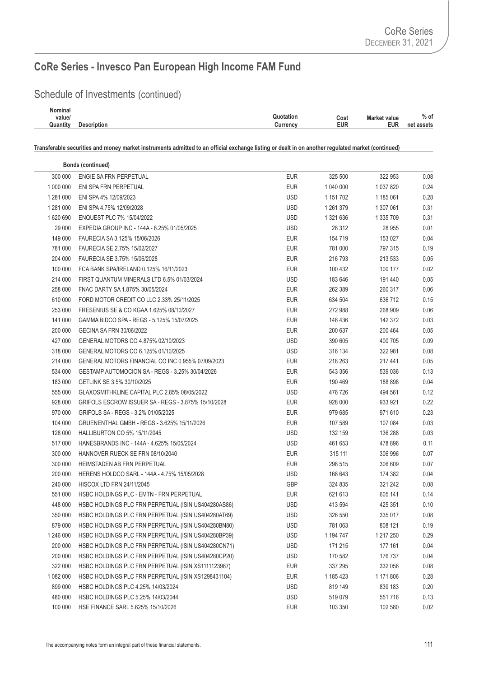## Schedule of Investments (continued)

| <b>Nominal</b> |                    |                                          |            |
|----------------|--------------------|------------------------------------------|------------|
| value/         |                    | Quotation<br>Cost<br><b>Market value</b> | $%$ of     |
| Quantity       | <b>Description</b> | <b>EUR</b><br><b>EUR</b><br>Currency     | net assets |
|                |                    |                                          |            |

|           | <b>Bonds (continued)</b>                            |            |           |           |      |
|-----------|-----------------------------------------------------|------------|-----------|-----------|------|
| 300 000   | ENGIE SA FRN PERPETUAL                              | <b>EUR</b> | 325 500   | 322 953   | 0.08 |
| 1 000 000 | ENI SPA FRN PERPETUAL                               | <b>EUR</b> | 1 040 000 | 1 037 820 | 0.24 |
| 1 281 000 | ENI SPA 4% 12/09/2023                               | <b>USD</b> | 1 151 702 | 1 185 061 | 0.28 |
| 1 281 000 | ENI SPA 4.75% 12/09/2028                            | <b>USD</b> | 1 261 379 | 1 307 061 | 0.31 |
| 1 620 690 | ENQUEST PLC 7% 15/04/2022                           | <b>USD</b> | 1 321 636 | 1 335 709 | 0.31 |
| 29 000    | EXPEDIA GROUP INC - 144A - 6.25% 01/05/2025         | <b>USD</b> | 28 312    | 28 955    | 0.01 |
| 149 000   | FAURECIA SA 3.125% 15/06/2026                       | <b>EUR</b> | 154 719   | 153 027   | 0.04 |
| 781 000   | FAURECIA SE 2.75% 15/02/2027                        | <b>EUR</b> | 781 000   | 797 315   | 0.19 |
| 204 000   | FAURECIA SE 3.75% 15/06/2028                        | <b>EUR</b> | 216 793   | 213 533   | 0.05 |
| 100 000   | FCA BANK SPA/IRELAND 0.125% 16/11/2023              | <b>EUR</b> | 100 432   | 100 177   | 0.02 |
| 214 000   | FIRST QUANTUM MINERALS LTD 6.5% 01/03/2024          | <b>USD</b> | 183 646   | 191 440   | 0.05 |
| 258 000   | FNAC DARTY SA 1.875% 30/05/2024                     | <b>EUR</b> | 262 389   | 260 317   | 0.06 |
| 610 000   | FORD MOTOR CREDIT CO LLC 2.33% 25/11/2025           | <b>EUR</b> | 634 504   | 636 712   | 0.15 |
| 253 000   | FRESENIUS SE & CO KGAA 1.625% 08/10/2027            | <b>EUR</b> | 272 988   | 268 909   | 0.06 |
| 141 000   | GAMMA BIDCO SPA - REGS - 5.125% 15/07/2025          | <b>EUR</b> | 146 436   | 142 372   | 0.03 |
| 200 000   | GECINA SA FRN 30/06/2022                            | <b>EUR</b> | 200 637   | 200 464   | 0.05 |
| 427 000   | GENERAL MOTORS CO 4.875% 02/10/2023                 | <b>USD</b> | 390 605   | 400 705   | 0.09 |
| 318 000   | GENERAL MOTORS CO 6.125% 01/10/2025                 | USD        | 316 134   | 322 981   | 0.08 |
| 214 000   | GENERAL MOTORS FINANCIAL CO INC 0.955% 07/09/2023   | <b>EUR</b> | 218 263   | 217 441   | 0.05 |
| 534 000   | GESTAMP AUTOMOCION SA - REGS - 3.25% 30/04/2026     | <b>EUR</b> | 543 356   | 539 036   | 0.13 |
| 183 000   | GETLINK SE 3.5% 30/10/2025                          | <b>EUR</b> | 190 469   | 188 898   | 0.04 |
| 555 000   | GLAXOSMITHKLINE CAPITAL PLC 2.85% 08/05/2022        | <b>USD</b> | 476 726   | 494 561   | 0.12 |
| 928 000   | GRIFOLS ESCROW ISSUER SA - REGS - 3.875% 15/10/2028 | <b>EUR</b> | 928 000   | 933 921   | 0.22 |
| 970 000   | GRIFOLS SA - REGS - 3.2% 01/05/2025                 | <b>EUR</b> | 979 685   | 971 610   | 0.23 |
| 104 000   | GRUENENTHAL GMBH - REGS - 3.625% 15/11/2026         | <b>EUR</b> | 107 589   | 107 084   | 0.03 |
| 128 000   | HALLIBURTON CO 5% 15/11/2045                        | <b>USD</b> | 132 159   | 136 288   | 0.03 |
| 517 000   | HANESBRANDS INC - 144A - 4.625% 15/05/2024          | <b>USD</b> | 461 653   | 478 896   | 0.11 |
| 300 000   | HANNOVER RUECK SE FRN 08/10/2040                    | <b>EUR</b> | 315 111   | 306 996   | 0.07 |
| 300 000   | HEIMSTADEN AB FRN PERPETUAL                         | <b>EUR</b> | 298 515   | 306 609   | 0.07 |
| 200 000   | HERENS HOLDCO SARL - 144A - 4.75% 15/05/2028        | <b>USD</b> | 168 643   | 174 382   | 0.04 |
| 240 000   | <b>HISCOX LTD FRN 24/11/2045</b>                    | <b>GBP</b> | 324 835   | 321 242   | 0.08 |
| 551 000   | HSBC HOLDINGS PLC - EMTN - FRN PERPETUAL            | <b>EUR</b> | 621 613   | 605 141   | 0.14 |
| 448 000   | HSBC HOLDINGS PLC FRN PERPETUAL (ISIN US404280AS86) | <b>USD</b> | 413 594   | 425 351   | 0.10 |
| 350 000   | HSBC HOLDINGS PLC FRN PERPETUAL (ISIN US404280AT69) | <b>USD</b> | 326 550   | 335 017   | 0.08 |
| 879 000   | HSBC HOLDINGS PLC FRN PERPETUAL (ISIN US404280BN80) | <b>USD</b> | 781 063   | 808 121   | 0.19 |
| 1 246 000 | HSBC HOLDINGS PLC FRN PERPETUAL (ISIN US404280BP39) | <b>USD</b> | 1 194 747 | 1 217 250 | 0.29 |
| 200 000   | HSBC HOLDINGS PLC FRN PERPETUAL (ISIN US404280CN71) | <b>USD</b> | 171 215   | 177 161   | 0.04 |
| 200 000   | HSBC HOLDINGS PLC FRN PERPETUAL (ISIN US404280CP20) | <b>USD</b> | 170 582   | 176 737   | 0.04 |
| 322 000   | HSBC HOLDINGS PLC FRN PERPETUAL (ISIN XS1111123987) | <b>EUR</b> | 337 295   | 332 056   | 0.08 |
| 1 082 000 | HSBC HOLDINGS PLC FRN PERPETUAL (ISIN XS1298431104) | <b>EUR</b> | 1 185 423 | 1 171 806 | 0.28 |
| 899 000   | HSBC HOLDINGS PLC 4.25% 14/03/2024                  | <b>USD</b> | 819 149   | 839 183   | 0.20 |
| 480 000   | HSBC HOLDINGS PLC 5.25% 14/03/2044                  | <b>USD</b> | 519 079   | 551716    | 0.13 |
| 100 000   | HSE FINANCE SARL 5.625% 15/10/2026                  | <b>EUR</b> | 103 350   | 102 580   | 0.02 |
|           |                                                     |            |           |           |      |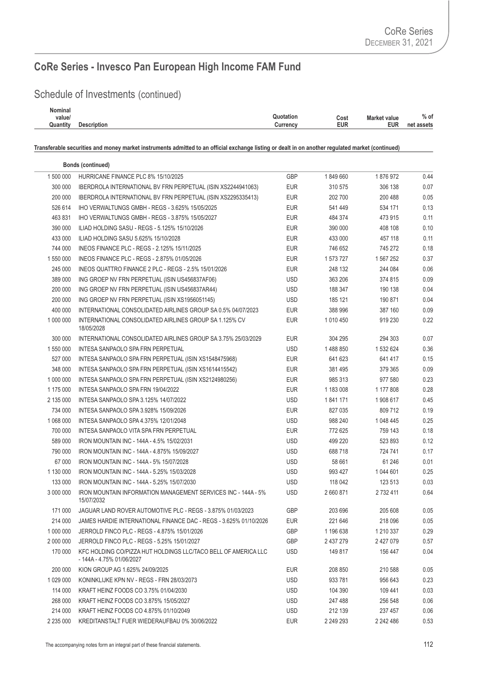## Schedule of Investments (continued)

| Nominal  |                    |                |      |               |            |
|----------|--------------------|----------------|------|---------------|------------|
| value/   |                    | วแotation      | Cost | Vlarket value | $%$ of     |
| Quantity | <b>Description</b> | $J$ urrenc $V$ | EUR  | <b>EUR</b>    | net assets |
|          |                    |                |      |               |            |

|           | <b>Bonds (continued)</b>                                                                    |            |           |           |      |
|-----------|---------------------------------------------------------------------------------------------|------------|-----------|-----------|------|
| 1 500 000 | HURRICANE FINANCE PLC 8% 15/10/2025                                                         | <b>GBP</b> | 1849660   | 1876972   | 0.44 |
| 300 000   | IBERDROLA INTERNATIONAL BV FRN PERPETUAL (ISIN XS2244941063)                                | <b>EUR</b> | 310 575   | 306 138   | 0.07 |
| 200 000   | IBERDROLA INTERNATIONAL BV FRN PERPETUAL (ISIN XS2295335413)                                | <b>EUR</b> | 202 700   | 200 488   | 0.05 |
| 526 614   | IHO VERWALTUNGS GMBH - REGS - 3.625% 15/05/2025                                             | <b>EUR</b> | 541 449   | 534 171   | 0.13 |
| 463 831   | IHO VERWALTUNGS GMBH - REGS - 3.875% 15/05/2027                                             | <b>EUR</b> | 484 374   | 473 915   | 0.11 |
| 390 000   | ILIAD HOLDING SASU - REGS - 5.125% 15/10/2026                                               | <b>EUR</b> | 390 000   | 408 108   | 0.10 |
| 433 000   | ILIAD HOLDING SASU 5.625% 15/10/2028                                                        | <b>EUR</b> | 433 000   | 457 118   | 0.11 |
| 744 000   | INEOS FINANCE PLC - REGS - 2.125% 15/11/2025                                                | <b>EUR</b> | 746 652   | 745 272   | 0.18 |
| 1 550 000 | INEOS FINANCE PLC - REGS - 2.875% 01/05/2026                                                | <b>EUR</b> | 1 573 727 | 1 567 252 | 0.37 |
| 245 000   | INEOS QUATTRO FINANCE 2 PLC - REGS - 2.5% 15/01/2026                                        | <b>EUR</b> | 248 132   | 244 084   | 0.06 |
| 389 000   | ING GROEP NV FRN PERPETUAL (ISIN US456837AF06)                                              | <b>USD</b> | 363 206   | 374 815   | 0.09 |
| 200 000   | ING GROEP NV FRN PERPETUAL (ISIN US456837AR44)                                              | <b>USD</b> | 188 347   | 190 138   | 0.04 |
| 200 000   | ING GROEP NV FRN PERPETUAL (ISIN XS1956051145)                                              | <b>USD</b> | 185 121   | 190 871   | 0.04 |
| 400 000   | INTERNATIONAL CONSOLIDATED AIRLINES GROUP SA 0.5% 04/07/2023                                | <b>EUR</b> | 388 996   | 387 160   | 0.09 |
| 1 000 000 | INTERNATIONAL CONSOLIDATED AIRLINES GROUP SA 1.125% CV<br>18/05/2028                        | <b>EUR</b> | 1 010 450 | 919 230   | 0.22 |
| 300 000   | INTERNATIONAL CONSOLIDATED AIRLINES GROUP SA 3.75% 25/03/2029                               | <b>EUR</b> | 304 295   | 294 303   | 0.07 |
| 1 550 000 | INTESA SANPAOLO SPA FRN PERPETUAL                                                           | <b>USD</b> | 1488850   | 1 532 624 | 0.36 |
| 527 000   | INTESA SANPAOLO SPA FRN PERPETUAL (ISIN XS1548475968)                                       | <b>EUR</b> | 641 623   | 641 417   | 0.15 |
| 348 000   | INTESA SANPAOLO SPA FRN PERPETUAL (ISIN XS1614415542)                                       | EUR        | 381 495   | 379 365   | 0.09 |
| 1 000 000 | INTESA SANPAOLO SPA FRN PERPETUAL (ISIN XS2124980256)                                       | <b>EUR</b> | 985 313   | 977 580   | 0.23 |
| 1 175 000 | INTESA SANPAOLO SPA FRN 19/04/2022                                                          | <b>EUR</b> | 1 183 008 | 1 177 808 | 0.28 |
| 2 135 000 | INTESA SANPAOLO SPA 3.125% 14/07/2022                                                       | <b>USD</b> | 1841171   | 1908617   | 0.45 |
| 734 000   | INTESA SANPAOLO SPA 3.928% 15/09/2026                                                       | <b>EUR</b> | 827 035   | 809 712   | 0.19 |
| 1 068 000 | INTESA SANPAOLO SPA 4.375% 12/01/2048                                                       | <b>USD</b> | 988 240   | 1 048 445 | 0.25 |
| 700 000   | INTESA SANPAOLO VITA SPA FRN PERPETUAL                                                      | <b>EUR</b> | 772 625   | 759 143   | 0.18 |
| 589 000   | IRON MOUNTAIN INC - 144A - 4.5% 15/02/2031                                                  | <b>USD</b> | 499 220   | 523 893   | 0.12 |
| 790 000   | IRON MOUNTAIN INC - 144A - 4.875% 15/09/2027                                                | <b>USD</b> | 688718    | 724 741   | 0.17 |
| 67 000    | IRON MOUNTAIN INC - 144A - 5% 15/07/2028                                                    | <b>USD</b> | 58 661    | 61 246    | 0.01 |
| 1 130 000 | IRON MOUNTAIN INC - 144A - 5.25% 15/03/2028                                                 | <b>USD</b> | 993 427   | 1 044 601 | 0.25 |
| 133 000   | IRON MOUNTAIN INC - 144A - 5.25% 15/07/2030                                                 | <b>USD</b> | 118 042   | 123 513   | 0.03 |
| 3 000 000 | IRON MOUNTAIN INFORMATION MANAGEMENT SERVICES INC - 144A - 5%<br>15/07/2032                 | <b>USD</b> | 2 660 871 | 2 732 411 | 0.64 |
| 171 000   | JAGUAR LAND ROVER AUTOMOTIVE PLC - REGS - 3.875% 01/03/2023                                 | <b>GBP</b> | 203 696   | 205 608   | 0.05 |
| 214 000   | JAMES HARDIE INTERNATIONAL FINANCE DAC - REGS - 3.625% 01/10/2026                           | <b>EUR</b> | 221 646   | 218 096   | 0.05 |
| 1 000 000 | JERROLD FINCO PLC - REGS - 4.875% 15/01/2026                                                | <b>GBP</b> | 1 196 638 | 1 210 337 | 0.29 |
| 2 000 000 | JERROLD FINCO PLC - REGS - 5.25% 15/01/2027                                                 | GBP        | 2 437 279 | 2 427 079 | 0.57 |
| 170 000   | KFC HOLDING CO/PIZZA HUT HOLDINGS LLC/TACO BELL OF AMERICA LLC<br>- 144A - 4.75% 01/06/2027 | <b>USD</b> | 149 817   | 156 447   | 0.04 |
| 200 000   | KION GROUP AG 1.625% 24/09/2025                                                             | <b>EUR</b> | 208 850   | 210 588   | 0.05 |
| 1 029 000 | KONINKLIJKE KPN NV - REGS - FRN 28/03/2073                                                  | <b>USD</b> | 933 781   | 956 643   | 0.23 |
| 114 000   | KRAFT HEINZ FOODS CO 3.75% 01/04/2030                                                       | <b>USD</b> | 104 390   | 109 441   | 0.03 |
| 268 000   | KRAFT HEINZ FOODS CO 3.875% 15/05/2027                                                      | <b>USD</b> | 247 488   | 256 548   | 0.06 |
| 214 000   | KRAFT HEINZ FOODS CO 4.875% 01/10/2049                                                      | <b>USD</b> | 212 139   | 237 457   | 0.06 |
| 2 235 000 | KREDITANSTALT FUER WIEDERAUFBAU 0% 30/06/2022                                               | <b>EUR</b> | 2 249 293 | 2 242 486 | 0.53 |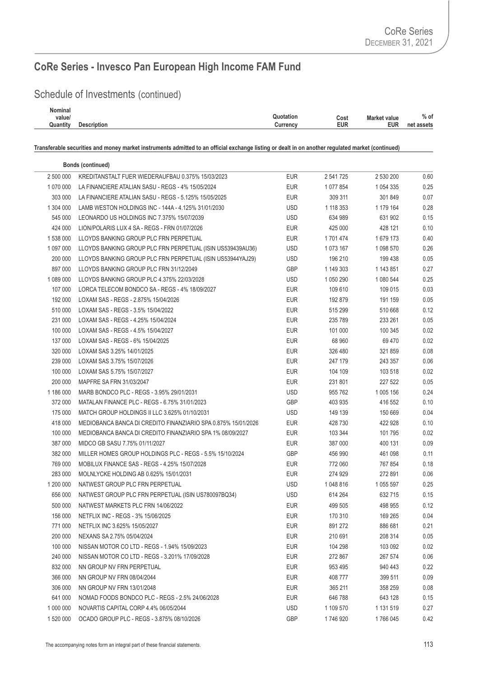## Schedule of Investments (continued)

| <b>Nominal</b> |                    |                                   |                   |
|----------------|--------------------|-----------------------------------|-------------------|
| value/         |                    | Quotation<br>Cost<br>Market value | $%$ of            |
| Quantity       | <b>Description</b> | EUR<br>Currency                   | EUR<br>net assets |
|                |                    |                                   |                   |

|           | <b>Bonds (continued)</b>                                      |            |           |             |      |
|-----------|---------------------------------------------------------------|------------|-----------|-------------|------|
| 2 500 000 | KREDITANSTALT FUER WIEDERAUFBAU 0.375% 15/03/2023             | EUR        | 2 541 725 | 2 530 200   | 0.60 |
| 1 070 000 | LA FINANCIERE ATALIAN SASU - REGS - 4% 15/05/2024             | EUR        | 1 077 854 | 1 0 54 3 35 | 0.25 |
| 303 000   | LA FINANCIERE ATALIAN SASU - REGS - 5.125% 15/05/2025         | EUR        | 309 311   | 301849      | 0.07 |
| 1 304 000 | LAMB WESTON HOLDINGS INC - 144A - 4.125% 31/01/2030           | <b>USD</b> | 1 118 353 | 1 179 164   | 0.28 |
| 545 000   | LEONARDO US HOLDINGS INC 7.375% 15/07/2039                    | <b>USD</b> | 634 989   | 631 902     | 0.15 |
| 424 000   | LION/POLARIS LUX 4 SA - REGS - FRN 01/07/2026                 | EUR        | 425 000   | 428 121     | 0.10 |
| 1 538 000 | LLOYDS BANKING GROUP PLC FRN PERPETUAL                        | EUR        | 1 701 474 | 1 679 173   | 0.40 |
| 1 097 000 | LLOYDS BANKING GROUP PLC FRN PERPETUAL (ISIN US539439AU36)    | <b>USD</b> | 1 073 167 | 1 098 570   | 0.26 |
| 200 000   | LLOYDS BANKING GROUP PLC FRN PERPETUAL (ISIN US53944YAJ29)    | <b>USD</b> | 196 210   | 199 438     | 0.05 |
| 897 000   | LLOYDS BANKING GROUP PLC FRN 31/12/2049                       | <b>GBP</b> | 1 149 303 | 1 143 851   | 0.27 |
| 1 089 000 | LLOYDS BANKING GROUP PLC 4.375% 22/03/2028                    | USD        | 1 050 290 | 1 080 544   | 0.25 |
| 107 000   | LORCA TELECOM BONDCO SA - REGS - 4% 18/09/2027                | EUR        | 109 610   | 109 015     | 0.03 |
| 192 000   | LOXAM SAS - REGS - 2.875% 15/04/2026                          | <b>EUR</b> | 192 879   | 191 159     | 0.05 |
| 510 000   | LOXAM SAS - REGS - 3.5% 15/04/2022                            | EUR        | 515 299   | 510 668     | 0.12 |
| 231 000   | LOXAM SAS - REGS - 4.25% 15/04/2024                           | EUR        | 235 789   | 233 261     | 0.05 |
| 100 000   | LOXAM SAS - REGS - 4.5% 15/04/2027                            | <b>EUR</b> | 101 000   | 100 345     | 0.02 |
| 137 000   | LOXAM SAS - REGS - 6% 15/04/2025                              | EUR        | 68 960    | 69 470      | 0.02 |
| 320 000   | LOXAM SAS 3.25% 14/01/2025                                    | EUR        | 326 480   | 321 859     | 0.08 |
| 239 000   | LOXAM SAS 3.75% 15/07/2026                                    | EUR        | 247 179   | 243 357     | 0.06 |
| 100 000   | LOXAM SAS 5.75% 15/07/2027                                    | EUR        | 104 109   | 103 518     | 0.02 |
| 200 000   | MAPFRE SA FRN 31/03/2047                                      | EUR        | 231 801   | 227 522     | 0.05 |
| 1 186 000 | MARB BONDCO PLC - REGS - 3.95% 29/01/2031                     | <b>USD</b> | 955 762   | 1 005 156   | 0.24 |
| 372 000   | MATALAN FINANCE PLC - REGS - 6.75% 31/01/2023                 | <b>GBP</b> | 403 935   | 416 552     | 0.10 |
| 175 000   | MATCH GROUP HOLDINGS II LLC 3.625% 01/10/2031                 | <b>USD</b> | 149 139   | 150 669     | 0.04 |
| 418 000   | MEDIOBANCA BANCA DI CREDITO FINANZIARIO SPA 0.875% 15/01/2026 | EUR        | 428 730   | 422 928     | 0.10 |
| 100 000   | MEDIOBANCA BANCA DI CREDITO FINANZIARIO SPA 1% 08/09/2027     | EUR        | 103 344   | 101 795     | 0.02 |
| 387 000   | MIDCO GB SASU 7.75% 01/11/2027                                | EUR        | 387 000   | 400 131     | 0.09 |
| 382 000   | MILLER HOMES GROUP HOLDINGS PLC - REGS - 5.5% 15/10/2024      | <b>GBP</b> | 456 990   | 461 098     | 0.11 |
| 769 000   | MOBILUX FINANCE SAS - REGS - 4.25% 15/07/2028                 | <b>EUR</b> | 772 060   | 767 854     | 0.18 |
| 283 000   | MOLNLYCKE HOLDING AB 0.625% 15/01/2031                        | EUR        | 274 929   | 272 891     | 0.06 |
| 1 200 000 | NATWEST GROUP PLC FRN PERPETUAL                               | <b>USD</b> | 1 048 816 | 1 055 597   | 0.25 |
| 656 000   | NATWEST GROUP PLC FRN PERPETUAL (ISIN US780097BQ34)           | <b>USD</b> | 614 264   | 632 715     | 0.15 |
| 500 000   | NATWEST MARKETS PLC FRN 14/06/2022                            | <b>EUR</b> | 499 505   | 498 955     | 0.12 |
| 156 000   | NETFLIX INC - REGS - 3% 15/06/2025                            | <b>EUR</b> | 170 310   | 169 265     | 0.04 |
| 771 000   | NETFLIX INC 3.625% 15/05/2027                                 | <b>EUR</b> | 891 272   | 886 681     | 0.21 |
| 200 000   | NEXANS SA 2.75% 05/04/2024                                    | <b>EUR</b> | 210 691   | 208 314     | 0.05 |
| 100 000   | NISSAN MOTOR CO LTD - REGS - 1.94% 15/09/2023                 | <b>EUR</b> | 104 298   | 103 092     | 0.02 |
| 240 000   | NISSAN MOTOR CO LTD - REGS - 3.201% 17/09/2028                | <b>EUR</b> | 272 867   | 267 574     | 0.06 |
| 832 000   | NN GROUP NV FRN PERPETUAL                                     | <b>EUR</b> | 953 495   | 940 443     | 0.22 |
| 366 000   | NN GROUP NV FRN 08/04/2044                                    | <b>EUR</b> | 408 777   | 399 511     | 0.09 |
| 306 000   | NN GROUP NV FRN 13/01/2048                                    | <b>EUR</b> | 365 211   | 358 259     | 0.08 |
| 641 000   | NOMAD FOODS BONDCO PLC - REGS - 2.5% 24/06/2028               | <b>EUR</b> | 646 788   | 643 128     | 0.15 |
| 1 000 000 | NOVARTIS CAPITAL CORP 4.4% 06/05/2044                         | <b>USD</b> | 1 109 570 | 1 131 519   | 0.27 |
| 1 520 000 | OCADO GROUP PLC - REGS - 3.875% 08/10/2026                    | GBP        | 1746920   | 1766 045    | 0.42 |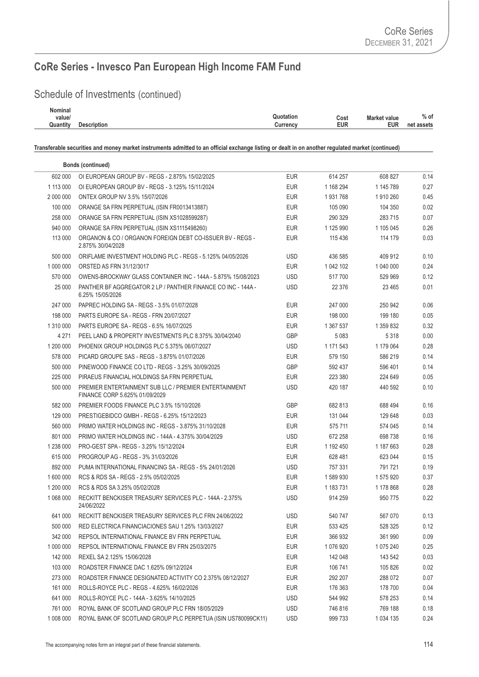## Schedule of Investments (continued)

| <b>Nominal</b> |                    |           |      |                     |            |
|----------------|--------------------|-----------|------|---------------------|------------|
| value/         |                    | Quotation | Cost | <b>Market value</b> | $%$ of     |
| Quantity       | <b>Description</b> | Currencv  | EUR  | <b>EUR</b>          | net assets |
|                |                    |           |      |                     |            |

|           | <b>Bonds (continued)</b>                                                                |            |           |             |      |
|-----------|-----------------------------------------------------------------------------------------|------------|-----------|-------------|------|
| 602 000   | OI EUROPEAN GROUP BV - REGS - 2.875% 15/02/2025                                         | <b>EUR</b> | 614 257   | 608 827     | 0.14 |
| 1 113 000 | OI EUROPEAN GROUP BV - REGS - 3.125% 15/11/2024                                         | <b>EUR</b> | 1 168 294 | 1 145 789   | 0.27 |
| 2 000 000 | ONTEX GROUP NV 3.5% 15/07/2026                                                          | <b>EUR</b> | 1931768   | 1910260     | 0.45 |
| 100 000   | ORANGE SA FRN PERPETUAL (ISIN FR0013413887)                                             | <b>EUR</b> | 105 090   | 104 350     | 0.02 |
| 258 000   | ORANGE SA FRN PERPETUAL (ISIN XS1028599287)                                             | <b>EUR</b> | 290 329   | 283 715     | 0.07 |
| 940 000   | ORANGE SA FRN PERPETUAL (ISIN XS1115498260)                                             | <b>EUR</b> | 1 125 990 | 1 105 045   | 0.26 |
| 113 000   | ORGANON & CO / ORGANON FOREIGN DEBT CO-ISSUER BV - REGS -<br>2.875% 30/04/2028          | <b>EUR</b> | 115 436   | 114 179     | 0.03 |
| 500 000   | ORIFLAME INVESTMENT HOLDING PLC - REGS - 5.125% 04/05/2026                              | <b>USD</b> | 436 585   | 409 912     | 0.10 |
| 1 000 000 | ORSTED AS FRN 31/12/3017                                                                | <b>EUR</b> | 1 042 102 | 1 040 000   | 0.24 |
| 570 000   | OWENS-BROCKWAY GLASS CONTAINER INC - 144A - 5.875% 15/08/2023                           | <b>USD</b> | 517700    | 529 969     | 0.12 |
| 25 000    | PANTHER BF AGGREGATOR 2 LP / PANTHER FINANCE CO INC - 144A -<br>6.25% 15/05/2026        | <b>USD</b> | 22 3 7 6  | 23 4 65     | 0.01 |
| 247 000   | PAPREC HOLDING SA - REGS - 3.5% 01/07/2028                                              | <b>EUR</b> | 247 000   | 250 942     | 0.06 |
| 198 000   | PARTS EUROPE SA - REGS - FRN 20/07/2027                                                 | <b>EUR</b> | 198 000   | 199 180     | 0.05 |
| 1 310 000 | PARTS EUROPE SA - REGS - 6.5% 16/07/2025                                                | <b>EUR</b> | 1 367 537 | 1 359 832   | 0.32 |
| 4 2 7 1   | PEEL LAND & PROPERTY INVESTMENTS PLC 8.375% 30/04/2040                                  | <b>GBP</b> | 5 0 8 3   | 5 3 1 8     | 0.00 |
| 1 200 000 | PHOENIX GROUP HOLDINGS PLC 5.375% 06/07/2027                                            | <b>USD</b> | 1 171 543 | 1 179 064   | 0.28 |
| 578 000   | PICARD GROUPE SAS - REGS - 3.875% 01/07/2026                                            | <b>EUR</b> | 579 150   | 586 219     | 0.14 |
| 500 000   | PINEWOOD FINANCE CO LTD - REGS - 3.25% 30/09/2025                                       | <b>GBP</b> | 592 437   | 596 401     | 0.14 |
| 225 000   | PIRAEUS FINANCIAL HOLDINGS SA FRN PERPETUAL                                             | <b>EUR</b> | 223 380   | 224 649     | 0.05 |
| 500 000   | PREMIER ENTERTAINMENT SUB LLC / PREMIER ENTERTAINMENT<br>FINANCE CORP 5.625% 01/09/2029 | <b>USD</b> | 420 187   | 440 592     | 0.10 |
| 582 000   | PREMIER FOODS FINANCE PLC 3.5% 15/10/2026                                               | <b>GBP</b> | 682 813   | 688 494     | 0.16 |
| 129 000   | PRESTIGEBIDCO GMBH - REGS - 6.25% 15/12/2023                                            | <b>EUR</b> | 131 044   | 129 648     | 0.03 |
| 560 000   | PRIMO WATER HOLDINGS INC - REGS - 3.875% 31/10/2028                                     | <b>EUR</b> | 575 711   | 574 045     | 0.14 |
| 801 000   | PRIMO WATER HOLDINGS INC - 144A - 4.375% 30/04/2029                                     | <b>USD</b> | 672 258   | 698 738     | 0.16 |
| 1 238 000 | PRO-GEST SPA - REGS - 3.25% 15/12/2024                                                  | <b>EUR</b> | 1 192 450 | 1 187 663   | 0.28 |
| 615 000   | PROGROUP AG - REGS - 3% 31/03/2026                                                      | <b>EUR</b> | 628 481   | 623 044     | 0.15 |
| 892 000   | PUMA INTERNATIONAL FINANCING SA - REGS - 5% 24/01/2026                                  | <b>USD</b> | 757 331   | 791 721     | 0.19 |
| 1 600 000 | RCS & RDS SA - REGS - 2.5% 05/02/2025                                                   | <b>EUR</b> | 1 589 930 | 1 575 920   | 0.37 |
| 1 200 000 | RCS & RDS SA 3.25% 05/02/2028                                                           | <b>EUR</b> | 1 183 731 | 1 178 868   | 0.28 |
| 1 068 000 | RECKITT BENCKISER TREASURY SERVICES PLC - 144A - 2.375%<br>24/06/2022                   | <b>USD</b> | 914 259   | 950 775     | 0.22 |
| 641 000   | RECKITT BENCKISER TREASURY SERVICES PLC FRN 24/06/2022                                  | <b>USD</b> | 540 747   | 567 070     | 0.13 |
| 500 000   | RED ELECTRICA FINANCIACIONES SAU 1.25% 13/03/2027                                       | <b>EUR</b> | 533 425   | 528 325     | 0.12 |
| 342 000   | REPSOL INTERNATIONAL FINANCE BV FRN PERPETUAL                                           | <b>EUR</b> | 366 932   | 361 990     | 0.09 |
| 1 000 000 | REPSOL INTERNATIONAL FINANCE BV FRN 25/03/2075                                          | <b>EUR</b> | 1 076 920 | 1 075 240   | 0.25 |
| 142 000   | REXEL SA 2.125% 15/06/2028                                                              | <b>EUR</b> | 142 048   | 143 542     | 0.03 |
| 103 000   | ROADSTER FINANCE DAC 1.625% 09/12/2024                                                  | EUR        | 106 741   | 105 826     | 0.02 |
| 273 000   | ROADSTER FINANCE DESIGNATED ACTIVITY CO 2.375% 08/12/2027                               | EUR        | 292 207   | 288 072     | 0.07 |
| 161 000   | ROLLS-ROYCE PLC - REGS - 4.625% 16/02/2026                                              | <b>EUR</b> | 176 363   | 178 700     | 0.04 |
| 641 000   | ROLLS-ROYCE PLC - 144A - 3.625% 14/10/2025                                              | <b>USD</b> | 544 992   | 578 253     | 0.14 |
| 761 000   | ROYAL BANK OF SCOTLAND GROUP PLC FRN 18/05/2029                                         | <b>USD</b> | 746 816   | 769 188     | 0.18 |
| 1 008 000 | ROYAL BANK OF SCOTLAND GROUP PLC PERPETUA (ISIN US780099CK11)                           | <b>USD</b> | 999 733   | 1 0 34 1 35 | 0.24 |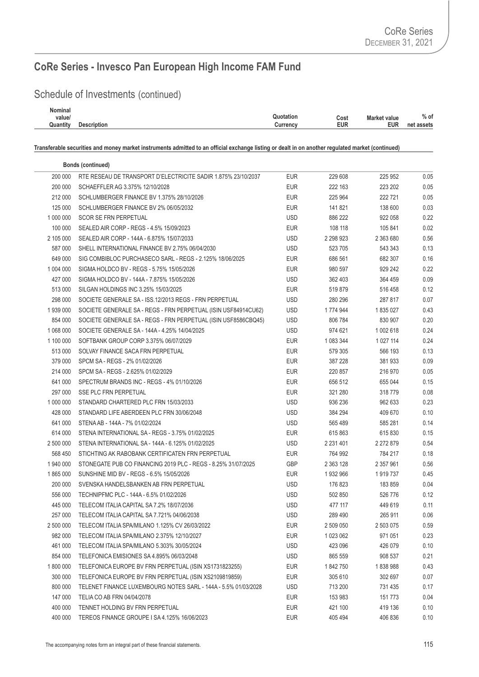## Schedule of Investments (continued)

| Nominal  |                    |                                                 |            |            |
|----------|--------------------|-------------------------------------------------|------------|------------|
| value/   |                    | <b>Quotation</b><br>Cost<br><b>Market value</b> |            | $%$ of     |
| Quantity | <b>Description</b> | EUR<br>$C$ urrenc $V$                           | <b>EUR</b> | net assets |
|          |                    |                                                 |            |            |

| RTE RESEAU DE TRANSPORT D'ELECTRICITE SADIR 1.875% 23/10/2037<br><b>EUR</b><br>229 608<br>225 952<br>0.05<br>200 000<br>0.05<br>200 000<br>SCHAEFFLER AG 3.375% 12/10/2028<br><b>EUR</b><br>222 163<br>223 202<br>212 000<br>SCHLUMBERGER FINANCE BV 1.375% 28/10/2026<br><b>EUR</b><br>222 721<br>0.05<br>225 964<br>0.03<br>125 000<br>SCHLUMBERGER FINANCE BV 2% 06/05/2032<br><b>EUR</b><br>141 821<br>138 600<br>1 000 000<br><b>SCOR SE FRN PERPETUAL</b><br><b>USD</b><br>886 222<br>0.22<br>922 058<br>0.02<br>100 000<br><b>EUR</b><br>108 118<br>SEALED AIR CORP - REGS - 4.5% 15/09/2023<br>105 841<br>2 105 000<br><b>USD</b><br>0.56<br>SEALED AIR CORP - 144A - 6.875% 15/07/2033<br>2 298 923<br>2 363 680<br>0.13<br>587 000<br><b>USD</b><br>523 705<br>SHELL INTERNATIONAL FINANCE BV 2.75% 06/04/2030<br>543 343<br>649 000<br><b>EUR</b><br>0.16<br>SIG COMBIBLOC PURCHASECO SARL - REGS - 2.125% 18/06/2025<br>686 561<br>682 307<br>0.22<br>1 004 000<br><b>EUR</b><br>980 597<br>929 242<br>SIGMA HOLDCO BV - REGS - 5.75% 15/05/2026<br>427 000<br>USD<br>0.09<br>SIGMA HOLDCO BV - 144A - 7.875% 15/05/2026<br>362 403<br>364 459<br>513 000<br><b>EUR</b><br>519879<br>0.12<br>SILGAN HOLDINGS INC 3.25% 15/03/2025<br>516 458<br>298 000<br>SOCIETE GENERALE SA - ISS.12/2013 REGS - FRN PERPETUAL<br><b>USD</b><br>0.07<br>280 296<br>287 817<br>0.43<br>1939000<br>USD<br>SOCIETE GENERALE SA - REGS - FRN PERPETUAL (ISIN USF84914CU62)<br>1 774 944<br>1 835 027<br>854 000<br><b>USD</b><br>0.20<br>SOCIETE GENERALE SA - REGS - FRN PERPETUAL (ISIN USF8586CBQ45)<br>806 784<br>830 907<br>0.24<br>1 068 000<br><b>USD</b><br>SOCIETE GENERALE SA - 144A - 4.25% 14/04/2025<br>974 621<br>1 002 618<br>0.24<br>1 100 000<br>SOFTBANK GROUP CORP 3.375% 06/07/2029<br><b>EUR</b><br>1 083 344<br>1 0 27 114<br>0.13<br>513 000<br>SOLVAY FINANCE SACA FRN PERPETUAL<br><b>EUR</b><br>579 305<br>566 193<br>0.09<br>379 000<br>SPCM SA - REGS - 2% 01/02/2026<br><b>EUR</b><br>387 228<br>381933<br>214 000<br>SPCM SA - REGS - 2.625% 01/02/2029<br><b>EUR</b><br>220 857<br>216 970<br>0.05<br>641 000<br>SPECTRUM BRANDS INC - REGS - 4% 01/10/2026<br><b>EUR</b><br>655 044<br>0.15<br>656 512<br>0.08<br>297 000<br>SSE PLC FRN PERPETUAL<br><b>EUR</b><br>321 280<br>318 779<br>0.23<br>1 000 000<br><b>USD</b><br>936 236<br>STANDARD CHARTERED PLC FRN 15/03/2033<br>962 633<br><b>USD</b><br>428 000<br>0.10<br>STANDARD LIFE ABERDEEN PLC FRN 30/06/2048<br>384 294<br>409 670<br>641 000<br><b>USD</b><br>0.14<br>STENA AB - 144A - 7% 01/02/2024<br>565 489<br>585 281<br>614 000<br><b>EUR</b><br>0.15<br>STENA INTERNATIONAL SA - REGS - 3.75% 01/02/2025<br>615 863<br>615 830<br>2 500 000<br>STENA INTERNATIONAL SA - 144A - 6.125% 01/02/2025<br>USD<br>0.54<br>2 231 401<br>2 272 879<br>568 450<br>STICHTING AK RABOBANK CERTIFICATEN FRN PERPETUAL<br><b>EUR</b><br>0.18<br>764 992<br>784 217<br>1 940 000<br>STONEGATE PUB CO FINANCING 2019 PLC - REGS - 8.25% 31/07/2025<br>GBP<br>0.56<br>2 363 128<br>2 357 961<br>0.45<br>1865000<br>SUNSHINE MID BV - REGS - 6.5% 15/05/2026<br>EUR<br>1932966<br>1 919 737<br>200 000<br><b>USD</b><br>0.04<br>SVENSKA HANDELSBANKEN AB FRN PERPETUAL<br>176 823<br>183 859<br>0.12<br>556 000<br><b>USD</b><br>526 776<br>TECHNIPFMC PLC - 144A - 6.5% 01/02/2026<br>502 850<br>445 000<br>TELECOM ITALIA CAPITAL SA 7.2% 18/07/2036<br><b>USD</b><br>477 117<br>0.11<br>449 619<br><b>USD</b><br>289 490<br>265 911<br>0.06<br>257 000<br>TELECOM ITALIA CAPITAL SA 7.721% 04/06/2038<br><b>EUR</b><br>0.59<br>2 500 000<br>TELECOM ITALIA SPA/MILANO 1.125% CV 26/03/2022<br>2 509 050<br>2 503 075<br><b>EUR</b><br>982 000<br>1 023 062<br>971 051<br>0.23<br>TELECOM ITALIA SPA/MILANO 2.375% 12/10/2027<br><b>USD</b><br>0.10<br>461 000<br>TELECOM ITALIA SPA/MILANO 5.303% 30/05/2024<br>423 096<br>426 079<br>854 000<br>0.21<br>TELEFONICA EMISIONES SA 4.895% 06/03/2048<br>USD<br>865 559<br>908 537<br>1 800 000<br>0.43<br>TELEFONICA EUROPE BV FRN PERPETUAL (ISIN XS1731823255)<br><b>EUR</b><br>1842750<br>1838988<br>300 000<br><b>EUR</b><br>305 610<br>0.07<br>TELEFONICA EUROPE BV FRN PERPETUAL (ISIN XS2109819859)<br>302 697<br>800 000<br>TELENET FINANCE LUXEMBOURG NOTES SARL - 144A - 5.5% 01/03/2028<br><b>USD</b><br>0.17<br>713 200<br>731 435<br>147 000<br>TELIA CO AB FRN 04/04/2078<br><b>EUR</b><br>153 983<br>151 773<br>0.04<br>400 000<br>TENNET HOLDING BV FRN PERPETUAL<br><b>EUR</b><br>421 100<br>419 136<br>0.10<br>400 000<br>TEREOS FINANCE GROUPE I SA 4.125% 16/06/2023<br><b>EUR</b><br>405 494<br>406 836<br>0.10 | <b>Bonds (continued)</b> |  |  |
|-------------------------------------------------------------------------------------------------------------------------------------------------------------------------------------------------------------------------------------------------------------------------------------------------------------------------------------------------------------------------------------------------------------------------------------------------------------------------------------------------------------------------------------------------------------------------------------------------------------------------------------------------------------------------------------------------------------------------------------------------------------------------------------------------------------------------------------------------------------------------------------------------------------------------------------------------------------------------------------------------------------------------------------------------------------------------------------------------------------------------------------------------------------------------------------------------------------------------------------------------------------------------------------------------------------------------------------------------------------------------------------------------------------------------------------------------------------------------------------------------------------------------------------------------------------------------------------------------------------------------------------------------------------------------------------------------------------------------------------------------------------------------------------------------------------------------------------------------------------------------------------------------------------------------------------------------------------------------------------------------------------------------------------------------------------------------------------------------------------------------------------------------------------------------------------------------------------------------------------------------------------------------------------------------------------------------------------------------------------------------------------------------------------------------------------------------------------------------------------------------------------------------------------------------------------------------------------------------------------------------------------------------------------------------------------------------------------------------------------------------------------------------------------------------------------------------------------------------------------------------------------------------------------------------------------------------------------------------------------------------------------------------------------------------------------------------------------------------------------------------------------------------------------------------------------------------------------------------------------------------------------------------------------------------------------------------------------------------------------------------------------------------------------------------------------------------------------------------------------------------------------------------------------------------------------------------------------------------------------------------------------------------------------------------------------------------------------------------------------------------------------------------------------------------------------------------------------------------------------------------------------------------------------------------------------------------------------------------------------------------------------------------------------------------------------------------------------------------------------------------------------------------------------------------------------------------------------------------------------------------------------------------------------------------------------------------------------------------------------------------------------------------------------------------------------------------------------------------------------------------------------------------------------------------------------------------------------------------------------------------------------------------------------------|--------------------------|--|--|
|                                                                                                                                                                                                                                                                                                                                                                                                                                                                                                                                                                                                                                                                                                                                                                                                                                                                                                                                                                                                                                                                                                                                                                                                                                                                                                                                                                                                                                                                                                                                                                                                                                                                                                                                                                                                                                                                                                                                                                                                                                                                                                                                                                                                                                                                                                                                                                                                                                                                                                                                                                                                                                                                                                                                                                                                                                                                                                                                                                                                                                                                                                                                                                                                                                                                                                                                                                                                                                                                                                                                                                                                                                                                                                                                                                                                                                                                                                                                                                                                                                                                                                                                                                                                                                                                                                                                                                                                                                                                                                                                                                                                                                                                   |                          |  |  |
|                                                                                                                                                                                                                                                                                                                                                                                                                                                                                                                                                                                                                                                                                                                                                                                                                                                                                                                                                                                                                                                                                                                                                                                                                                                                                                                                                                                                                                                                                                                                                                                                                                                                                                                                                                                                                                                                                                                                                                                                                                                                                                                                                                                                                                                                                                                                                                                                                                                                                                                                                                                                                                                                                                                                                                                                                                                                                                                                                                                                                                                                                                                                                                                                                                                                                                                                                                                                                                                                                                                                                                                                                                                                                                                                                                                                                                                                                                                                                                                                                                                                                                                                                                                                                                                                                                                                                                                                                                                                                                                                                                                                                                                                   |                          |  |  |
|                                                                                                                                                                                                                                                                                                                                                                                                                                                                                                                                                                                                                                                                                                                                                                                                                                                                                                                                                                                                                                                                                                                                                                                                                                                                                                                                                                                                                                                                                                                                                                                                                                                                                                                                                                                                                                                                                                                                                                                                                                                                                                                                                                                                                                                                                                                                                                                                                                                                                                                                                                                                                                                                                                                                                                                                                                                                                                                                                                                                                                                                                                                                                                                                                                                                                                                                                                                                                                                                                                                                                                                                                                                                                                                                                                                                                                                                                                                                                                                                                                                                                                                                                                                                                                                                                                                                                                                                                                                                                                                                                                                                                                                                   |                          |  |  |
|                                                                                                                                                                                                                                                                                                                                                                                                                                                                                                                                                                                                                                                                                                                                                                                                                                                                                                                                                                                                                                                                                                                                                                                                                                                                                                                                                                                                                                                                                                                                                                                                                                                                                                                                                                                                                                                                                                                                                                                                                                                                                                                                                                                                                                                                                                                                                                                                                                                                                                                                                                                                                                                                                                                                                                                                                                                                                                                                                                                                                                                                                                                                                                                                                                                                                                                                                                                                                                                                                                                                                                                                                                                                                                                                                                                                                                                                                                                                                                                                                                                                                                                                                                                                                                                                                                                                                                                                                                                                                                                                                                                                                                                                   |                          |  |  |
|                                                                                                                                                                                                                                                                                                                                                                                                                                                                                                                                                                                                                                                                                                                                                                                                                                                                                                                                                                                                                                                                                                                                                                                                                                                                                                                                                                                                                                                                                                                                                                                                                                                                                                                                                                                                                                                                                                                                                                                                                                                                                                                                                                                                                                                                                                                                                                                                                                                                                                                                                                                                                                                                                                                                                                                                                                                                                                                                                                                                                                                                                                                                                                                                                                                                                                                                                                                                                                                                                                                                                                                                                                                                                                                                                                                                                                                                                                                                                                                                                                                                                                                                                                                                                                                                                                                                                                                                                                                                                                                                                                                                                                                                   |                          |  |  |
|                                                                                                                                                                                                                                                                                                                                                                                                                                                                                                                                                                                                                                                                                                                                                                                                                                                                                                                                                                                                                                                                                                                                                                                                                                                                                                                                                                                                                                                                                                                                                                                                                                                                                                                                                                                                                                                                                                                                                                                                                                                                                                                                                                                                                                                                                                                                                                                                                                                                                                                                                                                                                                                                                                                                                                                                                                                                                                                                                                                                                                                                                                                                                                                                                                                                                                                                                                                                                                                                                                                                                                                                                                                                                                                                                                                                                                                                                                                                                                                                                                                                                                                                                                                                                                                                                                                                                                                                                                                                                                                                                                                                                                                                   |                          |  |  |
|                                                                                                                                                                                                                                                                                                                                                                                                                                                                                                                                                                                                                                                                                                                                                                                                                                                                                                                                                                                                                                                                                                                                                                                                                                                                                                                                                                                                                                                                                                                                                                                                                                                                                                                                                                                                                                                                                                                                                                                                                                                                                                                                                                                                                                                                                                                                                                                                                                                                                                                                                                                                                                                                                                                                                                                                                                                                                                                                                                                                                                                                                                                                                                                                                                                                                                                                                                                                                                                                                                                                                                                                                                                                                                                                                                                                                                                                                                                                                                                                                                                                                                                                                                                                                                                                                                                                                                                                                                                                                                                                                                                                                                                                   |                          |  |  |
|                                                                                                                                                                                                                                                                                                                                                                                                                                                                                                                                                                                                                                                                                                                                                                                                                                                                                                                                                                                                                                                                                                                                                                                                                                                                                                                                                                                                                                                                                                                                                                                                                                                                                                                                                                                                                                                                                                                                                                                                                                                                                                                                                                                                                                                                                                                                                                                                                                                                                                                                                                                                                                                                                                                                                                                                                                                                                                                                                                                                                                                                                                                                                                                                                                                                                                                                                                                                                                                                                                                                                                                                                                                                                                                                                                                                                                                                                                                                                                                                                                                                                                                                                                                                                                                                                                                                                                                                                                                                                                                                                                                                                                                                   |                          |  |  |
|                                                                                                                                                                                                                                                                                                                                                                                                                                                                                                                                                                                                                                                                                                                                                                                                                                                                                                                                                                                                                                                                                                                                                                                                                                                                                                                                                                                                                                                                                                                                                                                                                                                                                                                                                                                                                                                                                                                                                                                                                                                                                                                                                                                                                                                                                                                                                                                                                                                                                                                                                                                                                                                                                                                                                                                                                                                                                                                                                                                                                                                                                                                                                                                                                                                                                                                                                                                                                                                                                                                                                                                                                                                                                                                                                                                                                                                                                                                                                                                                                                                                                                                                                                                                                                                                                                                                                                                                                                                                                                                                                                                                                                                                   |                          |  |  |
|                                                                                                                                                                                                                                                                                                                                                                                                                                                                                                                                                                                                                                                                                                                                                                                                                                                                                                                                                                                                                                                                                                                                                                                                                                                                                                                                                                                                                                                                                                                                                                                                                                                                                                                                                                                                                                                                                                                                                                                                                                                                                                                                                                                                                                                                                                                                                                                                                                                                                                                                                                                                                                                                                                                                                                                                                                                                                                                                                                                                                                                                                                                                                                                                                                                                                                                                                                                                                                                                                                                                                                                                                                                                                                                                                                                                                                                                                                                                                                                                                                                                                                                                                                                                                                                                                                                                                                                                                                                                                                                                                                                                                                                                   |                          |  |  |
|                                                                                                                                                                                                                                                                                                                                                                                                                                                                                                                                                                                                                                                                                                                                                                                                                                                                                                                                                                                                                                                                                                                                                                                                                                                                                                                                                                                                                                                                                                                                                                                                                                                                                                                                                                                                                                                                                                                                                                                                                                                                                                                                                                                                                                                                                                                                                                                                                                                                                                                                                                                                                                                                                                                                                                                                                                                                                                                                                                                                                                                                                                                                                                                                                                                                                                                                                                                                                                                                                                                                                                                                                                                                                                                                                                                                                                                                                                                                                                                                                                                                                                                                                                                                                                                                                                                                                                                                                                                                                                                                                                                                                                                                   |                          |  |  |
|                                                                                                                                                                                                                                                                                                                                                                                                                                                                                                                                                                                                                                                                                                                                                                                                                                                                                                                                                                                                                                                                                                                                                                                                                                                                                                                                                                                                                                                                                                                                                                                                                                                                                                                                                                                                                                                                                                                                                                                                                                                                                                                                                                                                                                                                                                                                                                                                                                                                                                                                                                                                                                                                                                                                                                                                                                                                                                                                                                                                                                                                                                                                                                                                                                                                                                                                                                                                                                                                                                                                                                                                                                                                                                                                                                                                                                                                                                                                                                                                                                                                                                                                                                                                                                                                                                                                                                                                                                                                                                                                                                                                                                                                   |                          |  |  |
|                                                                                                                                                                                                                                                                                                                                                                                                                                                                                                                                                                                                                                                                                                                                                                                                                                                                                                                                                                                                                                                                                                                                                                                                                                                                                                                                                                                                                                                                                                                                                                                                                                                                                                                                                                                                                                                                                                                                                                                                                                                                                                                                                                                                                                                                                                                                                                                                                                                                                                                                                                                                                                                                                                                                                                                                                                                                                                                                                                                                                                                                                                                                                                                                                                                                                                                                                                                                                                                                                                                                                                                                                                                                                                                                                                                                                                                                                                                                                                                                                                                                                                                                                                                                                                                                                                                                                                                                                                                                                                                                                                                                                                                                   |                          |  |  |
|                                                                                                                                                                                                                                                                                                                                                                                                                                                                                                                                                                                                                                                                                                                                                                                                                                                                                                                                                                                                                                                                                                                                                                                                                                                                                                                                                                                                                                                                                                                                                                                                                                                                                                                                                                                                                                                                                                                                                                                                                                                                                                                                                                                                                                                                                                                                                                                                                                                                                                                                                                                                                                                                                                                                                                                                                                                                                                                                                                                                                                                                                                                                                                                                                                                                                                                                                                                                                                                                                                                                                                                                                                                                                                                                                                                                                                                                                                                                                                                                                                                                                                                                                                                                                                                                                                                                                                                                                                                                                                                                                                                                                                                                   |                          |  |  |
|                                                                                                                                                                                                                                                                                                                                                                                                                                                                                                                                                                                                                                                                                                                                                                                                                                                                                                                                                                                                                                                                                                                                                                                                                                                                                                                                                                                                                                                                                                                                                                                                                                                                                                                                                                                                                                                                                                                                                                                                                                                                                                                                                                                                                                                                                                                                                                                                                                                                                                                                                                                                                                                                                                                                                                                                                                                                                                                                                                                                                                                                                                                                                                                                                                                                                                                                                                                                                                                                                                                                                                                                                                                                                                                                                                                                                                                                                                                                                                                                                                                                                                                                                                                                                                                                                                                                                                                                                                                                                                                                                                                                                                                                   |                          |  |  |
|                                                                                                                                                                                                                                                                                                                                                                                                                                                                                                                                                                                                                                                                                                                                                                                                                                                                                                                                                                                                                                                                                                                                                                                                                                                                                                                                                                                                                                                                                                                                                                                                                                                                                                                                                                                                                                                                                                                                                                                                                                                                                                                                                                                                                                                                                                                                                                                                                                                                                                                                                                                                                                                                                                                                                                                                                                                                                                                                                                                                                                                                                                                                                                                                                                                                                                                                                                                                                                                                                                                                                                                                                                                                                                                                                                                                                                                                                                                                                                                                                                                                                                                                                                                                                                                                                                                                                                                                                                                                                                                                                                                                                                                                   |                          |  |  |
|                                                                                                                                                                                                                                                                                                                                                                                                                                                                                                                                                                                                                                                                                                                                                                                                                                                                                                                                                                                                                                                                                                                                                                                                                                                                                                                                                                                                                                                                                                                                                                                                                                                                                                                                                                                                                                                                                                                                                                                                                                                                                                                                                                                                                                                                                                                                                                                                                                                                                                                                                                                                                                                                                                                                                                                                                                                                                                                                                                                                                                                                                                                                                                                                                                                                                                                                                                                                                                                                                                                                                                                                                                                                                                                                                                                                                                                                                                                                                                                                                                                                                                                                                                                                                                                                                                                                                                                                                                                                                                                                                                                                                                                                   |                          |  |  |
|                                                                                                                                                                                                                                                                                                                                                                                                                                                                                                                                                                                                                                                                                                                                                                                                                                                                                                                                                                                                                                                                                                                                                                                                                                                                                                                                                                                                                                                                                                                                                                                                                                                                                                                                                                                                                                                                                                                                                                                                                                                                                                                                                                                                                                                                                                                                                                                                                                                                                                                                                                                                                                                                                                                                                                                                                                                                                                                                                                                                                                                                                                                                                                                                                                                                                                                                                                                                                                                                                                                                                                                                                                                                                                                                                                                                                                                                                                                                                                                                                                                                                                                                                                                                                                                                                                                                                                                                                                                                                                                                                                                                                                                                   |                          |  |  |
|                                                                                                                                                                                                                                                                                                                                                                                                                                                                                                                                                                                                                                                                                                                                                                                                                                                                                                                                                                                                                                                                                                                                                                                                                                                                                                                                                                                                                                                                                                                                                                                                                                                                                                                                                                                                                                                                                                                                                                                                                                                                                                                                                                                                                                                                                                                                                                                                                                                                                                                                                                                                                                                                                                                                                                                                                                                                                                                                                                                                                                                                                                                                                                                                                                                                                                                                                                                                                                                                                                                                                                                                                                                                                                                                                                                                                                                                                                                                                                                                                                                                                                                                                                                                                                                                                                                                                                                                                                                                                                                                                                                                                                                                   |                          |  |  |
|                                                                                                                                                                                                                                                                                                                                                                                                                                                                                                                                                                                                                                                                                                                                                                                                                                                                                                                                                                                                                                                                                                                                                                                                                                                                                                                                                                                                                                                                                                                                                                                                                                                                                                                                                                                                                                                                                                                                                                                                                                                                                                                                                                                                                                                                                                                                                                                                                                                                                                                                                                                                                                                                                                                                                                                                                                                                                                                                                                                                                                                                                                                                                                                                                                                                                                                                                                                                                                                                                                                                                                                                                                                                                                                                                                                                                                                                                                                                                                                                                                                                                                                                                                                                                                                                                                                                                                                                                                                                                                                                                                                                                                                                   |                          |  |  |
|                                                                                                                                                                                                                                                                                                                                                                                                                                                                                                                                                                                                                                                                                                                                                                                                                                                                                                                                                                                                                                                                                                                                                                                                                                                                                                                                                                                                                                                                                                                                                                                                                                                                                                                                                                                                                                                                                                                                                                                                                                                                                                                                                                                                                                                                                                                                                                                                                                                                                                                                                                                                                                                                                                                                                                                                                                                                                                                                                                                                                                                                                                                                                                                                                                                                                                                                                                                                                                                                                                                                                                                                                                                                                                                                                                                                                                                                                                                                                                                                                                                                                                                                                                                                                                                                                                                                                                                                                                                                                                                                                                                                                                                                   |                          |  |  |
|                                                                                                                                                                                                                                                                                                                                                                                                                                                                                                                                                                                                                                                                                                                                                                                                                                                                                                                                                                                                                                                                                                                                                                                                                                                                                                                                                                                                                                                                                                                                                                                                                                                                                                                                                                                                                                                                                                                                                                                                                                                                                                                                                                                                                                                                                                                                                                                                                                                                                                                                                                                                                                                                                                                                                                                                                                                                                                                                                                                                                                                                                                                                                                                                                                                                                                                                                                                                                                                                                                                                                                                                                                                                                                                                                                                                                                                                                                                                                                                                                                                                                                                                                                                                                                                                                                                                                                                                                                                                                                                                                                                                                                                                   |                          |  |  |
|                                                                                                                                                                                                                                                                                                                                                                                                                                                                                                                                                                                                                                                                                                                                                                                                                                                                                                                                                                                                                                                                                                                                                                                                                                                                                                                                                                                                                                                                                                                                                                                                                                                                                                                                                                                                                                                                                                                                                                                                                                                                                                                                                                                                                                                                                                                                                                                                                                                                                                                                                                                                                                                                                                                                                                                                                                                                                                                                                                                                                                                                                                                                                                                                                                                                                                                                                                                                                                                                                                                                                                                                                                                                                                                                                                                                                                                                                                                                                                                                                                                                                                                                                                                                                                                                                                                                                                                                                                                                                                                                                                                                                                                                   |                          |  |  |
|                                                                                                                                                                                                                                                                                                                                                                                                                                                                                                                                                                                                                                                                                                                                                                                                                                                                                                                                                                                                                                                                                                                                                                                                                                                                                                                                                                                                                                                                                                                                                                                                                                                                                                                                                                                                                                                                                                                                                                                                                                                                                                                                                                                                                                                                                                                                                                                                                                                                                                                                                                                                                                                                                                                                                                                                                                                                                                                                                                                                                                                                                                                                                                                                                                                                                                                                                                                                                                                                                                                                                                                                                                                                                                                                                                                                                                                                                                                                                                                                                                                                                                                                                                                                                                                                                                                                                                                                                                                                                                                                                                                                                                                                   |                          |  |  |
|                                                                                                                                                                                                                                                                                                                                                                                                                                                                                                                                                                                                                                                                                                                                                                                                                                                                                                                                                                                                                                                                                                                                                                                                                                                                                                                                                                                                                                                                                                                                                                                                                                                                                                                                                                                                                                                                                                                                                                                                                                                                                                                                                                                                                                                                                                                                                                                                                                                                                                                                                                                                                                                                                                                                                                                                                                                                                                                                                                                                                                                                                                                                                                                                                                                                                                                                                                                                                                                                                                                                                                                                                                                                                                                                                                                                                                                                                                                                                                                                                                                                                                                                                                                                                                                                                                                                                                                                                                                                                                                                                                                                                                                                   |                          |  |  |
|                                                                                                                                                                                                                                                                                                                                                                                                                                                                                                                                                                                                                                                                                                                                                                                                                                                                                                                                                                                                                                                                                                                                                                                                                                                                                                                                                                                                                                                                                                                                                                                                                                                                                                                                                                                                                                                                                                                                                                                                                                                                                                                                                                                                                                                                                                                                                                                                                                                                                                                                                                                                                                                                                                                                                                                                                                                                                                                                                                                                                                                                                                                                                                                                                                                                                                                                                                                                                                                                                                                                                                                                                                                                                                                                                                                                                                                                                                                                                                                                                                                                                                                                                                                                                                                                                                                                                                                                                                                                                                                                                                                                                                                                   |                          |  |  |
|                                                                                                                                                                                                                                                                                                                                                                                                                                                                                                                                                                                                                                                                                                                                                                                                                                                                                                                                                                                                                                                                                                                                                                                                                                                                                                                                                                                                                                                                                                                                                                                                                                                                                                                                                                                                                                                                                                                                                                                                                                                                                                                                                                                                                                                                                                                                                                                                                                                                                                                                                                                                                                                                                                                                                                                                                                                                                                                                                                                                                                                                                                                                                                                                                                                                                                                                                                                                                                                                                                                                                                                                                                                                                                                                                                                                                                                                                                                                                                                                                                                                                                                                                                                                                                                                                                                                                                                                                                                                                                                                                                                                                                                                   |                          |  |  |
|                                                                                                                                                                                                                                                                                                                                                                                                                                                                                                                                                                                                                                                                                                                                                                                                                                                                                                                                                                                                                                                                                                                                                                                                                                                                                                                                                                                                                                                                                                                                                                                                                                                                                                                                                                                                                                                                                                                                                                                                                                                                                                                                                                                                                                                                                                                                                                                                                                                                                                                                                                                                                                                                                                                                                                                                                                                                                                                                                                                                                                                                                                                                                                                                                                                                                                                                                                                                                                                                                                                                                                                                                                                                                                                                                                                                                                                                                                                                                                                                                                                                                                                                                                                                                                                                                                                                                                                                                                                                                                                                                                                                                                                                   |                          |  |  |
|                                                                                                                                                                                                                                                                                                                                                                                                                                                                                                                                                                                                                                                                                                                                                                                                                                                                                                                                                                                                                                                                                                                                                                                                                                                                                                                                                                                                                                                                                                                                                                                                                                                                                                                                                                                                                                                                                                                                                                                                                                                                                                                                                                                                                                                                                                                                                                                                                                                                                                                                                                                                                                                                                                                                                                                                                                                                                                                                                                                                                                                                                                                                                                                                                                                                                                                                                                                                                                                                                                                                                                                                                                                                                                                                                                                                                                                                                                                                                                                                                                                                                                                                                                                                                                                                                                                                                                                                                                                                                                                                                                                                                                                                   |                          |  |  |
|                                                                                                                                                                                                                                                                                                                                                                                                                                                                                                                                                                                                                                                                                                                                                                                                                                                                                                                                                                                                                                                                                                                                                                                                                                                                                                                                                                                                                                                                                                                                                                                                                                                                                                                                                                                                                                                                                                                                                                                                                                                                                                                                                                                                                                                                                                                                                                                                                                                                                                                                                                                                                                                                                                                                                                                                                                                                                                                                                                                                                                                                                                                                                                                                                                                                                                                                                                                                                                                                                                                                                                                                                                                                                                                                                                                                                                                                                                                                                                                                                                                                                                                                                                                                                                                                                                                                                                                                                                                                                                                                                                                                                                                                   |                          |  |  |
|                                                                                                                                                                                                                                                                                                                                                                                                                                                                                                                                                                                                                                                                                                                                                                                                                                                                                                                                                                                                                                                                                                                                                                                                                                                                                                                                                                                                                                                                                                                                                                                                                                                                                                                                                                                                                                                                                                                                                                                                                                                                                                                                                                                                                                                                                                                                                                                                                                                                                                                                                                                                                                                                                                                                                                                                                                                                                                                                                                                                                                                                                                                                                                                                                                                                                                                                                                                                                                                                                                                                                                                                                                                                                                                                                                                                                                                                                                                                                                                                                                                                                                                                                                                                                                                                                                                                                                                                                                                                                                                                                                                                                                                                   |                          |  |  |
|                                                                                                                                                                                                                                                                                                                                                                                                                                                                                                                                                                                                                                                                                                                                                                                                                                                                                                                                                                                                                                                                                                                                                                                                                                                                                                                                                                                                                                                                                                                                                                                                                                                                                                                                                                                                                                                                                                                                                                                                                                                                                                                                                                                                                                                                                                                                                                                                                                                                                                                                                                                                                                                                                                                                                                                                                                                                                                                                                                                                                                                                                                                                                                                                                                                                                                                                                                                                                                                                                                                                                                                                                                                                                                                                                                                                                                                                                                                                                                                                                                                                                                                                                                                                                                                                                                                                                                                                                                                                                                                                                                                                                                                                   |                          |  |  |
|                                                                                                                                                                                                                                                                                                                                                                                                                                                                                                                                                                                                                                                                                                                                                                                                                                                                                                                                                                                                                                                                                                                                                                                                                                                                                                                                                                                                                                                                                                                                                                                                                                                                                                                                                                                                                                                                                                                                                                                                                                                                                                                                                                                                                                                                                                                                                                                                                                                                                                                                                                                                                                                                                                                                                                                                                                                                                                                                                                                                                                                                                                                                                                                                                                                                                                                                                                                                                                                                                                                                                                                                                                                                                                                                                                                                                                                                                                                                                                                                                                                                                                                                                                                                                                                                                                                                                                                                                                                                                                                                                                                                                                                                   |                          |  |  |
|                                                                                                                                                                                                                                                                                                                                                                                                                                                                                                                                                                                                                                                                                                                                                                                                                                                                                                                                                                                                                                                                                                                                                                                                                                                                                                                                                                                                                                                                                                                                                                                                                                                                                                                                                                                                                                                                                                                                                                                                                                                                                                                                                                                                                                                                                                                                                                                                                                                                                                                                                                                                                                                                                                                                                                                                                                                                                                                                                                                                                                                                                                                                                                                                                                                                                                                                                                                                                                                                                                                                                                                                                                                                                                                                                                                                                                                                                                                                                                                                                                                                                                                                                                                                                                                                                                                                                                                                                                                                                                                                                                                                                                                                   |                          |  |  |
|                                                                                                                                                                                                                                                                                                                                                                                                                                                                                                                                                                                                                                                                                                                                                                                                                                                                                                                                                                                                                                                                                                                                                                                                                                                                                                                                                                                                                                                                                                                                                                                                                                                                                                                                                                                                                                                                                                                                                                                                                                                                                                                                                                                                                                                                                                                                                                                                                                                                                                                                                                                                                                                                                                                                                                                                                                                                                                                                                                                                                                                                                                                                                                                                                                                                                                                                                                                                                                                                                                                                                                                                                                                                                                                                                                                                                                                                                                                                                                                                                                                                                                                                                                                                                                                                                                                                                                                                                                                                                                                                                                                                                                                                   |                          |  |  |
|                                                                                                                                                                                                                                                                                                                                                                                                                                                                                                                                                                                                                                                                                                                                                                                                                                                                                                                                                                                                                                                                                                                                                                                                                                                                                                                                                                                                                                                                                                                                                                                                                                                                                                                                                                                                                                                                                                                                                                                                                                                                                                                                                                                                                                                                                                                                                                                                                                                                                                                                                                                                                                                                                                                                                                                                                                                                                                                                                                                                                                                                                                                                                                                                                                                                                                                                                                                                                                                                                                                                                                                                                                                                                                                                                                                                                                                                                                                                                                                                                                                                                                                                                                                                                                                                                                                                                                                                                                                                                                                                                                                                                                                                   |                          |  |  |
|                                                                                                                                                                                                                                                                                                                                                                                                                                                                                                                                                                                                                                                                                                                                                                                                                                                                                                                                                                                                                                                                                                                                                                                                                                                                                                                                                                                                                                                                                                                                                                                                                                                                                                                                                                                                                                                                                                                                                                                                                                                                                                                                                                                                                                                                                                                                                                                                                                                                                                                                                                                                                                                                                                                                                                                                                                                                                                                                                                                                                                                                                                                                                                                                                                                                                                                                                                                                                                                                                                                                                                                                                                                                                                                                                                                                                                                                                                                                                                                                                                                                                                                                                                                                                                                                                                                                                                                                                                                                                                                                                                                                                                                                   |                          |  |  |
|                                                                                                                                                                                                                                                                                                                                                                                                                                                                                                                                                                                                                                                                                                                                                                                                                                                                                                                                                                                                                                                                                                                                                                                                                                                                                                                                                                                                                                                                                                                                                                                                                                                                                                                                                                                                                                                                                                                                                                                                                                                                                                                                                                                                                                                                                                                                                                                                                                                                                                                                                                                                                                                                                                                                                                                                                                                                                                                                                                                                                                                                                                                                                                                                                                                                                                                                                                                                                                                                                                                                                                                                                                                                                                                                                                                                                                                                                                                                                                                                                                                                                                                                                                                                                                                                                                                                                                                                                                                                                                                                                                                                                                                                   |                          |  |  |
|                                                                                                                                                                                                                                                                                                                                                                                                                                                                                                                                                                                                                                                                                                                                                                                                                                                                                                                                                                                                                                                                                                                                                                                                                                                                                                                                                                                                                                                                                                                                                                                                                                                                                                                                                                                                                                                                                                                                                                                                                                                                                                                                                                                                                                                                                                                                                                                                                                                                                                                                                                                                                                                                                                                                                                                                                                                                                                                                                                                                                                                                                                                                                                                                                                                                                                                                                                                                                                                                                                                                                                                                                                                                                                                                                                                                                                                                                                                                                                                                                                                                                                                                                                                                                                                                                                                                                                                                                                                                                                                                                                                                                                                                   |                          |  |  |
|                                                                                                                                                                                                                                                                                                                                                                                                                                                                                                                                                                                                                                                                                                                                                                                                                                                                                                                                                                                                                                                                                                                                                                                                                                                                                                                                                                                                                                                                                                                                                                                                                                                                                                                                                                                                                                                                                                                                                                                                                                                                                                                                                                                                                                                                                                                                                                                                                                                                                                                                                                                                                                                                                                                                                                                                                                                                                                                                                                                                                                                                                                                                                                                                                                                                                                                                                                                                                                                                                                                                                                                                                                                                                                                                                                                                                                                                                                                                                                                                                                                                                                                                                                                                                                                                                                                                                                                                                                                                                                                                                                                                                                                                   |                          |  |  |
|                                                                                                                                                                                                                                                                                                                                                                                                                                                                                                                                                                                                                                                                                                                                                                                                                                                                                                                                                                                                                                                                                                                                                                                                                                                                                                                                                                                                                                                                                                                                                                                                                                                                                                                                                                                                                                                                                                                                                                                                                                                                                                                                                                                                                                                                                                                                                                                                                                                                                                                                                                                                                                                                                                                                                                                                                                                                                                                                                                                                                                                                                                                                                                                                                                                                                                                                                                                                                                                                                                                                                                                                                                                                                                                                                                                                                                                                                                                                                                                                                                                                                                                                                                                                                                                                                                                                                                                                                                                                                                                                                                                                                                                                   |                          |  |  |
|                                                                                                                                                                                                                                                                                                                                                                                                                                                                                                                                                                                                                                                                                                                                                                                                                                                                                                                                                                                                                                                                                                                                                                                                                                                                                                                                                                                                                                                                                                                                                                                                                                                                                                                                                                                                                                                                                                                                                                                                                                                                                                                                                                                                                                                                                                                                                                                                                                                                                                                                                                                                                                                                                                                                                                                                                                                                                                                                                                                                                                                                                                                                                                                                                                                                                                                                                                                                                                                                                                                                                                                                                                                                                                                                                                                                                                                                                                                                                                                                                                                                                                                                                                                                                                                                                                                                                                                                                                                                                                                                                                                                                                                                   |                          |  |  |
|                                                                                                                                                                                                                                                                                                                                                                                                                                                                                                                                                                                                                                                                                                                                                                                                                                                                                                                                                                                                                                                                                                                                                                                                                                                                                                                                                                                                                                                                                                                                                                                                                                                                                                                                                                                                                                                                                                                                                                                                                                                                                                                                                                                                                                                                                                                                                                                                                                                                                                                                                                                                                                                                                                                                                                                                                                                                                                                                                                                                                                                                                                                                                                                                                                                                                                                                                                                                                                                                                                                                                                                                                                                                                                                                                                                                                                                                                                                                                                                                                                                                                                                                                                                                                                                                                                                                                                                                                                                                                                                                                                                                                                                                   |                          |  |  |
|                                                                                                                                                                                                                                                                                                                                                                                                                                                                                                                                                                                                                                                                                                                                                                                                                                                                                                                                                                                                                                                                                                                                                                                                                                                                                                                                                                                                                                                                                                                                                                                                                                                                                                                                                                                                                                                                                                                                                                                                                                                                                                                                                                                                                                                                                                                                                                                                                                                                                                                                                                                                                                                                                                                                                                                                                                                                                                                                                                                                                                                                                                                                                                                                                                                                                                                                                                                                                                                                                                                                                                                                                                                                                                                                                                                                                                                                                                                                                                                                                                                                                                                                                                                                                                                                                                                                                                                                                                                                                                                                                                                                                                                                   |                          |  |  |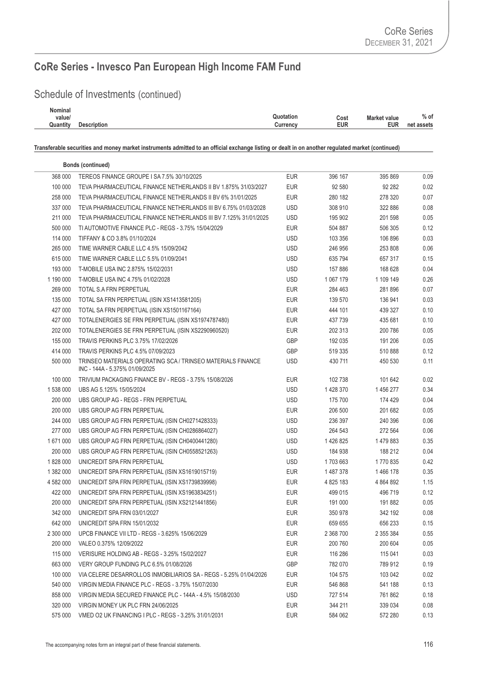## Schedule of Investments (continued)

| Nominal  |                    |                                          |            |
|----------|--------------------|------------------------------------------|------------|
| value/   |                    | Quotation<br><b>Market value</b><br>Cost | $%$ of     |
| Quantity | <b>Description</b> | EUR<br>EUR<br>Currency                   | net assets |
|          |                    |                                          |            |

|           | <b>Bonds (continued)</b>                                                                      |            |           |           |      |
|-----------|-----------------------------------------------------------------------------------------------|------------|-----------|-----------|------|
| 368 000   | TEREOS FINANCE GROUPE I SA 7.5% 30/10/2025                                                    | <b>EUR</b> | 396 167   | 395 869   | 0.09 |
| 100 000   | TEVA PHARMACEUTICAL FINANCE NETHERLANDS II BV 1.875% 31/03/2027                               | <b>EUR</b> | 92 580    | 92 282    | 0.02 |
| 258 000   | TEVA PHARMACEUTICAL FINANCE NETHERLANDS II BV 6% 31/01/2025                                   | EUR        | 280 182   | 278 320   | 0.07 |
| 337 000   | TEVA PHARMACEUTICAL FINANCE NETHERLANDS III BV 6.75% 01/03/2028                               | <b>USD</b> | 308 910   | 322 886   | 0.08 |
| 211 000   | TEVA PHARMACEUTICAL FINANCE NETHERLANDS III BV 7.125% 31/01/2025                              | <b>USD</b> | 195 902   | 201 598   | 0.05 |
| 500 000   | TI AUTOMOTIVE FINANCE PLC - REGS - 3.75% 15/04/2029                                           | <b>EUR</b> | 504 887   | 506 305   | 0.12 |
| 114 000   | TIFFANY & CO 3.8% 01/10/2024                                                                  | <b>USD</b> | 103 356   | 106 896   | 0.03 |
| 265 000   | TIME WARNER CABLE LLC 4.5% 15/09/2042                                                         | <b>USD</b> | 246 956   | 253 808   | 0.06 |
| 615 000   | TIME WARNER CABLE LLC 5.5% 01/09/2041                                                         | <b>USD</b> | 635 794   | 657 317   | 0.15 |
| 193 000   | T-MOBILE USA INC 2.875% 15/02/2031                                                            | <b>USD</b> | 157 886   | 168 628   | 0.04 |
| 1 190 000 | T-MOBILE USA INC 4.75% 01/02/2028                                                             | <b>USD</b> | 1 067 179 | 1 109 149 | 0.26 |
| 269 000   | TOTAL S.A FRN PERPETUAL                                                                       | <b>EUR</b> | 284 463   | 281 896   | 0.07 |
| 135 000   | TOTAL SA FRN PERPETUAL (ISIN XS1413581205)                                                    | <b>EUR</b> | 139 570   | 136 941   | 0.03 |
| 427 000   | TOTAL SA FRN PERPETUAL (ISIN XS1501167164)                                                    | <b>EUR</b> | 444 101   | 439 327   | 0.10 |
| 427 000   | TOTALENERGIES SE FRN PERPETUAL (ISIN XS1974787480)                                            | EUR        | 437 739   | 435 681   | 0.10 |
| 202 000   | TOTALENERGIES SE FRN PERPETUAL (ISIN XS2290960520)                                            | EUR        | 202 313   | 200 786   | 0.05 |
| 155 000   | TRAVIS PERKINS PLC 3.75% 17/02/2026                                                           | <b>GBP</b> | 192 035   | 191 206   | 0.05 |
| 414 000   | TRAVIS PERKINS PLC 4.5% 07/09/2023                                                            | GBP        | 519 335   | 510 888   | 0.12 |
| 500 000   | TRINSEO MATERIALS OPERATING SCA / TRINSEO MATERIALS FINANCE<br>INC - 144A - 5.375% 01/09/2025 | <b>USD</b> | 430 711   | 450 530   | 0.11 |
| 100 000   | TRIVIUM PACKAGING FINANCE BV - REGS - 3.75% 15/08/2026                                        | <b>EUR</b> | 102 738   | 101 642   | 0.02 |
| 1 538 000 | UBS AG 5.125% 15/05/2024                                                                      | <b>USD</b> | 1428370   | 1 456 277 | 0.34 |
| 200 000   | UBS GROUP AG - REGS - FRN PERPETUAL                                                           | <b>USD</b> | 175 700   | 174 429   | 0.04 |
| 200 000   | UBS GROUP AG FRN PERPETUAL                                                                    | <b>EUR</b> | 206 500   | 201 682   | 0.05 |
| 244 000   | UBS GROUP AG FRN PERPETUAL (ISIN CH0271428333)                                                | <b>USD</b> | 236 397   | 240 396   | 0.06 |
| 277 000   | UBS GROUP AG FRN PERPETUAL (ISIN CH0286864027)                                                | <b>USD</b> | 264 543   | 272 564   | 0.06 |
| 1671000   | UBS GROUP AG FRN PERPETUAL (ISIN CH0400441280)                                                | <b>USD</b> | 1 426 825 | 1479883   | 0.35 |
| 200 000   | UBS GROUP AG FRN PERPETUAL (ISIN CH0558521263)                                                | <b>USD</b> | 184 938   | 188 212   | 0.04 |
| 1828000   | UNICREDIT SPA FRN PERPETUAL                                                                   | <b>USD</b> | 1703663   | 1770835   | 0.42 |
| 1 382 000 | UNICREDIT SPA FRN PERPETUAL (ISIN XS1619015719)                                               | <b>EUR</b> | 1 487 378 | 1466 178  | 0.35 |
| 4 582 000 | UNICREDIT SPA FRN PERPETUAL (ISIN XS1739839998)                                               | <b>EUR</b> | 4 825 183 | 4 864 892 | 1.15 |
| 422 000   | UNICREDIT SPA FRN PERPETUAL (ISIN XS1963834251)                                               | <b>EUR</b> | 499 015   | 496 719   | 0.12 |
| 200 000   | UNICREDIT SPA FRN PERPETUAL (ISIN XS2121441856)                                               | <b>EUR</b> | 191 000   | 191 882   | 0.05 |
| 342 000   | UNICREDIT SPA FRN 03/01/2027                                                                  | <b>EUR</b> | 350 978   | 342 192   | 0.08 |
| 642 000   | UNICREDIT SPA FRN 15/01/2032                                                                  | <b>EUR</b> | 659 655   | 656 233   | 0.15 |
| 2 300 000 | UPCB FINANCE VII LTD - REGS - 3.625% 15/06/2029                                               | <b>EUR</b> | 2 368 700 | 2 355 384 | 0.55 |
| 200 000   | VALEO 0.375% 12/09/2022                                                                       | <b>EUR</b> | 200 760   | 200 604   | 0.05 |
| 115 000   | VERISURE HOLDING AB - REGS - 3.25% 15/02/2027                                                 | <b>EUR</b> | 116 286   | 115 041   | 0.03 |
| 663 000   | VERY GROUP FUNDING PLC 6.5% 01/08/2026                                                        | <b>GBP</b> | 782 070   | 789 912   | 0.19 |
| 100 000   | VIA CELERE DESARROLLOS INMOBILIARIOS SA - REGS - 5.25% 01/04/2026                             | EUR        | 104 575   | 103 042   | 0.02 |
| 540 000   | VIRGIN MEDIA FINANCE PLC - REGS - 3.75% 15/07/2030                                            | <b>EUR</b> | 546 868   | 541 188   | 0.13 |
| 858 000   | VIRGIN MEDIA SECURED FINANCE PLC - 144A - 4.5% 15/08/2030                                     | <b>USD</b> | 727 514   | 761 862   | 0.18 |
| 320 000   | VIRGIN MONEY UK PLC FRN 24/06/2025                                                            | <b>EUR</b> | 344 211   | 339 034   | 0.08 |
| 575 000   | VMED O2 UK FINANCING I PLC - REGS - 3.25% 31/01/2031                                          | <b>EUR</b> | 584 062   | 572 280   | 0.13 |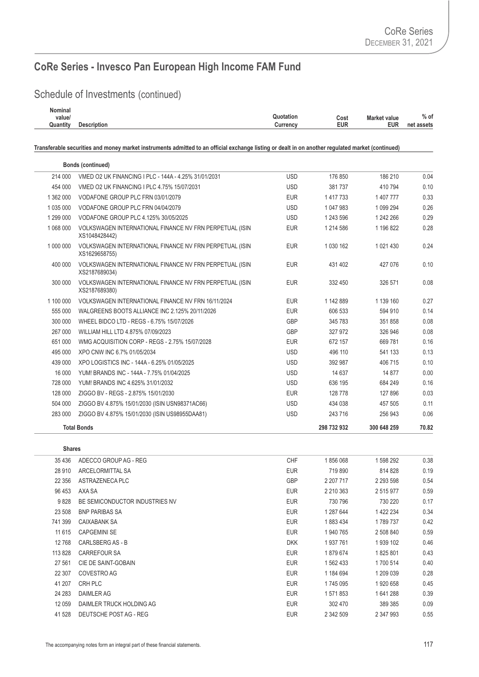## Schedule of Investments (continued)

| Nominal  |                    |           |      |                     |            |
|----------|--------------------|-----------|------|---------------------|------------|
| value/   |                    | Quotation | Cost | <b>Market value</b> | $%$ of     |
| Quantity | <b>Description</b> | Currency  | EUR  | EUR                 | net assets |
|          |                    |           |      |                     |            |

**Transferable securities and money market instruments admitted to an official exchange listing or dealt in on another regulated market (continued)**

|       |               |             |            | <b>Bonds (continued)</b>                                                 |           |
|-------|---------------|-------------|------------|--------------------------------------------------------------------------|-----------|
| 0.04  | 186 210       | 176 850     | <b>USD</b> | VMED O2 UK FINANCING I PLC - 144A - 4.25% 31/01/2031                     | 214 000   |
| 0.10  | 410 794       | 381 737     | <b>USD</b> | VMED O2 UK FINANCING I PLC 4.75% 15/07/2031                              | 454 000   |
| 0.33  | 1 407 777     | 1 417 733   | <b>EUR</b> | VODAFONE GROUP PLC FRN 03/01/2079                                        | 1 362 000 |
| 0.26  | 1 099 294     | 1 047 983   | <b>USD</b> | VODAFONE GROUP PLC FRN 04/04/2079                                        | 1 035 000 |
| 0.29  | 1 242 266     | 1 243 596   | <b>USD</b> | VODAFONE GROUP PLC 4.125% 30/05/2025                                     | 1 299 000 |
| 0.28  | 1 196 822     | 1 214 586   | <b>EUR</b> | VOLKSWAGEN INTERNATIONAL FINANCE NV FRN PERPETUAL (ISIN<br>XS1048428442) | 1 068 000 |
| 0.24  | 1 0 2 1 4 3 0 | 1 030 162   | <b>EUR</b> | VOLKSWAGEN INTERNATIONAL FINANCE NV FRN PERPETUAL (ISIN<br>XS1629658755) | 1 000 000 |
| 0.10  | 427 076       | 431 402     | <b>EUR</b> | VOLKSWAGEN INTERNATIONAL FINANCE NV FRN PERPETUAL (ISIN<br>XS2187689034) | 400 000   |
| 0.08  | 326 571       | 332 450     | <b>EUR</b> | VOLKSWAGEN INTERNATIONAL FINANCE NV FRN PERPETUAL (ISIN<br>XS2187689380) | 300 000   |
| 0.27  | 1 139 160     | 1 142 889   | <b>EUR</b> | VOLKSWAGEN INTERNATIONAL FINANCE NV FRN 16/11/2024                       | 1 100 000 |
| 0.14  | 594 910       | 606 533     | <b>EUR</b> | WALGREENS BOOTS ALLIANCE INC 2.125% 20/11/2026                           | 555 000   |
| 0.08  | 351 858       | 345 783     | GBP        | WHEEL BIDCO LTD - REGS - 6.75% 15/07/2026                                | 300 000   |
| 0.08  | 326 946       | 327 972     | GBP        | WILLIAM HILL LTD 4.875% 07/09/2023                                       | 267 000   |
| 0.16  | 669 781       | 672 157     | <b>EUR</b> | WMG ACQUISITION CORP - REGS - 2.75% 15/07/2028                           | 651 000   |
| 0.13  | 541 133       | 496 110     | <b>USD</b> | XPO CNW INC 6.7% 01/05/2034                                              | 495 000   |
| 0.10  | 406 715       | 392 987     | <b>USD</b> | XPO LOGISTICS INC - 144A - 6.25% 01/05/2025                              | 439 000   |
| 0.00  | 14 877        | 14 637      | <b>USD</b> | YUM! BRANDS INC - 144A - 7.75% 01/04/2025                                | 16 000    |
| 0.16  | 684 249       | 636 195     | <b>USD</b> | YUM! BRANDS INC 4.625% 31/01/2032                                        | 728 000   |
| 0.03  | 127 896       | 128 778     | <b>EUR</b> | ZIGGO BV - REGS - 2.875% 15/01/2030                                      | 128 000   |
| 0.11  | 457 505       | 434 038     | <b>USD</b> | ZIGGO BV 4.875% 15/01/2030 (ISIN USN98371AC66)                           | 504 000   |
| 0.06  | 256 943       | 243 716     | <b>USD</b> | ZIGGO BV 4.875% 15/01/2030 (ISIN US98955DAA81)                           | 283 000   |
| 70.82 | 300 648 259   | 298 732 932 |            | <b>Total Bonds</b>                                                       |           |

| 35 4 36  | ADECCO GROUP AG - REG          | <b>CHF</b> | 1856068   | 1 598 292     | 0.38 |
|----------|--------------------------------|------------|-----------|---------------|------|
| 28 910   | ARCELORMITTAL SA               | <b>EUR</b> | 719 890   | 814 828       | 0.19 |
| 22 3 5 6 | ASTRAZENECA PLC                | <b>GBP</b> | 2 207 717 | 2 2 9 3 5 9 8 | 0.54 |
| 96 453   | AXA SA                         | <b>EUR</b> | 2 210 363 | 2 515 977     | 0.59 |
| 9828     | BE SEMICONDUCTOR INDUSTRIES NV | <b>EUR</b> | 730 796   | 730 220       | 0.17 |
| 23 508   | <b>BNP PARIBAS SA</b>          | <b>EUR</b> | 1 287 644 | 1 422 234     | 0.34 |
| 741 399  | <b>CAIXABANK SA</b>            | <b>EUR</b> | 1883434   | 1789737       | 0.42 |
| 11 615   | <b>CAPGEMINI SE</b>            | <b>EUR</b> | 1 940 765 | 2 508 840     | 0.59 |
| 12768    | CARLSBERG AS - B               | <b>DKK</b> | 1937761   | 1939 102      | 0.46 |
| 113 828  | <b>CARREFOUR SA</b>            | <b>EUR</b> | 1879674   | 1825801       | 0.43 |
| 27 561   | CIE DE SAINT-GOBAIN            | <b>EUR</b> | 1 562 433 | 1700 514      | 0.40 |
| 22 307   | COVESTRO AG                    | <b>EUR</b> | 1 184 694 | 1 209 039     | 0.28 |
| 41 207   | CRH PLC                        | <b>EUR</b> | 1745 095  | 1920 658      | 0.45 |
| 24 283   | <b>DAIMLER AG</b>              | <b>EUR</b> | 1 571 853 | 1641288       | 0.39 |
| 12 0 59  | DAIMLER TRUCK HOLDING AG       | <b>EUR</b> | 302 470   | 389 385       | 0.09 |
| 41 528   | DEUTSCHE POST AG - REG         | <b>EUR</b> | 2 342 509 | 2 347 993     | 0.55 |
|          |                                |            |           |               |      |

**Shares**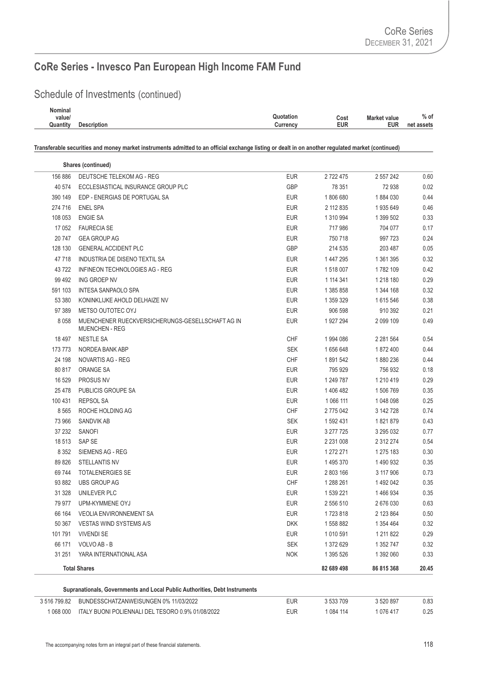## Schedule of Investments (continued)

| Nominal  |                    |                                          |            |
|----------|--------------------|------------------------------------------|------------|
| value/   |                    | Quotation<br><b>Market value</b><br>Cost | $%$ of     |
| Quantity | <b>Description</b> | EUR<br>EUR<br>Currency                   | net assets |
|          |                    |                                          |            |

|         | Shares (continued)                                                        |            |               |               |       |
|---------|---------------------------------------------------------------------------|------------|---------------|---------------|-------|
| 156 886 | DEUTSCHE TELEKOM AG - REG                                                 | <b>EUR</b> | 2722475       | 2 557 242     | 0.60  |
| 40 574  | ECCLESIASTICAL INSURANCE GROUP PLC                                        | GBP        | 78 351        | 72 938        | 0.02  |
| 390 149 | EDP - ENERGIAS DE PORTUGAL SA                                             | <b>EUR</b> | 1806680       | 1884 030      | 0.44  |
| 274 716 | <b>ENEL SPA</b>                                                           | <b>EUR</b> | 2 112 835     | 1935649       | 0.46  |
| 108 053 | <b>ENGIE SA</b>                                                           | <b>EUR</b> | 1 310 994     | 1 399 502     | 0.33  |
| 17 052  | <b>FAURECIA SE</b>                                                        | <b>EUR</b> | 717 986       | 704 077       | 0.17  |
| 20747   | <b>GEA GROUP AG</b>                                                       | <b>EUR</b> | 750 718       | 997 723       | 0.24  |
| 128 130 | <b>GENERAL ACCIDENT PLC</b>                                               | GBP        | 214 535       | 203 487       | 0.05  |
| 47718   | INDUSTRIA DE DISENO TEXTIL SA                                             | <b>EUR</b> | 1 447 295     | 1 361 395     | 0.32  |
| 43722   | INFINEON TECHNOLOGIES AG - REG                                            | <b>EUR</b> | 1 518 007     | 1782 109      | 0.42  |
| 99 492  | ING GROEP NV                                                              | <b>EUR</b> | 1 114 341     | 1 218 180     | 0.29  |
| 591 103 | <b>INTESA SANPAOLO SPA</b>                                                | <b>EUR</b> | 1 385 858     | 1 344 168     | 0.32  |
| 53 380  | KONINKLIJKE AHOLD DELHAIZE NV                                             | <b>EUR</b> | 1 359 329     | 1 615 546     | 0.38  |
| 97 389  | METSO OUTOTEC OYJ                                                         | <b>EUR</b> | 906 598       | 910 392       | 0.21  |
| 8 0 5 8 | MUENCHENER RUECKVERSICHERUNGS-GESELLSCHAFT AG IN<br><b>MUENCHEN - REG</b> | <b>EUR</b> | 1927294       | 2 099 109     | 0.49  |
| 18 497  | <b>NESTLE SA</b>                                                          | <b>CHF</b> | 1994 086      | 2 2 8 1 5 6 4 | 0.54  |
| 173 773 | NORDEA BANK ABP                                                           | <b>SEK</b> | 1656648       | 1872400       | 0.44  |
| 24 198  | NOVARTIS AG - REG                                                         | <b>CHF</b> | 1891542       | 1880236       | 0.44  |
| 80 817  | ORANGE SA                                                                 | <b>EUR</b> | 795 929       | 756 932       | 0.18  |
| 16 529  | <b>PROSUS NV</b>                                                          | <b>EUR</b> | 1 249 787     | 1 210 419     | 0.29  |
| 25 4 78 | PUBLICIS GROUPE SA                                                        | <b>EUR</b> | 1406482       | 1 506 769     | 0.35  |
| 100 431 | <b>REPSOL SA</b>                                                          | <b>EUR</b> | 1 066 111     | 1 048 098     | 0.25  |
| 8 5 6 5 | ROCHE HOLDING AG                                                          | <b>CHF</b> | 2 775 042     | 3 142 728     | 0.74  |
| 73 966  | <b>SANDVIK AB</b>                                                         | <b>SEK</b> | 1 592 431     | 1821879       | 0.43  |
| 37 232  | SANOFI                                                                    | <b>EUR</b> | 3 277 725     | 3 295 032     | 0.77  |
| 18 513  | SAP SE                                                                    | <b>EUR</b> | 2 2 3 1 0 0 8 | 2 312 274     | 0.54  |
| 8 3 5 2 | SIEMENS AG - REG                                                          | <b>EUR</b> | 1 272 271     | 1 275 183     | 0.30  |
| 89 826  | <b>STELLANTIS NV</b>                                                      | <b>EUR</b> | 1 495 370     | 1 490 932     | 0.35  |
| 69 744  | <b>TOTALENERGIES SE</b>                                                   | <b>EUR</b> | 2 803 166     | 3 117 906     | 0.73  |
| 93 882  | <b>UBS GROUP AG</b>                                                       | <b>CHF</b> | 1 288 261     | 1492042       | 0.35  |
| 31 328  | UNILEVER PLC                                                              | <b>EUR</b> | 1 539 221     | 1466934       | 0.35  |
| 79 977  | UPM-KYMMENE OYJ                                                           | <b>EUR</b> | 2 556 510     | 2676030       | 0.63  |
| 66 164  | <b>VEOLIA ENVIRONNEMENT SA</b>                                            | <b>EUR</b> | 1723818       | 2 123 864     | 0.50  |
| 50 367  | VESTAS WIND SYSTEMS A/S                                                   | <b>DKK</b> | 1558882       | 1 354 464     | 0.32  |
| 101 791 | <b>VIVENDI SE</b>                                                         | <b>EUR</b> | 1 010 591     | 1 211 822     | 0.29  |
| 66 171  | VOLVO AB - B                                                              | <b>SEK</b> | 1 372 629     | 1 352 747     | 0.32  |
| 31 251  | YARA INTERNATIONAL ASA                                                    | <b>NOK</b> | 1 395 526     | 1 392 060     | 0.33  |
|         | <b>Total Shares</b>                                                       |            | 82 689 498    | 86 815 368    | 20.45 |

| 3 516 799.82 | BUNDESSCHATZANWEISUNGEN 0% 11/03/2022             | EUR | 3 533 709 | 520 897 ہ | 0.83 |
|--------------|---------------------------------------------------|-----|-----------|-----------|------|
| 068 000      | ITALY BUONI POLIENNALI DEL TESORO 0.9% 01/08/2022 | EUR | 084 114   | 076 417   | 0.25 |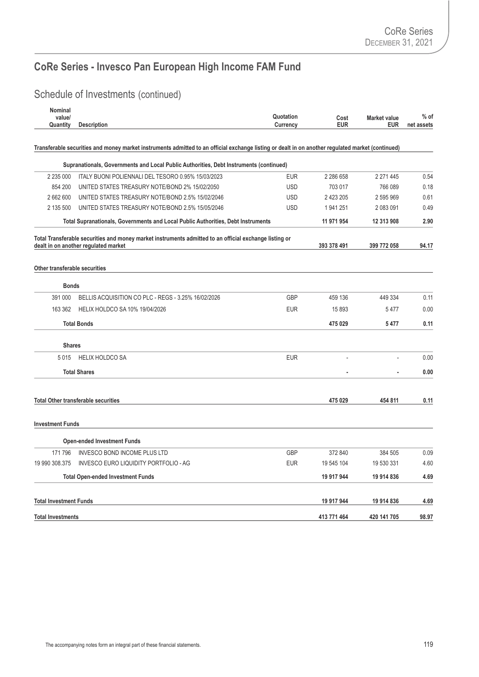## Schedule of Investments (continued)

| <b>Nominal</b><br>value/      |                                                                                                                                                   | Quotation       | Cost        | <b>Market value</b> | $%$ of     |
|-------------------------------|---------------------------------------------------------------------------------------------------------------------------------------------------|-----------------|-------------|---------------------|------------|
| Quantity                      | <b>Description</b>                                                                                                                                | <b>Currency</b> | <b>EUR</b>  | <b>EUR</b>          | net assets |
|                               | Transferable securities and money market instruments admitted to an official exchange listing or dealt in on another regulated market (continued) |                 |             |                     |            |
|                               |                                                                                                                                                   |                 |             |                     |            |
|                               | Supranationals, Governments and Local Public Authorities, Debt Instruments (continued)                                                            |                 |             |                     |            |
| 2 235 000                     | ITALY BUONI POLIENNALI DEL TESORO 0.95% 15/03/2023                                                                                                | <b>EUR</b>      | 2 286 658   | 2 271 445           | 0.54       |
| 854 200                       | UNITED STATES TREASURY NOTE/BOND 2% 15/02/2050                                                                                                    | <b>USD</b>      | 703 017     | 766 089             | 0.18       |
| 2 662 600                     | UNITED STATES TREASURY NOTE/BOND 2.5% 15/02/2046                                                                                                  | <b>USD</b>      | 2 423 205   | 2 595 969           | 0.61       |
| 2 135 500                     | UNITED STATES TREASURY NOTE/BOND 2.5% 15/05/2046                                                                                                  | <b>USD</b>      | 1941251     | 2 083 091           | 0.49       |
|                               | Total Supranationals, Governments and Local Public Authorities, Debt Instruments                                                                  |                 | 11 971 954  | 12 313 908          | 2.90       |
|                               | Total Transferable securities and money market instruments admitted to an official exchange listing or                                            |                 |             |                     |            |
|                               | dealt in on another regulated market                                                                                                              |                 | 393 378 491 | 399 772 058         | 94.17      |
| Other transferable securities |                                                                                                                                                   |                 |             |                     |            |
| <b>Bonds</b>                  |                                                                                                                                                   |                 |             |                     |            |
| 391 000                       | BELLIS ACQUISITION CO PLC - REGS - 3.25% 16/02/2026                                                                                               | <b>GBP</b>      | 459 136     | 449 334             | 0.11       |
| 163 362                       | <b>HELIX HOLDCO SA 10% 19/04/2026</b>                                                                                                             | <b>EUR</b>      | 15 893      | 5477                | 0.00       |
|                               | <b>Total Bonds</b>                                                                                                                                |                 | 475 029     | 5477                | 0.11       |
| <b>Shares</b>                 |                                                                                                                                                   |                 |             |                     |            |
| 5015                          | <b>HELIX HOLDCO SA</b>                                                                                                                            | <b>EUR</b>      | ÷.          | $\overline{a}$      | 0.00       |
|                               | <b>Total Shares</b>                                                                                                                               |                 |             |                     | 0.00       |
|                               |                                                                                                                                                   |                 |             |                     |            |
|                               | <b>Total Other transferable securities</b>                                                                                                        |                 | 475 029     | 454 811             | 0.11       |
| <b>Investment Funds</b>       |                                                                                                                                                   |                 |             |                     |            |
|                               | <b>Open-ended Investment Funds</b>                                                                                                                |                 |             |                     |            |
| 171 796                       | <b>INVESCO BOND INCOME PLUS LTD</b>                                                                                                               | <b>GBP</b>      | 372 840     | 384 505             | 0.09       |
| 19 990 308.375                | INVESCO EURO LIQUIDITY PORTFOLIO - AG                                                                                                             | <b>EUR</b>      | 19 545 104  | 19 530 331          | 4.60       |
|                               | <b>Total Open-ended Investment Funds</b>                                                                                                          |                 | 19 917 944  | 19 914 836          | 4.69       |
| <b>Total Investment Funds</b> |                                                                                                                                                   |                 | 19 917 944  | 19 914 836          | 4.69       |
| <b>Total Investments</b>      |                                                                                                                                                   |                 | 413 771 464 | 420 141 705         | 98.97      |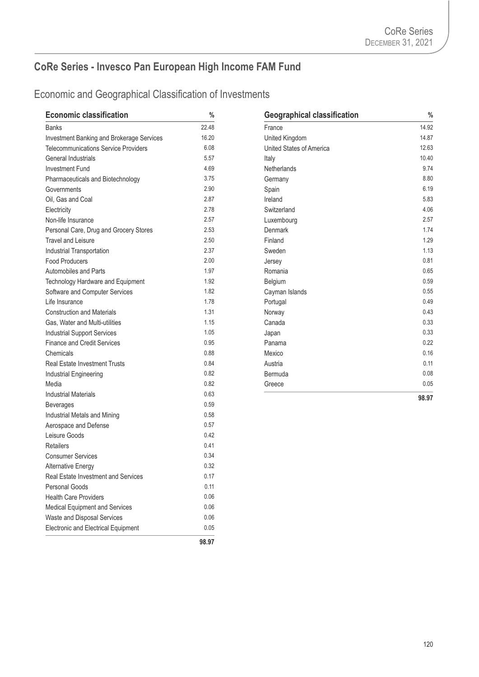| <b>Economic classification</b>              | $\%$  | <b>Geographical classification</b> | $\frac{0}{4}$ |
|---------------------------------------------|-------|------------------------------------|---------------|
| <b>Banks</b>                                | 22.48 | France                             | 14.92         |
| Investment Banking and Brokerage Services   | 16.20 | United Kingdom                     | 14.87         |
| <b>Telecommunications Service Providers</b> | 6.08  | United States of America           | 12.63         |
| General Industrials                         | 5.57  | Italy                              | 10.40         |
| <b>Investment Fund</b>                      | 4.69  | Netherlands                        | 9.74          |
| Pharmaceuticals and Biotechnology           | 3.75  | Germany                            | 8.80          |
| Governments                                 | 2.90  | Spain                              | 6.19          |
| Oil, Gas and Coal                           | 2.87  | Ireland                            | 5.83          |
| Electricity                                 | 2.78  | Switzerland                        | 4.06          |
| Non-life Insurance                          | 2.57  | Luxembourg                         | 2.57          |
| Personal Care, Drug and Grocery Stores      | 2.53  | Denmark                            | 1.74          |
| Travel and Leisure                          | 2.50  | Finland                            | 1.29          |
| Industrial Transportation                   | 2.37  | Sweden                             | 1.13          |
| <b>Food Producers</b>                       | 2.00  | Jersey                             | 0.81          |
| Automobiles and Parts                       | 1.97  | Romania                            | 0.65          |
| Technology Hardware and Equipment           | 1.92  | Belgium                            | 0.59          |
| Software and Computer Services              | 1.82  | Cayman Islands                     | 0.55          |
| Life Insurance                              | 1.78  | Portugal                           | 0.49          |
| <b>Construction and Materials</b>           | 1.31  | Norway                             | 0.43          |
| Gas, Water and Multi-utilities              | 1.15  | Canada                             | 0.33          |
| <b>Industrial Support Services</b>          | 1.05  | Japan                              | 0.33          |
| <b>Finance and Credit Services</b>          | 0.95  | Panama                             | 0.22          |
| Chemicals                                   | 0.88  | Mexico                             | 0.16          |
| <b>Real Estate Investment Trusts</b>        | 0.84  | Austria                            | 0.11          |
| Industrial Engineering                      | 0.82  | Bermuda                            | 0.08          |
| Media                                       | 0.82  | Greece                             | 0.05          |
| <b>Industrial Materials</b>                 | 0.63  |                                    | 98.97         |
| <b>Beverages</b>                            | 0.59  |                                    |               |
| Industrial Metals and Mining                | 0.58  |                                    |               |
| Aerospace and Defense                       | 0.57  |                                    |               |
| Leisure Goods                               | 0.42  |                                    |               |
| <b>Retailers</b>                            | 0.41  |                                    |               |
| <b>Consumer Services</b>                    | 0.34  |                                    |               |
| <b>Alternative Energy</b>                   | 0.32  |                                    |               |
| Real Estate Investment and Services         | 0.17  |                                    |               |
| <b>Personal Goods</b>                       | 0.11  |                                    |               |
| <b>Health Care Providers</b>                | 0.06  |                                    |               |
| Medical Equipment and Services              | 0.06  |                                    |               |
| Waste and Disposal Services                 | 0.06  |                                    |               |
| <b>Electronic and Electrical Equipment</b>  | 0.05  |                                    |               |
|                                             | 98.97 |                                    |               |

| <b>Geographical classification</b> | $\frac{0}{0}$ |
|------------------------------------|---------------|
| France                             | 14.92         |
| United Kingdom                     | 14.87         |
| <b>United States of America</b>    | 12.63         |
| Italy                              | 10.40         |
| <b>Netherlands</b>                 | 9.74          |
| Germany                            | 8.80          |
| Spain                              | 6.19          |
| Ireland                            | 5.83          |
| Switzerland                        | 4.06          |
| Luxembourg                         | 2.57          |
| Denmark                            | 1.74          |
| Finland                            | 1.29          |
| Sweden                             | 1.13          |
| Jersey                             | 0.81          |
| Romania                            | 0.65          |
| Belgium                            | 0.59          |
| Cayman Islands                     | 0.55          |
| Portugal                           | 0.49          |
| Norway                             | 0.43          |
| Canada                             | 0.33          |
| Japan                              | 0.33          |
| Panama                             | 0.22          |
| Mexico                             | 0.16          |
| Austria                            | 0.11          |
| Bermuda                            | 0.08          |
| Greece                             | 0.05          |
|                                    | 98.97         |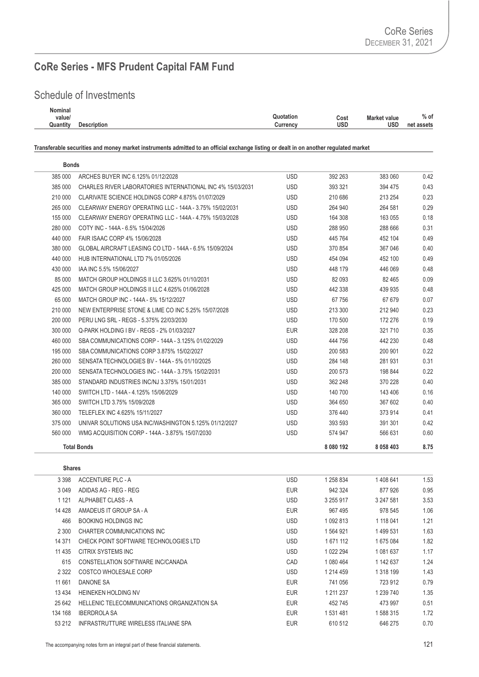#### Schedule of Investments

| Quotation<br>Cost | Market value | $%$ of     |
|-------------------|--------------|------------|
| <b>Currency</b>   | <b>USD</b>   | net assets |
|                   | usd          |            |

**Transferable securities and money market instruments admitted to an official exchange listing or dealt in on another regulated market**

| <b>Bonds</b> |                                                            |            |           |               |      |
|--------------|------------------------------------------------------------|------------|-----------|---------------|------|
| 385 000      | ARCHES BUYER INC 6.125% 01/12/2028                         | <b>USD</b> | 392 263   | 383 060       | 0.42 |
| 385 000      | CHARLES RIVER LABORATORIES INTERNATIONAL INC 4% 15/03/2031 | <b>USD</b> | 393 321   | 394 475       | 0.43 |
| 210 000      | CLARIVATE SCIENCE HOLDINGS CORP 4.875% 01/07/2029          | USD.       | 210 686   | 213 254       | 0.23 |
| 265 000      | CLEARWAY ENERGY OPERATING LLC - 144A - 3.75% 15/02/2031    | <b>USD</b> | 264 940   | 264 581       | 0.29 |
| 155 000      | CLEARWAY ENERGY OPERATING LLC - 144A - 4.75% 15/03/2028    | <b>USD</b> | 164 308   | 163 055       | 0.18 |
| 280 000      | COTY INC - 144A - 6.5% 15/04/2026                          | <b>USD</b> | 288 950   | 288 666       | 0.31 |
| 440 000      | FAIR ISAAC CORP 4% 15/06/2028                              | <b>USD</b> | 445 764   | 452 104       | 0.49 |
| 380 000      | GLOBAL AIRCRAFT LEASING CO LTD - 144A - 6.5% 15/09/2024    | <b>USD</b> | 370 854   | 367 046       | 0.40 |
| 440 000      | HUB INTERNATIONAL LTD 7% 01/05/2026                        | <b>USD</b> | 454 094   | 452 100       | 0.49 |
| 430 000      | IAA INC 5.5% 15/06/2027                                    | <b>USD</b> | 448 179   | 446 069       | 0.48 |
| 85 000       | MATCH GROUP HOLDINGS II LLC 3.625% 01/10/2031              | <b>USD</b> | 82 093    | 82 4 65       | 0.09 |
| 425 000      | MATCH GROUP HOLDINGS II LLC 4.625% 01/06/2028              | <b>USD</b> | 442 338   | 439 935       | 0.48 |
| 65 000       | MATCH GROUP INC - 144A - 5% 15/12/2027                     | <b>USD</b> | 67 756    | 67679         | 0.07 |
| 210 000      | NEW ENTERPRISE STONE & LIME CO INC 5.25% 15/07/2028        | <b>USD</b> | 213 300   | 212 940       | 0.23 |
| 200 000      | PERU LNG SRL - REGS - 5.375% 22/03/2030                    | <b>USD</b> | 170 500   | 172 276       | 0.19 |
| 300 000      | Q-PARK HOLDING I BV - REGS - 2% 01/03/2027                 | <b>EUR</b> | 328 208   | 321 710       | 0.35 |
| 460 000      | SBA COMMUNICATIONS CORP - 144A - 3.125% 01/02/2029         | <b>USD</b> | 444 756   | 442 230       | 0.48 |
| 195 000      | SBA COMMUNICATIONS CORP 3.875% 15/02/2027                  | <b>USD</b> | 200 583   | 200 901       | 0.22 |
| 260 000      | SENSATA TECHNOLOGIES BV - 144A - 5% 01/10/2025             | <b>USD</b> | 284 148   | 281 931       | 0.31 |
| 200 000      | SENSATA TECHNOLOGIES INC - 144A - 3.75% 15/02/2031         | <b>USD</b> | 200 573   | 198 844       | 0.22 |
| 385 000      | STANDARD INDUSTRIES INC/NJ 3.375% 15/01/2031               | <b>USD</b> | 362 248   | 370 228       | 0.40 |
| 140 000      | SWITCH LTD - 144A - 4.125% 15/06/2029                      | <b>USD</b> | 140 700   | 143 406       | 0.16 |
| 365 000      | SWITCH LTD 3.75% 15/09/2028                                | <b>USD</b> | 364 650   | 367 602       | 0.40 |
| 360 000      | TELEFLEX INC 4.625% 15/11/2027                             | USD.       | 376 440   | 373 914       | 0.41 |
| 375 000      | UNIVAR SOLUTIONS USA INC/WASHINGTON 5.125% 01/12/2027      | <b>USD</b> | 393 593   | 391 301       | 0.42 |
| 560 000      | WMG ACQUISITION CORP - 144A - 3.875% 15/07/2030            | USD.       | 574 947   | 566 631       | 0.60 |
|              | <b>Total Bonds</b>                                         |            | 8 080 192 | 8 0 5 8 4 0 3 | 8.75 |

| <b>Shares</b> |                                             |            |             |           |      |
|---------------|---------------------------------------------|------------|-------------|-----------|------|
| 3 3 9 8       | <b>ACCENTURE PLC - A</b>                    | <b>USD</b> | 1 258 834   | 1408 641  | 1.53 |
| 3 0 4 9       | ADIDAS AG - REG - REG                       | <b>EUR</b> | 942 324     | 877926    | 0.95 |
| 1 1 2 1       | ALPHABET CLASS - A                          | <b>USD</b> | 3 255 917   | 3 247 581 | 3.53 |
| 14 4 28       | AMADEUS IT GROUP SA - A                     | <b>EUR</b> | 967 495     | 978 545   | 1.06 |
| 466           | BOOKING HOLDINGS INC                        | <b>USD</b> | 1 092 813   | 1 118 041 | 1.21 |
| 2 3 0 0       | CHARTER COMMUNICATIONS INC                  | <b>USD</b> | 1 564 921   | 1 499 531 | 1.63 |
| 14 371        | CHECK POINT SOFTWARE TECHNOLOGIES LTD       | <b>USD</b> | 1671112     | 1 675 084 | 1.82 |
| 11 4 35       | CITRIX SYSTEMS INC                          | <b>USD</b> | 1 022 294   | 1 081 637 | 1.17 |
| 615           | CONSTELLATION SOFTWARE INC/CANADA           | CAD        | 1 080 464   | 1 142 637 | 1.24 |
| 2 3 2 2       | COSTCO WHOLESALE CORP                       | <b>USD</b> | 1 214 459   | 1 318 199 | 1.43 |
| 11 661        | DANONE SA                                   | <b>EUR</b> | 741 056     | 723 912   | 0.79 |
| 13 4 34       | <b>HEINEKEN HOLDING NV</b>                  | <b>EUR</b> | 1 2 1 2 3 7 | 1 239 740 | 1.35 |
| 25 642        | HELLENIC TELECOMMUNICATIONS ORGANIZATION SA | <b>EUR</b> | 452 745     | 473 997   | 0.51 |
| 134 168       | <b>IBERDROLA SA</b>                         | <b>EUR</b> | 1 531 481   | 1 588 315 | 1.72 |
| 53 212        | INFRASTRUTTURE WIRELESS ITALIANE SPA        | <b>EUR</b> | 610 512     | 646 275   | 0.70 |
|               |                                             |            |             |           |      |

The accompanying notes form an integral part of these financial statements. 121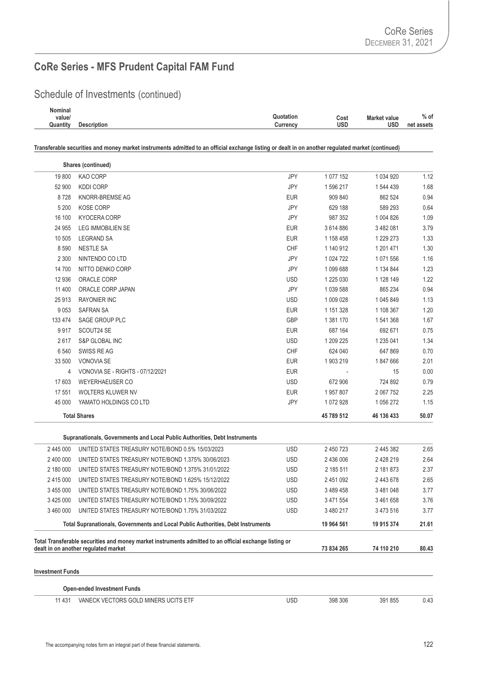Schedule of Investments (continued)

| Nominal  |                    |                                          |            |
|----------|--------------------|------------------------------------------|------------|
| value/   |                    | Quotation<br><b>Market value</b><br>Cost | $%$ of     |
| Quantity | <b>Description</b> | usd<br>usd<br>Currencv                   | net assets |
|          |                    |                                          |            |

|                         | Shares (continued)                                                                                     |            |             |             |       |
|-------------------------|--------------------------------------------------------------------------------------------------------|------------|-------------|-------------|-------|
| 19800                   | KAO CORP                                                                                               | JPY        | 1 077 152   | 1 0 34 9 20 | 1.12  |
| 52 900                  | <b>KDDI CORP</b>                                                                                       | JPY        | 1 596 217   | 1 544 439   | 1.68  |
| 8728                    | KNORR-BREMSE AG                                                                                        | <b>EUR</b> | 909 840     | 862 524     | 0.94  |
| 5 200                   | <b>KOSE CORP</b>                                                                                       | JPY        | 629 188     | 589 293     | 0.64  |
| 16 100                  | <b>KYOCERA CORP</b>                                                                                    | JPY        | 987 352     | 1 004 826   | 1.09  |
| 24 955                  | <b>LEG IMMOBILIEN SE</b>                                                                               | <b>EUR</b> | 3614886     | 3 482 081   | 3.79  |
| 10 505                  | <b>LEGRAND SA</b>                                                                                      | <b>EUR</b> | 1 158 458   | 1 229 273   | 1.33  |
| 8 5 9 0                 | <b>NESTLE SA</b>                                                                                       | CHF        | 1 140 912   | 1 201 471   | 1.30  |
| 2 3 0 0                 | NINTENDO CO LTD                                                                                        | JPY        | 1 0 24 7 22 | 1 071 556   | 1.16  |
| 14 700                  | NITTO DENKO CORP                                                                                       | JPY        | 1 099 688   | 1 134 844   | 1.23  |
| 12 936                  | ORACLE CORP                                                                                            | <b>USD</b> | 1 225 030   | 1 128 149   | 1.22  |
| 11 400                  | ORACLE CORP JAPAN                                                                                      | JPY        | 1 039 588   | 865 234     | 0.94  |
| 25 913                  | <b>RAYONIER INC</b>                                                                                    | <b>USD</b> | 1 009 028   | 1 045 849   | 1.13  |
| 9 0 5 3                 | <b>SAFRAN SA</b>                                                                                       | <b>EUR</b> | 1 151 328   | 1 108 367   | 1.20  |
| 133 474                 | SAGE GROUP PLC                                                                                         | GBP        | 1 381 170   | 1 541 368   | 1.67  |
| 9917                    | SCOUT24 SE                                                                                             | <b>EUR</b> | 687 164     | 692 671     | 0.75  |
| 2617                    | <b>S&amp;P GLOBAL INC</b>                                                                              | <b>USD</b> | 1 209 225   | 1 235 041   | 1.34  |
| 6 5 4 0                 | SWISS RE AG                                                                                            | CHF        | 624 040     | 647 869     | 0.70  |
| 33 500                  | <b>VONOVIA SE</b>                                                                                      | <b>EUR</b> | 1 903 219   | 1847666     | 2.01  |
| 4                       | VONOVIA SE - RIGHTS - 07/12/2021                                                                       | <b>EUR</b> |             | 15          | 0.00  |
| 17 603                  | <b>WEYERHAEUSER CO</b>                                                                                 | <b>USD</b> | 672 906     | 724 892     | 0.79  |
| 17 551                  | WOLTERS KLUWER NV                                                                                      | <b>EUR</b> | 1957807     | 2 067 752   | 2.25  |
| 45 000                  | YAMATO HOLDINGS CO LTD                                                                                 | JPY        | 1 072 928   | 1 056 272   | 1.15  |
|                         | <b>Total Shares</b>                                                                                    |            | 45 789 512  | 46 136 433  | 50.07 |
|                         | Supranationals, Governments and Local Public Authorities, Debt Instruments                             |            |             |             |       |
| 2 445 000               | UNITED STATES TREASURY NOTE/BOND 0.5% 15/03/2023                                                       | <b>USD</b> | 2 450 723   | 2 445 382   | 2.65  |
| 2 400 000               | UNITED STATES TREASURY NOTE/BOND 1.375% 30/06/2023                                                     | <b>USD</b> | 2 436 006   | 2 428 219   | 2.64  |
| 2 180 000               | UNITED STATES TREASURY NOTE/BOND 1.375% 31/01/2022                                                     | <b>USD</b> | 2 185 511   | 2 181 873   | 2.37  |
| 2 415 000               | UNITED STATES TREASURY NOTE/BOND 1.625% 15/12/2022                                                     | <b>USD</b> | 2 451 092   | 2 443 678   | 2.65  |
| 3 455 000               | UNITED STATES TREASURY NOTE/BOND 1.75% 30/06/2022                                                      | <b>USD</b> | 3 489 458   | 3 481 048   | 3.77  |
| 3 425 000               | UNITED STATES TREASURY NOTE/BOND 1.75% 30/09/2022                                                      | <b>USD</b> | 3 471 554   | 3 461 658   | 3.76  |
| 3 460 000               | UNITED STATES TREASURY NOTE/BOND 1.75% 31/03/2022                                                      | <b>USD</b> | 3 480 217   | 3 473 516   | 3.77  |
|                         | Total Supranationals, Governments and Local Public Authorities, Debt Instruments                       |            | 19 964 561  | 19 915 374  | 21.61 |
|                         | Total Transferable securities and money market instruments admitted to an official exchange listing or |            |             |             |       |
|                         | dealt in on another regulated market                                                                   |            | 73 834 265  | 74 110 210  | 80.43 |
| <b>Investment Funds</b> |                                                                                                        |            |             |             |       |
|                         | <b>Open-ended Investment Funds</b>                                                                     |            |             |             |       |
| 11 431                  | VANECK VECTORS GOLD MINERS UCITS ETF                                                                   | <b>USD</b> | 398 306     | 391 855     | 0.43  |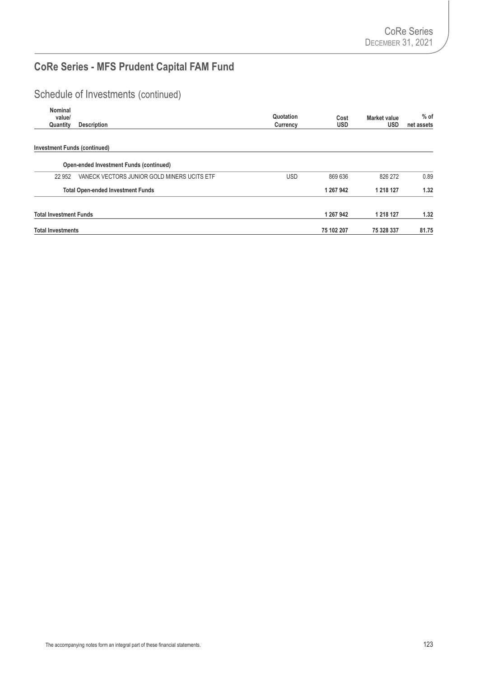## Schedule of Investments (continued)

| Nominal<br>value/<br>Quantity       | <b>Description</b>                             | Quotation<br>Currency | Cost<br><b>USD</b> | Market value<br><b>USD</b> | $%$ of<br>net assets |
|-------------------------------------|------------------------------------------------|-----------------------|--------------------|----------------------------|----------------------|
| <b>Investment Funds (continued)</b> |                                                |                       |                    |                            |                      |
|                                     | <b>Open-ended Investment Funds (continued)</b> |                       |                    |                            |                      |
| 22 952                              | VANECK VECTORS JUNIOR GOLD MINERS UCITS ETF    | <b>USD</b>            | 869 636            | 826 272                    | 0.89                 |
|                                     | <b>Total Open-ended Investment Funds</b>       |                       | 1 267 942          | 1 218 127                  | 1.32                 |
| <b>Total Investment Funds</b>       |                                                |                       | 1 267 942          | 1 218 127                  | 1.32                 |
| <b>Total Investments</b>            |                                                |                       | 75 102 207         | 75 328 337                 | 81.75                |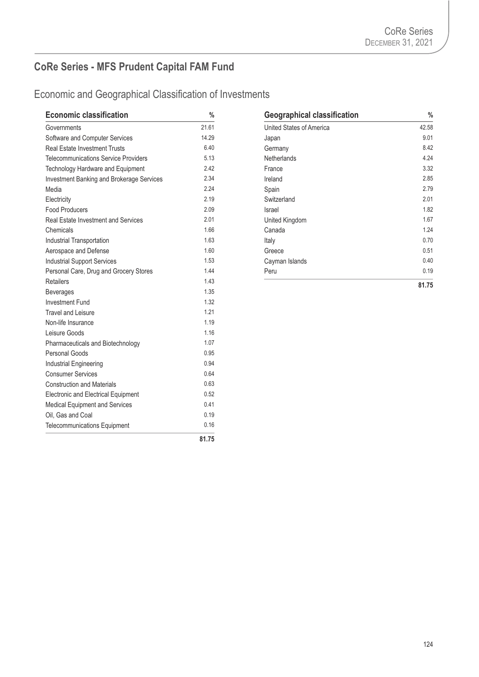| <b>Economic classification</b>                   | $\%$  | <b>Geographical classification</b> | $\frac{0}{2}$ |
|--------------------------------------------------|-------|------------------------------------|---------------|
| Governments                                      | 21.61 | United States of America           | 42.58         |
| Software and Computer Services                   | 14.29 | Japan                              | 9.01          |
| <b>Real Estate Investment Trusts</b>             | 6.40  | Germany                            | 8.42          |
| <b>Telecommunications Service Providers</b>      | 5.13  | Netherlands                        | 4.24          |
| Technology Hardware and Equipment                | 2.42  | France                             | 3.32          |
| <b>Investment Banking and Brokerage Services</b> | 2.34  | Ireland                            | 2.85          |
| Media                                            | 2.24  | Spain                              | 2.79          |
| Electricity                                      | 2.19  | Switzerland                        | 2.01          |
| <b>Food Producers</b>                            | 2.09  | Israel                             | 1.82          |
| <b>Real Estate Investment and Services</b>       | 2.01  | United Kingdom                     | 1.67          |
| Chemicals                                        | 1.66  | Canada                             | 1.24          |
| Industrial Transportation                        | 1.63  | Italy                              | 0.70          |
| Aerospace and Defense                            | 1.60  | Greece                             | 0.51          |
| <b>Industrial Support Services</b>               | 1.53  | Cayman Islands                     | 0.40          |
| Personal Care, Drug and Grocery Stores           | 1.44  | Peru                               | 0.19          |
| <b>Retailers</b>                                 | 1.43  |                                    | 81.75         |
| <b>Beverages</b>                                 | 1.35  |                                    |               |
| <b>Investment Fund</b>                           | 1.32  |                                    |               |
| <b>Travel and Leisure</b>                        | 1.21  |                                    |               |
| Non-life Insurance                               | 1.19  |                                    |               |
| Leisure Goods                                    | 1.16  |                                    |               |
| Pharmaceuticals and Biotechnology                | 1.07  |                                    |               |
| Personal Goods                                   | 0.95  |                                    |               |
| Industrial Engineering                           | 0.94  |                                    |               |
| <b>Consumer Services</b>                         | 0.64  |                                    |               |
| <b>Construction and Materials</b>                | 0.63  |                                    |               |
| Electronic and Electrical Equipment              | 0.52  |                                    |               |
| Medical Equipment and Services                   | 0.41  |                                    |               |
| Oil, Gas and Coal                                | 0.19  |                                    |               |
| Telecommunications Equipment                     | 0.16  |                                    |               |
|                                                  | 81.75 |                                    |               |

| <b>Geographical classification</b> | %     |
|------------------------------------|-------|
| United States of America           | 42.58 |
| Japan                              | 9.01  |
| Germany                            | 8.42  |
| Netherlands                        | 4.24  |
| France                             | 3.32  |
| Ireland                            | 2.85  |
| Spain                              | 2.79  |
| Switzerland                        | 2.01  |
| Israel                             | 1.82  |
| United Kingdom                     | 1.67  |
| Canada                             | 1.24  |
| Italy                              | 0.70  |
| Greece                             | 0.51  |
| Cayman Islands                     | 0.40  |
| Peru                               | 0.19  |
|                                    | 81.75 |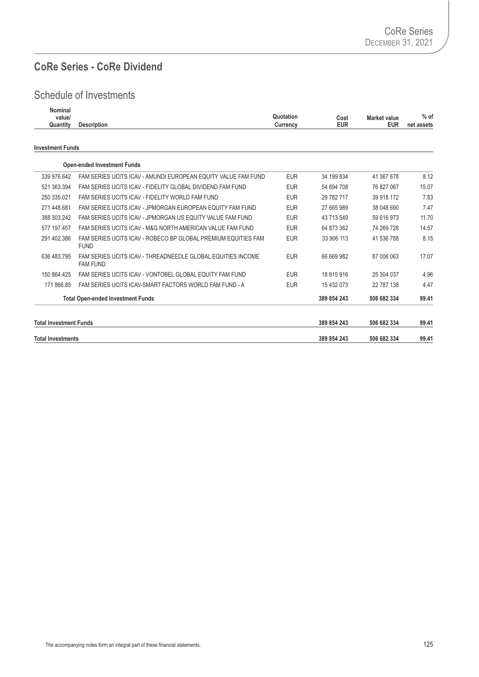#### **CoRe Series - CoRe Dividend**

| <b>Nominal</b><br>value/      |                                                                                | Quotation  | Cost        | <b>Market value</b> | $%$ of     |
|-------------------------------|--------------------------------------------------------------------------------|------------|-------------|---------------------|------------|
| Quantity                      | <b>Description</b>                                                             | Currency   | <b>EUR</b>  | <b>EUR</b>          | net assets |
| <b>Investment Funds</b>       |                                                                                |            |             |                     |            |
|                               | <b>Open-ended Investment Funds</b>                                             |            |             |                     |            |
| 339 976.642                   | FAM SERIES UCITS ICAV - AMUNDI EUROPEAN EQUITY VALUE FAM FUND                  | <b>EUR</b> | 34 199 834  | 41 367 678          | 8.12       |
| 521 363.394                   | FAM SERIES UCITS ICAV - FIDELITY GLOBAL DIVIDEND FAM FUND                      | <b>EUR</b> | 54 694 708  | 76 827 067          | 15.07      |
| 250 335.021                   | FAM SERIES UCITS ICAV - FIDELITY WORLD FAM FUND                                | <b>EUR</b> | 29 782 717  | 39 918 172          | 7.83       |
| 271 448.681                   | FAM SERIES UCITS ICAV - JPMORGAN EUROPEAN EQUITY FAM FUND                      | <b>EUR</b> | 27 665 989  | 38 048 690          | 7.47       |
| 388 303.242                   | FAM SERIES UCITS ICAV - JPMORGAN US EQUITY VALUE FAM FUND                      | <b>EUR</b> | 43 713 549  | 59 616 973          | 11.70      |
| 577 197.457                   | FAM SERIES UCITS ICAV - M&G NORTH AMERICAN VALUE FAM FUND                      | <b>EUR</b> | 64 873 362  | 74 269 728          | 14.57      |
| 291 402.386                   | FAM SERIES UCITS ICAV - ROBECO BP GLOBAL PREMIUM EQUITIES FAM<br><b>FUND</b>   | <b>EUR</b> | 33 906 113  | 41 536 788          | 8.15       |
| 636 483.795                   | FAM SERIES UCITS ICAV - THREADNEEDLE GLOBAL EQUITIES INCOME<br><b>FAM FUND</b> | <b>EUR</b> | 66 669 982  | 87 006 063          | 17.07      |
| 150 864.425                   | FAM SERIES UCITS ICAV - VONTOBEL GLOBAL EQUITY FAM FUND                        | <b>EUR</b> | 18 915 916  | 25 304 037          | 4.96       |
| 171 866.85                    | FAM SERIES UCITS ICAV-SMART FACTORS WORLD FAM FUND - A                         | <b>EUR</b> | 15 432 073  | 22 787 138          | 4.47       |
|                               | <b>Total Open-ended Investment Funds</b>                                       |            | 389 854 243 | 506 682 334         | 99.41      |
| <b>Total Investment Funds</b> |                                                                                |            | 389 854 243 | 506 682 334         | 99.41      |
| <b>Total Investments</b>      |                                                                                |            | 389 854 243 | 506 682 334         | 99.41      |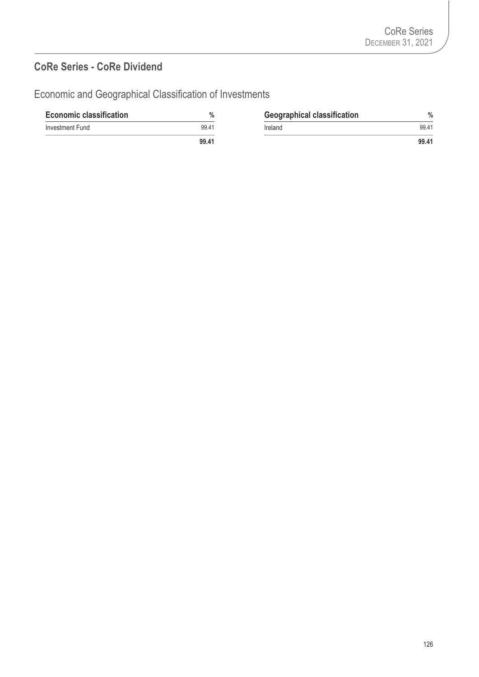#### **CoRe Series - CoRe Dividend**

| <b>Economic classification</b> | $\%$  | <b>Geographical classification</b> | $\frac{0}{0}$ |
|--------------------------------|-------|------------------------------------|---------------|
| Investment Fund                | 99.41 | Ireland                            | 99.41         |
|                                | 99.41 |                                    | 99.41         |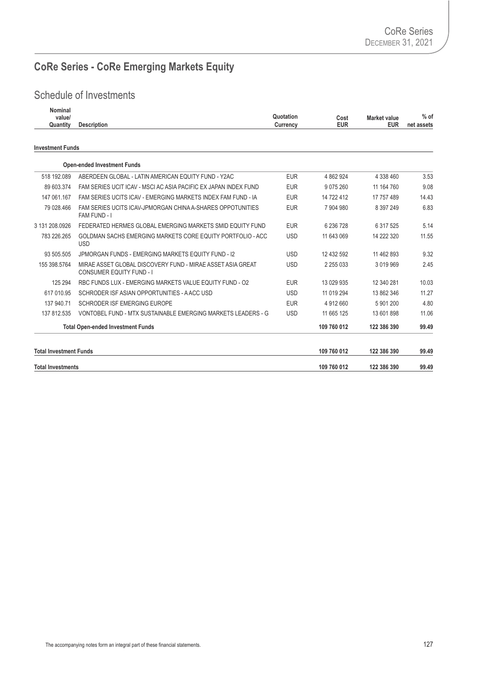# **CoRe Series - CoRe Emerging Markets Equity**

| Nominal<br>value/<br>Quantity | <b>Description</b>                                                                            | Quotation<br><b>Currency</b> | Cost<br><b>EUR</b> | <b>Market value</b><br><b>EUR</b> | $%$ of<br>net assets |
|-------------------------------|-----------------------------------------------------------------------------------------------|------------------------------|--------------------|-----------------------------------|----------------------|
| <b>Investment Funds</b>       |                                                                                               |                              |                    |                                   |                      |
|                               | <b>Open-ended Investment Funds</b>                                                            |                              |                    |                                   |                      |
| 518 192.089                   | ABERDEEN GLOBAL - LATIN AMERICAN EQUITY FUND - Y2AC                                           | <b>EUR</b>                   | 4 862 924          | 4 338 460                         | 3.53                 |
| 89 603.374                    | FAM SERIES UCIT ICAV - MSCI AC ASIA PACIFIC EX JAPAN INDEX FUND                               | <b>EUR</b>                   | 9 0 7 5 2 6 0      | 11 164 760                        | 9.08                 |
| 147 061.167                   | FAM SERIES UCITS ICAV - EMERGING MARKETS INDEX FAM FUND - IA                                  | <b>EUR</b>                   | 14 722 412         | 17 757 489                        | 14.43                |
| 79 028.466                    | FAM SERIES UCITS ICAV-JPMORGAN CHINA A-SHARES OPPOTUNITIES<br>FAM FUND - I                    | <b>EUR</b>                   | 7 904 980          | 8 397 249                         | 6.83                 |
| 3 131 208 0926                | FEDERATED HERMES GLOBAL EMERGING MARKETS SMID EQUITY FUND                                     | <b>EUR</b>                   | 6 236 728          | 6 317 525                         | 5.14                 |
| 783 226.265                   | GOLDMAN SACHS EMERGING MARKETS CORE EQUITY PORTFOLIO - ACC<br><b>USD</b>                      | <b>USD</b>                   | 11 643 069         | 14 222 320                        | 11.55                |
| 93 505.505                    | JPMORGAN FUNDS - EMERGING MARKETS EQUITY FUND - 12                                            | <b>USD</b>                   | 12 432 592         | 11 462 893                        | 9.32                 |
| 155 398.5764                  | MIRAE ASSET GLOBAL DISCOVERY FUND - MIRAE ASSET ASIA GREAT<br><b>CONSUMER EQUITY FUND - I</b> | <b>USD</b>                   | 2 2 5 0 3 3        | 3 0 1 9 9 6 9                     | 2.45                 |
| 125 294                       | RBC FUNDS LUX - EMERGING MARKETS VALUE EQUITY FUND - 02                                       | <b>EUR</b>                   | 13 029 935         | 12 340 281                        | 10.03                |
| 617 010.95                    | SCHRODER ISF ASIAN OPPORTUNITIES - A ACC USD                                                  | <b>USD</b>                   | 11 019 294         | 13 862 346                        | 11.27                |
| 137 940.71                    | SCHRODER ISF EMERGING EUROPE                                                                  | <b>EUR</b>                   | 4 912 660          | 5 901 200                         | 4.80                 |
| 137 812.535                   | VONTOBEL FUND - MTX SUSTAINABLE EMERGING MARKETS LEADERS - G                                  | <b>USD</b>                   | 11 665 125         | 13 601 898                        | 11.06                |
|                               | <b>Total Open-ended Investment Funds</b>                                                      |                              | 109 760 012        | 122 386 390                       | 99.49                |
| <b>Total Investment Funds</b> |                                                                                               |                              | 109 760 012        | 122 386 390                       | 99.49                |
| <b>Total Investments</b>      |                                                                                               |                              | 109 760 012        | 122 386 390                       | 99.49                |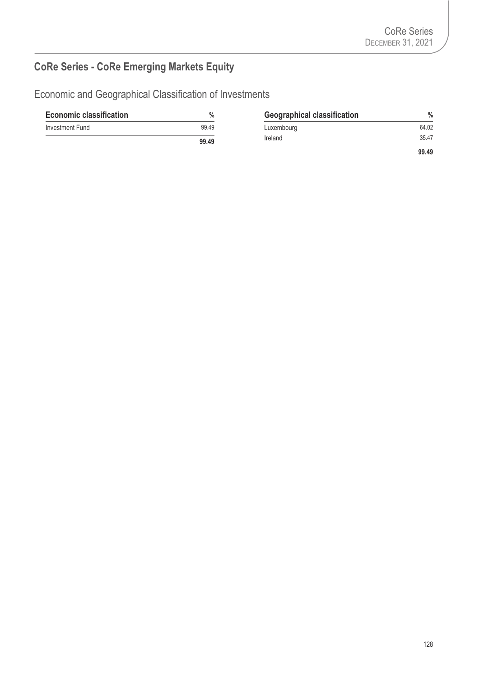# **CoRe Series - CoRe Emerging Markets Equity**

| <b>Economic classification</b> | %     | <b>Geographical classification</b> | $\%$  |
|--------------------------------|-------|------------------------------------|-------|
| Investment Fund                | 99.49 | Luxembourg                         | 64.02 |
|                                | 99.49 | Ireland                            | 35.47 |
|                                |       |                                    | 99.49 |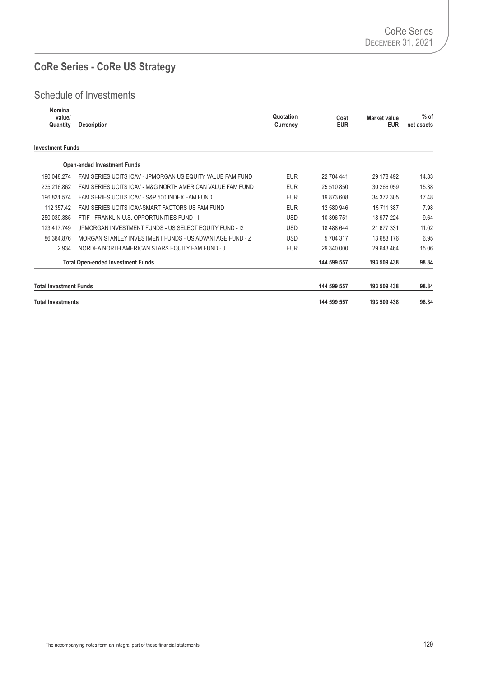## **CoRe Series - CoRe US Strategy**

| Nominal<br>value/<br>Quantity | <b>Description</b>                                        | Quotation<br>Currency | Cost<br><b>EUR</b> | Market value<br><b>EUR</b> | $%$ of<br>net assets |
|-------------------------------|-----------------------------------------------------------|-----------------------|--------------------|----------------------------|----------------------|
| <b>Investment Funds</b>       |                                                           |                       |                    |                            |                      |
|                               | <b>Open-ended Investment Funds</b>                        |                       |                    |                            |                      |
| 190 048 274                   | FAM SERIES UCITS ICAV - JPMORGAN US EQUITY VALUE FAM FUND | <b>EUR</b>            | 22 704 441         | 29 178 492                 | 14.83                |
| 235 216.862                   | FAM SERIES UCITS ICAV - M&G NORTH AMERICAN VALUE FAM FUND | <b>EUR</b>            | 25 510 850         | 30 266 059                 | 15.38                |
| 196 831.574                   | FAM SERIES UCITS ICAV - S&P 500 INDEX FAM FUND            | <b>EUR</b>            | 19 873 608         | 34 372 305                 | 17.48                |
| 112 357.42                    | FAM SERIES UCITS ICAV-SMART FACTORS US FAM FUND           | <b>EUR</b>            | 12 580 946         | 15 711 387                 | 7.98                 |
| 250 039.385                   | FTIF - FRANKLIN U.S. OPPORTUNITIES FUND - I               | <b>USD</b>            | 10 396 751         | 18 977 224                 | 9.64                 |
| 123 417.749                   | JPMORGAN INVESTMENT FUNDS - US SELECT EQUITY FUND - I2    | <b>USD</b>            | 18 488 644         | 21 677 331                 | 11.02                |
| 86 384.876                    | MORGAN STANI FY INVESTMENT FUNDS - US ADVANTAGE FUND - 7  | <b>USD</b>            | 5 704 317          | 13 683 176                 | 6.95                 |
| 2 9 3 4                       | NORDEA NORTH AMERICAN STARS EQUITY FAM FUND - J           | <b>EUR</b>            | 29 340 000         | 29 643 464                 | 15.06                |
|                               | <b>Total Open-ended Investment Funds</b>                  |                       | 144 599 557        | 193 509 438                | 98.34                |
| <b>Total Investment Funds</b> |                                                           |                       | 144 599 557        | 193 509 438                | 98.34                |
| <b>Total Investments</b>      |                                                           |                       | 144 599 557        | 193 509 438                | 98.34                |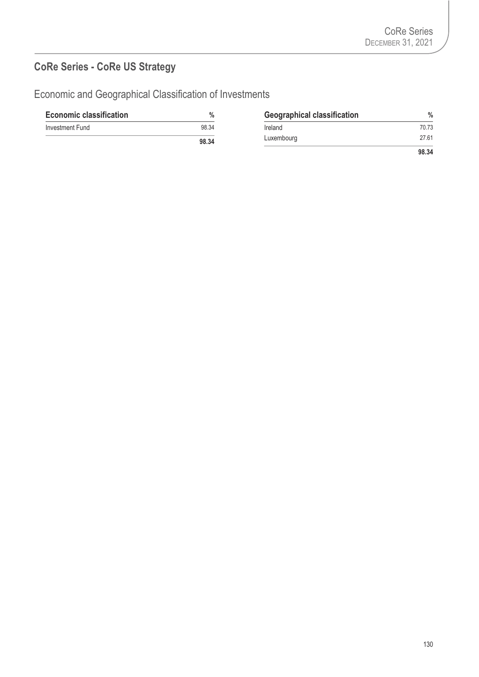## **CoRe Series - CoRe US Strategy**

| <b>Economic classification</b> | $\frac{0}{0}$ | <b>Geographical classification</b> | $\frac{0}{0}$ |
|--------------------------------|---------------|------------------------------------|---------------|
| Investment Fund                | 98.34         | Ireland                            | 70.73         |
|                                | 98.34         | Luxembourg                         | 27.61         |
|                                |               |                                    | 98.34         |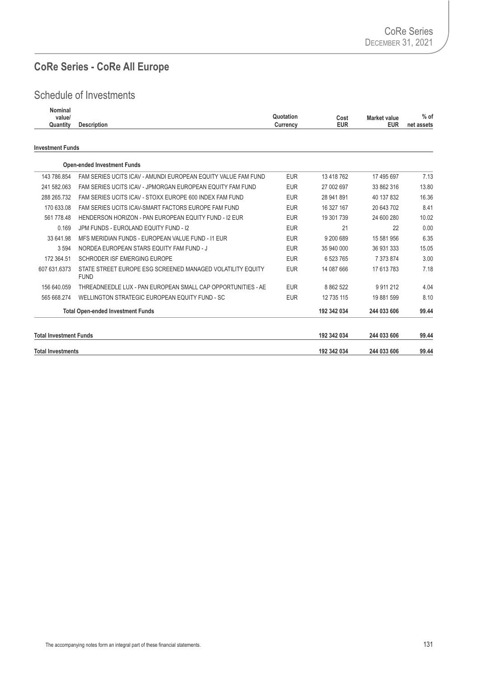## **CoRe Series - CoRe All Europe**

| Nominal<br>value/<br>Quantity | <b>Description</b>                                                        | Quotation<br>Currency | Cost<br><b>EUR</b> | <b>Market value</b><br><b>EUR</b> | $%$ of<br>net assets |
|-------------------------------|---------------------------------------------------------------------------|-----------------------|--------------------|-----------------------------------|----------------------|
| <b>Investment Funds</b>       |                                                                           |                       |                    |                                   |                      |
|                               | <b>Open-ended Investment Funds</b>                                        |                       |                    |                                   |                      |
| 143 786 854                   | FAM SERIES UCITS ICAV - AMUNDI EUROPEAN EQUITY VALUE FAM FUND             | <b>EUR</b>            | 13 418 762         | 17 495 697                        | 7.13                 |
| 241 582.063                   | FAM SERIES UCITS ICAV - JPMORGAN EUROPEAN EQUITY FAM FUND                 | <b>EUR</b>            | 27 002 697         | 33 862 316                        | 13.80                |
| 288 265.732                   | FAM SERIES UCITS ICAV - STOXX EUROPE 600 INDEX FAM FUND                   | <b>EUR</b>            | 28 941 891         | 40 137 832                        | 16.36                |
| 170 633.08                    | FAM SERIES UCITS ICAV-SMART FACTORS EUROPE FAM FUND                       | <b>EUR</b>            | 16 327 167         | 20 643 702                        | 8.41                 |
| 561 778.48                    | HENDERSON HORIZON - PAN EUROPEAN EQUITY FUND - 12 EUR                     | <b>EUR</b>            | 19 301 739         | 24 600 280                        | 10.02                |
| 0.169                         | JPM FUNDS - EUROLAND EQUITY FUND - I2                                     | <b>EUR</b>            | 21                 | 22                                | 0.00                 |
| 33 641.98                     | MFS MERIDIAN FUNDS - EUROPEAN VALUE FUND - 11 EUR                         | <b>EUR</b>            | 9 200 689          | 15 581 956                        | 6.35                 |
| 3 5 9 4                       | NORDEA EUROPEAN STARS EQUITY FAM FUND - J                                 | <b>EUR</b>            | 35 940 000         | 36 931 333                        | 15.05                |
| 172 364.51                    | SCHRODER ISF EMERGING EUROPE                                              | <b>EUR</b>            | 6 523 765          | 7 373 874                         | 3.00                 |
| 607 631.6373                  | STATE STREET EUROPE ESG SCREENED MANAGED VOLATILITY EQUITY<br><b>FUND</b> | <b>EUR</b>            | 14 087 666         | 17 613 783                        | 7.18                 |
| 156 640.059                   | THREADNEEDLE LUX - PAN EUROPEAN SMALL CAP OPPORTUNITIES - AE              | <b>EUR</b>            | 8 8 6 2 5 2 2      | 9 9 1 2 1 2                       | 4.04                 |
| 565 668.274                   | WELLINGTON STRATEGIC EUROPEAN EQUITY FUND - SC                            | <b>EUR</b>            | 12 735 115         | 19 881 599                        | 8.10                 |
|                               | <b>Total Open-ended Investment Funds</b>                                  |                       | 192 342 034        | 244 033 606                       | 99.44                |
| <b>Total Investment Funds</b> |                                                                           |                       | 192 342 034        | 244 033 606                       | 99.44                |
| <b>Total Investments</b>      |                                                                           |                       | 192 342 034        | 244 033 606                       | 99.44                |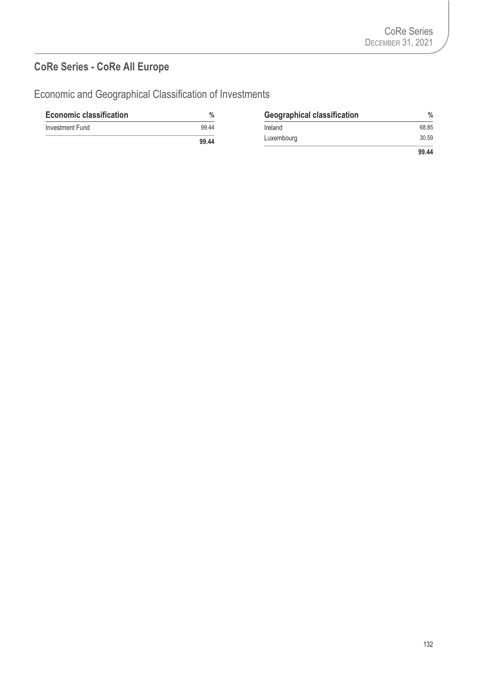## **CoRe Series - CoRe All Europe**

| <b>Economic classification</b> | %     | <b>Geographical classification</b> | $\frac{0}{0}$ |
|--------------------------------|-------|------------------------------------|---------------|
| Investment Fund                | 99.44 | Ireland                            | 68.85         |
|                                | 99.44 | Luxembourg                         | 30.59         |
|                                |       |                                    | 99.44         |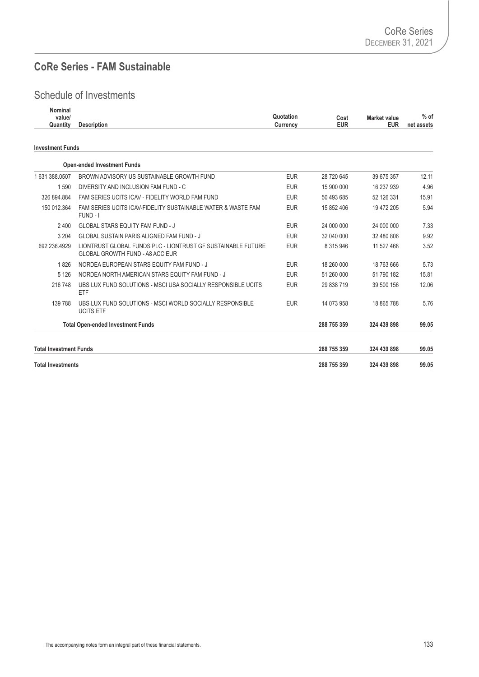#### **CoRe Series - FAM Sustainable**

| <b>Nominal</b><br>value/<br>Quantity | <b>Description</b>                                                                                     | Quotation<br>Currency | Cost<br><b>EUR</b> | <b>Market value</b><br><b>EUR</b> | $%$ of<br>net assets |
|--------------------------------------|--------------------------------------------------------------------------------------------------------|-----------------------|--------------------|-----------------------------------|----------------------|
| <b>Investment Funds</b>              |                                                                                                        |                       |                    |                                   |                      |
|                                      | <b>Open-ended Investment Funds</b>                                                                     |                       |                    |                                   |                      |
| 1 631 388 0507                       | BROWN ADVISORY US SUSTAINABLE GROWTH FUND                                                              | <b>EUR</b>            | 28 720 645         | 39 675 357                        | 12.11                |
| 1 5 9 0                              | DIVERSITY AND INCLUSION FAM FUND - C                                                                   | <b>EUR</b>            | 15 900 000         | 16 237 939                        | 4.96                 |
| 326 894 884                          | FAM SERIES UCITS ICAV - FIDELITY WORLD FAM FUND                                                        | <b>EUR</b>            | 50 493 685         | 52 126 331                        | 15.91                |
| 150 012.364                          | FAM SERIES UCITS ICAV-FIDELITY SUSTAINABLE WATER & WASTE FAM<br>FUND - I                               | <b>EUR</b>            | 15 852 406         | 19 472 205                        | 5.94                 |
| 2400                                 | <b>GLOBAL STARS EQUITY FAM FUND - J</b>                                                                | <b>EUR</b>            | 24 000 000         | 24 000 000                        | 7.33                 |
| 3 2 0 4                              | <b>GLOBAL SUSTAIN PARIS ALIGNED FAM FUND - J</b>                                                       | <b>EUR</b>            | 32 040 000         | 32 480 806                        | 9.92                 |
| 692 236.4929                         | LIONTRUST GLOBAL FUNDS PLC - LIONTRUST GF SUSTAINABLE FUTURE<br><b>GLOBAL GROWTH FUND - A8 ACC EUR</b> | <b>EUR</b>            | 8 3 1 5 9 4 6      | 11 527 468                        | 3.52                 |
| 1826                                 | NORDEA EUROPEAN STARS EQUITY FAM FUND - J                                                              | <b>EUR</b>            | 18 260 000         | 18 763 666                        | 5.73                 |
| 5 1 2 6                              | NORDEA NORTH AMERICAN STARS EQUITY FAM FUND - J                                                        | <b>EUR</b>            | 51 260 000         | 51 790 182                        | 15.81                |
| 216 748                              | UBS LUX FUND SOLUTIONS - MSCI USA SOCIALLY RESPONSIBLE UCITS<br>ETF                                    | <b>EUR</b>            | 29 838 719         | 39 500 156                        | 12.06                |
| 139 788                              | UBS LUX FUND SOLUTIONS - MSCI WORLD SOCIALLY RESPONSIBLE<br><b>UCITS ETF</b>                           | <b>EUR</b>            | 14 073 958         | 18 865 788                        | 5.76                 |
|                                      | <b>Total Open-ended Investment Funds</b>                                                               |                       | 288 755 359        | 324 439 898                       | 99.05                |
| <b>Total Investment Funds</b>        |                                                                                                        |                       | 288 755 359        | 324 439 898                       | 99.05                |
| <b>Total Investments</b>             |                                                                                                        |                       | 288 755 359        | 324 439 898                       | 99.05                |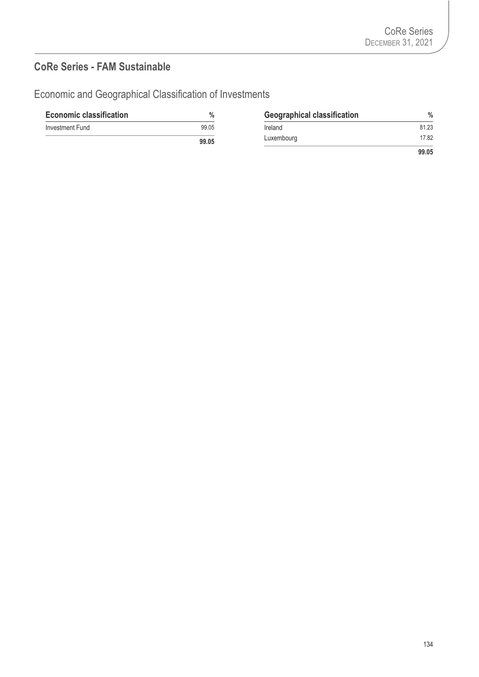#### **CoRe Series - FAM Sustainable**

| <b>Economic classification</b> | $\%$  | <b>Geographical classification</b> | $\frac{0}{0}$ |
|--------------------------------|-------|------------------------------------|---------------|
| Investment Fund                | 99.05 | Ireland                            | 81.23         |
|                                | 99.05 | Luxembourg                         | 17.82         |
|                                |       |                                    | 99.05         |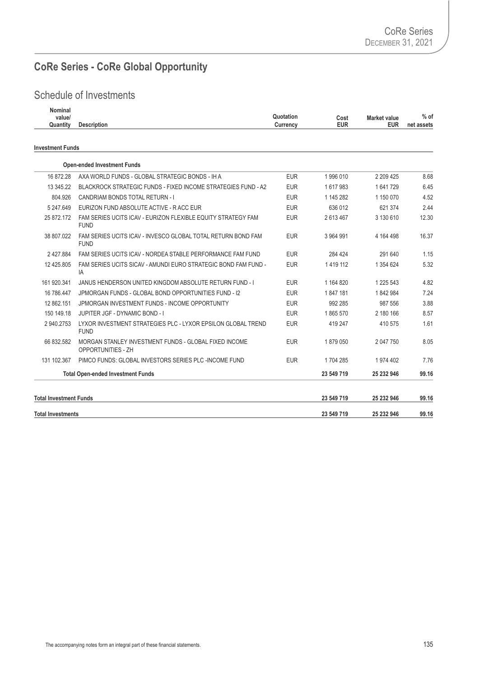## **CoRe Series - CoRe Global Opportunity**

| <b>Nominal</b><br>value/<br>Quantity | <b>Description</b>                                                          | Quotation<br>Currency | Cost<br><b>EUR</b> | <b>Market value</b><br><b>EUR</b> | $%$ of<br>net assets |
|--------------------------------------|-----------------------------------------------------------------------------|-----------------------|--------------------|-----------------------------------|----------------------|
| <b>Investment Funds</b>              |                                                                             |                       |                    |                                   |                      |
|                                      | <b>Open-ended Investment Funds</b>                                          |                       |                    |                                   |                      |
| 16 872.28                            | AXA WORLD FUNDS - GLOBAL STRATEGIC BONDS - IH A                             | <b>EUR</b>            | 1996 010           | 2 209 425                         | 8.68                 |
| 13 345.22                            | BLACKROCK STRATEGIC FUNDS - FIXED INCOME STRATEGIES FUND - A2               | <b>EUR</b>            | 1617983            | 1641729                           | 6.45                 |
| 804.926                              | CANDRIAM BONDS TOTAL RETURN - I                                             | <b>EUR</b>            | 1 145 282          | 1 150 070                         | 4.52                 |
| 5 247.649                            | EURIZON FUND ABSOLUTE ACTIVE - RACC EUR                                     | <b>EUR</b>            | 636 012            | 621 374                           | 2.44                 |
| 25 872.172                           | FAM SERIES UCITS ICAV - EURIZON FLEXIBLE EQUITY STRATEGY FAM<br><b>FUND</b> | <b>EUR</b>            | 2 613 467          | 3 130 610                         | 12.30                |
| 38 807.022                           | FAM SERIES UCITS ICAV - INVESCO GLOBAL TOTAL RETURN BOND FAM<br><b>FUND</b> | <b>EUR</b>            | 3 964 991          | 4 164 498                         | 16.37                |
| 2 427.884                            | FAM SERIES UCITS ICAV - NORDEA STABLE PERFORMANCE FAM FUND                  | <b>EUR</b>            | 284 424            | 291 640                           | 1.15                 |
| 12 425.805                           | FAM SERIES UCITS SICAV - AMUNDI EURO STRATEGIC BOND FAM FUND -<br>IA        | <b>EUR</b>            | 1419 112           | 1 354 624                         | 5.32                 |
| 161 920.341                          | JANUS HENDERSON UNITED KINGDOM ABSOLUTE RETURN FUND - I                     | <b>EUR</b>            | 1 164 820          | 1 225 543                         | 4.82                 |
| 16 786.447                           | JPMORGAN FUNDS - GLOBAL BOND OPPORTUNITIES FUND - 12                        | <b>EUR</b>            | 1847181            | 1842984                           | 7.24                 |
| 12 862.151                           | JPMORGAN INVESTMENT FUNDS - INCOME OPPORTUNITY                              | <b>EUR</b>            | 992 285            | 987 556                           | 3.88                 |
| 150 149.18                           | JUPITER JGF - DYNAMIC BOND - I                                              | <b>EUR</b>            | 1865 570           | 2 180 166                         | 8.57                 |
| 2 940.2753                           | LYXOR INVESTMENT STRATEGIES PLC - LYXOR EPSILON GLOBAL TREND<br><b>FUND</b> | <b>EUR</b>            | 419 247            | 410 575                           | 1.61                 |
| 66 832.582                           | MORGAN STANLEY INVESTMENT FUNDS - GLOBAL FIXED INCOME<br>OPPORTUNITIES - ZH | <b>EUR</b>            | 1879050            | 2 047 750                         | 8.05                 |
| 131 102.367                          | PIMCO FUNDS: GLOBAL INVESTORS SERIES PLC -INCOME FUND                       | <b>EUR</b>            | 1704 285           | 1 974 402                         | 7.76                 |
|                                      | <b>Total Open-ended Investment Funds</b>                                    |                       | 23 549 719         | 25 232 946                        | 99.16                |
| <b>Total Investment Funds</b>        |                                                                             |                       | 23 549 719         | 25 232 946                        | 99.16                |
| <b>Total Investments</b>             |                                                                             |                       | 23 549 719         | 25 232 946                        | 99.16                |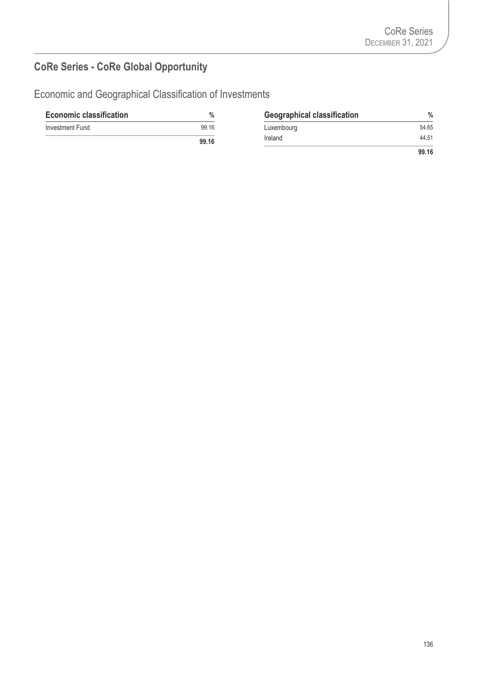# **CoRe Series - CoRe Global Opportunity**

| <b>Economic classification</b> | %     | <b>Geographical classification</b> | $\frac{0}{0}$ |
|--------------------------------|-------|------------------------------------|---------------|
| Investment Fund                | 99.16 | Luxembourg                         | 54.65         |
|                                | 99.16 | Ireland                            | 44.51         |
|                                |       |                                    | 99.16         |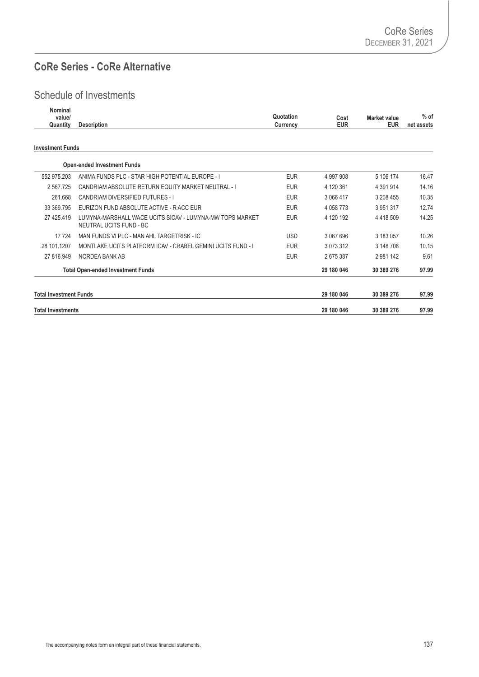#### **CoRe Series - CoRe Alternative**

| Nominal<br>value/<br>Quantity | <b>Description</b>                                                                  | Quotation<br>Currency | Cost<br><b>EUR</b> | <b>Market value</b><br><b>EUR</b> | $%$ of<br>net assets |
|-------------------------------|-------------------------------------------------------------------------------------|-----------------------|--------------------|-----------------------------------|----------------------|
| <b>Investment Funds</b>       |                                                                                     |                       |                    |                                   |                      |
|                               | <b>Open-ended Investment Funds</b>                                                  |                       |                    |                                   |                      |
| 552 975.203                   | ANIMA FUNDS PLC - STAR HIGH POTENTIAL EUROPE - I                                    | <b>EUR</b>            | 4 997 908          | 5 106 174                         | 16.47                |
| 2 567.725                     | CANDRIAM ABSOLUTE RETURN EQUITY MARKET NEUTRAL - I                                  | <b>EUR</b>            | 4 120 361          | 4 391 914                         | 14.16                |
| 261.668                       | <b>CANDRIAM DIVERSIFIED FUTURES - I</b>                                             | <b>EUR</b>            | 3 066 417          | 3 208 455                         | 10.35                |
| 33 369.795                    | EURIZON FUND ABSOLUTE ACTIVE - RACC EUR                                             | <b>EUR</b>            | 4 0 58 7 73        | 3 9 5 1 3 1 7                     | 12.74                |
| 27 425.419                    | LUMYNA-MARSHALL WACE UCITS SICAV - LUMYNA-MW TOPS MARKET<br>NEUTRAL UCITS FUND - BC | <b>EUR</b>            | 4 120 192          | 4 4 18 5 09                       | 14.25                |
| 17 7 24                       | MAN FUNDS VI PIC - MAN AHI TARGETRISK - IC                                          | <b>USD</b>            | 3 067 696          | 3 183 057                         | 10.26                |
| 28 101.1207                   | MONTLAKE UCITS PLATFORM ICAV - CRABEL GEMINI UCITS FUND - I                         | <b>EUR</b>            | 3 073 312          | 3 148 708                         | 10.15                |
| 27 816.949                    | NORDEA BANK AB                                                                      | <b>EUR</b>            | 2675387            | 2981142                           | 9.61                 |
|                               | <b>Total Open-ended Investment Funds</b>                                            |                       | 29 180 046         | 30 389 276                        | 97.99                |
| <b>Total Investment Funds</b> |                                                                                     |                       | 29 180 046         | 30 389 276                        | 97.99                |
| <b>Total Investments</b>      |                                                                                     |                       | 29 180 046         | 30 389 276                        | 97.99                |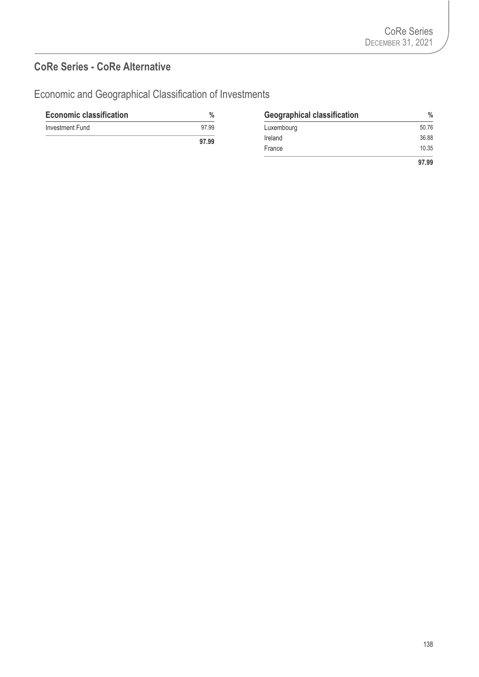#### **CoRe Series - CoRe Alternative**

| <b>Economic classification</b> | $\%$         | <b>Geographical classification</b> | 0/<br>50.76 |  |
|--------------------------------|--------------|------------------------------------|-------------|--|
| Investment Fund                | 97.99        | Luxembourg                         |             |  |
|                                | <b>07 00</b> | Ireland                            | 36.88       |  |

| $\%$  | <b>Geographical classification</b> | %     |
|-------|------------------------------------|-------|
| 97.99 | Luxembourg                         | 50.76 |
| 97.99 | Ireland                            | 36.88 |
|       | France                             | 10.35 |
|       |                                    | 97.99 |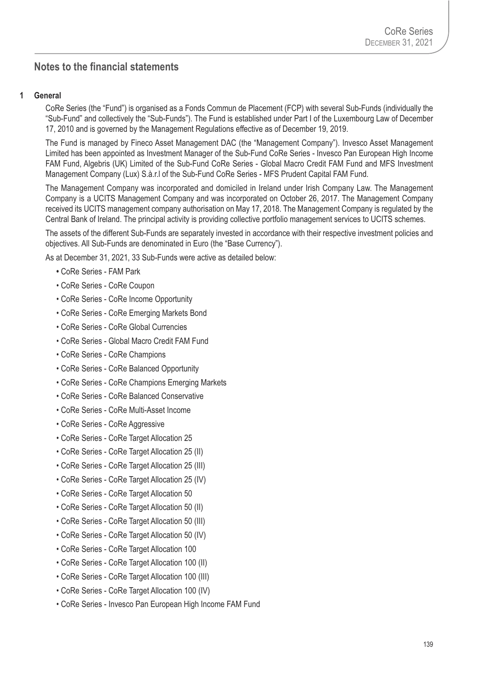#### **Notes to the financial statements Notes**

#### **1 General**

CoRe Series (the "Fund") is organised as a Fonds Commun de Placement (FCP) with several Sub-Funds (individually the "Sub-Fund" and collectively the "Sub-Funds"). The Fund is established under Part I of the Luxembourg Law of December 17, 2010 and is governed by the Management Regulations effective as of December 19, 2019.

The Fund is managed by Fineco Asset Management DAC (the "Management Company"). Invesco Asset Management Limited has been appointed as Investment Manager of the Sub-Fund CoRe Series - Invesco Pan European High Income FAM Fund, Algebris (UK) Limited of the Sub-Fund CoRe Series - Global Macro Credit FAM Fund and MFS Investment Management Company (Lux) S.à.r.l of the Sub-Fund CoRe Series - MFS Prudent Capital FAM Fund.

The Management Company was incorporated and domiciled in Ireland under Irish Company Law. The Management Company is a UCITS Management Company and was incorporated on October 26, 2017. The Management Company received its UCITS management company authorisation on May 17, 2018. The Management Company is regulated by the Central Bank of Ireland. The principal activity is providing collective portfolio management services to UCITS schemes.

The assets of the different Sub-Funds are separately invested in accordance with their respective investment policies and objectives. All Sub-Funds are denominated in Euro (the "Base Currency").

As at December 31, 2021, 33 Sub-Funds were active as detailed below:

- CoRe Series FAM Park
- CoRe Series CoRe Coupon
- CoRe Series CoRe Income Opportunity
- CoRe Series CoRe Emerging Markets Bond
- CoRe Series CoRe Global Currencies
- CoRe Series Global Macro Credit FAM Fund
- CoRe Series CoRe Champions
- CoRe Series CoRe Balanced Opportunity
- CoRe Series CoRe Champions Emerging Markets
- CoRe Series CoRe Balanced Conservative
- CoRe Series CoRe Multi-Asset Income
- CoRe Series CoRe Aggressive
- CoRe Series CoRe Target Allocation 25
- CoRe Series CoRe Target Allocation 25 (II)
- CoRe Series CoRe Target Allocation 25 (III)
- CoRe Series CoRe Target Allocation 25 (IV)
- CoRe Series CoRe Target Allocation 50
- CoRe Series CoRe Target Allocation 50 (II)
- CoRe Series CoRe Target Allocation 50 (III)
- CoRe Series CoRe Target Allocation 50 (IV)
- CoRe Series CoRe Target Allocation 100
- CoRe Series CoRe Target Allocation 100 (II)
- CoRe Series CoRe Target Allocation 100 (III)
- CoRe Series CoRe Target Allocation 100 (IV)
- CoRe Series Invesco Pan European High Income FAM Fund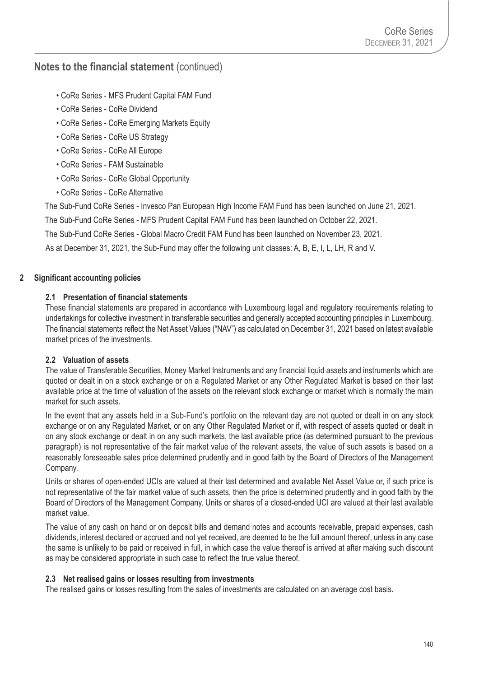- CoRe Series MFS Prudent Capital FAM Fund
- CoRe Series CoRe Dividend
- CoRe Series CoRe Emerging Markets Equity
- CoRe Series CoRe US Strategy
- CoRe Series CoRe All Europe
- CoRe Series FAM Sustainable
- CoRe Series CoRe Global Opportunity
- CoRe Series CoRe Alternative

The Sub-Fund CoRe Series - Invesco Pan European High Income FAM Fund has been launched on June 21, 2021.

The Sub-Fund CoRe Series - MFS Prudent Capital FAM Fund has been launched on October 22, 2021.

The Sub-Fund CoRe Series - Global Macro Credit FAM Fund has been launched on November 23, 2021.

As at December 31, 2021, the Sub-Fund may offer the following unit classes: A, B, E, I, L, LH, R and V.

### **2 Significant accounting policies**

### **2.1 Presentation of financial statements**

These financial statements are prepared in accordance with Luxembourg legal and regulatory requirements relating to undertakings for collective investment in transferable securities and generally accepted accounting principles in Luxembourg. The financial statements reflect the Net Asset Values ("NAV") as calculated on December 31, 2021 based on latest available market prices of the investments.

## **2.2 Valuation of assets**

The value of Transferable Securities, Money Market Instruments and any financial liquid assets and instruments which are quoted or dealt in on a stock exchange or on a Regulated Market or any Other Regulated Market is based on their last available price at the time of valuation of the assets on the relevant stock exchange or market which is normally the main market for such assets.

In the event that any assets held in a Sub-Fund's portfolio on the relevant day are not quoted or dealt in on any stock exchange or on any Regulated Market, or on any Other Regulated Market or if, with respect of assets quoted or dealt in on any stock exchange or dealt in on any such markets, the last available price (as determined pursuant to the previous paragraph) is not representative of the fair market value of the relevant assets, the value of such assets is based on a reasonably foreseeable sales price determined prudently and in good faith by the Board of Directors of the Management Company.

Units or shares of open-ended UCIs are valued at their last determined and available Net Asset Value or, if such price is not representative of the fair market value of such assets, then the price is determined prudently and in good faith by the Board of Directors of the Management Company. Units or shares of a closed-ended UCI are valued at their last available market value.

The value of any cash on hand or on deposit bills and demand notes and accounts receivable, prepaid expenses, cash dividends, interest declared or accrued and not yet received, are deemed to be the full amount thereof, unless in any case the same is unlikely to be paid or received in full, in which case the value thereof is arrived at after making such discount as may be considered appropriate in such case to reflect the true value thereof.

### **2.3 Net realised gains or losses resulting from investments**

The realised gains or losses resulting from the sales of investments are calculated on an average cost basis.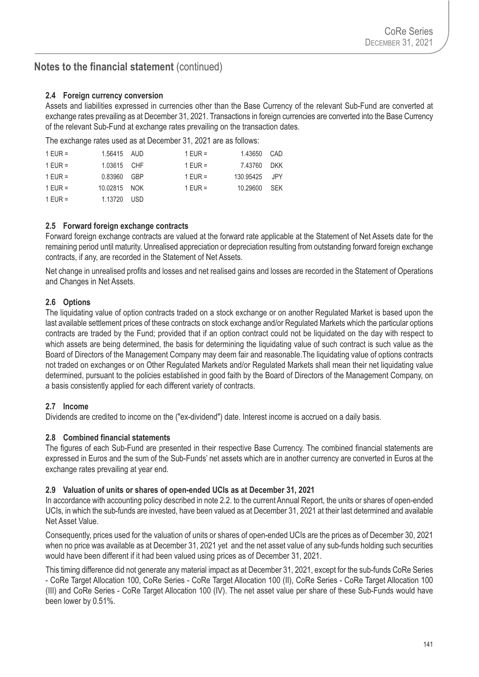### **2.4 Foreign currency conversion**

Assets and liabilities expressed in currencies other than the Base Currency of the relevant Sub-Fund are converted at exchange rates prevailing as at December 31, 2021. Transactions in foreign currencies are converted into the Base Currency of the relevant Sub-Fund at exchange rates prevailing on the transaction dates.

The exchange rates used as at December 31, 2021 are as follows:

| 1 EUR =   | 1.56415 AUD  | 1 EUR =   | 1.43650 CAD   |  |
|-----------|--------------|-----------|---------------|--|
| $1$ EUR = | 1.03615 CHF  | $1$ EUR = | 7.43760 DKK   |  |
| 1 EUR =   | 0.83960 GBP  | $1$ EUR = | 130.95425 JPY |  |
| 1 EUR =   | 10.02815 NOK | $1$ EUR = | 10.29600 SEK  |  |
| 1 EUR =   | 1.13720 USD  |           |               |  |

### **2.5 Forward foreign exchange contracts**

Forward foreign exchange contracts are valued at the forward rate applicable at the Statement of Net Assets date for the remaining period until maturity. Unrealised appreciation or depreciation resulting from outstanding forward foreign exchange contracts, if any, are recorded in the Statement of Net Assets.

Net change in unrealised profits and losses and net realised gains and losses are recorded in the Statement of Operations and Changes in Net Assets.

## **2.6 Options**

The liquidating value of option contracts traded on a stock exchange or on another Regulated Market is based upon the last available settlement prices of these contracts on stock exchange and/or Regulated Markets which the particular options contracts are traded by the Fund; provided that if an option contract could not be liquidated on the day with respect to which assets are being determined, the basis for determining the liquidating value of such contract is such value as the Board of Directors of the Management Company may deem fair and reasonable.The liquidating value of options contracts not traded on exchanges or on Other Regulated Markets and/or Regulated Markets shall mean their net liquidating value determined, pursuant to the policies established in good faith by the Board of Directors of the Management Company, on a basis consistently applied for each different variety of contracts.

## **2.7 Income**

Dividends are credited to income on the ("ex-dividend") date. Interest income is accrued on a daily basis.

### **2.8 Combined financial statements**

The figures of each Sub-Fund are presented in their respective Base Currency. The combined financial statements are expressed in Euros and the sum of the Sub-Funds' net assets which are in another currency are converted in Euros at the exchange rates prevailing at year end.

### **2.9 Valuation of units or shares of open-ended UCIs as at December 31, 2021**

In accordance with accounting policy described in note 2.2. to the current Annual Report, the units or shares of open-ended UCIs, in which the sub-funds are invested, have been valued as at December 31, 2021 at their last determined and available Net Asset Value.

Consequently, prices used for the valuation of units or shares of open-ended UCIs are the prices as of December 30, 2021 when no price was available as at December 31, 2021 yet and the net asset value of any sub-funds holding such securities would have been different if it had been valued using prices as of December 31, 2021.

This timing difference did not generate any material impact as at December 31, 2021, except for the sub-funds CoRe Series - CoRe Target Allocation 100, CoRe Series - CoRe Target Allocation 100 (II), CoRe Series - CoRe Target Allocation 100 (III) and CoRe Series - CoRe Target Allocation 100 (IV). The net asset value per share of these Sub-Funds would have been lower by 0.51%.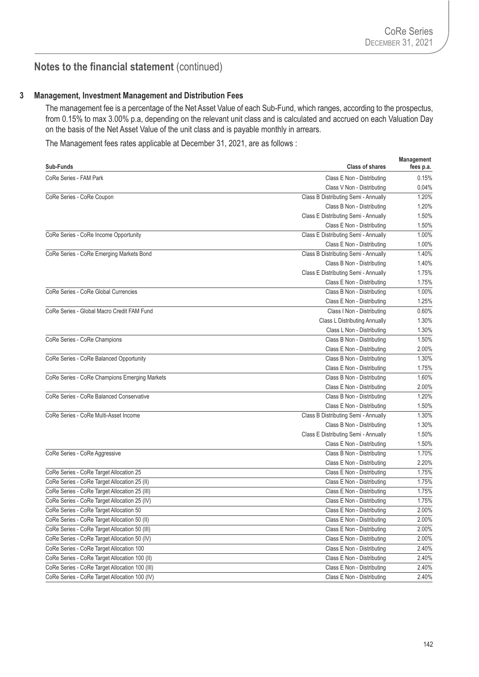#### **3 Management, Investment Management and Distribution Fees**

The management fee is a percentage of the Net Asset Value of each Sub-Fund, which ranges, according to the prospectus, from 0.15% to max 3.00% p.a, depending on the relevant unit class and is calculated and accrued on each Valuation Day on the basis of the Net Asset Value of the unit class and is payable monthly in arrears.

The Management fees rates applicable at December 31, 2021, are as follows :

| Sub-Funds                                      | <b>Class of shares</b>               | Management<br>fees p.a. |
|------------------------------------------------|--------------------------------------|-------------------------|
| CoRe Series - FAM Park                         | Class E Non - Distributing           | 0.15%                   |
|                                                | Class V Non - Distributing           | 0.04%                   |
| CoRe Series - CoRe Coupon                      | Class B Distributing Semi - Annually | 1.20%                   |
|                                                | Class B Non - Distributing           | 1.20%                   |
|                                                | Class E Distributing Semi - Annually | 1.50%                   |
|                                                | Class E Non - Distributing           | 1.50%                   |
| CoRe Series - CoRe Income Opportunity          | Class E Distributing Semi - Annually | 1.00%                   |
|                                                | Class E Non - Distributing           | 1.00%                   |
| CoRe Series - CoRe Emerging Markets Bond       | Class B Distributing Semi - Annually | 1.40%                   |
|                                                | Class B Non - Distributing           | 1.40%                   |
|                                                | Class E Distributing Semi - Annually | 1.75%                   |
|                                                | Class E Non - Distributing           | 1.75%                   |
| CoRe Series - CoRe Global Currencies           | Class B Non - Distributing           | 1.00%                   |
|                                                | Class E Non - Distributing           | 1.25%                   |
| CoRe Series - Global Macro Credit FAM Fund     | Class I Non - Distributing           | 0.60%                   |
|                                                | <b>Class L Distributing Annually</b> | 1.30%                   |
|                                                | Class L Non - Distributing           | 1.30%                   |
| CoRe Series - CoRe Champions                   | Class B Non - Distributing           | 1.50%                   |
|                                                | Class E Non - Distributing           | 2.00%                   |
| CoRe Series - CoRe Balanced Opportunity        | Class B Non - Distributing           | 1.30%                   |
|                                                | Class E Non - Distributing           | 1.75%                   |
| CoRe Series - CoRe Champions Emerging Markets  | Class B Non - Distributing           | 1.60%                   |
|                                                | Class E Non - Distributing           | 2.00%                   |
| CoRe Series - CoRe Balanced Conservative       | Class B Non - Distributing           | 1.20%                   |
|                                                | Class E Non - Distributing           | 1.50%                   |
| CoRe Series - CoRe Multi-Asset Income          | Class B Distributing Semi - Annually | 1.30%                   |
|                                                | Class B Non - Distributing           | 1.30%                   |
|                                                | Class E Distributing Semi - Annually | 1.50%                   |
|                                                | Class E Non - Distributing           | 1.50%                   |
| CoRe Series - CoRe Aggressive                  | Class B Non - Distributing           | 1.70%                   |
|                                                | Class E Non - Distributing           | 2.20%                   |
| CoRe Series - CoRe Target Allocation 25        | Class E Non - Distributing           | 1.75%                   |
| CoRe Series - CoRe Target Allocation 25 (II)   | Class E Non - Distributing           | 1.75%                   |
| CoRe Series - CoRe Target Allocation 25 (III)  | Class E Non - Distributing           | 1.75%                   |
| CoRe Series - CoRe Target Allocation 25 (IV)   | Class E Non - Distributing           | 1.75%                   |
| CoRe Series - CoRe Target Allocation 50        | Class E Non - Distributing           | 2.00%                   |
| CoRe Series - CoRe Target Allocation 50 (II)   | Class E Non - Distributing           | 2.00%                   |
| CoRe Series - CoRe Target Allocation 50 (III)  | Class E Non - Distributing           | 2.00%                   |
| CoRe Series - CoRe Target Allocation 50 (IV)   | Class E Non - Distributing           | 2.00%                   |
| CoRe Series - CoRe Target Allocation 100       | Class E Non - Distributing           | 2.40%                   |
| CoRe Series - CoRe Target Allocation 100 (II)  | Class E Non - Distributing           | 2.40%                   |
| CoRe Series - CoRe Target Allocation 100 (III) | Class E Non - Distributing           | 2.40%                   |
| CoRe Series - CoRe Target Allocation 100 (IV)  | Class E Non - Distributing           | 2.40%                   |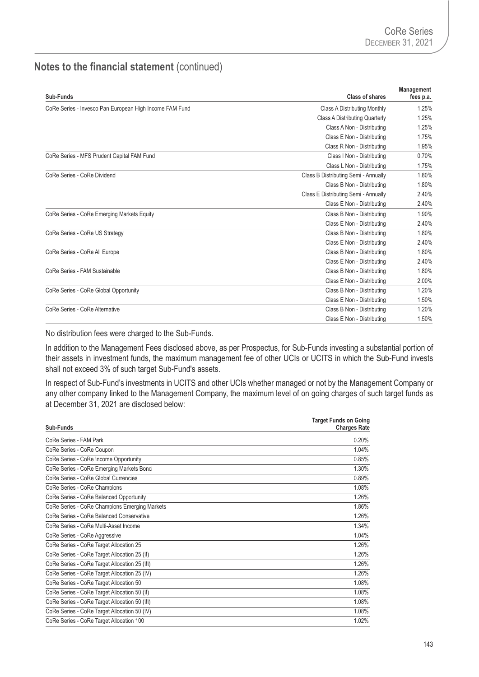| Sub-Funds                                               | <b>Class of shares</b>                | Management<br>fees p.a. |
|---------------------------------------------------------|---------------------------------------|-------------------------|
| CoRe Series - Invesco Pan European High Income FAM Fund | <b>Class A Distributing Monthly</b>   | 1.25%                   |
|                                                         | <b>Class A Distributing Quarterly</b> | 1.25%                   |
|                                                         | Class A Non - Distributing            | 1.25%                   |
|                                                         | Class E Non - Distributing            | 1.75%                   |
|                                                         | Class R Non - Distributing            | 1.95%                   |
| CoRe Series - MFS Prudent Capital FAM Fund              | Class I Non - Distributing            | 0.70%                   |
|                                                         | Class L Non - Distributing            | 1.75%                   |
| CoRe Series - CoRe Dividend                             | Class B Distributing Semi - Annually  | 1.80%                   |
|                                                         | Class B Non - Distributing            | 1.80%                   |
|                                                         | Class E Distributing Semi - Annually  | 2.40%                   |
|                                                         | Class E Non - Distributing            | 2.40%                   |
| CoRe Series - CoRe Emerging Markets Equity              | Class B Non - Distributing            | 1.90%                   |
|                                                         | Class E Non - Distributing            | 2.40%                   |
| CoRe Series - CoRe US Strategy                          | Class B Non - Distributing            | 1.80%                   |
|                                                         | Class E Non - Distributing            | 2.40%                   |
| CoRe Series - CoRe All Europe                           | Class B Non - Distributing            | 1.80%                   |
|                                                         | Class E Non - Distributing            | 2.40%                   |
| CoRe Series - FAM Sustainable                           | Class B Non - Distributing            | 1.80%                   |
|                                                         | Class E Non - Distributing            | 2.00%                   |
| CoRe Series - CoRe Global Opportunity                   | Class B Non - Distributing            | 1.20%                   |
|                                                         | Class E Non - Distributing            | 1.50%                   |
| CoRe Series - CoRe Alternative                          | Class B Non - Distributing            | 1.20%                   |
|                                                         | Class E Non - Distributing            | 1.50%                   |

No distribution fees were charged to the Sub-Funds.

In addition to the Management Fees disclosed above, as per Prospectus, for Sub-Funds investing a substantial portion of their assets in investment funds, the maximum management fee of other UCIs or UCITS in which the Sub-Fund invests shall not exceed 3% of such target Sub-Fund's assets.

In respect of Sub-Fund's investments in UCITS and other UCIs whether managed or not by the Management Company or any other company linked to the Management Company, the maximum level of on going charges of such target funds as at December 31, 2021 are disclosed below:

| Sub-Funds                                     | <b>Target Funds on Going</b><br><b>Charges Rate</b> |
|-----------------------------------------------|-----------------------------------------------------|
| CoRe Series - FAM Park                        | 0.20%                                               |
| CoRe Series - CoRe Coupon                     | 1.04%                                               |
| CoRe Series - CoRe Income Opportunity         | 0.85%                                               |
| CoRe Series - CoRe Emerging Markets Bond      | 1.30%                                               |
| CoRe Series - CoRe Global Currencies          | 0.89%                                               |
| CoRe Series - CoRe Champions                  | 1.08%                                               |
| CoRe Series - CoRe Balanced Opportunity       | 1.26%                                               |
| CoRe Series - CoRe Champions Emerging Markets | 1.86%                                               |
| CoRe Series - CoRe Balanced Conservative      | 1.26%                                               |
| CoRe Series - CoRe Multi-Asset Income         | 1.34%                                               |
| CoRe Series - CoRe Aggressive                 | 1.04%                                               |
| CoRe Series - CoRe Target Allocation 25       | 1.26%                                               |
| CoRe Series - CoRe Target Allocation 25 (II)  | 1.26%                                               |
| CoRe Series - CoRe Target Allocation 25 (III) | 1.26%                                               |
| CoRe Series - CoRe Target Allocation 25 (IV)  | 1.26%                                               |
| CoRe Series - CoRe Target Allocation 50       | 1.08%                                               |
| CoRe Series - CoRe Target Allocation 50 (II)  | 1.08%                                               |
| CoRe Series - CoRe Target Allocation 50 (III) | 1.08%                                               |
| CoRe Series - CoRe Target Allocation 50 (IV)  | 1.08%                                               |
| CoRe Series - CoRe Target Allocation 100      | 1.02%                                               |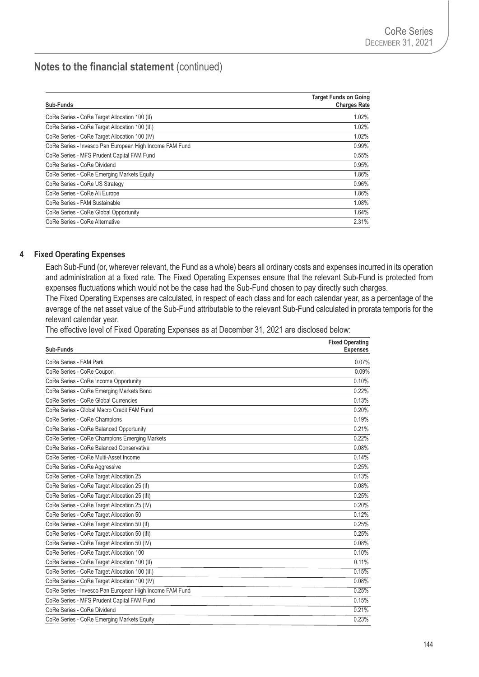| Sub-Funds                                               | <b>Target Funds on Going</b><br><b>Charges Rate</b> |
|---------------------------------------------------------|-----------------------------------------------------|
| CoRe Series - CoRe Target Allocation 100 (II)           | 1.02%                                               |
| CoRe Series - CoRe Target Allocation 100 (III)          | 1.02%                                               |
| CoRe Series - CoRe Target Allocation 100 (IV)           | 1.02%                                               |
| CoRe Series - Invesco Pan European High Income FAM Fund | 0.99%                                               |
| CoRe Series - MFS Prudent Capital FAM Fund              | 0.55%                                               |
| CoRe Series - CoRe Dividend                             | 0.95%                                               |
| CoRe Series - CoRe Emerging Markets Equity              | 1.86%                                               |
| CoRe Series - CoRe US Strategy                          | 0.96%                                               |
| CoRe Series - CoRe All Europe                           | 1.86%                                               |
| CoRe Series - FAM Sustainable                           | 1.08%                                               |
| CoRe Series - CoRe Global Opportunity                   | 1.64%                                               |
| CoRe Series - CoRe Alternative                          | 2.31%                                               |

### **4 Fixed Operating Expenses**

Each Sub-Fund (or, wherever relevant, the Fund as a whole) bears all ordinary costs and expenses incurred in its operation and administration at a fixed rate. The Fixed Operating Expenses ensure that the relevant Sub-Fund is protected from expenses fluctuations which would not be the case had the Sub-Fund chosen to pay directly such charges.

The Fixed Operating Expenses are calculated, in respect of each class and for each calendar year, as a percentage of the average of the net asset value of the Sub-Fund attributable to the relevant Sub-Fund calculated in prorata temporis for the relevant calendar year.

The effective level of Fixed Operating Expenses as at December 31, 2021 are disclosed below:

| Sub-Funds                                               | <b>Fixed Operating</b><br><b>Expenses</b> |
|---------------------------------------------------------|-------------------------------------------|
| CoRe Series - FAM Park                                  | 0.07%                                     |
| CoRe Series - CoRe Coupon                               | 0.09%                                     |
| CoRe Series - CoRe Income Opportunity                   | 0.10%                                     |
| CoRe Series - CoRe Emerging Markets Bond                | 0.22%                                     |
| CoRe Series - CoRe Global Currencies                    | 0.13%                                     |
| CoRe Series - Global Macro Credit FAM Fund              | 0.20%                                     |
| CoRe Series - CoRe Champions                            | 0.19%                                     |
| CoRe Series - CoRe Balanced Opportunity                 | 0.21%                                     |
| CoRe Series - CoRe Champions Emerging Markets           | 0.22%                                     |
| CoRe Series - CoRe Balanced Conservative                | 0.08%                                     |
| CoRe Series - CoRe Multi-Asset Income                   | 0.14%                                     |
| CoRe Series - CoRe Aggressive                           | 0.25%                                     |
| CoRe Series - CoRe Target Allocation 25                 | 0.13%                                     |
| CoRe Series - CoRe Target Allocation 25 (II)            | 0.08%                                     |
| CoRe Series - CoRe Target Allocation 25 (III)           | 0.25%                                     |
| CoRe Series - CoRe Target Allocation 25 (IV)            | 0.20%                                     |
| CoRe Series - CoRe Target Allocation 50                 | 0.12%                                     |
| CoRe Series - CoRe Target Allocation 50 (II)            | 0.25%                                     |
| CoRe Series - CoRe Target Allocation 50 (III)           | 0.25%                                     |
| CoRe Series - CoRe Target Allocation 50 (IV)            | 0.08%                                     |
| CoRe Series - CoRe Target Allocation 100                | 0.10%                                     |
| CoRe Series - CoRe Target Allocation 100 (II)           | 0.11%                                     |
| CoRe Series - CoRe Target Allocation 100 (III)          | 0.15%                                     |
| CoRe Series - CoRe Target Allocation 100 (IV)           | 0.08%                                     |
| CoRe Series - Invesco Pan European High Income FAM Fund | 0.25%                                     |
| CoRe Series - MFS Prudent Capital FAM Fund              | 0.15%                                     |
| CoRe Series - CoRe Dividend                             | 0.21%                                     |
| CoRe Series - CoRe Emerging Markets Equity              | 0.23%                                     |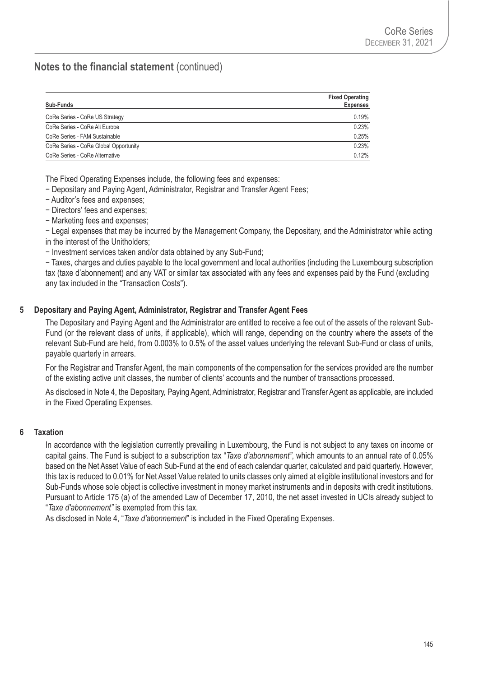| Sub-Funds                             | <b>Fixed Operating</b><br><b>Expenses</b> |
|---------------------------------------|-------------------------------------------|
| CoRe Series - CoRe US Strategy        | 0.19%                                     |
| CoRe Series - CoRe All Europe         | 0.23%                                     |
| CoRe Series - FAM Sustainable         | 0.25%                                     |
| CoRe Series - CoRe Global Opportunity | 0.23%                                     |
| CoRe Series - CoRe Alternative        | 0.12%                                     |

The Fixed Operating Expenses include, the following fees and expenses:

− Depositary and Paying Agent, Administrator, Registrar and Transfer Agent Fees;

- − Auditor's fees and expenses;
- − Directors' fees and expenses;
- − Marketing fees and expenses;

− Legal expenses that may be incurred by the Management Company, the Depositary, and the Administrator while acting in the interest of the Unitholders;

− Investment services taken and/or data obtained by any Sub-Fund;

− Taxes, charges and duties payable to the local government and local authorities (including the Luxembourg subscription tax (taxe d'abonnement) and any VAT or similar tax associated with any fees and expenses paid by the Fund (excluding any tax included in the "Transaction Costs").

### **5 Depositary and Paying Agent, Administrator, Registrar and Transfer Agent Fees**

The Depositary and Paying Agent and the Administrator are entitled to receive a fee out of the assets of the relevant Sub-Fund (or the relevant class of units, if applicable), which will range, depending on the country where the assets of the relevant Sub-Fund are held, from 0.003% to 0.5% of the asset values underlying the relevant Sub-Fund or class of units, payable quarterly in arrears.

For the Registrar and Transfer Agent, the main components of the compensation for the services provided are the number of the existing active unit classes, the number of clients' accounts and the number of transactions processed.

As disclosed in Note 4, the Depositary, Paying Agent, Administrator, Registrar and Transfer Agent as applicable, are included in the Fixed Operating Expenses.

### **6 Taxation**

In accordance with the legislation currently prevailing in Luxembourg, the Fund is not subject to any taxes on income or capital gains. The Fund is subject to a subscription tax "*Taxe d'abonnement"*, which amounts to an annual rate of 0.05% based on the Net Asset Value of each Sub-Fund at the end of each calendar quarter, calculated and paid quarterly. However, this tax is reduced to 0.01% for Net Asset Value related to units classes only aimed at eligible institutional investors and for Sub-Funds whose sole object is collective investment in money market instruments and in deposits with credit institutions. Pursuant to Article 175 (a) of the amended Law of December 17, 2010, the net asset invested in UCIs already subject to "*Taxe d'abonnement"* is exempted from this tax.

As disclosed in Note 4, "*Taxe d'abonnement*" is included in the Fixed Operating Expenses.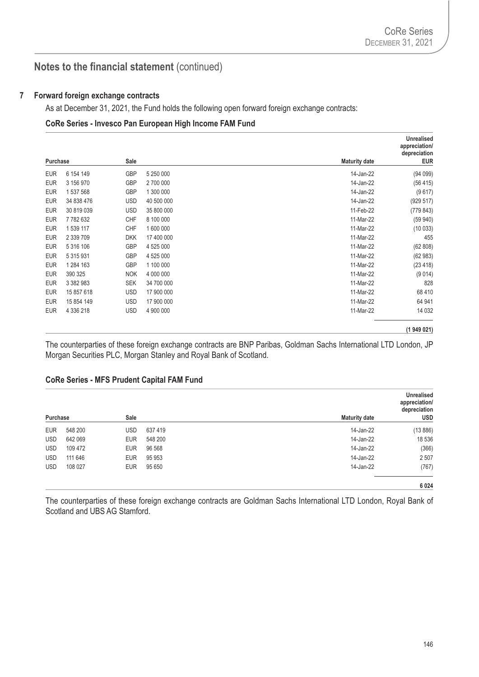#### **7 Forward foreign exchange contracts**

As at December 31, 2021, the Fund holds the following open forward foreign exchange contracts:

#### **CoRe Series - Invesco Pan European High Income FAM Fund**

|            |               |            |            |                      | <b>Unrealised</b><br>appreciation/<br>depreciation |
|------------|---------------|------------|------------|----------------------|----------------------------------------------------|
| Purchase   |               | Sale       |            | <b>Maturity date</b> | <b>EUR</b>                                         |
| <b>EUR</b> | 6 154 149     | <b>GBP</b> | 5 250 000  | 14-Jan-22            | (94099)                                            |
| <b>EUR</b> | 3 156 970     | <b>GBP</b> | 2 700 000  | 14-Jan-22            | (56 415)                                           |
| <b>EUR</b> | 1 537 568     | <b>GBP</b> | 1 300 000  | 14-Jan-22            | (9617)                                             |
| <b>EUR</b> | 34 838 476    | <b>USD</b> | 40 500 000 | 14-Jan-22            | (929 517)                                          |
| <b>EUR</b> | 30 819 039    | <b>USD</b> | 35 800 000 | 11-Feb-22            | (779843)                                           |
| <b>EUR</b> | 7782632       | <b>CHF</b> | 8 100 000  | 11-Mar-22            | (59940)                                            |
| <b>EUR</b> | 1 539 117     | CHF        | 1 600 000  | 11-Mar-22            | (10033)                                            |
| <b>EUR</b> | 2 339 709     | <b>DKK</b> | 17 400 000 | 11-Mar-22            | 455                                                |
| <b>EUR</b> | 5 316 106     | GBP        | 4 525 000  | 11-Mar-22            | (62 808)                                           |
| <b>EUR</b> | 5 3 1 5 9 3 1 | <b>GBP</b> | 4 525 000  | 11-Mar-22            | (62983)                                            |
| <b>EUR</b> | 1 284 163     | GBP        | 1 100 000  | 11-Mar-22            | (23 418)                                           |
| <b>EUR</b> | 390 325       | <b>NOK</b> | 4 000 000  | 11-Mar-22            | (9014)                                             |
| <b>EUR</b> | 3 382 983     | <b>SEK</b> | 34 700 000 | 11-Mar-22            | 828                                                |
| <b>EUR</b> | 15 857 618    | <b>USD</b> | 17 900 000 | 11-Mar-22            | 68 410                                             |
| <b>EUR</b> | 15 854 149    | <b>USD</b> | 17 900 000 | 11-Mar-22            | 64 941                                             |
| <b>EUR</b> | 4 336 218     | <b>USD</b> | 4 900 000  | 11-Mar-22            | 14 0 32                                            |

#### **(1 949 021)**

The counterparties of these foreign exchange contracts are BNP Paribas, Goldman Sachs International LTD London, JP Morgan Securities PLC, Morgan Stanley and Royal Bank of Scotland.

#### **CoRe Series - MFS Prudent Capital FAM Fund**

| <b>Unrealised</b><br>appreciation/<br>depreciation |                      |         |            |         |            |
|----------------------------------------------------|----------------------|---------|------------|---------|------------|
| <b>USD</b>                                         | <b>Maturity date</b> |         | Sale       |         | Purchase   |
| (13 886)                                           | 14-Jan-22            | 637419  | USD        | 548 200 | <b>EUR</b> |
| 18 536                                             | 14-Jan-22            | 548 200 | <b>EUR</b> | 642 069 | <b>USD</b> |
| (366)                                              | 14-Jan-22            | 96 568  | <b>EUR</b> | 109 472 | <b>USD</b> |
| 2507                                               | 14-Jan-22            | 95 953  | <b>EUR</b> | 111 646 | <b>USD</b> |
| (767)                                              | 14-Jan-22            | 95 650  | <b>EUR</b> | 108 027 | <b>USD</b> |
| 6024                                               |                      |         |            |         |            |

The counterparties of these foreign exchange contracts are Goldman Sachs International LTD London, Royal Bank of Scotland and UBS AG Stamford.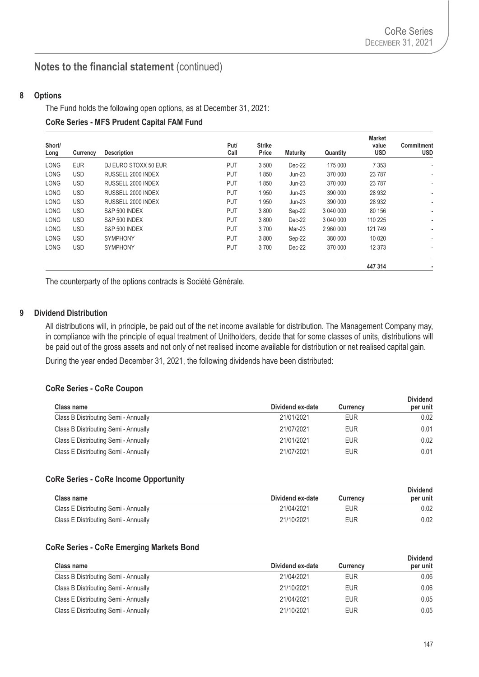#### **8 Options**

The Fund holds the following open options, as at December 31, 2021:

#### **CoRe Series - MFS Prudent Capital FAM Fund**

| Short/<br>Long | Currency   | <b>Description</b>       | Put/<br>Call | <b>Strike</b><br>Price | <b>Maturity</b> | Quantity  | <b>Market</b><br>value<br><b>USD</b> | <b>Commitment</b><br><b>USD</b> |
|----------------|------------|--------------------------|--------------|------------------------|-----------------|-----------|--------------------------------------|---------------------------------|
| <b>LONG</b>    | <b>EUR</b> | DJ EURO STOXX 50 EUR     | <b>PUT</b>   | 3 500                  | $Dec-22$        | 175 000   | 7 3 5 3                              | ٠                               |
| <b>LONG</b>    | <b>USD</b> | RUSSELL 2000 INDEX       | <b>PUT</b>   | 1850                   | $Jun-23$        | 370 000   | 23 7 8 7                             |                                 |
| <b>LONG</b>    | <b>USD</b> | RUSSELL 2000 INDEX       | <b>PUT</b>   | 1850                   | $Jun-23$        | 370 000   | 23 7 8 7                             | ٠                               |
| <b>LONG</b>    | <b>USD</b> | RUSSELL 2000 INDEX       | <b>PUT</b>   | 1950                   | $Jun-23$        | 390 000   | 28 9 32                              |                                 |
| <b>LONG</b>    | <b>USD</b> | RUSSELL 2000 INDEX       | <b>PUT</b>   | 1950                   | $Jun-23$        | 390 000   | 28 9 32                              | ٠                               |
| <b>LONG</b>    | <b>USD</b> | <b>S&amp;P 500 INDEX</b> | <b>PUT</b>   | 3800                   | Sep-22          | 3 040 000 | 80 156                               |                                 |
| <b>LONG</b>    | <b>USD</b> | <b>S&amp;P 500 INDEX</b> | <b>PUT</b>   | 3800                   | $Dec-22$        | 3 040 000 | 110 225                              |                                 |
| <b>LONG</b>    | <b>USD</b> | <b>S&amp;P 500 INDEX</b> | <b>PUT</b>   | 3700                   | Mar-23          | 2 960 000 | 121 749                              | ٠                               |
| <b>LONG</b>    | <b>USD</b> | <b>SYMPHONY</b>          | <b>PUT</b>   | 3800                   | Sep-22          | 380 000   | 10 0 20                              |                                 |
| <b>LONG</b>    | <b>USD</b> | <b>SYMPHONY</b>          | <b>PUT</b>   | 3700                   | $Dec-22$        | 370 000   | 12 3 73                              | ٠                               |
|                |            |                          |              |                        |                 |           | 447 314                              |                                 |

The counterparty of the options contracts is Société Générale.

#### **9 Dividend Distribution**

All distributions will, in principle, be paid out of the net income available for distribution. The Management Company may, in compliance with the principle of equal treatment of Unitholders, decide that for some classes of units, distributions will be paid out of the gross assets and not only of net realised income available for distribution or net realised capital gain.

During the year ended December 31, 2021, the following dividends have been distributed:

### **CoRe Series - CoRe Coupon**

| <b>Class name</b>                    | Dividend ex-date | <b>Currency</b> | <b>Dividend</b><br>per unit |
|--------------------------------------|------------------|-----------------|-----------------------------|
| Class B Distributing Semi - Annually | 21/01/2021       | <b>EUR</b>      | 0.02                        |
| Class B Distributing Semi - Annually | 21/07/2021       | <b>EUR</b>      | 0.01                        |
| Class E Distributing Semi - Annually | 21/01/2021       | <b>EUR</b>      | 0.02                        |
| Class E Distributing Semi - Annually | 21/07/2021       | <b>EUR</b>      | 0.01                        |

#### **CoRe Series - CoRe Income Opportunity**

| Class name                           | Dividend ex-date | <b>Currency</b> | <b>Dividend</b><br>per unit |
|--------------------------------------|------------------|-----------------|-----------------------------|
| Class E Distributing Semi - Annually | 21/04/2021       | EUR             | 0.02                        |
| Class E Distributing Semi - Annually | 21/10/2021       | <b>EUR</b>      | 0.02                        |

#### **CoRe Series - CoRe Emerging Markets Bond**

|                                      |                  |                 | <b>Dividend</b> |
|--------------------------------------|------------------|-----------------|-----------------|
| <b>Class name</b>                    | Dividend ex-date | <b>Currency</b> | per unit        |
| Class B Distributing Semi - Annually | 21/04/2021       | <b>EUR</b>      | 0.06            |
| Class B Distributing Semi - Annually | 21/10/2021       | <b>EUR</b>      | 0.06            |
| Class E Distributing Semi - Annually | 21/04/2021       | <b>EUR</b>      | 0.05            |
| Class E Distributing Semi - Annually | 21/10/2021       | <b>EUR</b>      | 0.05            |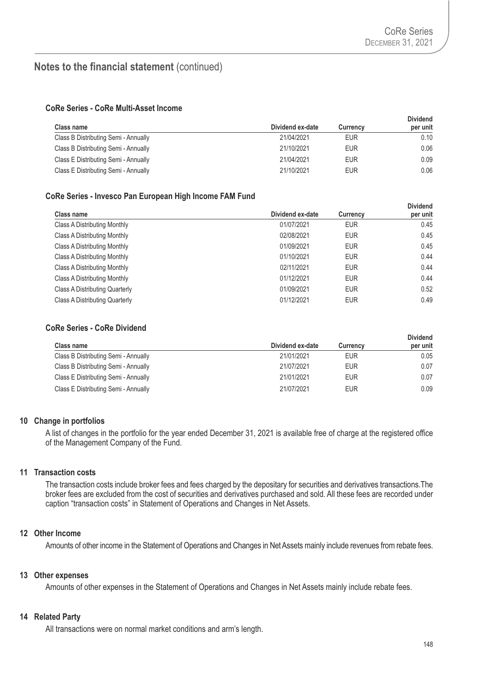**Dividend** 

## **Notes to the financial statement** (continued)

#### **CoRe Series - CoRe Multi-Asset Income**

| <b>Class name</b>                    | Dividend ex-date | <b>Currency</b> | <b>Dividend</b><br>per unit |
|--------------------------------------|------------------|-----------------|-----------------------------|
| Class B Distributing Semi - Annually | 21/04/2021       | EUR             | 0.10                        |
| Class B Distributing Semi - Annually | 21/10/2021       | EUR             | 0.06                        |
| Class E Distributing Semi - Annually | 21/04/2021       | EUR             | 0.09                        |
| Class E Distributing Semi - Annually | 21/10/2021       | EUR             | 0.06                        |

### **CoRe Series - Invesco Pan European High Income FAM Fund**

| Class name                     | Dividend ex-date | <b>Currency</b> | Dividend<br>per unit |
|--------------------------------|------------------|-----------------|----------------------|
| Class A Distributing Monthly   | 01/07/2021       | <b>EUR</b>      | 0.45                 |
| Class A Distributing Monthly   | 02/08/2021       | <b>EUR</b>      | 0.45                 |
| Class A Distributing Monthly   | 01/09/2021       | <b>EUR</b>      | 0.45                 |
| Class A Distributing Monthly   | 01/10/2021       | <b>EUR</b>      | 0.44                 |
| Class A Distributing Monthly   | 02/11/2021       | <b>EUR</b>      | 0.44                 |
| Class A Distributing Monthly   | 01/12/2021       | <b>EUR</b>      | 0.44                 |
| Class A Distributing Quarterly | 01/09/2021       | <b>EUR</b>      | 0.52                 |
| Class A Distributing Quarterly | 01/12/2021       | <b>EUR</b>      | 0.49                 |
|                                |                  |                 |                      |

#### **CoRe Series - CoRe Dividend**

| <b>Class name</b>                    | Dividend ex-date | <b>Currency</b> | <b>Dividend</b><br>per unit |
|--------------------------------------|------------------|-----------------|-----------------------------|
| Class B Distributing Semi - Annually | 21/01/2021       | <b>EUR</b>      | 0.05                        |
| Class B Distributing Semi - Annually | 21/07/2021       | <b>EUR</b>      | 0.07                        |
| Class E Distributing Semi - Annually | 21/01/2021       | <b>EUR</b>      | 0.07                        |
| Class E Distributing Semi - Annually | 21/07/2021       | <b>EUR</b>      | 0.09                        |

#### **10 Change in portfolios**

A list of changes in the portfolio for the year ended December 31, 2021 is available free of charge at the registered office of the Management Company of the Fund.

#### **11 Transaction costs**

The transaction costs include broker fees and fees charged by the depositary for securities and derivatives transactions.The broker fees are excluded from the cost of securities and derivatives purchased and sold. All these fees are recorded under caption "transaction costs" in Statement of Operations and Changes in Net Assets.

## **12 Other Income**

Amounts of other income in the Statement of Operations and Changes in Net Assets mainly include revenues from rebate fees.

#### **13 Other expenses**

Amounts of other expenses in the Statement of Operations and Changes in Net Assets mainly include rebate fees.

#### **14 Related Party**

All transactions were on normal market conditions and arm's length.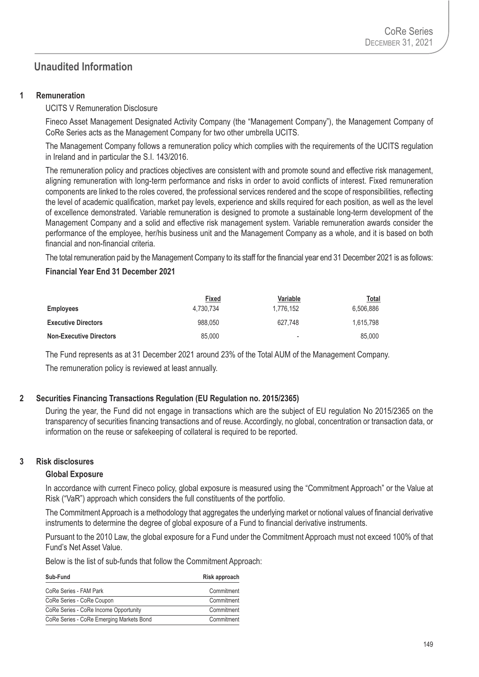# **Unaudited Information**

### **1 Remuneration**

UCITS V Remuneration Disclosure

Fineco Asset Management Designated Activity Company (the "Management Company"), the Management Company of CoRe Series acts as the Management Company for two other umbrella UCITS.

The Management Company follows a remuneration policy which complies with the requirements of the UCITS regulation in Ireland and in particular the S.I. 143/2016.

The remuneration policy and practices objectives are consistent with and promote sound and effective risk management, aligning remuneration with long-term performance and risks in order to avoid conflicts of interest. Fixed remuneration components are linked to the roles covered, the professional services rendered and the scope of responsibilities, reflecting the level of academic qualification, market pay levels, experience and skills required for each position, as well as the level of excellence demonstrated. Variable remuneration is designed to promote a sustainable long-term development of the Management Company and a solid and effective risk management system. Variable remuneration awards consider the performance of the employee, her/his business unit and the Management Company as a whole, and it is based on both financial and non-financial criteria.

The total remuneration paid by the Management Company to its staff for the financial year end 31 December 2021 is as follows:

### **Financial Year End 31 December 2021**

|                                | Fixed     | Variable                 | Total     |
|--------------------------------|-----------|--------------------------|-----------|
| <b>Employees</b>               | 4.730.734 | 1.776.152                | 6.506.886 |
| <b>Executive Directors</b>     | 988.050   | 627.748                  | 1.615.798 |
| <b>Non-Executive Directors</b> | 85,000    | $\overline{\phantom{a}}$ | 85,000    |

The Fund represents as at 31 December 2021 around 23% of the Total AUM of the Management Company. The remuneration policy is reviewed at least annually.

## **2 Securities Financing Transactions Regulation (EU Regulation no. 2015/2365)**

During the year, the Fund did not engage in transactions which are the subject of EU regulation No 2015/2365 on the transparency of securities financing transactions and of reuse. Accordingly, no global, concentration or transaction data, or information on the reuse or safekeeping of collateral is required to be reported.

### **3 Risk disclosures**

### **Global Exposure**

In accordance with current Fineco policy, global exposure is measured using the "Commitment Approach" or the Value at Risk ("VaR") approach which considers the full constituents of the portfolio.

The Commitment Approach is a methodology that aggregates the underlying market or notional values of financial derivative instruments to determine the degree of global exposure of a Fund to financial derivative instruments.

Pursuant to the 2010 Law, the global exposure for a Fund under the Commitment Approach must not exceed 100% of that Fund's Net Asset Value.

Below is the list of sub-funds that follow the Commitment Approach:

| Sub-Fund                                 | Risk approach |
|------------------------------------------|---------------|
| CoRe Series - FAM Park                   | Commitment    |
| CoRe Series - CoRe Coupon                | Commitment    |
| CoRe Series - CoRe Income Opportunity    | Commitment    |
| CoRe Series - CoRe Emerging Markets Bond | Commitment    |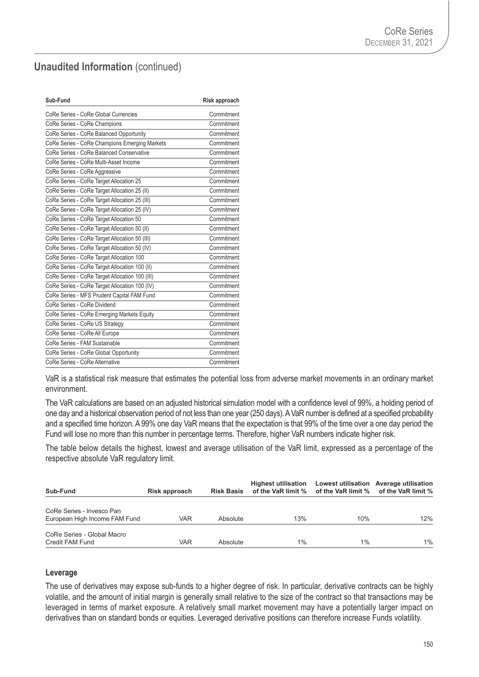# **Unaudited Information (continued)**

| Sub-Fund                                       | Risk approach |
|------------------------------------------------|---------------|
| CoRe Series - CoRe Global Currencies           | Commitment    |
| CoRe Series - CoRe Champions                   | Commitment    |
| CoRe Series - CoRe Balanced Opportunity        | Commitment    |
| CoRe Series - CoRe Champions Emerging Markets  | Commitment    |
| CoRe Series - CoRe Balanced Conservative       | Commitment    |
| CoRe Series - CoRe Multi-Asset Income          | Commitment    |
| CoRe Series - CoRe Aggressive                  | Commitment    |
| CoRe Series - CoRe Target Allocation 25        | Commitment    |
| CoRe Series - CoRe Target Allocation 25 (II)   | Commitment    |
| CoRe Series - CoRe Target Allocation 25 (III)  | Commitment    |
| CoRe Series - CoRe Target Allocation 25 (IV)   | Commitment    |
| CoRe Series - CoRe Target Allocation 50        | Commitment    |
| CoRe Series - CoRe Target Allocation 50 (II)   | Commitment    |
| CoRe Series - CoRe Target Allocation 50 (III)  | Commitment    |
| CoRe Series - CoRe Target Allocation 50 (IV)   | Commitment    |
| CoRe Series - CoRe Target Allocation 100       | Commitment    |
| CoRe Series - CoRe Target Allocation 100 (II)  | Commitment    |
| CoRe Series - CoRe Target Allocation 100 (III) | Commitment    |
| CoRe Series - CoRe Target Allocation 100 (IV)  | Commitment    |
| CoRe Series - MFS Prudent Capital FAM Fund     | Commitment    |
| CoRe Series - CoRe Dividend                    | Commitment    |
| CoRe Series - CoRe Emerging Markets Equity     | Commitment    |
| CoRe Series - CoRe US Strategy                 | Commitment    |
| CoRe Series - CoRe All Europe                  | Commitment    |
| CoRe Series - FAM Sustainable                  | Commitment    |
| CoRe Series - CoRe Global Opportunity          | Commitment    |
| CoRe Series - CoRe Alternative                 | Commitment    |

VaR is a statistical risk measure that estimates the potential loss from adverse market movements in an ordinary market environment.

The VaR calculations are based on an adjusted historical simulation model with a confidence level of 99%, a holding period of one day and a historical observation period of not less than one year (250 days). A VaR number is defined at a specified probability and a specified time horizon. A 99% one day VaR means that the expectation is that 99% of the time over a one day period the Fund will lose no more than this number in percentage terms. Therefore, higher VaR numbers indicate higher risk.

The table below details the highest, lowest and average utilisation of the VaR limit, expressed as a percentage of the respective absolute VaR regulatory limit.

| Sub-Fund                                                   | Risk approach |          | <b>Highest utilisation</b><br>Risk Basis of the VaR limit % of the VaR limit % of the VaR limit % |       | Lowest utilisation Average utilisation |
|------------------------------------------------------------|---------------|----------|---------------------------------------------------------------------------------------------------|-------|----------------------------------------|
| CoRe Series - Invesco Pan<br>European High Income FAM Fund | <b>VAR</b>    | Absolute | 13%                                                                                               | 10%   | 12%                                    |
| CoRe Series - Global Macro<br>Credit FAM Fund              | <b>VAR</b>    | Absolute | 1%                                                                                                | $1\%$ | $1\%$                                  |

### **Leverage**

The use of derivatives may expose sub-funds to a higher degree of risk. In particular, derivative contracts can be highly volatile, and the amount of initial margin is generally small relative to the size of the contract so that transactions may be leveraged in terms of market exposure. A relatively small market movement may have a potentially larger impact on derivatives than on standard bonds or equities. Leveraged derivative positions can therefore increase Funds volatility.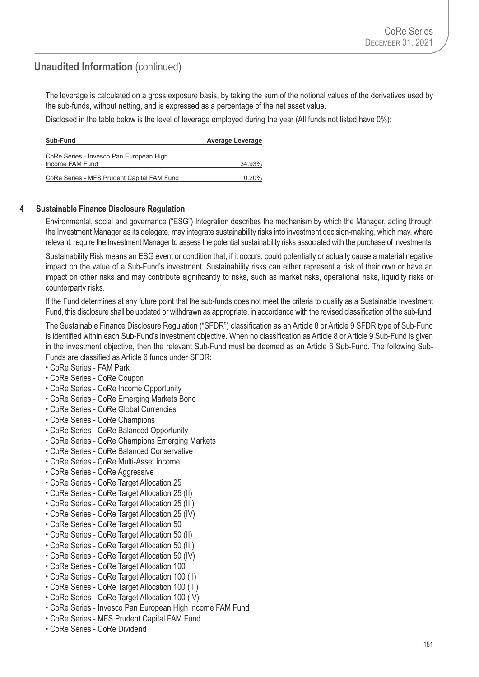# **Unaudited Information (continued)**

The leverage is calculated on a gross exposure basis, by taking the sum of the notional values of the derivatives used by the sub-funds, without netting, and is expressed as a percentage of the net asset value.

Disclosed in the table below is the level of leverage employed during the year (All funds not listed have 0%):

| Sub-Fund                                   | <b>Average Leverage</b> |
|--------------------------------------------|-------------------------|
| CoRe Series - Invesco Pan European High    |                         |
| Income FAM Fund                            | 34.93%                  |
| CoRe Series - MFS Prudent Capital FAM Fund | $0.20\%$                |

### **4 Sustainable Finance Disclosure Regulation**

Environmental, social and governance ("ESG") Integration describes the mechanism by which the Manager, acting through the Investment Manager as its delegate, may integrate sustainability risks into investment decision-making, which may, where relevant, require the Investment Manager to assess the potential sustainability risks associated with the purchase of investments.

Sustainability Risk means an ESG event or condition that, if it occurs, could potentially or actually cause a material negative impact on the value of a Sub-Fund's investment. Sustainability risks can either represent a risk of their own or have an impact on other risks and may contribute significantly to risks, such as market risks, operational risks, liquidity risks or counterparty risks.

If the Fund determines at any future point that the sub-funds does not meet the criteria to qualify as a Sustainable Investment Fund, this disclosure shall be updated or withdrawn as appropriate, in accordance with the revised classification of the sub-fund.

The Sustainable Finance Disclosure Regulation ("SFDR") classification as an Article 8 or Article 9 SFDR type of Sub-Fund is identified within each Sub-Fund's investment objective. When no classification as Article 8 or Article 9 Sub-Fund is given in the investment objective, then the relevant Sub-Fund must be deemed as an Article 6 Sub-Fund. The following Sub-Funds are classified as Article 6 funds under SFDR:

- CoRe Series FAM Park
- CoRe Series CoRe Coupon
- CoRe Series CoRe Income Opportunity
- CoRe Series CoRe Emerging Markets Bond
- CoRe Series CoRe Global Currencies
- CoRe Series CoRe Champions
- CoRe Series CoRe Balanced Opportunity
- CoRe Series CoRe Champions Emerging Markets
- CoRe Series CoRe Balanced Conservative
- CoRe Series CoRe Multi-Asset Income
- CoRe Series CoRe Aggressive
- CoRe Series CoRe Target Allocation 25
- CoRe Series CoRe Target Allocation 25 (II)
- CoRe Series CoRe Target Allocation 25 (III)
- CoRe Series CoRe Target Allocation 25 (IV)
- CoRe Series CoRe Target Allocation 50
- CoRe Series CoRe Target Allocation 50 (II)
- CoRe Series CoRe Target Allocation 50 (III)
- CoRe Series CoRe Target Allocation 50 (IV)
- CoRe Series CoRe Target Allocation 100
- CoRe Series CoRe Target Allocation 100 (II)
- CoRe Series CoRe Target Allocation 100 (III)
- CoRe Series CoRe Target Allocation 100 (IV)
- CoRe Series Invesco Pan European High Income FAM Fund
- CoRe Series MFS Prudent Capital FAM Fund
- CoRe Series CoRe Dividend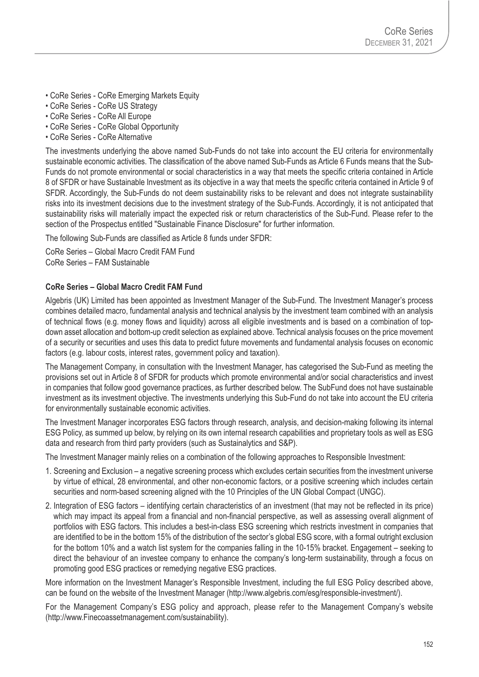- CoRe Series CoRe Emerging Markets Equity
- CoRe Series CoRe US Strategy
- CoRe Series CoRe All Europe
- CoRe Series CoRe Global Opportunity
- CoRe Series CoRe Alternative

The investments underlying the above named Sub-Funds do not take into account the EU criteria for environmentally sustainable economic activities. The classification of the above named Sub-Funds as Article 6 Funds means that the Sub-Funds do not promote environmental or social characteristics in a way that meets the specific criteria contained in Article 8 of SFDR or have Sustainable Investment as its objective in a way that meets the specific criteria contained in Article 9 of SFDR. Accordingly, the Sub-Funds do not deem sustainability risks to be relevant and does not integrate sustainability risks into its investment decisions due to the investment strategy of the Sub-Funds. Accordingly, it is not anticipated that sustainability risks will materially impact the expected risk or return characteristics of the Sub-Fund. Please refer to the section of the Prospectus entitled "Sustainable Finance Disclosure" for further information.

The following Sub-Funds are classified as Article 8 funds under SFDR:

CoRe Series – Global Macro Credit FAM Fund CoRe Series – FAM Sustainable

#### **CoRe Series – Global Macro Credit FAM Fund**

Algebris (UK) Limited has been appointed as Investment Manager of the Sub-Fund. The Investment Manager's process combines detailed macro, fundamental analysis and technical analysis by the investment team combined with an analysis of technical flows (e.g. money flows and liquidity) across all eligible investments and is based on a combination of topdown asset allocation and bottom-up credit selection as explained above. Technical analysis focuses on the price movement of a security or securities and uses this data to predict future movements and fundamental analysis focuses on economic factors (e.g. labour costs, interest rates, government policy and taxation).

The Management Company, in consultation with the Investment Manager, has categorised the Sub-Fund as meeting the provisions set out in Article 8 of SFDR for products which promote environmental and/or social characteristics and invest in companies that follow good governance practices, as further described below. The SubFund does not have sustainable investment as its investment objective. The investments underlying this Sub-Fund do not take into account the EU criteria for environmentally sustainable economic activities.

The Investment Manager incorporates ESG factors through research, analysis, and decision-making following its internal ESG Policy, as summed up below, by relying on its own internal research capabilities and proprietary tools as well as ESG data and research from third party providers (such as Sustainalytics and S&P).

The Investment Manager mainly relies on a combination of the following approaches to Responsible Investment:

- 1. Screening and Exclusion a negative screening process which excludes certain securities from the investment universe by virtue of ethical, 28 environmental, and other non-economic factors, or a positive screening which includes certain securities and norm-based screening aligned with the 10 Principles of the UN Global Compact (UNGC).
- 2. Integration of ESG factors identifying certain characteristics of an investment (that may not be reflected in its price) which may impact its appeal from a financial and non-financial perspective, as well as assessing overall alignment of portfolios with ESG factors. This includes a best-in-class ESG screening which restricts investment in companies that are identified to be in the bottom 15% of the distribution of the sector's global ESG score, with a formal outright exclusion for the bottom 10% and a watch list system for the companies falling in the 10-15% bracket. Engagement – seeking to direct the behaviour of an investee company to enhance the company's long-term sustainability, through a focus on promoting good ESG practices or remedying negative ESG practices.

More information on the Investment Manager's Responsible Investment, including the full ESG Policy described above, can be found on the website of the Investment Manager (http://www.algebris.com/esg/responsible-investment/).

For the Management Company's ESG policy and approach, please refer to the Management Company's website (http://www.Finecoassetmanagement.com/sustainability).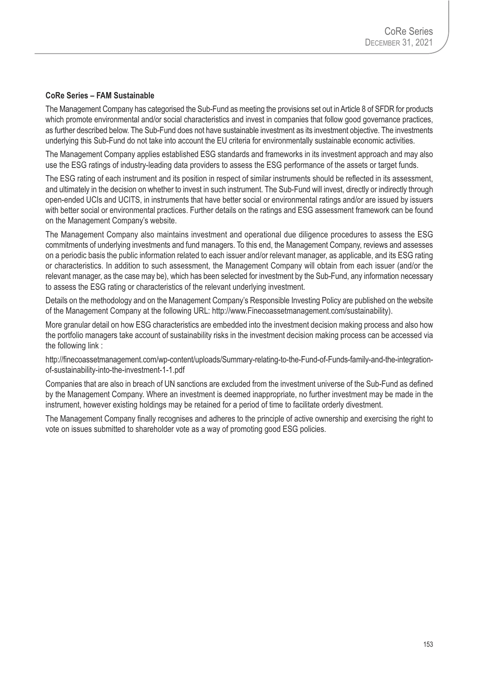#### **CoRe Series – FAM Sustainable**

The Management Company has categorised the Sub-Fund as meeting the provisions set out in Article 8 of SFDR for products which promote environmental and/or social characteristics and invest in companies that follow good governance practices, as further described below. The Sub-Fund does not have sustainable investment as its investment objective. The investments underlying this Sub-Fund do not take into account the EU criteria for environmentally sustainable economic activities.

The Management Company applies established ESG standards and frameworks in its investment approach and may also use the ESG ratings of industry-leading data providers to assess the ESG performance of the assets or target funds.

The ESG rating of each instrument and its position in respect of similar instruments should be reflected in its assessment, and ultimately in the decision on whether to invest in such instrument. The Sub-Fund will invest, directly or indirectly through open-ended UCIs and UCITS, in instruments that have better social or environmental ratings and/or are issued by issuers with better social or environmental practices. Further details on the ratings and ESG assessment framework can be found on the Management Company's website.

The Management Company also maintains investment and operational due diligence procedures to assess the ESG commitments of underlying investments and fund managers. To this end, the Management Company, reviews and assesses on a periodic basis the public information related to each issuer and/or relevant manager, as applicable, and its ESG rating or characteristics. In addition to such assessment, the Management Company will obtain from each issuer (and/or the relevant manager, as the case may be), which has been selected for investment by the Sub-Fund, any information necessary to assess the ESG rating or characteristics of the relevant underlying investment.

Details on the methodology and on the Management Company's Responsible Investing Policy are published on the website of the Management Company at the following URL: http://www.Finecoassetmanagement.com/sustainability).

More granular detail on how ESG characteristics are embedded into the investment decision making process and also how the portfolio managers take account of sustainability risks in the investment decision making process can be accessed via the following link :

http://finecoassetmanagement.com/wp-content/uploads/Summary-relating-to-the-Fund-of-Funds-family-and-the-integrationof-sustainability-into-the-investment-1-1.pdf

Companies that are also in breach of UN sanctions are excluded from the investment universe of the Sub-Fund as defined by the Management Company. Where an investment is deemed inappropriate, no further investment may be made in the instrument, however existing holdings may be retained for a period of time to facilitate orderly divestment.

The Management Company finally recognises and adheres to the principle of active ownership and exercising the right to vote on issues submitted to shareholder vote as a way of promoting good ESG policies.